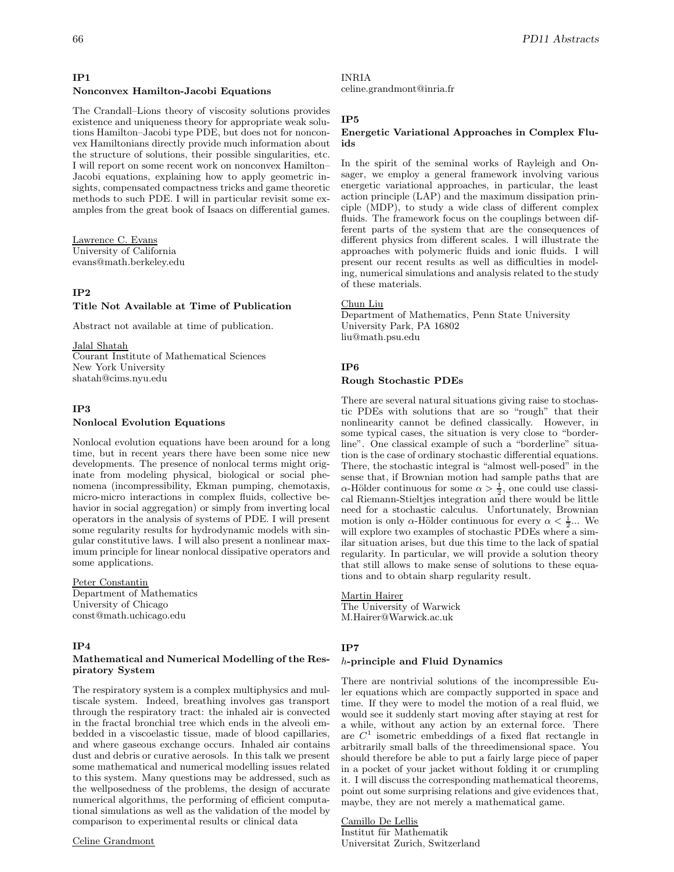## **Nonconvex Hamilton-Jacobi Equations**

The Crandall–Lions theory of viscosity solutions provides existence and uniqueness theory for appropriate weak solutions Hamilton–Jacobi type PDE, but does not for nonconvex Hamiltonians directly provide much information about the structure of solutions, their possible singularities, etc. I will report on some recent work on nonconvex Hamilton– Jacobi equations, explaining how to apply geometric insights, compensated compactness tricks and game theoretic methods to such PDE. I will in particular revisit some examples from the great book of Isaacs on differential games.

Lawrence C. Evans University of California evans@math.berkeley.edu

# **IP2**

# **Title Not Available at Time of Publication**

Abstract not available at time of publication.

Jalal Shatah

Courant Institute of Mathematical Sciences New York University shatah@cims.nyu.edu

#### **IP3**

#### **Nonlocal Evolution Equations**

Nonlocal evolution equations have been around for a long time, but in recent years there have been some nice new developments. The presence of nonlocal terms might originate from modeling physical, biological or social phenomena (incompressibility, Ekman pumping, chemotaxis, micro-micro interactions in complex fluids, collective behavior in social aggregation) or simply from inverting local operators in the analysis of systems of PDE. I will present some regularity results for hydrodynamic models with singular constitutive laws. I will also present a nonlinear maximum principle for linear nonlocal dissipative operators and some applications.

# Peter Constantin

Department of Mathematics University of Chicago const@math.uchicago.edu

# **IP4**

### **Mathematical and Numerical Modelling of the Respiratory System**

The respiratory system is a complex multiphysics and multiscale system. Indeed, breathing involves gas transport through the respiratory tract: the inhaled air is convected in the fractal bronchial tree which ends in the alveoli embedded in a viscoelastic tissue, made of blood capillaries, and where gaseous exchange occurs. Inhaled air contains dust and debris or curative aerosols. In this talk we present some mathematical and numerical modelling issues related to this system. Many questions may be addressed, such as the wellposedness of the problems, the design of accurate numerical algorithms, the performing of efficient computational simulations as well as the validation of the model by comparison to experimental results or clinical data

#### Celine Grandmont

INRIA

celine.grandmont@inria.fr

## **IP5**

## **Energetic Variational Approaches in Complex Fluids**

In the spirit of the seminal works of Rayleigh and Onsager, we employ a general framework involving various energetic variational approaches, in particular, the least action principle (LAP) and the maximum dissipation principle (MDP), to study a wide class of different complex fluids. The framework focus on the couplings between different parts of the system that are the consequences of different physics from different scales. I will illustrate the approaches with polymeric fluids and ionic fluids. I will present our recent results as well as difficulties in modeling, numerical simulations and analysis related to the study of these materials.

#### Chun Liu

Department of Mathematics, Penn State University University Park, PA 16802 liu@math.psu.edu

# **IP6**

## **Rough Stochastic PDEs**

There are several natural situations giving raise to stochastic PDEs with solutions that are so "rough" that their nonlinearity cannot be defined classically. However, in some typical cases, the situation is very close to "borderline". One classical example of such a "borderline" situation is the case of ordinary stochastic differential equations. There, the stochastic integral is "almost well-posed" in the sense that, if Brownian motion had sample paths that are  $\alpha$ -Hölder continuous for some  $\alpha > \frac{1}{2}$ , one could use classical Riemann-Stieltjes integration and there would be little need for a stochastic calculus. Unfortunately, Brownian motion is only  $\alpha$ -Hölder continuous for every  $\alpha < \frac{1}{2}$ ... We will explore two examples of stochastic PDEs where a similar situation arises, but due this time to the lack of spatial regularity. In particular, we will provide a solution theory that still allows to make sense of solutions to these equations and to obtain sharp regularity result.

Martin Hairer The University of Warwick M.Hairer@Warwick.ac.uk

#### **IP7**

### h**-principle and Fluid Dynamics**

There are nontrivial solutions of the incompressible Euler equations which are compactly supported in space and time. If they were to model the motion of a real fluid, we would see it suddenly start moving after staying at rest for a while, without any action by an external force. There are  $C<sup>1</sup>$  isometric embeddings of a fixed flat rectangle in arbitrarily small balls of the threedimensional space. You should therefore be able to put a fairly large piece of paper in a pocket of your jacket without folding it or crumpling it. I will discuss the corresponding mathematical theorems, point out some surprising relations and give evidences that, maybe, they are not merely a mathematical game.

Camillo De Lellis Institut für Mathematik Universitat Zurich, Switzerland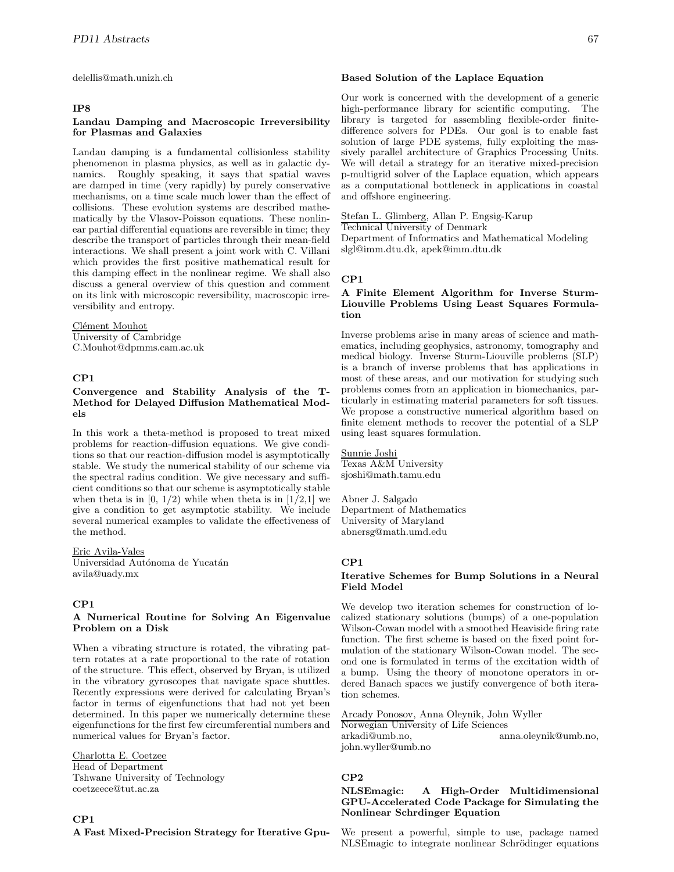delellis@math.unizh.ch

## **IP8**

#### **Landau Damping and Macroscopic Irreversibility for Plasmas and Galaxies**

Landau damping is a fundamental collisionless stability phenomenon in plasma physics, as well as in galactic dynamics. Roughly speaking, it says that spatial waves are damped in time (very rapidly) by purely conservative mechanisms, on a time scale much lower than the effect of collisions. These evolution systems are described mathematically by the Vlasov-Poisson equations. These nonlinear partial differential equations are reversible in time; they describe the transport of particles through their mean-field interactions. We shall present a joint work with C. Villani which provides the first positive mathematical result for this damping effect in the nonlinear regime. We shall also discuss a general overview of this question and comment on its link with microscopic reversibility, macroscopic irreversibility and entropy.

#### Clément Mouhot

University of Cambridge C.Mouhot@dpmms.cam.ac.uk

# **CP1**

# **Convergence and Stability Analysis of the T-Method for Delayed Diffusion Mathematical Models**

In this work a theta-method is proposed to treat mixed problems for reaction-diffusion equations. We give conditions so that our reaction-diffusion model is asymptotically stable. We study the numerical stability of our scheme via the spectral radius condition. We give necessary and sufficient conditions so that our scheme is asymptotically stable when theta is in  $[0, 1/2)$  while when theta is in  $[1/2,1]$  we give a condition to get asymptotic stability. We include several numerical examples to validate the effectiveness of the method.

Eric Avila-Vales Universidad Autónoma de Yucatán avila@uady.mx

#### **CP1**

#### **A Numerical Routine for Solving An Eigenvalue Problem on a Disk**

When a vibrating structure is rotated, the vibrating pattern rotates at a rate proportional to the rate of rotation of the structure. This effect, observed by Bryan, is utilized in the vibratory gyroscopes that navigate space shuttles. Recently expressions were derived for calculating Bryan's factor in terms of eigenfunctions that had not yet been determined. In this paper we numerically determine these eigenfunctions for the first few circumferential numbers and numerical values for Bryan's factor.

Charlotta E. Coetzee Head of Department Tshwane University of Technology coetzeece@tut.ac.za

#### **CP1**

**A Fast Mixed-Precision Strategy for Iterative Gpu-**

#### **Based Solution of the Laplace Equation**

Our work is concerned with the development of a generic high-performance library for scientific computing. The library is targeted for assembling flexible-order finitedifference solvers for PDEs. Our goal is to enable fast solution of large PDE systems, fully exploiting the massively parallel architecture of Graphics Processing Units. We will detail a strategy for an iterative mixed-precision p-multigrid solver of the Laplace equation, which appears as a computational bottleneck in applications in coastal and offshore engineering.

Stefan L. Glimberg, Allan P. Engsig-Karup Technical University of Denmark

Department of Informatics and Mathematical Modeling slgl@imm.dtu.dk, apek@imm.dtu.dk

#### **CP1**

## **A Finite Element Algorithm for Inverse Sturm-Liouville Problems Using Least Squares Formulation**

Inverse problems arise in many areas of science and mathematics, including geophysics, astronomy, tomography and medical biology. Inverse Sturm-Liouville problems (SLP) is a branch of inverse problems that has applications in most of these areas, and our motivation for studying such problems comes from an application in biomechanics, particularly in estimating material parameters for soft tissues. We propose a constructive numerical algorithm based on finite element methods to recover the potential of a SLP using least squares formulation.

Sunnie Joshi Texas A&M University sjoshi@math.tamu.edu

Abner J. Salgado Department of Mathematics University of Maryland abnersg@math.umd.edu

# **CP1**

# **Iterative Schemes for Bump Solutions in a Neural Field Model**

We develop two iteration schemes for construction of localized stationary solutions (bumps) of a one-population Wilson-Cowan model with a smoothed Heaviside firing rate function. The first scheme is based on the fixed point formulation of the stationary Wilson-Cowan model. The second one is formulated in terms of the excitation width of a bump. Using the theory of monotone operators in ordered Banach spaces we justify convergence of both iteration schemes.

Arcady Ponosov, Anna Oleynik, John Wyller Norwegian University of Life Sciences arkadi@umb.no, anna.oleynik@umb.no, john.wyller@umb.no

# **CP2**

## **NLSEmagic: A High-Order Multidimensional GPU-Accelerated Code Package for Simulating the Nonlinear Schrdinger Equation**

We present a powerful, simple to use, package named NLSE magic to integrate nonlinear Schrödinger equations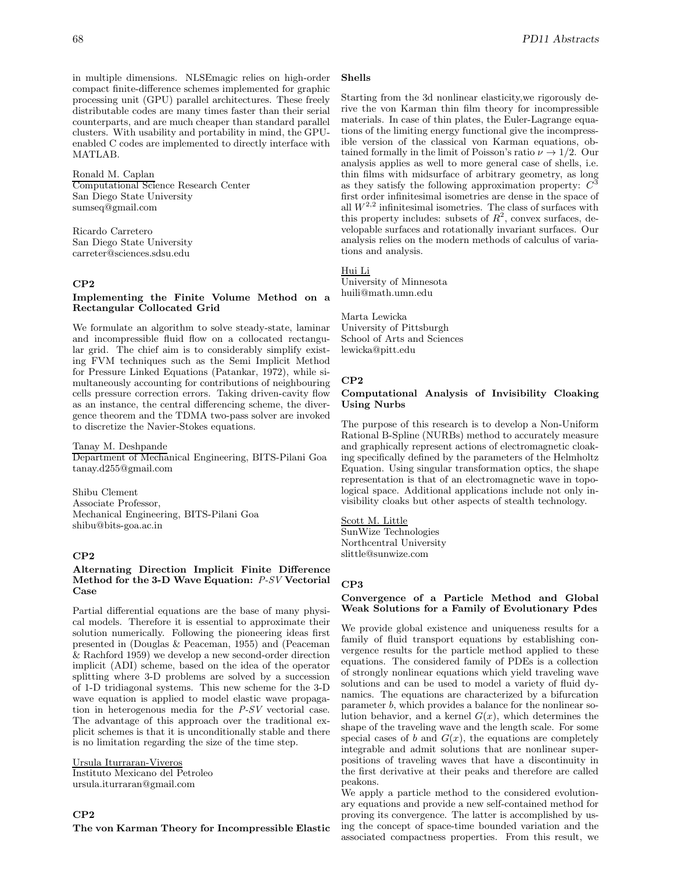in multiple dimensions. NLSEmagic relies on high-order compact finite-difference schemes implemented for graphic processing unit (GPU) parallel architectures. These freely distributable codes are many times faster than their serial counterparts, and are much cheaper than standard parallel clusters. With usability and portability in mind, the GPUenabled C codes are implemented to directly interface with MATLAB.

Ronald M. Caplan Computational Science Research Center San Diego State University sumseq@gmail.com

Ricardo Carretero San Diego State University carreter@sciences.sdsu.edu

### **CP2**

# **Implementing the Finite Volume Method on a Rectangular Collocated Grid**

We formulate an algorithm to solve steady-state, laminar and incompressible fluid flow on a collocated rectangular grid. The chief aim is to considerably simplify existing FVM techniques such as the Semi Implicit Method for Pressure Linked Equations (Patankar, 1972), while simultaneously accounting for contributions of neighbouring cells pressure correction errors. Taking driven-cavity flow as an instance, the central differencing scheme, the divergence theorem and the TDMA two-pass solver are invoked to discretize the Navier-Stokes equations.

Tanay M. Deshpande Department of Mechanical Engineering, BITS-Pilani Goa tanay.d255@gmail.com

Shibu Clement Associate Professor, Mechanical Engineering, BITS-Pilani Goa shibu@bits-goa.ac.in

# **CP2**

# **Alternating Direction Implicit Finite Difference Method for the 3-D Wave Equation:** *P-SV* **Vectorial Case**

Partial differential equations are the base of many physical models. Therefore it is essential to approximate their solution numerically. Following the pioneering ideas first presented in (Douglas & Peaceman, 1955) and (Peaceman & Rachford 1959) we develop a new second-order direction implicit (ADI) scheme, based on the idea of the operator splitting where 3-D problems are solved by a succession of 1-D tridiagonal systems. This new scheme for the 3-D wave equation is applied to model elastic wave propagation in heterogenous media for the *P-SV* vectorial case. The advantage of this approach over the traditional explicit schemes is that it is unconditionally stable and there is no limitation regarding the size of the time step.

Ursula Iturraran-Viveros

Instituto Mexicano del Petroleo ursula.iturraran@gmail.com

# **CP2**

**The von Karman Theory for Incompressible Elastic**

## **Shells**

Starting from the 3d nonlinear elasticity,we rigorously derive the von Karman thin film theory for incompressible materials. In case of thin plates, the Euler-Lagrange equations of the limiting energy functional give the incompressible version of the classical von Karman equations, obtained formally in the limit of Poisson's ratio  $\nu \rightarrow 1/2$ . Our analysis applies as well to more general case of shells, i.e. thin films with midsurface of arbitrary geometry, as long as they satisfy the following approximation property:  $C$ first order infinitesimal isometries are dense in the space of all  $W^{2,2}$  infinitesimal isometries. The class of surfaces with this property includes: subsets of  $R^2$ , convex surfaces, developable surfaces and rotationally invariant surfaces. Our analysis relies on the modern methods of calculus of variations and analysis.

# Hui Li

University of Minnesota huili@math.umn.edu

Marta Lewicka University of Pittsburgh School of Arts and Sciences lewicka@pitt.edu

#### **CP2**

#### **Computational Analysis of Invisibility Cloaking Using Nurbs**

The purpose of this research is to develop a Non-Uniform Rational B-Spline (NURBs) method to accurately measure and graphically represent actions of electromagnetic cloaking specifically defined by the parameters of the Helmholtz Equation. Using singular transformation optics, the shape representation is that of an electromagnetic wave in topological space. Additional applications include not only invisibility cloaks but other aspects of stealth technology.

Scott M. Little SunWize Technologies Northcentral University slittle@sunwize.com

# **CP3**

### **Convergence of a Particle Method and Global Weak Solutions for a Family of Evolutionary Pdes**

We provide global existence and uniqueness results for a family of fluid transport equations by establishing convergence results for the particle method applied to these equations. The considered family of PDEs is a collection of strongly nonlinear equations which yield traveling wave solutions and can be used to model a variety of fluid dynamics. The equations are characterized by a bifurcation parameter b, which provides a balance for the nonlinear solution behavior, and a kernel  $G(x)$ , which determines the shape of the traveling wave and the length scale. For some special cases of b and  $G(x)$ , the equations are completely integrable and admit solutions that are nonlinear superpositions of traveling waves that have a discontinuity in the first derivative at their peaks and therefore are called peakons.

We apply a particle method to the considered evolutionary equations and provide a new self-contained method for proving its convergence. The latter is accomplished by using the concept of space-time bounded variation and the associated compactness properties. From this result, we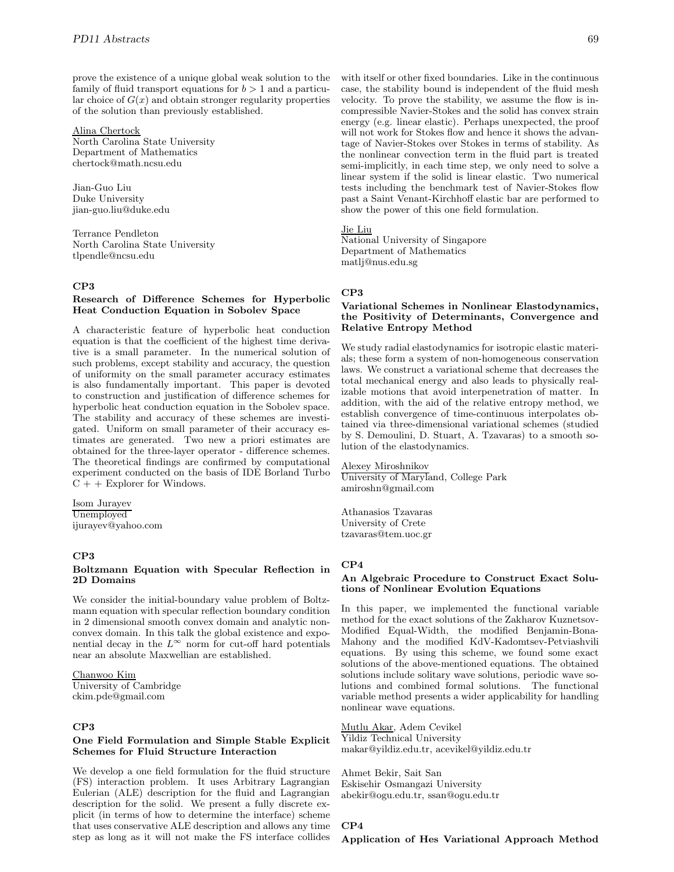prove the existence of a unique global weak solution to the family of fluid transport equations for  $b > 1$  and a particular choice of  $G(x)$  and obtain stronger regularity properties of the solution than previously established.

### Alina Chertock

North Carolina State University Department of Mathematics chertock@math.ncsu.edu

Jian-Guo Liu Duke University jian-guo.liu@duke.edu

Terrance Pendleton North Carolina State University tlpendle@ncsu.edu

## **CP3**

## **Research of Difference Schemes for Hyperbolic Heat Conduction Equation in Sobolev Space**

A characteristic feature of hyperbolic heat conduction equation is that the coefficient of the highest time derivative is a small parameter. In the numerical solution of such problems, except stability and accuracy, the question of uniformity on the small parameter accuracy estimates is also fundamentally important. This paper is devoted to construction and justification of difference schemes for hyperbolic heat conduction equation in the Sobolev space. The stability and accuracy of these schemes are investigated. Uniform on small parameter of their accuracy estimates are generated. Two new a priori estimates are obtained for the three-layer operator - difference schemes. The theoretical findings are confirmed by computational experiment conducted on the basis of IDE Borland Turbo  $C + +$  Explorer for Windows.

Isom Jurayev Unemployed ijurayev@yahoo.com

#### **CP3**

# **Boltzmann Equation with Specular Reflection in 2D Domains**

We consider the initial-boundary value problem of Boltzmann equation with specular reflection boundary condition in 2 dimensional smooth convex domain and analytic nonconvex domain. In this talk the global existence and exponential decay in the  $L^{\infty}$  norm for cut-off hard potentials near an absolute Maxwellian are established.

#### Chanwoo Kim

University of Cambridge ckim.pde@gmail.com

# **CP3**

# **One Field Formulation and Simple Stable Explicit Schemes for Fluid Structure Interaction**

We develop a one field formulation for the fluid structure (FS) interaction problem. It uses Arbitrary Lagrangian Eulerian (ALE) description for the fluid and Lagrangian description for the solid. We present a fully discrete explicit (in terms of how to determine the interface) scheme that uses conservative ALE description and allows any time step as long as it will not make the FS interface collides

with itself or other fixed boundaries. Like in the continuous case, the stability bound is independent of the fluid mesh velocity. To prove the stability, we assume the flow is incompressible Navier-Stokes and the solid has convex strain energy (e.g. linear elastic). Perhaps unexpected, the proof will not work for Stokes flow and hence it shows the advantage of Navier-Stokes over Stokes in terms of stability. As the nonlinear convection term in the fluid part is treated semi-implicitly, in each time step, we only need to solve a linear system if the solid is linear elastic. Two numerical tests including the benchmark test of Navier-Stokes flow past a Saint Venant-Kirchhoff elastic bar are performed to show the power of this one field formulation.

Jie Liu

National University of Singapore Department of Mathematics matlj@nus.edu.sg

# **CP3**

## **Variational Schemes in Nonlinear Elastodynamics, the Positivity of Determinants, Convergence and Relative Entropy Method**

We study radial elastodynamics for isotropic elastic materials; these form a system of non-homogeneous conservation laws. We construct a variational scheme that decreases the total mechanical energy and also leads to physically realizable motions that avoid interpenetration of matter. In addition, with the aid of the relative entropy method, we establish convergence of time-continuous interpolates obtained via three-dimensional variational schemes (studied by S. Demoulini, D. Stuart, A. Tzavaras) to a smooth solution of the elastodynamics.

Alexey Miroshnikov University of Maryland, College Park amiroshn@gmail.com

Athanasios Tzavaras University of Crete tzavaras@tem.uoc.gr

# **CP4**

### **An Algebraic Procedure to Construct Exact Solutions of Nonlinear Evolution Equations**

In this paper, we implemented the functional variable method for the exact solutions of the Zakharov Kuznetsov-Modified Equal-Width, the modified Benjamin-Bona-Mahony and the modified KdV-Kadomtsev-Petviashvili equations. By using this scheme, we found some exact solutions of the above-mentioned equations. The obtained solutions include solitary wave solutions, periodic wave solutions and combined formal solutions. The functional variable method presents a wider applicability for handling nonlinear wave equations.

Mutlu Akar, Adem Cevikel Yildiz Technical University makar@yildiz.edu.tr, acevikel@yildiz.edu.tr

Ahmet Bekir, Sait San Eskisehir Osmangazi University abekir@ogu.edu.tr, ssan@ogu.edu.tr

# **CP4**

**Application of Hes Variational Approach Method**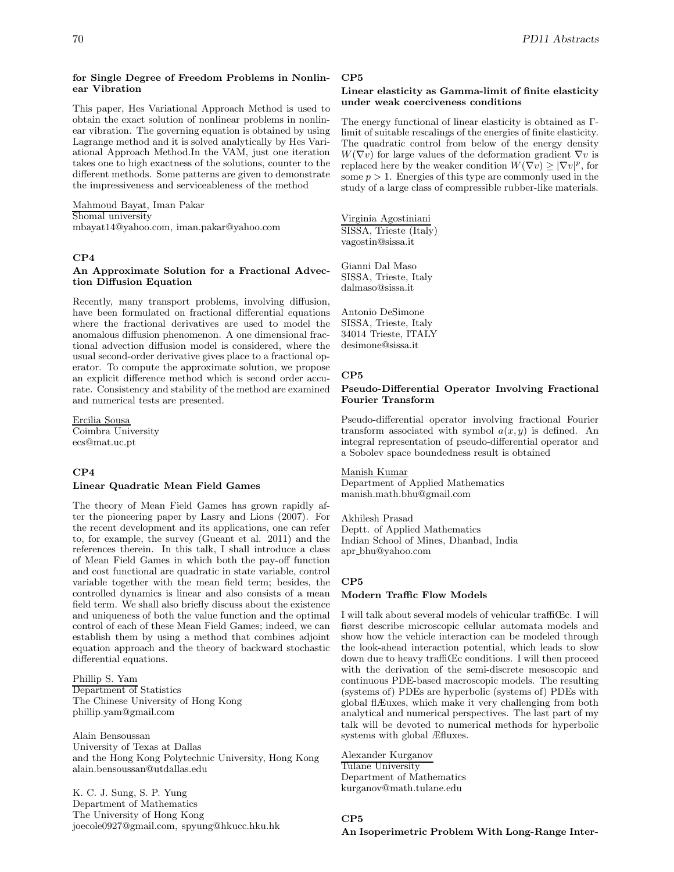### **for Single Degree of Freedom Problems in Nonlinear Vibration**

This paper, Hes Variational Approach Method is used to obtain the exact solution of nonlinear problems in nonlinear vibration. The governing equation is obtained by using Lagrange method and it is solved analytically by Hes Variational Approach Method.In the VAM, just one iteration takes one to high exactness of the solutions, counter to the different methods. Some patterns are given to demonstrate the impressiveness and serviceableness of the method

Mahmoud Bayat, Iman Pakar Shomal university mbayat14@yahoo.com, iman.pakar@yahoo.com

# **CP4**

# **An Approximate Solution for a Fractional Advection Diffusion Equation**

Recently, many transport problems, involving diffusion, have been formulated on fractional differential equations where the fractional derivatives are used to model the anomalous diffusion phenomenon. A one dimensional fractional advection diffusion model is considered, where the usual second-order derivative gives place to a fractional operator. To compute the approximate solution, we propose an explicit difference method which is second order accurate. Consistency and stability of the method are examined and numerical tests are presented.

Ercilia Sousa Coimbra University ecs@mat.uc.pt

# **CP4**

#### **Linear Quadratic Mean Field Games**

The theory of Mean Field Games has grown rapidly after the pioneering paper by Lasry and Lions (2007). For the recent development and its applications, one can refer to, for example, the survey (Gueant et al. 2011) and the references therein. In this talk, I shall introduce a class of Mean Field Games in which both the pay-off function and cost functional are quadratic in state variable, control variable together with the mean field term; besides, the controlled dynamics is linear and also consists of a mean field term. We shall also briefly discuss about the existence and uniqueness of both the value function and the optimal control of each of these Mean Field Games; indeed, we can establish them by using a method that combines adjoint equation approach and the theory of backward stochastic differential equations.

Phillip S. Yam Department of Statistics The Chinese University of Hong Kong phillip.yam@gmail.com

Alain Bensoussan University of Texas at Dallas and the Hong Kong Polytechnic University, Hong Kong alain.bensoussan@utdallas.edu

K. C. J. Sung, S. P. Yung Department of Mathematics The University of Hong Kong joecole0927@gmail.com, spyung@hkucc.hku.hk

### **CP5**

# **Linear elasticity as Gamma-limit of finite elasticity under weak coerciveness conditions**

The energy functional of linear elasticity is obtained as Γlimit of suitable rescalings of the energies of finite elasticity. The quadratic control from below of the energy density  $W(\nabla v)$  for large values of the deformation gradient  $\nabla v$  is replaced here by the weaker condition  $W(\nabla v) \geq |\nabla v|^p$ , for some  $p > 1$ . Energies of this type are commonly used in the study of a large class of compressible rubber-like materials.

Virginia Agostiniani SISSA, Trieste (Italy) vagostin@sissa.it

Gianni Dal Maso SISSA, Trieste, Italy dalmaso@sissa.it

Antonio DeSimone SISSA, Trieste, Italy 34014 Trieste, ITALY desimone@sissa.it

# **CP5**

### **Pseudo-Differential Operator Involving Fractional Fourier Transform**

Pseudo-differential operator involving fractional Fourier transform associated with symbol  $a(x, y)$  is defined. An integral representation of pseudo-differential operator and a Sobolev space boundedness result is obtained

# Manish Kumar

Department of Applied Mathematics manish.math.bhu@gmail.com

Akhilesh Prasad Deptt. of Applied Mathematics Indian School of Mines, Dhanbad, India apr bhu@yahoo.com

# **CP5**

#### **Modern Traffic Flow Models**

I will talk about several models of vehicular traffiŒc. I will fiørst describe microscopic cellular automata models and show how the vehicle interaction can be modeled through the look-ahead interaction potential, which leads to slow down due to heavy traffiŒc conditions. I will then proceed with the derivation of the semi-discrete mesoscopic and continuous PDE-based macroscopic models. The resulting (systems of) PDEs are hyperbolic (systems of) PDEs with global flÆuxes, which make it very challenging from both analytical and numerical perspectives. The last part of my talk will be devoted to numerical methods for hyperbolic systems with global Æfluxes.

Alexander Kurganov Tulane University Department of Mathematics kurganov@math.tulane.edu

# **CP5**

# **An Isoperimetric Problem With Long-Range Inter-**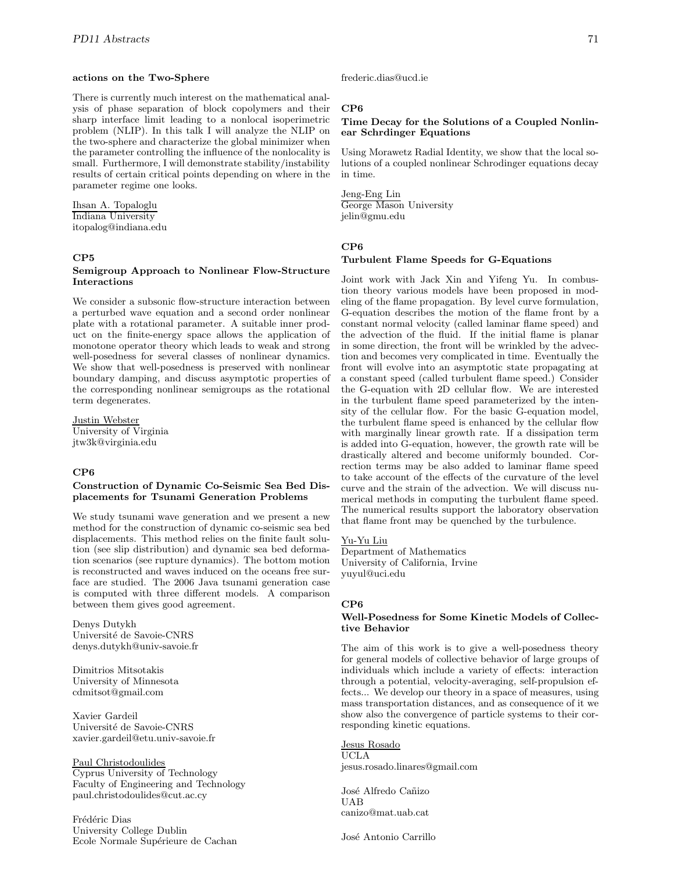#### **actions on the Two-Sphere**

There is currently much interest on the mathematical analysis of phase separation of block copolymers and their sharp interface limit leading to a nonlocal isoperimetric problem (NLIP). In this talk I will analyze the NLIP on the two-sphere and characterize the global minimizer when the parameter controlling the influence of the nonlocality is small. Furthermore, I will demonstrate stability/instability results of certain critical points depending on where in the parameter regime one looks.

Ihsan A. Topaloglu Indiana University itopalog@indiana.edu

# **CP5**

# **Semigroup Approach to Nonlinear Flow-Structure Interactions**

We consider a subsonic flow-structure interaction between a perturbed wave equation and a second order nonlinear plate with a rotational parameter. A suitable inner product on the finite-energy space allows the application of monotone operator theory which leads to weak and strong well-posedness for several classes of nonlinear dynamics. We show that well-posedness is preserved with nonlinear boundary damping, and discuss asymptotic properties of the corresponding nonlinear semigroups as the rotational term degenerates.

Justin Webster University of Virginia jtw3k@virginia.edu

# **CP6**

# **Construction of Dynamic Co-Seismic Sea Bed Displacements for Tsunami Generation Problems**

We study tsunami wave generation and we present a new method for the construction of dynamic co-seismic sea bed displacements. This method relies on the finite fault solution (see slip distribution) and dynamic sea bed deformation scenarios (see rupture dynamics). The bottom motion is reconstructed and waves induced on the oceans free surface are studied. The 2006 Java tsunami generation case is computed with three different models. A comparison between them gives good agreement.

Denys Dutykh Université de Savoie-CNRS denys.dutykh@univ-savoie.fr

Dimitrios Mitsotakis University of Minnesota cdmitsot@gmail.com

Xavier Gardeil Université de Savoie-CNRS xavier.gardeil@etu.univ-savoie.fr

# Paul Christodoulides

Cyprus University of Technology Faculty of Engineering and Technology paul.christodoulides@cut.ac.cy

Frédéric Dias University College Dublin Ecole Normale Supérieure de Cachan frederic.dias@ucd.ie

# **CP6**

# **Time Decay for the Solutions of a Coupled Nonlinear Schrdinger Equations**

Using Morawetz Radial Identity, we show that the local solutions of a coupled nonlinear Schrodinger equations decay in time.

Jeng-Eng Lin George Mason University jelin@gmu.edu

### **CP6**

#### **Turbulent Flame Speeds for G-Equations**

Joint work with Jack Xin and Yifeng Yu. In combustion theory various models have been proposed in modeling of the flame propagation. By level curve formulation, G-equation describes the motion of the flame front by a constant normal velocity (called laminar flame speed) and the advection of the fluid. If the initial flame is planar in some direction, the front will be wrinkled by the advection and becomes very complicated in time. Eventually the front will evolve into an asymptotic state propagating at a constant speed (called turbulent flame speed.) Consider the G-equation with 2D cellular flow. We are interested in the turbulent flame speed parameterized by the intensity of the cellular flow. For the basic G-equation model, the turbulent flame speed is enhanced by the cellular flow with marginally linear growth rate. If a dissipation term is added into G-equation, however, the growth rate will be drastically altered and become uniformly bounded. Correction terms may be also added to laminar flame speed to take account of the effects of the curvature of the level curve and the strain of the advection. We will discuss numerical methods in computing the turbulent flame speed. The numerical results support the laboratory observation that flame front may be quenched by the turbulence.

Yu-Yu Liu Department of Mathematics University of California, Irvine yuyul@uci.edu

# **CP6**

### **Well-Posedness for Some Kinetic Models of Collective Behavior**

The aim of this work is to give a well-posedness theory for general models of collective behavior of large groups of individuals which include a variety of effects: interaction through a potential, velocity-averaging, self-propulsion effects... We develop our theory in a space of measures, using mass transportation distances, and as consequence of it we show also the convergence of particle systems to their corresponding kinetic equations.

#### Jesus Rosado UCLA jesus.rosado.linares@gmail.com

José Alfredo Cañizo UAB canizo@mat.uab.cat

José Antonio Carrillo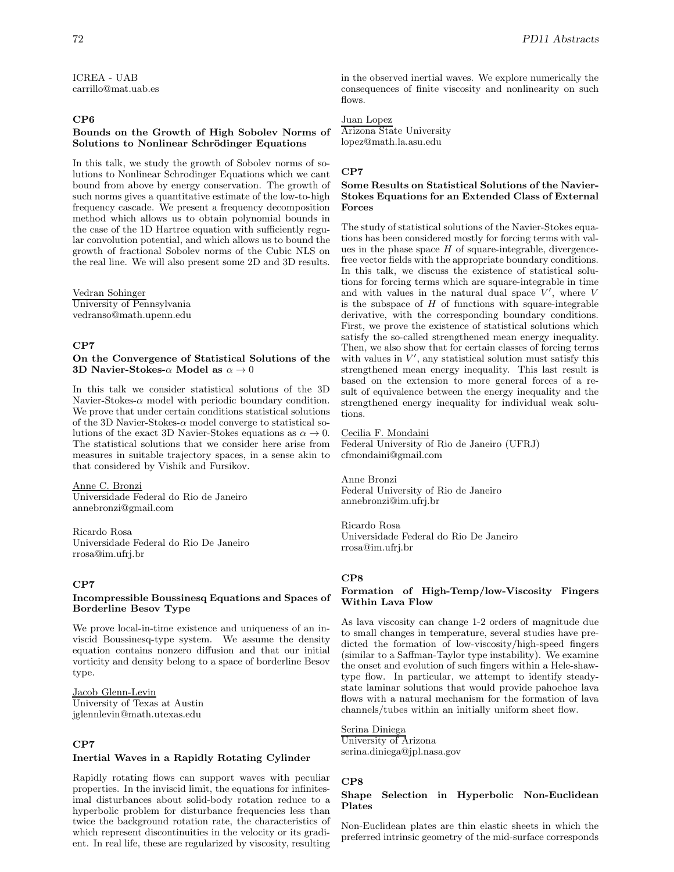ICREA - UAB carrillo@mat.uab.es

# **CP6**

#### **Bounds on the Growth of High Sobolev Norms of Solutions to Nonlinear Schrödinger Equations**

In this talk, we study the growth of Sobolev norms of solutions to Nonlinear Schrodinger Equations which we cant bound from above by energy conservation. The growth of such norms gives a quantitative estimate of the low-to-high frequency cascade. We present a frequency decomposition method which allows us to obtain polynomial bounds in the case of the 1D Hartree equation with sufficiently regular convolution potential, and which allows us to bound the growth of fractional Sobolev norms of the Cubic NLS on the real line. We will also present some 2D and 3D results.

Vedran Sohinger University of Pennsylvania vedranso@math.upenn.edu

#### **CP7**

# **On the Convergence of Statistical Solutions of the 3D Navier-Stokes-**α **Model as** α → 0

In this talk we consider statistical solutions of the 3D Navier-Stokes- $\alpha$  model with periodic boundary condition. We prove that under certain conditions statistical solutions of the 3D Navier-Stokes- $\alpha$  model converge to statistical solutions of the exact 3D Navier-Stokes equations as  $\alpha \to 0$ . The statistical solutions that we consider here arise from measures in suitable trajectory spaces, in a sense akin to that considered by Vishik and Fursikov.

Anne C. Bronzi Universidade Federal do Rio de Janeiro

annebronzi@gmail.com

Ricardo Rosa Universidade Federal do Rio De Janeiro rrosa@im.ufrj.br

# **CP7**

#### **Incompressible Boussinesq Equations and Spaces of Borderline Besov Type**

We prove local-in-time existence and uniqueness of an inviscid Boussinesq-type system. We assume the density equation contains nonzero diffusion and that our initial vorticity and density belong to a space of borderline Besov type.

#### Jacob Glenn-Levin

University of Texas at Austin jglennlevin@math.utexas.edu

# **CP7**

#### **Inertial Waves in a Rapidly Rotating Cylinder**

Rapidly rotating flows can support waves with peculiar properties. In the inviscid limit, the equations for infinitesimal disturbances about solid-body rotation reduce to a hyperbolic problem for disturbance frequencies less than twice the background rotation rate, the characteristics of which represent discontinuities in the velocity or its gradient. In real life, these are regularized by viscosity, resulting

in the observed inertial waves. We explore numerically the consequences of finite viscosity and nonlinearity on such flows.

Juan Lopez Arizona State University lopez@math.la.asu.edu

#### **CP7**

# **Some Results on Statistical Solutions of the Navier-Stokes Equations for an Extended Class of External Forces**

The study of statistical solutions of the Navier-Stokes equations has been considered mostly for forcing terms with values in the phase space  $H$  of square-integrable, divergencefree vector fields with the appropriate boundary conditions. In this talk, we discuss the existence of statistical solutions for forcing terms which are square-integrable in time and with values in the natural dual space  $V'$ , where  $V$ is the subspace of  $H$  of functions with square-integrable derivative, with the corresponding boundary conditions. First, we prove the existence of statistical solutions which satisfy the so-called strengthened mean energy inequality. Then, we also show that for certain classes of forcing terms with values in  $V'$ , any statistical solution must satisfy this strengthened mean energy inequality. This last result is based on the extension to more general forces of a result of equivalence between the energy inequality and the strengthened energy inequality for individual weak solutions.

## Cecilia F. Mondaini

Federal University of Rio de Janeiro (UFRJ) cfmondaini@gmail.com

Anne Bronzi Federal University of Rio de Janeiro annebronzi@im.ufrj.br

Ricardo Rosa Universidade Federal do Rio De Janeiro rrosa@im.ufrj.br

#### **CP8**

#### **Formation of High-Temp/low-Viscosity Fingers Within Lava Flow**

As lava viscosity can change 1-2 orders of magnitude due to small changes in temperature, several studies have predicted the formation of low-viscosity/high-speed fingers (similar to a Saffman-Taylor type instability). We examine the onset and evolution of such fingers within a Hele-shawtype flow. In particular, we attempt to identify steadystate laminar solutions that would provide pahoehoe lava flows with a natural mechanism for the formation of lava channels/tubes within an initially uniform sheet flow.

Serina Diniega University of Arizona serina.diniega@jpl.nasa.gov

### **CP8**

#### **Shape Selection in Hyperbolic Non-Euclidean Plates**

Non-Euclidean plates are thin elastic sheets in which the preferred intrinsic geometry of the mid-surface corresponds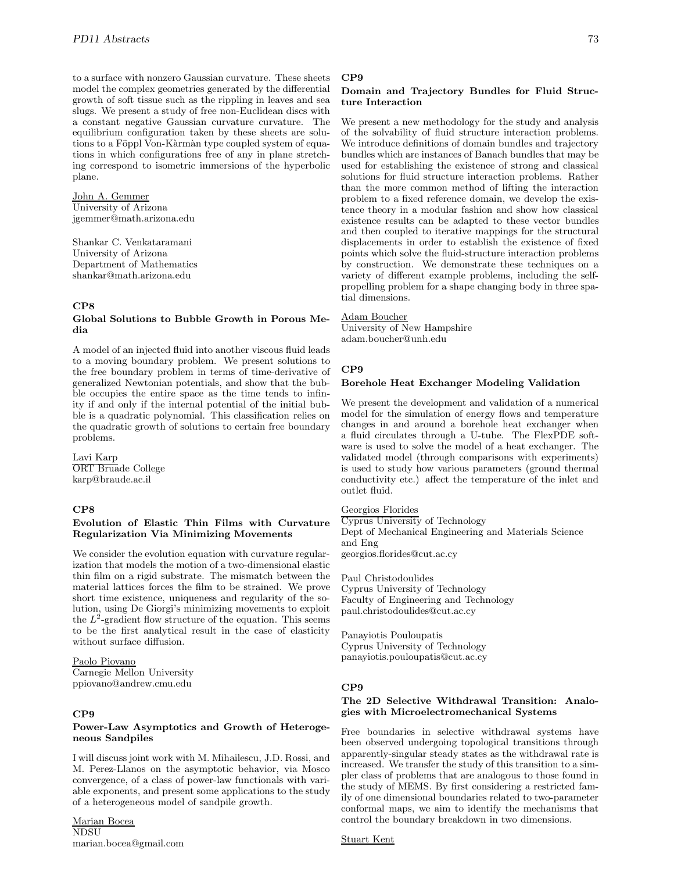to a surface with nonzero Gaussian curvature. These sheets model the complex geometries generated by the differential growth of soft tissue such as the rippling in leaves and sea slugs. We present a study of free non-Euclidean discs with a constant negative Gaussian curvature curvature. The equilibrium configuration taken by these sheets are solutions to a Föppl Von-Kàrmàn type coupled system of equations in which configurations free of any in plane stretching correspond to isometric immersions of the hyperbolic plane.

John A. Gemmer University of Arizona jgemmer@math.arizona.edu

Shankar C. Venkataramani University of Arizona Department of Mathematics shankar@math.arizona.edu

#### **CP8**

### **Global Solutions to Bubble Growth in Porous Media**

A model of an injected fluid into another viscous fluid leads to a moving boundary problem. We present solutions to the free boundary problem in terms of time-derivative of generalized Newtonian potentials, and show that the bubble occupies the entire space as the time tends to infinity if and only if the internal potential of the initial bubble is a quadratic polynomial. This classification relies on the quadratic growth of solutions to certain free boundary problems.

Lavi Karp ORT Bruade College karp@braude.ac.il

### **CP8**

#### **Evolution of Elastic Thin Films with Curvature Regularization Via Minimizing Movements**

We consider the evolution equation with curvature regularization that models the motion of a two-dimensional elastic thin film on a rigid substrate. The mismatch between the material lattices forces the film to be strained. We prove short time existence, uniqueness and regularity of the solution, using De Giorgi's minimizing movements to exploit the  $L^2$ -gradient flow structure of the equation. This seems to be the first analytical result in the case of elasticity without surface diffusion.

### Paolo Piovano Carnegie Mellon University ppiovano@andrew.cmu.edu

# **CP9**

#### **Power-Law Asymptotics and Growth of Heterogeneous Sandpiles**

I will discuss joint work with M. Mihailescu, J.D. Rossi, and M. Perez-Llanos on the asymptotic behavior, via Mosco convergence, of a class of power-law functionals with variable exponents, and present some applications to the study of a heterogeneous model of sandpile growth.

Marian Bocea NDSU marian.bocea@gmail.com

#### **CP9**

# **Domain and Trajectory Bundles for Fluid Structure Interaction**

We present a new methodology for the study and analysis of the solvability of fluid structure interaction problems. We introduce definitions of domain bundles and trajectory bundles which are instances of Banach bundles that may be used for establishing the existence of strong and classical solutions for fluid structure interaction problems. Rather than the more common method of lifting the interaction problem to a fixed reference domain, we develop the existence theory in a modular fashion and show how classical existence results can be adapted to these vector bundles and then coupled to iterative mappings for the structural displacements in order to establish the existence of fixed points which solve the fluid-structure interaction problems by construction. We demonstrate these techniques on a variety of different example problems, including the selfpropelling problem for a shape changing body in three spatial dimensions.

#### Adam Boucher

University of New Hampshire adam.boucher@unh.edu

#### **CP9**

#### **Borehole Heat Exchanger Modeling Validation**

We present the development and validation of a numerical model for the simulation of energy flows and temperature changes in and around a borehole heat exchanger when a fluid circulates through a U-tube. The FlexPDE software is used to solve the model of a heat exchanger. The validated model (through comparisons with experiments) is used to study how various parameters (ground thermal conductivity etc.) affect the temperature of the inlet and outlet fluid.

Georgios Florides

Cyprus University of Technology Dept of Mechanical Engineering and Materials Science and Eng

georgios.florides@cut.ac.cy

Paul Christodoulides Cyprus University of Technology Faculty of Engineering and Technology paul.christodoulides@cut.ac.cy

Panayiotis Pouloupatis Cyprus University of Technology panayiotis.pouloupatis@cut.ac.cy

#### **CP9**

# **The 2D Selective Withdrawal Transition: Analogies with Microelectromechanical Systems**

Free boundaries in selective withdrawal systems have been observed undergoing topological transitions through apparently-singular steady states as the withdrawal rate is increased. We transfer the study of this transition to a simpler class of problems that are analogous to those found in the study of MEMS. By first considering a restricted family of one dimensional boundaries related to two-parameter conformal maps, we aim to identify the mechanisms that control the boundary breakdown in two dimensions.

Stuart Kent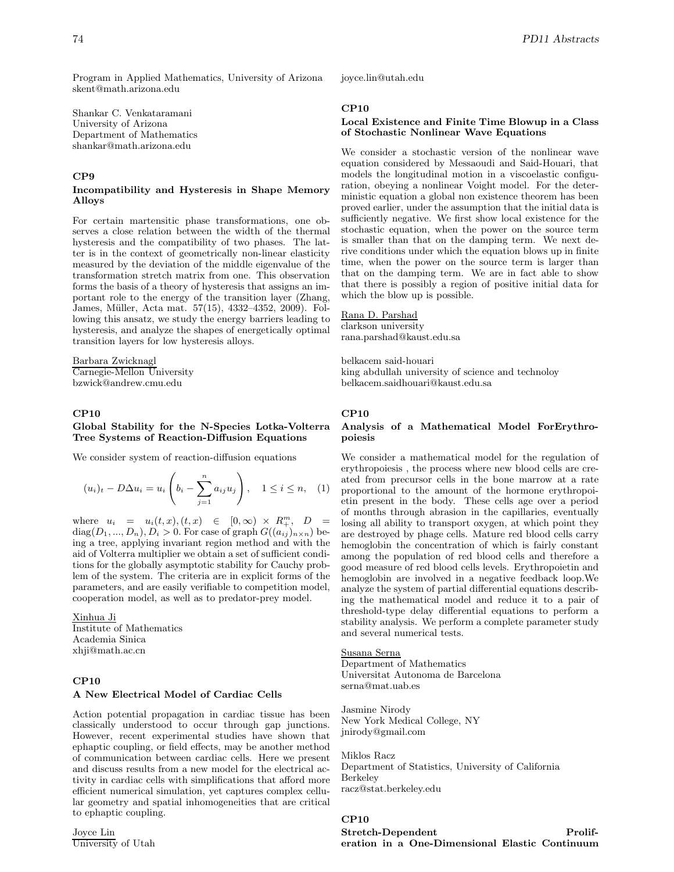Program in Applied Mathematics, University of Arizona skent@math.arizona.edu

Shankar C. Venkataramani University of Arizona Department of Mathematics shankar@math.arizona.edu

# **CP9**

#### **Incompatibility and Hysteresis in Shape Memory Alloys**

For certain martensitic phase transformations, one observes a close relation between the width of the thermal hysteresis and the compatibility of two phases. The latter is in the context of geometrically non-linear elasticity measured by the deviation of the middle eigenvalue of the transformation stretch matrix from one. This observation forms the basis of a theory of hysteresis that assigns an important role to the energy of the transition layer (Zhang, James, Müller, Acta mat. 57(15), 4332-4352, 2009). Following this ansatz, we study the energy barriers leading to hysteresis, and analyze the shapes of energetically optimal transition layers for low hysteresis alloys.

Barbara Zwicknagl Carnegie-Mellon University bzwick@andrew.cmu.edu

# **CP10**

# **Global Stability for the N-Species Lotka-Volterra Tree Systems of Reaction-Diffusion Equations**

We consider system of reaction-diffusion equations

$$
(u_i)_t - D\Delta u_i = u_i \left( b_i - \sum_{j=1}^n a_{ij} u_j \right), \quad 1 \le i \le n, \quad (1)
$$

where  $u_i = u_i(t, x), (t, x) \in [0, \infty) \times R_+^m$ ,  $D =$  $diag(D_1, ..., D_n), D_i > 0.$  For case of graph  $G((a_{ij})_{n \times n})$  being a tree, applying invariant region method and with the aid of Volterra multiplier we obtain a set of sufficient conditions for the globally asymptotic stability for Cauchy problem of the system. The criteria are in explicit forms of the parameters, and are easily verifiable to competition model, cooperation model, as well as to predator-prey model.

Xinhua Ji Institute of Mathematics Academia Sinica xhji@math.ac.cn

# **CP10 A New Electrical Model of Cardiac Cells**

Action potential propagation in cardiac tissue has been classically understood to occur through gap junctions. However, recent experimental studies have shown that ephaptic coupling, or field effects, may be another method of communication between cardiac cells. Here we present and discuss results from a new model for the electrical activity in cardiac cells with simplifications that afford more efficient numerical simulation, yet captures complex cellular geometry and spatial inhomogeneities that are critical to ephaptic coupling.

Joyce Lin University of Utah joyce.lin@utah.edu

# **CP10**

### **Local Existence and Finite Time Blowup in a Class of Stochastic Nonlinear Wave Equations**

We consider a stochastic version of the nonlinear wave equation considered by Messaoudi and Said-Houari, that models the longitudinal motion in a viscoelastic configuration, obeying a nonlinear Voight model. For the deterministic equation a global non existence theorem has been proved earlier, under the assumption that the initial data is sufficiently negative. We first show local existence for the stochastic equation, when the power on the source term is smaller than that on the damping term. We next derive conditions under which the equation blows up in finite time, when the power on the source term is larger than that on the damping term. We are in fact able to show that there is possibly a region of positive initial data for which the blow up is possible.

# Rana D. Parshad

clarkson university rana.parshad@kaust.edu.sa

belkacem said-houari king abdullah university of science and technoloy belkacem.saidhouari@kaust.edu.sa

# **CP10**

### **Analysis of a Mathematical Model ForErythropoiesis**

We consider a mathematical model for the regulation of erythropoiesis , the process where new blood cells are created from precursor cells in the bone marrow at a rate proportional to the amount of the hormone erythropoietin present in the body. These cells age over a period of months through abrasion in the capillaries, eventually losing all ability to transport oxygen, at which point they are destroyed by phage cells. Mature red blood cells carry hemoglobin the concentration of which is fairly constant among the population of red blood cells and therefore a good measure of red blood cells levels. Erythropoietin and hemoglobin are involved in a negative feedback loop.We analyze the system of partial differential equations describing the mathematical model and reduce it to a pair of threshold-type delay differential equations to perform a stability analysis. We perform a complete parameter study and several numerical tests.

# Susana Serna

Department of Mathematics Universitat Autonoma de Barcelona serna@mat.uab.es

Jasmine Nirody New York Medical College, NY jnirody@gmail.com

Miklos Racz Department of Statistics, University of California Berkeley racz@stat.berkeley.edu

# **CP10**

# **Stretch-Dependent Proliferation in a One-Dimensional Elastic Continuum**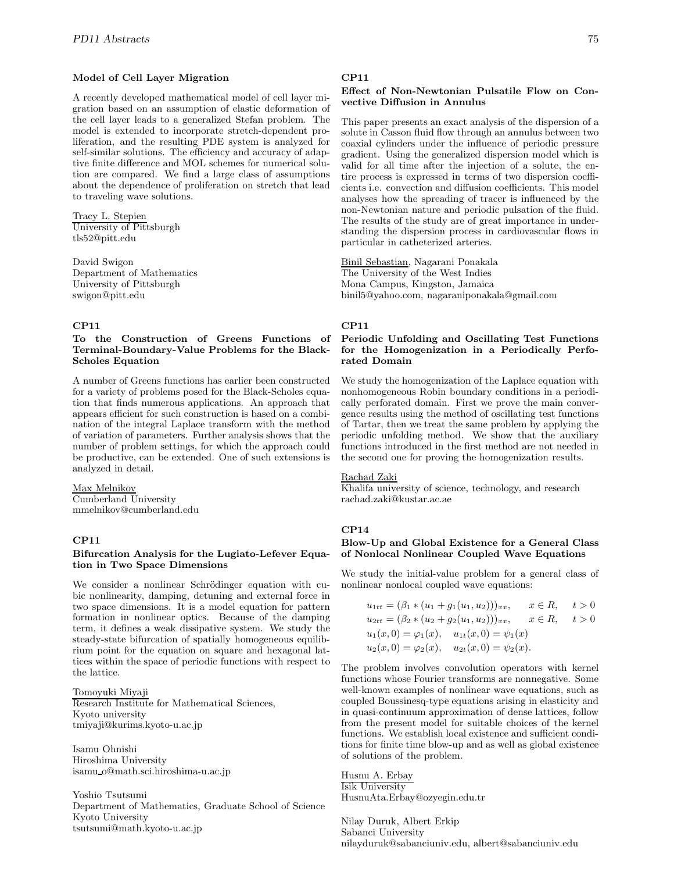### **Model of Cell Layer Migration**

A recently developed mathematical model of cell layer migration based on an assumption of elastic deformation of the cell layer leads to a generalized Stefan problem. The model is extended to incorporate stretch-dependent proliferation, and the resulting PDE system is analyzed for self-similar solutions. The efficiency and accuracy of adaptive finite difference and MOL schemes for numerical solution are compared. We find a large class of assumptions about the dependence of proliferation on stretch that lead to traveling wave solutions.

#### Tracy L. Stepien University of Pittsburgh

tls52@pitt.edu

David Swigon Department of Mathematics University of Pittsburgh swigon@pitt.edu

# **CP11**

# **To the Construction of Greens Functions of Terminal-Boundary-Value Problems for the Black-Scholes Equation**

A number of Greens functions has earlier been constructed for a variety of problems posed for the Black-Scholes equation that finds numerous applications. An approach that appears efficient for such construction is based on a combination of the integral Laplace transform with the method of variation of parameters. Further analysis shows that the number of problem settings, for which the approach could be productive, can be extended. One of such extensions is analyzed in detail.

## Max Melnikov

Cumberland University mmelnikov@cumberland.edu

# **CP11**

## **Bifurcation Analysis for the Lugiato-Lefever Equation in Two Space Dimensions**

We consider a nonlinear Schrödinger equation with cubic nonlinearity, damping, detuning and external force in two space dimensions. It is a model equation for pattern formation in nonlinear optics. Because of the damping term, it defines a weak dissipative system. We study the steady-state bifurcation of spatially homogeneous equilibrium point for the equation on square and hexagonal lattices within the space of periodic functions with respect to the lattice.

Tomoyuki Miyaji Research Institute for Mathematical Sciences, Kyoto university tmiyaji@kurims.kyoto-u.ac.jp

Isamu Ohnishi Hiroshima University isamu o@math.sci.hiroshima-u.ac.jp

Yoshio Tsutsumi Department of Mathematics, Graduate School of Science Kyoto University tsutsumi@math.kyoto-u.ac.jp

# **CP11**

# **Effect of Non-Newtonian Pulsatile Flow on Convective Diffusion in Annulus**

This paper presents an exact analysis of the dispersion of a solute in Casson fluid flow through an annulus between two coaxial cylinders under the influence of periodic pressure gradient. Using the generalized dispersion model which is valid for all time after the injection of a solute, the entire process is expressed in terms of two dispersion coefficients i.e. convection and diffusion coefficients. This model analyses how the spreading of tracer is influenced by the non-Newtonian nature and periodic pulsation of the fluid. The results of the study are of great importance in understanding the dispersion process in cardiovascular flows in particular in catheterized arteries.

Binil Sebastian, Nagarani Ponakala The University of the West Indies Mona Campus, Kingston, Jamaica binil5@yahoo.com, nagaraniponakala@gmail.com

#### **CP11**

# **Periodic Unfolding and Oscillating Test Functions for the Homogenization in a Periodically Perforated Domain**

We study the homogenization of the Laplace equation with nonhomogeneous Robin boundary conditions in a periodically perforated domain. First we prove the main convergence results using the method of oscillating test functions of Tartar, then we treat the same problem by applying the periodic unfolding method. We show that the auxiliary functions introduced in the first method are not needed in the second one for proving the homogenization results.

#### Rachad Zaki

Khalifa university of science, technology, and research rachad.zaki@kustar.ac.ae

## **CP14**

# **Blow-Up and Global Existence for a General Class of Nonlocal Nonlinear Coupled Wave Equations**

We study the initial-value problem for a general class of nonlinear nonlocal coupled wave equations:

$$
u_{1tt} = (\beta_1 * (u_1 + g_1(u_1, u_2)))_{xx}, \quad x \in R, \quad t > 0
$$
  
\n
$$
u_{2tt} = (\beta_2 * (u_2 + g_2(u_1, u_2)))_{xx}, \quad x \in R, \quad t > 0
$$
  
\n
$$
u_1(x, 0) = \varphi_1(x), \quad u_{1t}(x, 0) = \psi_1(x)
$$
  
\n
$$
u_2(x, 0) = \varphi_2(x), \quad u_{2t}(x, 0) = \psi_2(x).
$$

The problem involves convolution operators with kernel functions whose Fourier transforms are nonnegative. Some well-known examples of nonlinear wave equations, such as coupled Boussinesq-type equations arising in elasticity and in quasi-continuum approximation of dense lattices, follow from the present model for suitable choices of the kernel functions. We establish local existence and sufficient conditions for finite time blow-up and as well as global existence of solutions of the problem.

Husnu A. Erbay Isik University HusnuAta.Erbay@ozyegin.edu.tr

Nilay Duruk, Albert Erkip Sabanci University nilayduruk@sabanciuniv.edu, albert@sabanciuniv.edu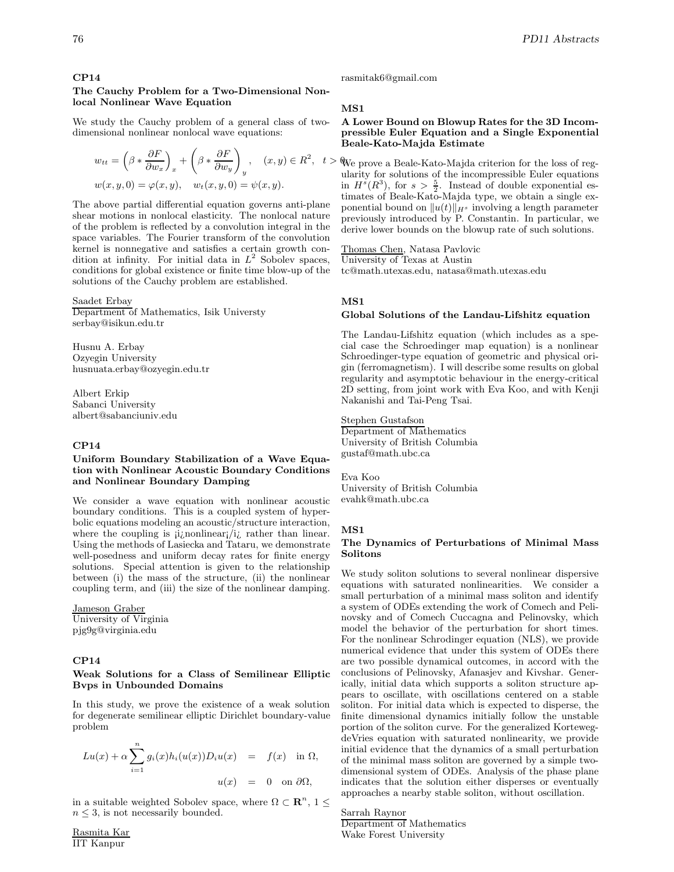# **CP14**

# **The Cauchy Problem for a Two-Dimensional Nonlocal Nonlinear Wave Equation**

We study the Cauchy problem of a general class of twodimensional nonlinear nonlocal wave equations:

$$
w_{tt} = \left(\beta * \frac{\partial F}{\partial w_x}\right)_x + \left(\beta * \frac{\partial F}{\partial w_y}\right)_y, \quad (x, y) \in R^2, \quad t
$$
  

$$
w(x, y, 0) = \varphi(x, y), \quad w_t(x, y, 0) = \psi(x, y).
$$

The above partial differential equation governs anti-plane shear motions in nonlocal elasticity. The nonlocal nature of the problem is reflected by a convolution integral in the space variables. The Fourier transform of the convolution kernel is nonnegative and satisfies a certain growth condition at infinity. For initial data in  $L^2$  Sobolev spaces, conditions for global existence or finite time blow-up of the solutions of the Cauchy problem are established.

#### Saadet Erbay

Department of Mathematics, Isik Universty serbay@isikun.edu.tr

Husnu A. Erbay Ozyegin University husnuata.erbay@ozyegin.edu.tr

Albert Erkip Sabanci University albert@sabanciuniv.edu

#### **CP14**

# **Uniform Boundary Stabilization of a Wave Equation with Nonlinear Acoustic Boundary Conditions and Nonlinear Boundary Damping**

We consider a wave equation with nonlinear acoustic boundary conditions. This is a coupled system of hyperbolic equations modeling an acoustic/structure interaction, where the coupling is  $i$ *i*; nonlinear; *i*<sub>i</sub> rather than linear. Using the methods of Lasiecka and Tataru, we demonstrate well-posedness and uniform decay rates for finite energy solutions. Special attention is given to the relationship between (i) the mass of the structure, (ii) the nonlinear coupling term, and (iii) the size of the nonlinear damping.

Jameson Graber University of Virginia pjg9g@virginia.edu

# **CP14**

## **Weak Solutions for a Class of Semilinear Elliptic Bvps in Unbounded Domains**

In this study, we prove the existence of a weak solution for degenerate semilinear elliptic Dirichlet boundary-value problem

$$
Lu(x) + \alpha \sum_{i=1}^{n} g_i(x)h_i(u(x))D_iu(x) = f(x) \text{ in } \Omega,
$$
  

$$
u(x) = 0 \text{ on } \partial\Omega,
$$

in a suitable weighted Sobolev space, where  $\Omega \subset \mathbb{R}^n$ ,  $1 \leq$  $n \leq 3$ , is not necessarily bounded.

rasmitak6@gmail.com

#### **MS1**

## **A Lower Bound on Blowup Rates for the 3D Incompressible Euler Equation and a Single Exponential Beale-Kato-Majda Estimate**

 $, t > \mathbb{W}$ e prove a Beale-Kato-Majda criterion for the loss of regularity for solutions of the incompressible Euler equations in  $H<sup>s</sup>(R<sup>3</sup>)$ , for  $s > \frac{5}{2}$ . Instead of double exponential estimates of Beale-Kato-Majda type, we obtain a single exponential bound on  $||u(t)||_{H^s}$  involving a length parameter previously introduced by P. Constantin. In particular, we derive lower bounds on the blowup rate of such solutions.

Thomas Chen, Natasa Pavlovic University of Texas at Austin tc@math.utexas.edu, natasa@math.utexas.edu

#### **MS1**

## **Global Solutions of the Landau-Lifshitz equation**

The Landau-Lifshitz equation (which includes as a special case the Schroedinger map equation) is a nonlinear Schroedinger-type equation of geometric and physical origin (ferromagnetism). I will describe some results on global regularity and asymptotic behaviour in the energy-critical 2D setting, from joint work with Eva Koo, and with Kenji Nakanishi and Tai-Peng Tsai.

Stephen Gustafson Department of Mathematics University of British Columbia gustaf@math.ubc.ca

Eva Koo University of British Columbia evahk@math.ubc.ca

#### **MS1**

# **The Dynamics of Perturbations of Minimal Mass Solitons**

We study soliton solutions to several nonlinear dispersive equations with saturated nonlinearities. We consider a small perturbation of a minimal mass soliton and identify a system of ODEs extending the work of Comech and Pelinovsky and of Comech Cuccagna and Pelinovsky, which model the behavior of the perturbation for short times. For the nonlinear Schrodinger equation (NLS), we provide numerical evidence that under this system of ODEs there are two possible dynamical outcomes, in accord with the conclusions of Pelinovsky, Afanasjev and Kivshar. Generically, initial data which supports a soliton structure appears to oscillate, with oscillations centered on a stable soliton. For initial data which is expected to disperse, the finite dimensional dynamics initially follow the unstable portion of the soliton curve. For the generalized KortewegdeVries equation with saturated nonlinearity, we provide initial evidence that the dynamics of a small perturbation of the minimal mass soliton are governed by a simple twodimensional system of ODEs. Analysis of the phase plane indicates that the solution either disperses or eventually approaches a nearby stable soliton, without oscillation.

Sarrah Raynor Department of Mathematics Wake Forest University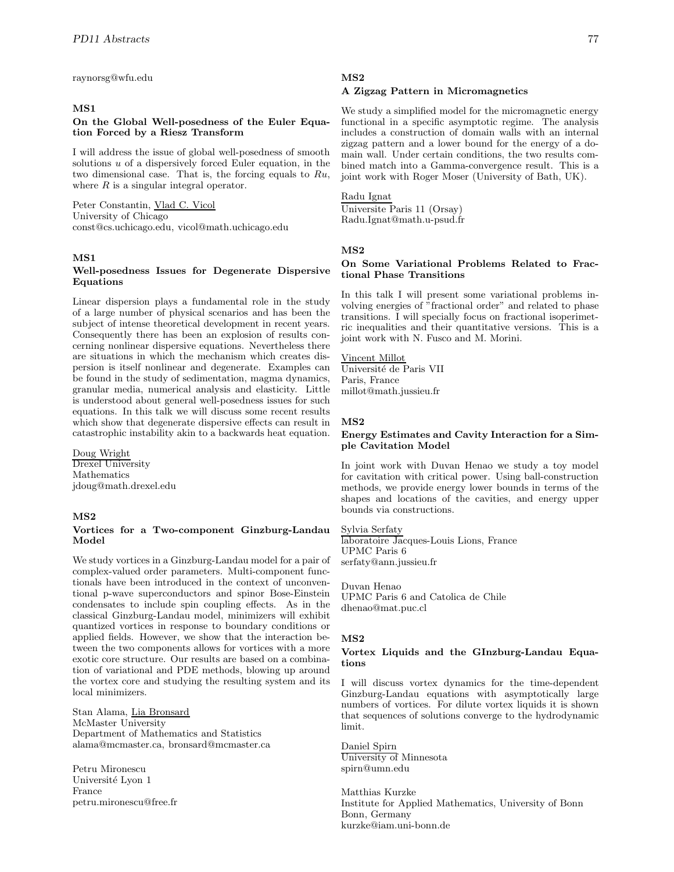raynorsg@wfu.edu

# **MS1**

### **On the Global Well-posedness of the Euler Equation Forced by a Riesz Transform**

I will address the issue of global well-posedness of smooth solutions  $u$  of a dispersively forced Euler equation, in the two dimensional case. That is, the forcing equals to Ru, where  $R$  is a singular integral operator.

Peter Constantin, Vlad C. Vicol University of Chicago const@cs.uchicago.edu, vicol@math.uchicago.edu

### **MS1**

# **Well-posedness Issues for Degenerate Dispersive Equations**

Linear dispersion plays a fundamental role in the study of a large number of physical scenarios and has been the subject of intense theoretical development in recent years. Consequently there has been an explosion of results concerning nonlinear dispersive equations. Nevertheless there are situations in which the mechanism which creates dispersion is itself nonlinear and degenerate. Examples can be found in the study of sedimentation, magma dynamics, granular media, numerical analysis and elasticity. Little is understood about general well-posedness issues for such equations. In this talk we will discuss some recent results which show that degenerate dispersive effects can result in catastrophic instability akin to a backwards heat equation.

Doug Wright Drexel University

Mathematics jdoug@math.drexel.edu

#### **MS2**

#### **Vortices for a Two-component Ginzburg-Landau Model**

We study vortices in a Ginzburg-Landau model for a pair of complex-valued order parameters. Multi-component functionals have been introduced in the context of unconventional p-wave superconductors and spinor Bose-Einstein condensates to include spin coupling effects. As in the classical Ginzburg-Landau model, minimizers will exhibit quantized vortices in response to boundary conditions or applied fields. However, we show that the interaction between the two components allows for vortices with a more exotic core structure. Our results are based on a combination of variational and PDE methods, blowing up around the vortex core and studying the resulting system and its local minimizers.

Stan Alama, Lia Bronsard McMaster University Department of Mathematics and Statistics alama@mcmaster.ca, bronsard@mcmaster.ca

Petru Mironescu Université Lyon 1 France petru.mironescu@free.fr

# **MS2**

#### **A Zigzag Pattern in Micromagnetics**

We study a simplified model for the micromagnetic energy functional in a specific asymptotic regime. The analysis includes a construction of domain walls with an internal zigzag pattern and a lower bound for the energy of a domain wall. Under certain conditions, the two results combined match into a Gamma-convergence result. This is a joint work with Roger Moser (University of Bath, UK).

### Radu Ignat

Universite Paris 11 (Orsay) Radu.Ignat@math.u-psud.fr

### **MS2**

### **On Some Variational Problems Related to Fractional Phase Transitions**

In this talk I will present some variational problems involving energies of "fractional order" and related to phase transitions. I will specially focus on fractional isoperimetric inequalities and their quantitative versions. This is a joint work with N. Fusco and M. Morini.

# Vincent Millot

Université de Paris VII Paris, France millot@math.jussieu.fr

## **MS2**

#### **Energy Estimates and Cavity Interaction for a Simple Cavitation Model**

In joint work with Duvan Henao we study a toy model for cavitation with critical power. Using ball-construction methods, we provide energy lower bounds in terms of the shapes and locations of the cavities, and energy upper bounds via constructions.

#### Sylvia Serfaty

laboratoire Jacques-Louis Lions, France UPMC Paris 6 serfaty@ann.jussieu.fr

Duvan Henao UPMC Paris 6 and Catolica de Chile dhenao@mat.puc.cl

#### **MS2**

# **Vortex Liquids and the GInzburg-Landau Equations**

I will discuss vortex dynamics for the time-dependent Ginzburg-Landau equations with asymptotically large numbers of vortices. For dilute vortex liquids it is shown that sequences of solutions converge to the hydrodynamic limit.

Daniel Spirn University of Minnesota spirn@umn.edu

Matthias Kurzke Institute for Applied Mathematics, University of Bonn Bonn, Germany kurzke@iam.uni-bonn.de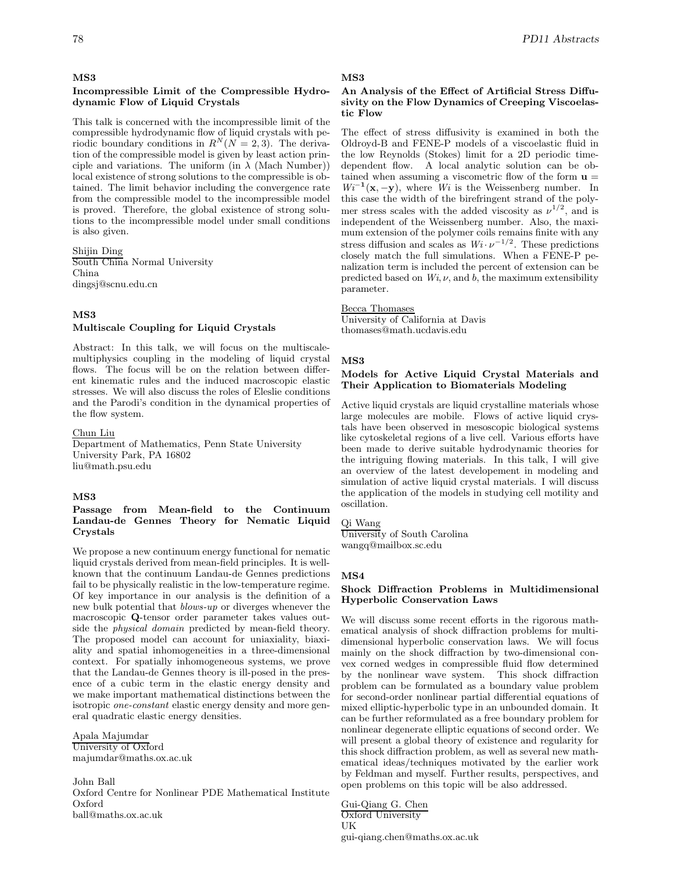#### **MS3**

## **Incompressible Limit of the Compressible Hydrodynamic Flow of Liquid Crystals**

This talk is concerned with the incompressible limit of the compressible hydrodynamic flow of liquid crystals with periodic boundary conditions in  $R^N(N = 2, 3)$ . The derivation of the compressible model is given by least action principle and variations. The uniform (in  $\lambda$  (Mach Number)) local existence of strong solutions to the compressible is obtained. The limit behavior including the convergence rate from the compressible model to the incompressible model is proved. Therefore, the global existence of strong solutions to the incompressible model under small conditions is also given.

Shijin Ding South China Normal University China dingsj@scnu.edu.cn

# **MS3**

### **Multiscale Coupling for Liquid Crystals**

Abstract: In this talk, we will focus on the multiscalemultiphysics coupling in the modeling of liquid crystal flows. The focus will be on the relation between different kinematic rules and the induced macroscopic elastic stresses. We will also discuss the roles of Eleslie conditions and the Parodi's condition in the dynamical properties of the flow system.

Chun Liu

Department of Mathematics, Penn State University University Park, PA 16802 liu@math.psu.edu

# **MS3**

### **Passage from Mean-field to the Continuum Landau-de Gennes Theory for Nematic Liquid Crystals**

We propose a new continuum energy functional for nematic liquid crystals derived from mean-field principles. It is wellknown that the continuum Landau-de Gennes predictions fail to be physically realistic in the low-temperature regime. Of key importance in our analysis is the definition of a new bulk potential that *blows-up* or diverges whenever the macroscopic **Q**-tensor order parameter takes values outside the *physical domain* predicted by mean-field theory. The proposed model can account for uniaxiality, biaxiality and spatial inhomogeneities in a three-dimensional context. For spatially inhomogeneous systems, we prove that the Landau-de Gennes theory is ill-posed in the presence of a cubic term in the elastic energy density and we make important mathematical distinctions between the isotropic *one-constant* elastic energy density and more general quadratic elastic energy densities.

Apala Majumdar University of Oxford majumdar@maths.ox.ac.uk

John Ball Oxford Centre for Nonlinear PDE Mathematical Institute Oxford ball@maths.ox.ac.uk

# **MS3**

# **An Analysis of the Effect of Artificial Stress Diffusivity on the Flow Dynamics of Creeping Viscoelastic Flow**

The effect of stress diffusivity is examined in both the Oldroyd-B and FENE-P models of a viscoelastic fluid in the low Reynolds (Stokes) limit for a 2D periodic timedependent flow. A local analytic solution can be obtained when assuming a viscometric flow of the form  $\mathbf{u} =$  $Wi^{-1}(\mathbf{x}, -\mathbf{y})$ , where *Wi* is the Weissenberg number. In this case the width of the birefringent strand of the polymer stress scales with the added viscosity as  $\nu^{1/2}$ , and is independent of the Weissenberg number. Also, the maximum extension of the polymer coils remains finite with any stress diffusion and scales as  $Wi· \nu^{-1/2}$ . These predictions closely match the full simulations. When a FENE-P penalization term is included the percent of extension can be predicted based on  $Wi, \nu$ , and  $b$ , the maximum extensibility parameter.

#### Becca Thomases

University of California at Davis thomases@math.ucdavis.edu

### **MS3**

### **Models for Active Liquid Crystal Materials and Their Application to Biomaterials Modeling**

Active liquid crystals are liquid crystalline materials whose large molecules are mobile. Flows of active liquid crystals have been observed in mesoscopic biological systems like cytoskeletal regions of a live cell. Various efforts have been made to derive suitable hydrodynamic theories for the intriguing flowing materials. In this talk, I will give an overview of the latest developement in modeling and simulation of active liquid crystal materials. I will discuss the application of the models in studying cell motility and oscillation.

# Qi Wang

University of South Carolina wangq@mailbox.sc.edu

#### **MS4**

# **Shock Diffraction Problems in Multidimensional Hyperbolic Conservation Laws**

We will discuss some recent efforts in the rigorous mathematical analysis of shock diffraction problems for multidimensional hyperbolic conservation laws. We will focus mainly on the shock diffraction by two-dimensional convex corned wedges in compressible fluid flow determined by the nonlinear wave system. This shock diffraction problem can be formulated as a boundary value problem for second-order nonlinear partial differential equations of mixed elliptic-hyperbolic type in an unbounded domain. It can be further reformulated as a free boundary problem for nonlinear degenerate elliptic equations of second order. We will present a global theory of existence and regularity for this shock diffraction problem, as well as several new mathematical ideas/techniques motivated by the earlier work by Feldman and myself. Further results, perspectives, and open problems on this topic will be also addressed.

Gui-Qiang G. Chen Oxford University UK gui-qiang.chen@maths.ox.ac.uk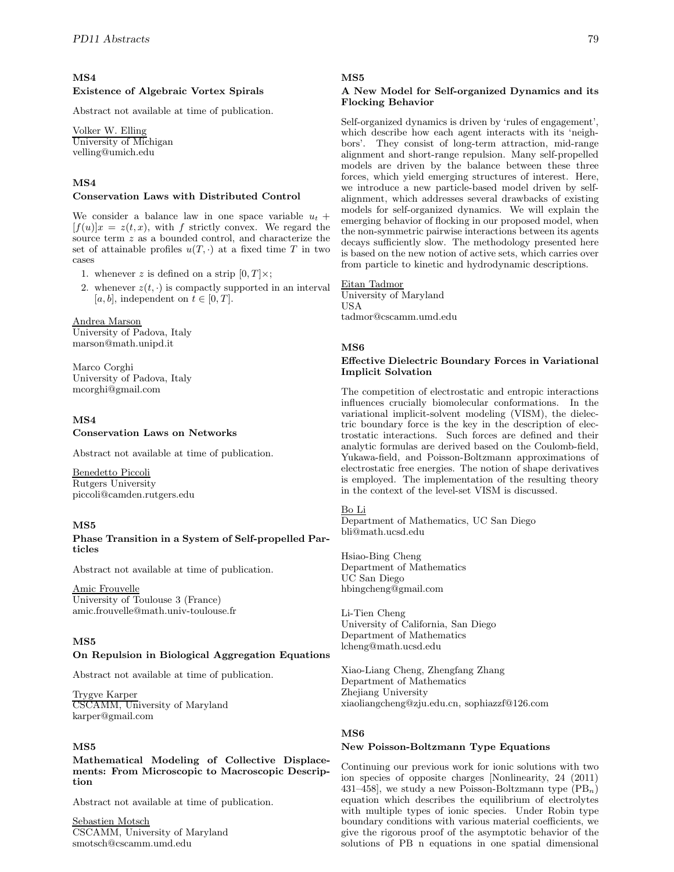# **MS4 Existence of Algebraic Vortex Spirals**

Abstract not available at time of publication.

Volker W. Elling University of Michigan velling@umich.edu

# **MS4**

# **Conservation Laws with Distributed Control**

We consider a balance law in one space variable  $u_t$  +  $[f(u)]x = z(t, x)$ , with f strictly convex. We regard the source term z as a bounded control, and characterize the set of attainable profiles  $u(T, \cdot)$  at a fixed time T in two cases

1. whenever z is defined on a strip  $[0, T] \times$ ;

2. whenever  $z(t, \cdot)$  is compactly supported in an interval [a, b], independent on  $t \in [0, T]$ .

# Andrea Marson

University of Padova, Italy marson@math.unipd.it

Marco Corghi University of Padova, Italy mcorghi@gmail.com

# **MS4**

# **Conservation Laws on Networks**

Abstract not available at time of publication.

# Benedetto Piccoli

Rutgers University piccoli@camden.rutgers.edu

# **MS5**

# **Phase Transition in a System of Self-propelled Particles**

Abstract not available at time of publication.

# Amic Frouvelle

University of Toulouse 3 (France) amic.frouvelle@math.univ-toulouse.fr

# **MS5**

# **On Repulsion in Biological Aggregation Equations**

Abstract not available at time of publication.

Trygve Karper CSCAMM, University of Maryland karper@gmail.com

# **MS5**

# **Mathematical Modeling of Collective Displacements: From Microscopic to Macroscopic Description**

Abstract not available at time of publication.

Sebastien Motsch CSCAMM, University of Maryland smotsch@cscamm.umd.edu

# **MS5**

# **A New Model for Self-organized Dynamics and its Flocking Behavior**

Self-organized dynamics is driven by 'rules of engagement', which describe how each agent interacts with its 'neighbors'. They consist of long-term attraction, mid-range alignment and short-range repulsion. Many self-propelled models are driven by the balance between these three forces, which yield emerging structures of interest. Here, we introduce a new particle-based model driven by selfalignment, which addresses several drawbacks of existing models for self-organized dynamics. We will explain the emerging behavior of flocking in our proposed model, when the non-symmetric pairwise interactions between its agents decays sufficiently slow. The methodology presented here is based on the new notion of active sets, which carries over from particle to kinetic and hydrodynamic descriptions.

# Eitan Tadmor

University of Maryland USA tadmor@cscamm.umd.edu

# **MS6**

# **Effective Dielectric Boundary Forces in Variational Implicit Solvation**

The competition of electrostatic and entropic interactions influences crucially biomolecular conformations. In the variational implicit-solvent modeling (VISM), the dielectric boundary force is the key in the description of electrostatic interactions. Such forces are defined and their analytic formulas are derived based on the Coulomb-field, Yukawa-field, and Poisson-Boltzmann approximations of electrostatic free energies. The notion of shape derivatives is employed. The implementation of the resulting theory in the context of the level-set VISM is discussed.

# Bo Li

Department of Mathematics, UC San Diego bli@math.ucsd.edu

Hsiao-Bing Cheng Department of Mathematics UC San Diego hbingcheng@gmail.com

Li-Tien Cheng University of California, San Diego Department of Mathematics lcheng@math.ucsd.edu

Xiao-Liang Cheng, Zhengfang Zhang Department of Mathematics Zhejiang University xiaoliangcheng@zju.edu.cn, sophiazzf@126.com

# **MS6**

# **New Poisson-Boltzmann Type Equations**

Continuing our previous work for ionic solutions with two ion species of opposite charges [Nonlinearity, 24 (2011) 431–458, we study a new Poisson-Boltzmann type  $(PB_n)$ equation which describes the equilibrium of electrolytes with multiple types of ionic species. Under Robin type boundary conditions with various material coefficients, we give the rigorous proof of the asymptotic behavior of the solutions of PB n equations in one spatial dimensional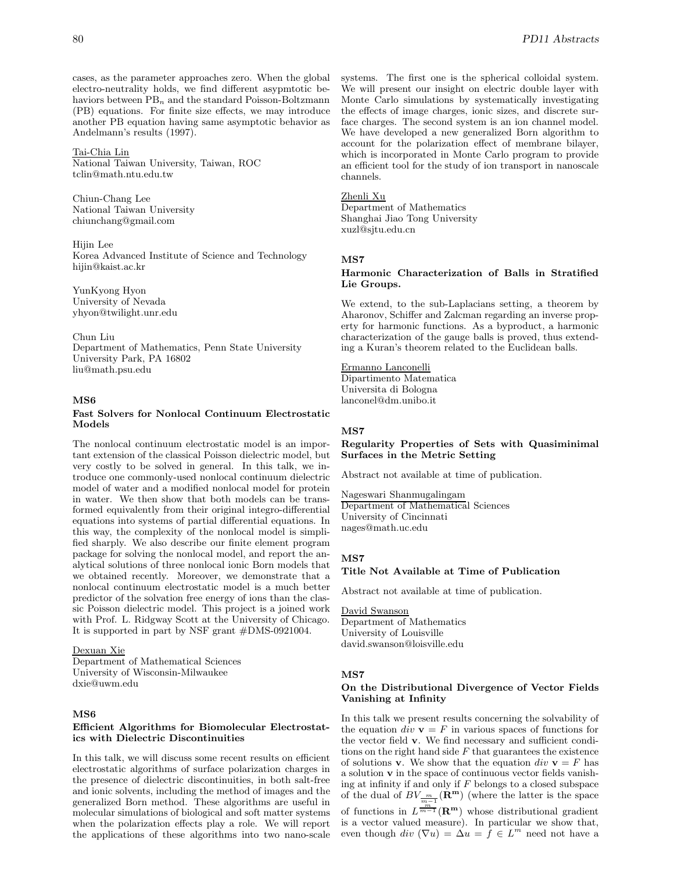cases, as the parameter approaches zero. When the global electro-neutrality holds, we find different asypmtotic behaviors between  $PB_n$  and the standard Poisson-Boltzmann (PB) equations. For finite size effects, we may introduce another PB equation having same asymptotic behavior as Andelmann's results (1997).

## Tai-Chia Lin

National Taiwan University, Taiwan, ROC tclin@math.ntu.edu.tw

Chiun-Chang Lee National Taiwan University chiunchang@gmail.com

Hijin Lee Korea Advanced Institute of Science and Technology hijin@kaist.ac.kr

YunKyong Hyon University of Nevada yhyon@twilight.unr.edu

Chun Liu Department of Mathematics, Penn State University University Park, PA 16802 liu@math.psu.edu

# **MS6**

# **Fast Solvers for Nonlocal Continuum Electrostatic Models**

The nonlocal continuum electrostatic model is an important extension of the classical Poisson dielectric model, but very costly to be solved in general. In this talk, we introduce one commonly-used nonlocal continuum dielectric model of water and a modified nonlocal model for protein in water. We then show that both models can be transformed equivalently from their original integro-differential equations into systems of partial differential equations. In this way, the complexity of the nonlocal model is simplified sharply. We also describe our finite element program package for solving the nonlocal model, and report the analytical solutions of three nonlocal ionic Born models that we obtained recently. Moreover, we demonstrate that a nonlocal continuum electrostatic model is a much better predictor of the solvation free energy of ions than the classic Poisson dielectric model. This project is a joined work with Prof. L. Ridgway Scott at the University of Chicago. It is supported in part by NSF grant #DMS-0921004.

#### Dexuan Xie

Department of Mathematical Sciences University of Wisconsin-Milwaukee dxie@uwm.edu

### **MS6**

#### **Efficient Algorithms for Biomolecular Electrostatics with Dielectric Discontinuities**

In this talk, we will discuss some recent results on efficient electrostatic algorithms of surface polarization charges in the presence of dielectric discontinuities, in both salt-free and ionic solvents, including the method of images and the generalized Born method. These algorithms are useful in molecular simulations of biological and soft matter systems when the polarization effects play a role. We will report the applications of these algorithms into two nano-scale systems. The first one is the spherical colloidal system. We will present our insight on electric double layer with Monte Carlo simulations by systematically investigating the effects of image charges, ionic sizes, and discrete surface charges. The second system is an ion channel model. We have developed a new generalized Born algorithm to account for the polarization effect of membrane bilayer, which is incorporated in Monte Carlo program to provide an efficient tool for the study of ion transport in nanoscale channels.

#### Zhenli Xu

Department of Mathematics Shanghai Jiao Tong University xuzl@sjtu.edu.cn

# **MS7**

### **Harmonic Characterization of Balls in Stratified Lie Groups.**

We extend, to the sub-Laplacians setting, a theorem by Aharonov, Schiffer and Zalcman regarding an inverse property for harmonic functions. As a byproduct, a harmonic characterization of the gauge balls is proved, thus extending a Kuran's theorem related to the Euclidean balls.

## Ermanno Lanconelli

Dipartimento Matematica Universita di Bologna lanconel@dm.unibo.it

#### **MS7**

**Regularity Properties of Sets with Quasiminimal Surfaces in the Metric Setting**

Abstract not available at time of publication.

Nageswari Shanmugalingam Department of Mathematical Sciences University of Cincinnati nages@math.uc.edu

## **MS7**

## **Title Not Available at Time of Publication**

Abstract not available at time of publication.

David Swanson Department of Mathematics University of Louisville david.swanson@loisville.edu

#### **MS7**

#### **On the Distributional Divergence of Vector Fields Vanishing at Infinity**

In this talk we present results concerning the solvability of the equation div  $\mathbf{v} = F$  in various spaces of functions for the vector field **v**. We find necessary and sufficient conditions on the right hand side  $F$  that guarantees the existence of solutions **v**. We show that the equation  $div \mathbf{v} = F$  has a solution **v** in the space of continuous vector fields vanishing at infinity if and only if  $F$  belongs to a closed subspace of the dual of  $BV_{\frac{m}{m-1}}(\mathbf{R}^{\mathbf{m}})$  (where the latter is the space

of functions in  $L^{\frac{m}{m-1}}(\mathbf{R}^m)$  whose distributional gradient is a vector valued measure). In particular we show that, even though  $div (\nabla u) = \Delta u = f \in L^m$  need not have a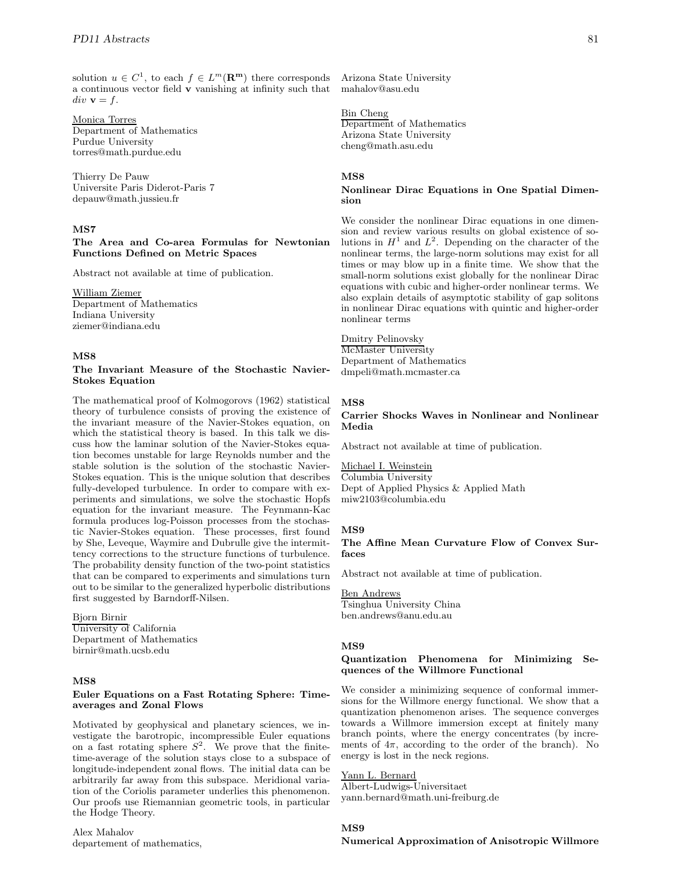solution  $u \in C^1$ , to each  $f \in L^m(\mathbb{R}^m)$  there corresponds a continuous vector field **v** vanishing at infinity such that  $div \mathbf{v} = f$ .

Monica Torres Department of Mathematics Purdue University torres@math.purdue.edu

Thierry De Pauw Universite Paris Diderot-Paris 7 depauw@math.jussieu.fr

# **MS7**

## **The Area and Co-area Formulas for Newtonian Functions Defined on Metric Spaces**

Abstract not available at time of publication.

William Ziemer Department of Mathematics Indiana University ziemer@indiana.edu

# **MS8**

## **The Invariant Measure of the Stochastic Navier-Stokes Equation**

The mathematical proof of Kolmogorovs (1962) statistical theory of turbulence consists of proving the existence of the invariant measure of the Navier-Stokes equation, on which the statistical theory is based. In this talk we discuss how the laminar solution of the Navier-Stokes equation becomes unstable for large Reynolds number and the stable solution is the solution of the stochastic Navier-Stokes equation. This is the unique solution that describes fully-developed turbulence. In order to compare with experiments and simulations, we solve the stochastic Hopfs equation for the invariant measure. The Feynmann-Kac formula produces log-Poisson processes from the stochastic Navier-Stokes equation. These processes, first found by She, Leveque, Waymire and Dubrulle give the intermittency corrections to the structure functions of turbulence. The probability density function of the two-point statistics that can be compared to experiments and simulations turn out to be similar to the generalized hyperbolic distributions first suggested by Barndorff-Nilsen.

### Bjorn Birnir

University of California Department of Mathematics birnir@math.ucsb.edu

# **MS8**

### **Euler Equations on a Fast Rotating Sphere: Timeaverages and Zonal Flows**

Motivated by geophysical and planetary sciences, we investigate the barotropic, incompressible Euler equations on a fast rotating sphere  $S^2$ . We prove that the finitetime-average of the solution stays close to a subspace of longitude-independent zonal flows. The initial data can be arbitrarily far away from this subspace. Meridional variation of the Coriolis parameter underlies this phenomenon. Our proofs use Riemannian geometric tools, in particular the Hodge Theory.

Alex Mahalov departement of mathematics,

Arizona State University mahalov@asu.edu

# Bin Cheng

Department of Mathematics Arizona State University cheng@math.asu.edu

## **MS8**

# **Nonlinear Dirac Equations in One Spatial Dimension**

We consider the nonlinear Dirac equations in one dimension and review various results on global existence of solutions in  $H^1$  and  $L^2$ . Depending on the character of the nonlinear terms, the large-norm solutions may exist for all times or may blow up in a finite time. We show that the small-norm solutions exist globally for the nonlinear Dirac equations with cubic and higher-order nonlinear terms. We also explain details of asymptotic stability of gap solitons in nonlinear Dirac equations with quintic and higher-order nonlinear terms

Dmitry Pelinovsky McMaster University Department of Mathematics dmpeli@math.mcmaster.ca

# **MS8**

# **Carrier Shocks Waves in Nonlinear and Nonlinear Media**

Abstract not available at time of publication.

Michael I. Weinstein Columbia University Dept of Applied Physics & Applied Math miw2103@columbia.edu

# **MS9**

# **The Affine Mean Curvature Flow of Convex Surfaces**

Abstract not available at time of publication.

Ben Andrews Tsinghua University China ben.andrews@anu.edu.au

#### **MS9**

# **Quantization Phenomena for Minimizing Sequences of the Willmore Functional**

We consider a minimizing sequence of conformal immersions for the Willmore energy functional. We show that a quantization phenomenon arises. The sequence converges towards a Willmore immersion except at finitely many branch points, where the energy concentrates (by increments of  $4\pi$ , according to the order of the branch). No energy is lost in the neck regions.

# Yann L. Bernard

Albert-Ludwigs-Universitaet yann.bernard@math.uni-freiburg.de

## **MS9**

# **Numerical Approximation of Anisotropic Willmore**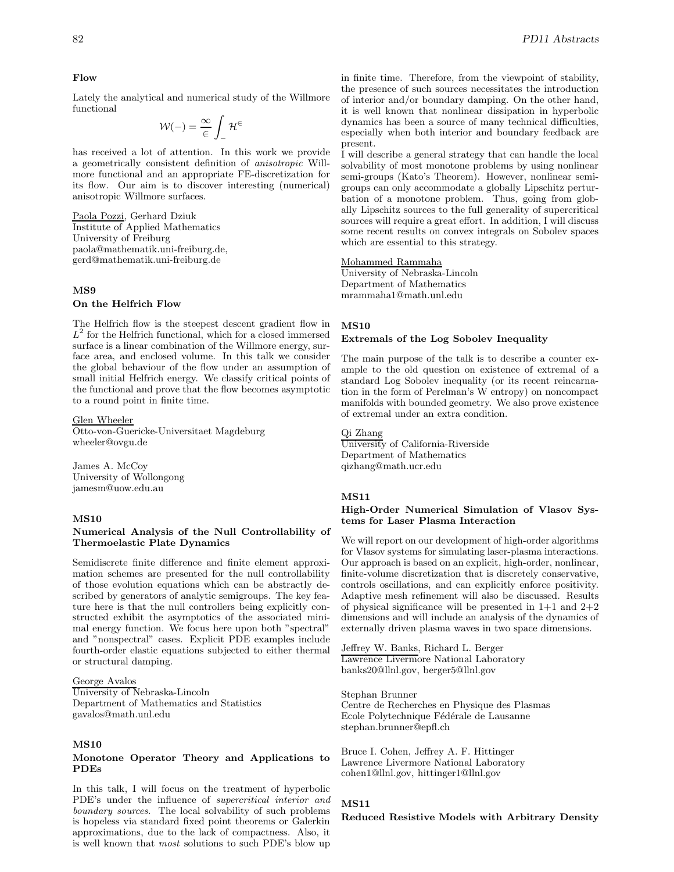#### **Flow**

Lately the analytical and numerical study of the Willmore functional

$$
\mathcal{W}(-)=\frac{\infty}{\in}\int_{-}\mathcal{H}^{\in}
$$

has received a lot of attention. In this work we provide a geometrically consistent definition of *anisotropic* Willmore functional and an appropriate FE-discretization for its flow. Our aim is to discover interesting (numerical) anisotropic Willmore surfaces.

Paola Pozzi, Gerhard Dziuk Institute of Applied Mathematics University of Freiburg paola@mathematik.uni-freiburg.de, gerd@mathematik.uni-freiburg.de

# **MS9**

## **On the Helfrich Flow**

The Helfrich flow is the steepest descent gradient flow in  $L^2$  for the Helfrich functional, which for a closed immersed surface is a linear combination of the Willmore energy, surface area, and enclosed volume. In this talk we consider the global behaviour of the flow under an assumption of small initial Helfrich energy. We classify critical points of the functional and prove that the flow becomes asymptotic to a round point in finite time.

#### Glen Wheeler

Otto-von-Guericke-Universitaet Magdeburg wheeler@ovgu.de

James A. McCoy University of Wollongong jamesm@uow.edu.au

#### **MS10**

## **Numerical Analysis of the Null Controllability of Thermoelastic Plate Dynamics**

Semidiscrete finite difference and finite element approximation schemes are presented for the null controllability of those evolution equations which can be abstractly described by generators of analytic semigroups. The key feature here is that the null controllers being explicitly constructed exhibit the asymptotics of the associated minimal energy function. We focus here upon both "spectral" and "nonspectral" cases. Explicit PDE examples include fourth-order elastic equations subjected to either thermal or structural damping.

#### George Avalos

University of Nebraska-Lincoln Department of Mathematics and Statistics gavalos@math.unl.edu

## **MS10**

#### **Monotone Operator Theory and Applications to PDEs**

In this talk, I will focus on the treatment of hyperbolic PDE's under the influence of *supercritical interior and boundary sources*. The local solvability of such problems is hopeless via standard fixed point theorems or Galerkin approximations, due to the lack of compactness. Also, it is well known that *most* solutions to such PDE's blow up

in finite time. Therefore, from the viewpoint of stability, the presence of such sources necessitates the introduction of interior and/or boundary damping. On the other hand, it is well known that nonlinear dissipation in hyperbolic dynamics has been a source of many technical difficulties, especially when both interior and boundary feedback are present.

I will describe a general strategy that can handle the local solvability of most monotone problems by using nonlinear semi-groups (Kato's Theorem). However, nonlinear semigroups can only accommodate a globally Lipschitz perturbation of a monotone problem. Thus, going from globally Lipschitz sources to the full generality of supercritical sources will require a great effort. In addition, I will discuss some recent results on convex integrals on Sobolev spaces which are essential to this strategy.

# Mohammed Rammaha

University of Nebraska-Lincoln Department of Mathematics mrammaha1@math.unl.edu

#### **MS10**

#### **Extremals of the Log Sobolev Inequality**

The main purpose of the talk is to describe a counter example to the old question on existence of extremal of a standard Log Sobolev inequality (or its recent reincarnation in the form of Perelman's W entropy) on noncompact manifolds with bounded geometry. We also prove existence of extremal under an extra condition.

# Qi Zhang

University of California-Riverside Department of Mathematics qizhang@math.ucr.edu

# **MS11**

#### **High-Order Numerical Simulation of Vlasov Systems for Laser Plasma Interaction**

We will report on our development of high-order algorithms for Vlasov systems for simulating laser-plasma interactions. Our approach is based on an explicit, high-order, nonlinear, finite-volume discretization that is discretely conservative, controls oscillations, and can explicitly enforce positivity. Adaptive mesh refinement will also be discussed. Results of physical significance will be presented in  $1+1$  and  $2+2$ dimensions and will include an analysis of the dynamics of externally driven plasma waves in two space dimensions.

Jeffrey W. Banks, Richard L. Berger Lawrence Livermore National Laboratory banks20@llnl.gov, berger5@llnl.gov

Stephan Brunner Centre de Recherches en Physique des Plasmas Ecole Polytechnique Fédérale de Lausanne stephan.brunner@epfl.ch

Bruce I. Cohen, Jeffrey A. F. Hittinger Lawrence Livermore National Laboratory cohen1@llnl.gov, hittinger1@llnl.gov

#### **MS11**

#### **Reduced Resistive Models with Arbitrary Density**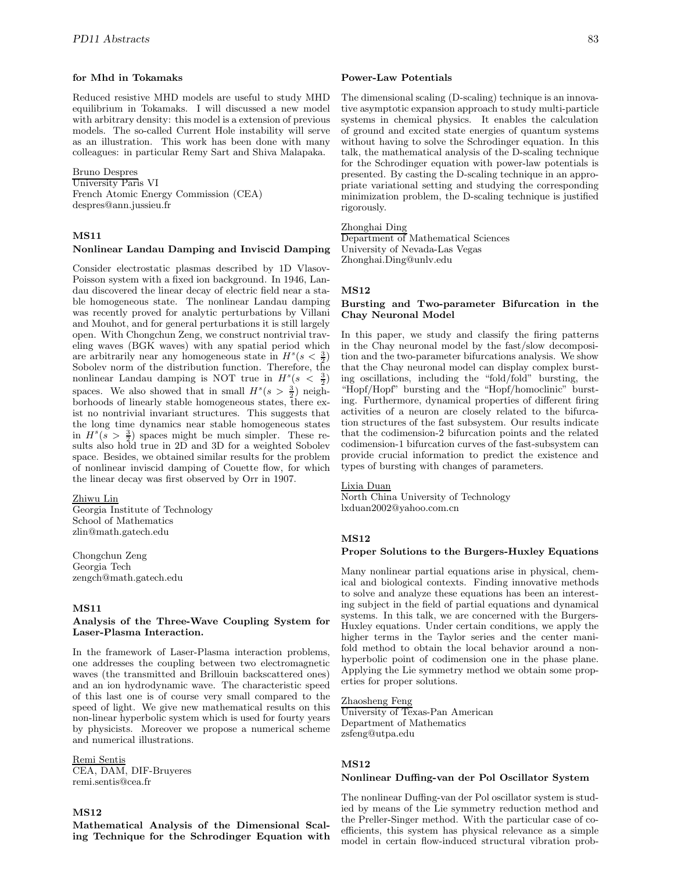#### **for Mhd in Tokamaks**

Reduced resistive MHD models are useful to study MHD equilibrium in Tokamaks. I will discussed a new model with arbitrary density: this model is a extension of previous models. The so-called Current Hole instability will serve as an illustration. This work has been done with many colleagues: in particular Remy Sart and Shiva Malapaka.

Bruno Despres University Paris VI French Atomic Energy Commission (CEA) despres@ann.jussieu.fr

# **MS11**

#### **Nonlinear Landau Damping and Inviscid Damping**

Consider electrostatic plasmas described by 1D Vlasov-Poisson system with a fixed ion background. In 1946, Landau discovered the linear decay of electric field near a stable homogeneous state. The nonlinear Landau damping was recently proved for analytic perturbations by Villani and Mouhot, and for general perturbations it is still largely open. With Chongchun Zeng, we construct nontrivial traveling waves (BGK waves) with any spatial period which are arbitrarily near any homogeneous state in  $H^s(s < \frac{3}{2})$ Sobolev norm of the distribution function. Therefore, the nonlinear Landau damping is NOT true in  $H^s(s < \frac{3}{2})$ spaces. We also showed that in small  $H<sup>s</sup>(s > \frac{3}{2})$  neighborhoods of linearly stable homogeneous states, there exist no nontrivial invariant structures. This suggests that the long time dynamics near stable homogeneous states in  $H^{s}(s > \frac{3}{2})$  spaces might be much simpler. These results also hold true in 2D and 3D for a weighted Sobolev space. Besides, we obtained similar results for the problem of nonlinear inviscid damping of Couette flow, for which the linear decay was first observed by Orr in 1907.

#### Zhiwu Lin

Georgia Institute of Technology School of Mathematics zlin@math.gatech.edu

Chongchun Zeng Georgia Tech zengch@math.gatech.edu

#### **MS11**

#### **Analysis of the Three-Wave Coupling System for Laser-Plasma Interaction.**

In the framework of Laser-Plasma interaction problems, one addresses the coupling between two electromagnetic waves (the transmitted and Brillouin backscattered ones) and an ion hydrodynamic wave. The characteristic speed of this last one is of course very small compared to the speed of light. We give new mathematical results on this non-linear hyperbolic system which is used for fourty years by physicists. Moreover we propose a numerical scheme and numerical illustrations.

#### Remi Sentis

CEA, DAM, DIF-Bruyeres remi.sentis@cea.fr

## **MS12**

#### **Mathematical Analysis of the Dimensional Scaling Technique for the Schrodinger Equation with**

#### **Power-Law Potentials**

The dimensional scaling (D-scaling) technique is an innovative asymptotic expansion approach to study multi-particle systems in chemical physics. It enables the calculation of ground and excited state energies of quantum systems without having to solve the Schrodinger equation. In this talk, the mathematical analysis of the D-scaling technique for the Schrodinger equation with power-law potentials is presented. By casting the D-scaling technique in an appropriate variational setting and studying the corresponding minimization problem, the D-scaling technique is justified rigorously.

#### Zhonghai Ding

Department of Mathematical Sciences University of Nevada-Las Vegas Zhonghai.Ding@unlv.edu

## **MS12**

#### **Bursting and Two-parameter Bifurcation in the Chay Neuronal Model**

In this paper, we study and classify the firing patterns in the Chay neuronal model by the fast/slow decomposition and the two-parameter bifurcations analysis. We show that the Chay neuronal model can display complex bursting oscillations, including the "fold/fold" bursting, the "Hopf/Hopf" bursting and the "Hopf/homoclinic" bursting. Furthermore, dynamical properties of different firing activities of a neuron are closely related to the bifurcation structures of the fast subsystem. Our results indicate that the codimension-2 bifurcation points and the related codimension-1 bifurcation curves of the fast-subsystem can provide crucial information to predict the existence and types of bursting with changes of parameters.

#### Lixia Duan

North China University of Technology lxduan2002@yahoo.com.cn

# **MS12**

#### **Proper Solutions to the Burgers-Huxley Equations**

Many nonlinear partial equations arise in physical, chemical and biological contexts. Finding innovative methods to solve and analyze these equations has been an interesting subject in the field of partial equations and dynamical systems. In this talk, we are concerned with the Burgers-Huxley equations. Under certain conditions, we apply the higher terms in the Taylor series and the center manifold method to obtain the local behavior around a nonhyperbolic point of codimension one in the phase plane. Applying the Lie symmetry method we obtain some properties for proper solutions.

Zhaosheng Feng University of Texas-Pan American Department of Mathematics zsfeng@utpa.edu

#### **MS12**

#### **Nonlinear Duffing-van der Pol Oscillator System**

The nonlinear Duffing-van der Pol oscillator system is studied by means of the Lie symmetry reduction method and the Preller-Singer method. With the particular case of coefficients, this system has physical relevance as a simple model in certain flow-induced structural vibration prob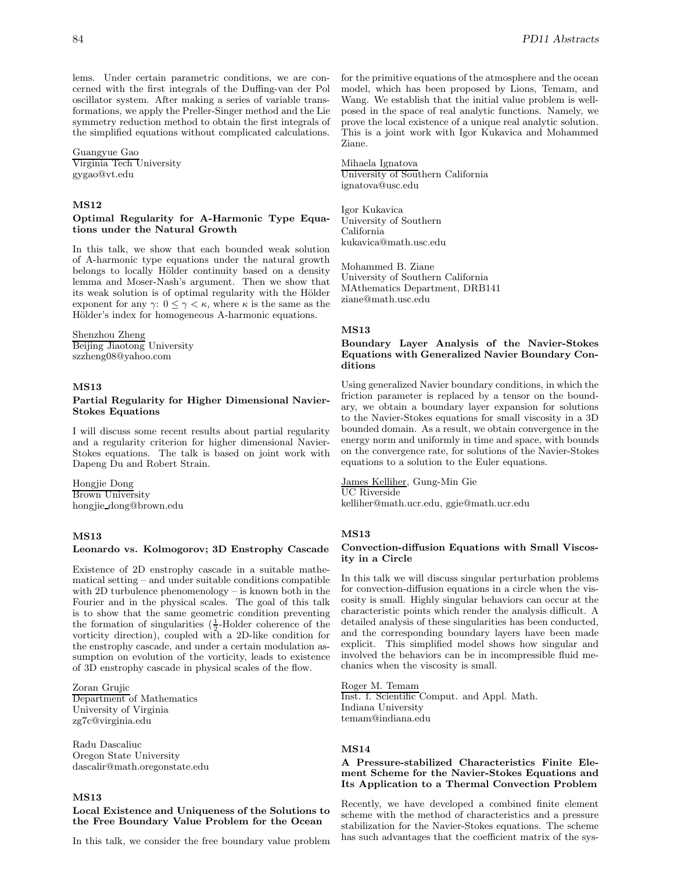lems. Under certain parametric conditions, we are concerned with the first integrals of the Duffing-van der Pol oscillator system. After making a series of variable transformations, we apply the Preller-Singer method and the Lie symmetry reduction method to obtain the first integrals of the simplified equations without complicated calculations.

Guangyue Gao Virginia Tech University gygao@vt.edu

### **MS12**

## **Optimal Regularity for A-Harmonic Type Equations under the Natural Growth**

In this talk, we show that each bounded weak solution of A-harmonic type equations under the natural growth belongs to locally Hölder continuity based on a density lemma and Moser-Nash's argument. Then we show that its weak solution is of optimal regularity with the Hölder exponent for any  $\gamma: 0 \leq \gamma < \kappa$ , where  $\kappa$  is the same as the Hölder's index for homogeneous A-harmonic equations.

# Shenzhou Zheng

Beijing Jiaotong University szzheng08@yahoo.com

# **MS13**

## **Partial Regularity for Higher Dimensional Navier-Stokes Equations**

I will discuss some recent results about partial regularity and a regularity criterion for higher dimensional Navier-Stokes equations. The talk is based on joint work with Dapeng Du and Robert Strain.

Hongjie Dong Brown University hongjie dong@brown.edu

# **MS13**

# **Leonardo vs. Kolmogorov; 3D Enstrophy Cascade**

Existence of 2D enstrophy cascade in a suitable mathematical setting – and under suitable conditions compatible with 2D turbulence phenomenology – is known both in the Fourier and in the physical scales. The goal of this talk is to show that the same geometric condition preventing the formation of singularities  $(\frac{1}{2}$ -Holder coherence of the vorticity direction), coupled with a 2D-like condition for the enstrophy cascade, and under a certain modulation assumption on evolution of the vorticity, leads to existence of 3D enstrophy cascade in physical scales of the flow.

Zoran Grujic Department of Mathematics University of Virginia zg7c@virginia.edu

Radu Dascaliuc Oregon State University dascalir@math.oregonstate.edu

# **MS13**

# **Local Existence and Uniqueness of the Solutions to the Free Boundary Value Problem for the Ocean**

In this talk, we consider the free boundary value problem

for the primitive equations of the atmosphere and the ocean model, which has been proposed by Lions, Temam, and Wang. We establish that the initial value problem is wellposed in the space of real analytic functions. Namely, we prove the local existence of a unique real analytic solution. This is a joint work with Igor Kukavica and Mohammed Ziane.

Mihaela Ignatova University of Southern California ignatova@usc.edu

Igor Kukavica University of Southern California kukavica@math.usc.edu

Mohammed B. Ziane University of Southern California MAthematics Department, DRB141 ziane@math.usc.edu

### **MS13**

# **Boundary Layer Analysis of the Navier-Stokes Equations with Generalized Navier Boundary Conditions**

Using generalized Navier boundary conditions, in which the friction parameter is replaced by a tensor on the boundary, we obtain a boundary layer expansion for solutions to the Navier-Stokes equations for small viscosity in a 3D bounded domain. As a result, we obtain convergence in the energy norm and uniformly in time and space, with bounds on the convergence rate, for solutions of the Navier-Stokes equations to a solution to the Euler equations.

#### James Kelliher, Gung-Min Gie

UC Riverside kelliher@math.ucr.edu, ggie@math.ucr.edu

#### **MS13**

# **Convection-diffusion Equations with Small Viscosity in a Circle**

In this talk we will discuss singular perturbation problems for convection-diffusion equations in a circle when the viscosity is small. Highly singular behaviors can occur at the characteristic points which render the analysis difficult. A detailed analysis of these singularities has been conducted, and the corresponding boundary layers have been made explicit. This simplified model shows how singular and involved the behaviors can be in incompressible fluid mechanics when the viscosity is small.

Roger M. Temam Inst. f. Scientific Comput. and Appl. Math. Indiana University temam@indiana.edu

#### **MS14**

# **A Pressure-stabilized Characteristics Finite Element Scheme for the Navier-Stokes Equations and Its Application to a Thermal Convection Problem**

Recently, we have developed a combined finite element scheme with the method of characteristics and a pressure stabilization for the Navier-Stokes equations. The scheme has such advantages that the coefficient matrix of the sys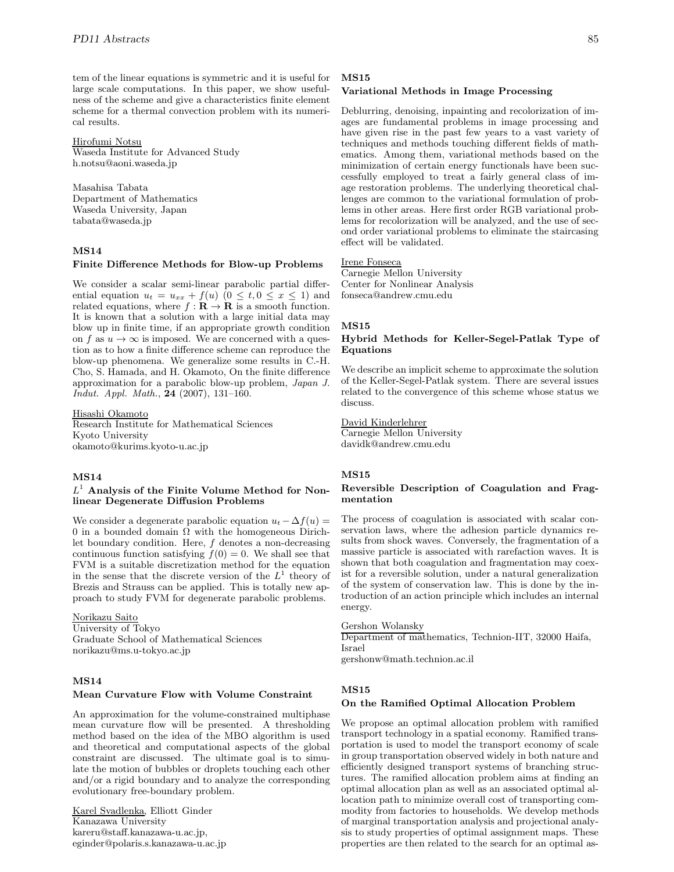tem of the linear equations is symmetric and it is useful for large scale computations. In this paper, we show usefulness of the scheme and give a characteristics finite element scheme for a thermal convection problem with its numerical results.

#### Hirofumi Notsu

Waseda Institute for Advanced Study h.notsu@aoni.waseda.jp

Masahisa Tabata Department of Mathematics Waseda University, Japan tabata@waseda.jp

### **MS14**

#### **Finite Difference Methods for Blow-up Problems**

We consider a scalar semi-linear parabolic partial differential equation  $u_t = u_{xx} + f(u)$   $(0 \le t, 0 \le x \le 1)$  and related equations, where  $f : \mathbf{R} \to \mathbf{R}$  is a smooth function. It is known that a solution with a large initial data may blow up in finite time, if an appropriate growth condition on f as  $u \to \infty$  is imposed. We are concerned with a question as to how a finite difference scheme can reproduce the blow-up phenomena. We generalize some results in C.-H. Cho, S. Hamada, and H. Okamoto, On the finite difference approximation for a parabolic blow-up problem, *Japan J. Indut. Appl. Math.*, **24** (2007), 131–160.

Hisashi Okamoto Research Institute for Mathematical Sciences Kyoto University okamoto@kurims.kyoto-u.ac.jp

# **MS14**

## L<sup>1</sup> **Analysis of the Finite Volume Method for Nonlinear Degenerate Diffusion Problems**

We consider a degenerate parabolic equation  $u_t - \Delta f(u) =$ 0 in a bounded domain  $\Omega$  with the homogeneous Dirichlet boundary condition. Here, f denotes a non-decreasing continuous function satisfying  $f(0) = 0$ . We shall see that FVM is a suitable discretization method for the equation in the sense that the discrete version of the  $L<sup>1</sup>$  theory of Brezis and Strauss can be applied. This is totally new approach to study FVM for degenerate parabolic problems.

Norikazu Saito University of Tokyo Graduate School of Mathematical Sciences norikazu@ms.u-tokyo.ac.jp

## **MS14**

#### **Mean Curvature Flow with Volume Constraint**

An approximation for the volume-constrained multiphase mean curvature flow will be presented. A thresholding method based on the idea of the MBO algorithm is used and theoretical and computational aspects of the global constraint are discussed. The ultimate goal is to simulate the motion of bubbles or droplets touching each other and/or a rigid boundary and to analyze the corresponding evolutionary free-boundary problem.

Karel Svadlenka, Elliott Ginder Kanazawa University kareru@staff.kanazawa-u.ac.jp, eginder@polaris.s.kanazawa-u.ac.jp

#### **MS15**

#### **Variational Methods in Image Processing**

Deblurring, denoising, inpainting and recolorization of images are fundamental problems in image processing and have given rise in the past few years to a vast variety of techniques and methods touching different fields of mathematics. Among them, variational methods based on the minimization of certain energy functionals have been successfully employed to treat a fairly general class of image restoration problems. The underlying theoretical challenges are common to the variational formulation of problems in other areas. Here first order RGB variational problems for recolorization will be analyzed, and the use of second order variational problems to eliminate the staircasing effect will be validated.

# Irene Fonseca

Carnegie Mellon University Center for Nonlinear Analysis fonseca@andrew.cmu.edu

#### **MS15**

## **Hybrid Methods for Keller-Segel-Patlak Type of Equations**

We describe an implicit scheme to approximate the solution of the Keller-Segel-Patlak system. There are several issues related to the convergence of this scheme whose status we discuss.

## David Kinderlehrer

Carnegie Mellon University davidk@andrew.cmu.edu

#### **MS15**

#### **Reversible Description of Coagulation and Fragmentation**

The process of coagulation is associated with scalar conservation laws, where the adhesion particle dynamics results from shock waves. Conversely, the fragmentation of a massive particle is associated with rarefaction waves. It is shown that both coagulation and fragmentation may coexist for a reversible solution, under a natural generalization of the system of conservation law. This is done by the introduction of an action principle which includes an internal energy.

#### Gershon Wolansky

Department of mathematics, Technion-IIT, 32000 Haifa, Israel gershonw@math.technion.ac.il

#### **MS15**

## **On the Ramified Optimal Allocation Problem**

We propose an optimal allocation problem with ramified transport technology in a spatial economy. Ramified transportation is used to model the transport economy of scale in group transportation observed widely in both nature and efficiently designed transport systems of branching structures. The ramified allocation problem aims at finding an optimal allocation plan as well as an associated optimal allocation path to minimize overall cost of transporting commodity from factories to households. We develop methods of marginal transportation analysis and projectional analysis to study properties of optimal assignment maps. These properties are then related to the search for an optimal as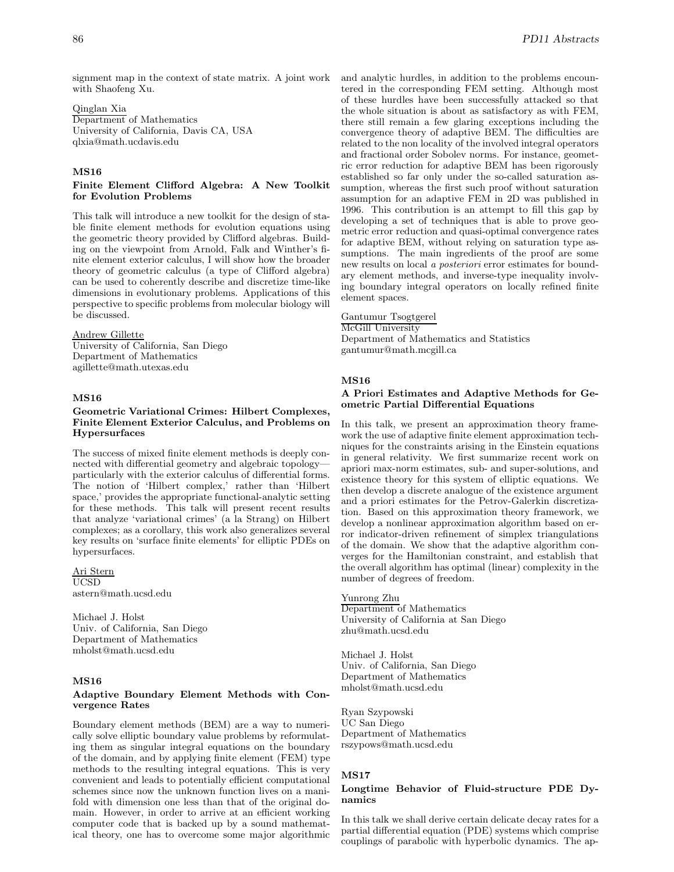signment map in the context of state matrix. A joint work with Shaofeng Xu.

#### Qinglan Xia

Department of Mathematics University of California, Davis CA, USA qlxia@math.ucdavis.edu

## **MS16**

### **Finite Element Clifford Algebra: A New Toolkit for Evolution Problems**

This talk will introduce a new toolkit for the design of stable finite element methods for evolution equations using the geometric theory provided by Clifford algebras. Building on the viewpoint from Arnold, Falk and Winther's finite element exterior calculus, I will show how the broader theory of geometric calculus (a type of Clifford algebra) can be used to coherently describe and discretize time-like dimensions in evolutionary problems. Applications of this perspective to specific problems from molecular biology will be discussed.

# Andrew Gillette

University of California, San Diego Department of Mathematics agillette@math.utexas.edu

# **MS16**

## **Geometric Variational Crimes: Hilbert Complexes, Finite Element Exterior Calculus, and Problems on Hypersurfaces**

The success of mixed finite element methods is deeply connected with differential geometry and algebraic topology particularly with the exterior calculus of differential forms. The notion of 'Hilbert complex,' rather than 'Hilbert space,' provides the appropriate functional-analytic setting for these methods. This talk will present recent results that analyze 'variational crimes' (a la Strang) on Hilbert complexes; as a corollary, this work also generalizes several key results on 'surface finite elements' for elliptic PDEs on hypersurfaces.

Ari Stern UCSD astern@math.ucsd.edu

Michael J. Holst Univ. of California, San Diego Department of Mathematics mholst@math.ucsd.edu

# **MS16**

#### **Adaptive Boundary Element Methods with Convergence Rates**

Boundary element methods (BEM) are a way to numerically solve elliptic boundary value problems by reformulating them as singular integral equations on the boundary of the domain, and by applying finite element (FEM) type methods to the resulting integral equations. This is very convenient and leads to potentially efficient computational schemes since now the unknown function lives on a manifold with dimension one less than that of the original domain. However, in order to arrive at an efficient working computer code that is backed up by a sound mathematical theory, one has to overcome some major algorithmic and analytic hurdles, in addition to the problems encountered in the corresponding FEM setting. Although most of these hurdles have been successfully attacked so that the whole situation is about as satisfactory as with FEM, there still remain a few glaring exceptions including the convergence theory of adaptive BEM. The difficulties are related to the non locality of the involved integral operators and fractional order Sobolev norms. For instance, geometric error reduction for adaptive BEM has been rigorously established so far only under the so-called saturation assumption, whereas the first such proof without saturation assumption for an adaptive FEM in 2D was published in 1996. This contribution is an attempt to fill this gap by developing a set of techniques that is able to prove geometric error reduction and quasi-optimal convergence rates for adaptive BEM, without relying on saturation type assumptions. The main ingredients of the proof are some new results on local *a posteriori* error estimates for boundary element methods, and inverse-type inequality involving boundary integral operators on locally refined finite element spaces.

# Gantumur Tsogtgerel

McGill University Department of Mathematics and Statistics gantumur@math.mcgill.ca

# **MS16**

#### **A Priori Estimates and Adaptive Methods for Geometric Partial Differential Equations**

In this talk, we present an approximation theory framework the use of adaptive finite element approximation techniques for the constraints arising in the Einstein equations in general relativity. We first summarize recent work on apriori max-norm estimates, sub- and super-solutions, and existence theory for this system of elliptic equations. We then develop a discrete analogue of the existence argument and a priori estimates for the Petrov-Galerkin discretization. Based on this approximation theory framework, we develop a nonlinear approximation algorithm based on error indicator-driven refinement of simplex triangulations of the domain. We show that the adaptive algorithm converges for the Hamiltonian constraint, and establish that the overall algorithm has optimal (linear) complexity in the number of degrees of freedom.

## Yunrong Zhu

Department of Mathematics University of California at San Diego zhu@math.ucsd.edu

Michael J. Holst Univ. of California, San Diego Department of Mathematics mholst@math.ucsd.edu

Ryan Szypowski UC San Diego Department of Mathematics rszypows@math.ucsd.edu

## **MS17**

### **Longtime Behavior of Fluid-structure PDE Dynamics**

In this talk we shall derive certain delicate decay rates for a partial differential equation (PDE) systems which comprise couplings of parabolic with hyperbolic dynamics. The ap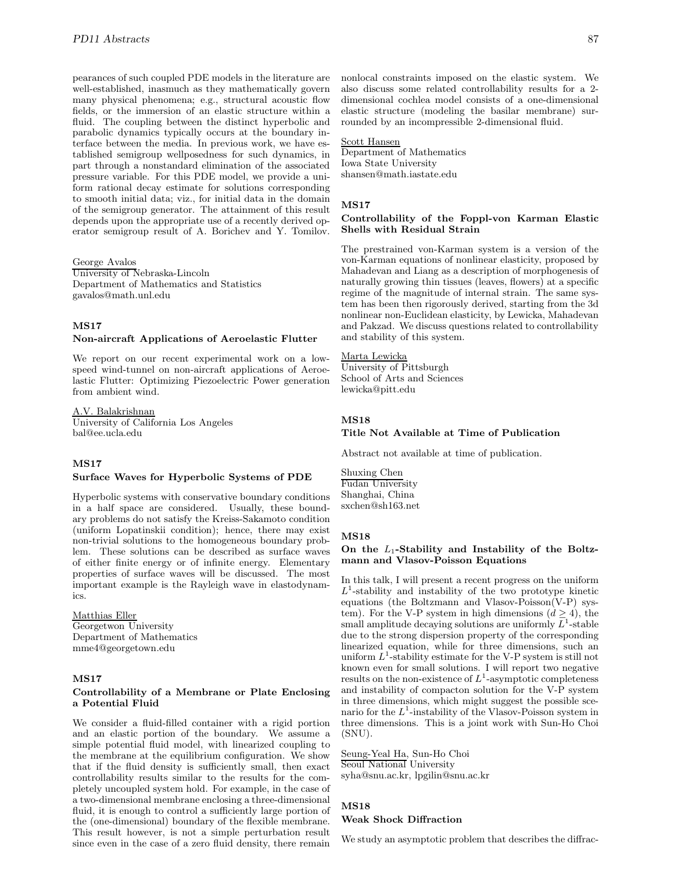pearances of such coupled PDE models in the literature are well-established, inasmuch as they mathematically govern many physical phenomena; e.g., structural acoustic flow fields, or the immersion of an elastic structure within a fluid. The coupling between the distinct hyperbolic and parabolic dynamics typically occurs at the boundary interface between the media. In previous work, we have established semigroup wellposedness for such dynamics, in part through a nonstandard elimination of the associated pressure variable. For this PDE model, we provide a uniform rational decay estimate for solutions corresponding to smooth initial data; viz., for initial data in the domain of the semigroup generator. The attainment of this result depends upon the appropriate use of a recently derived operator semigroup result of A. Borichev and Y. Tomilov.

George Avalos

University of Nebraska-Lincoln Department of Mathematics and Statistics gavalos@math.unl.edu

#### **MS17**

#### **Non-aircraft Applications of Aeroelastic Flutter**

We report on our recent experimental work on a lowspeed wind-tunnel on non-aircraft applications of Aeroelastic Flutter: Optimizing Piezoelectric Power generation from ambient wind.

A.V. Balakrishnan University of California Los Angeles bal@ee.ucla.edu

#### **MS17**

## **Surface Waves for Hyperbolic Systems of PDE**

Hyperbolic systems with conservative boundary conditions in a half space are considered. Usually, these boundary problems do not satisfy the Kreiss-Sakamoto condition (uniform Lopatinskii condition); hence, there may exist non-trivial solutions to the homogeneous boundary problem. These solutions can be described as surface waves of either finite energy or of infinite energy. Elementary properties of surface waves will be discussed. The most important example is the Rayleigh wave in elastodynamics.

Matthias Eller Georgetwon University Department of Mathematics mme4@georgetown.edu

## **MS17**

#### **Controllability of a Membrane or Plate Enclosing a Potential Fluid**

We consider a fluid-filled container with a rigid portion and an elastic portion of the boundary. We assume a simple potential fluid model, with linearized coupling to the membrane at the equilibrium configuration. We show that if the fluid density is sufficiently small, then exact controllability results similar to the results for the completely uncoupled system hold. For example, in the case of a two-dimensional membrane enclosing a three-dimensional fluid, it is enough to control a sufficiently large portion of the (one-dimensional) boundary of the flexible membrane. This result however, is not a simple perturbation result since even in the case of a zero fluid density, there remain

nonlocal constraints imposed on the elastic system. We also discuss some related controllability results for a 2 dimensional cochlea model consists of a one-dimensional elastic structure (modeling the basilar membrane) surrounded by an incompressible 2-dimensional fluid.

#### Scott Hansen

Department of Mathematics Iowa State University shansen@math.iastate.edu

# **MS17**

#### **Controllability of the Foppl-von Karman Elastic Shells with Residual Strain**

The prestrained von-Karman system is a version of the von-Karman equations of nonlinear elasticity, proposed by Mahadevan and Liang as a description of morphogenesis of naturally growing thin tissues (leaves, flowers) at a specific regime of the magnitude of internal strain. The same system has been then rigorously derived, starting from the 3d nonlinear non-Euclidean elasticity, by Lewicka, Mahadevan and Pakzad. We discuss questions related to controllability and stability of this system.

## Marta Lewicka

University of Pittsburgh School of Arts and Sciences lewicka@pitt.edu

#### **MS18**

#### **Title Not Available at Time of Publication**

Abstract not available at time of publication.

Shuxing Chen Fudan University Shanghai, China sxchen@sh163.net

#### **MS18**

# **On the** L1**-Stability and Instability of the Boltzmann and Vlasov-Poisson Equations**

In this talk, I will present a recent progress on the uniform  $L^1$ -stability and instability of the two prototype kinetic equations (the Boltzmann and Vlasov-Poisson(V-P) system). For the V-P system in high dimensions  $(d \geq 4)$ , the small amplitude decaying solutions are uniformly  $L^1$ -stable due to the strong dispersion property of the corresponding linearized equation, while for three dimensions, such an uniform  $L^1$ -stability estimate for the V-P system is still not known even for small solutions. I will report two negative results on the non-existence of  $L^1$ -asymptotic completeness and instability of compacton solution for the V-P system in three dimensions, which might suggest the possible scenario for the  $L^1$ -instability of the Vlasov-Poisson system in three dimensions. This is a joint work with Sun-Ho Choi (SNU).

Seung-Yeal Ha, Sun-Ho Choi Seoul National University syha@snu.ac.kr, lpgilin@snu.ac.kr

#### **MS18**

# **Weak Shock Diffraction**

We study an asymptotic problem that describes the diffrac-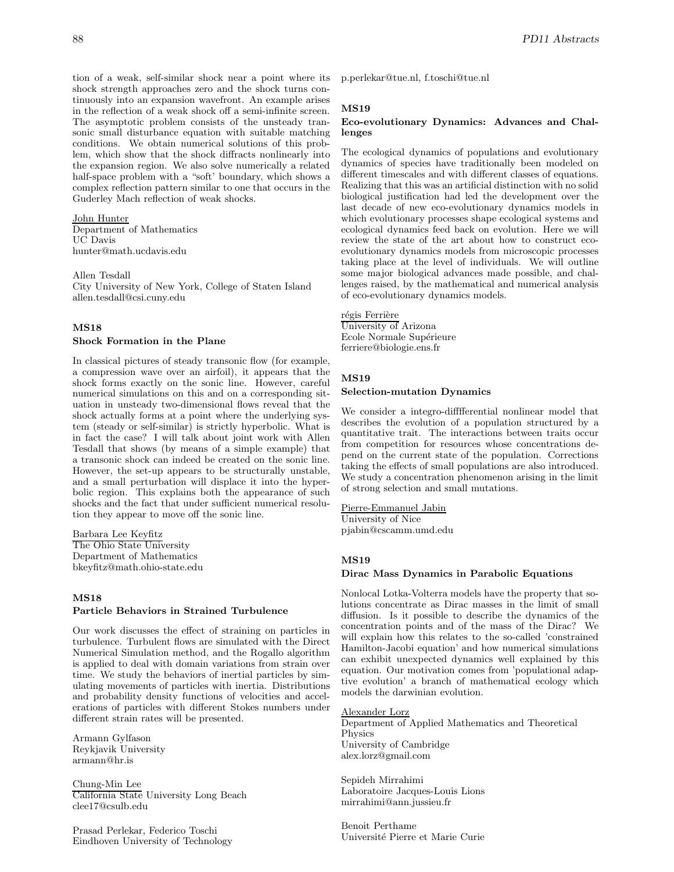tion of a weak, self-similar shock near a point where its shock strength approaches zero and the shock turns continuously into an expansion wavefront. An example arises in the reflection of a weak shock off a semi-infinite screen. The asymptotic problem consists of the unsteady transonic small disturbance equation with suitable matching conditions. We obtain numerical solutions of this problem, which show that the shock diffracts nonlinearly into the expansion region. We also solve numerically a related half-space problem with a "soft' boundary, which shows a complex reflection pattern similar to one that occurs in the Guderley Mach reflection of weak shocks.

### John Hunter

Department of Mathematics UC Davis hunter@math.ucdavis.edu

Allen Tesdall

City University of New York, College of Staten Island allen.tesdall@csi.cuny.edu

# **MS18**

#### **Shock Formation in the Plane**

In classical pictures of steady transonic flow (for example, a compression wave over an airfoil), it appears that the shock forms exactly on the sonic line. However, careful numerical simulations on this and on a corresponding situation in unsteady two-dimensional flows reveal that the shock actually forms at a point where the underlying system (steady or self-similar) is strictly hyperbolic. What is in fact the case? I will talk about joint work with Allen Tesdall that shows (by means of a simple example) that a transonic shock can indeed be created on the sonic line. However, the set-up appears to be structurally unstable, and a small perturbation will displace it into the hyperbolic region. This explains both the appearance of such shocks and the fact that under sufficient numerical resolution they appear to move off the sonic line.

Barbara Lee Keyfitz The Ohio State University Department of Mathematics bkeyfitz@math.ohio-state.edu

#### **MS18**

#### **Particle Behaviors in Strained Turbulence**

Our work discusses the effect of straining on particles in turbulence. Turbulent flows are simulated with the Direct Numerical Simulation method, and the Rogallo algorithm is applied to deal with domain variations from strain over time. We study the behaviors of inertial particles by simulating movements of particles with inertia. Distributions and probability density functions of velocities and accelerations of particles with different Stokes numbers under different strain rates will be presented.

Armann Gylfason Reykjavik University armann@hr.is

Chung-Min Lee California State University Long Beach clee17@csulb.edu

Prasad Perlekar, Federico Toschi Eindhoven University of Technology p.perlekar@tue.nl, f.toschi@tue.nl

#### **MS19**

#### **Eco-evolutionary Dynamics: Advances and Challenges**

The ecological dynamics of populations and evolutionary dynamics of species have traditionally been modeled on different timescales and with different classes of equations. Realizing that this was an artificial distinction with no solid biological justification had led the development over the last decade of new eco-evolutionary dynamics models in which evolutionary processes shape ecological systems and ecological dynamics feed back on evolution. Here we will review the state of the art about how to construct ecoevolutionary dynamics models from microscopic processes taking place at the level of individuals. We will outline some major biological advances made possible, and challenges raised, by the mathematical and numerical analysis of eco-evolutionary dynamics models.

# régis Ferrière

University of Arizona Ecole Normale Supérieure ferriere@biologie.ens.fr

#### **MS19**

#### **Selection-mutation Dynamics**

We consider a integro-difffferential nonlinear model that describes the evolution of a population structured by a quantitative trait. The interactions between traits occur from competition for resources whose concentrations depend on the current state of the population. Corrections taking the effects of small populations are also introduced. We study a concentration phenomenon arising in the limit of strong selection and small mutations.

Pierre-Emmanuel Jabin University of Nice pjabin@cscamm.umd.edu

# **MS19**

#### **Dirac Mass Dynamics in Parabolic Equations**

Nonlocal Lotka-Volterra models have the property that solutions concentrate as Dirac masses in the limit of small diffusion. Is it possible to describe the dynamics of the concentration points and of the mass of the Dirac? We will explain how this relates to the so-called 'constrained Hamilton-Jacobi equation' and how numerical simulations can exhibit unexpected dynamics well explained by this equation. Our motivation comes from 'populational adaptive evolution' a branch of mathematical ecology which models the darwinian evolution.

#### Alexander Lorz

Department of Applied Mathematics and Theoretical Physics University of Cambridge alex.lorz@gmail.com

Sepideh Mirrahimi Laboratoire Jacques-Louis Lions mirrahimi@ann.jussieu.fr

Benoit Perthame Universit´e Pierre et Marie Curie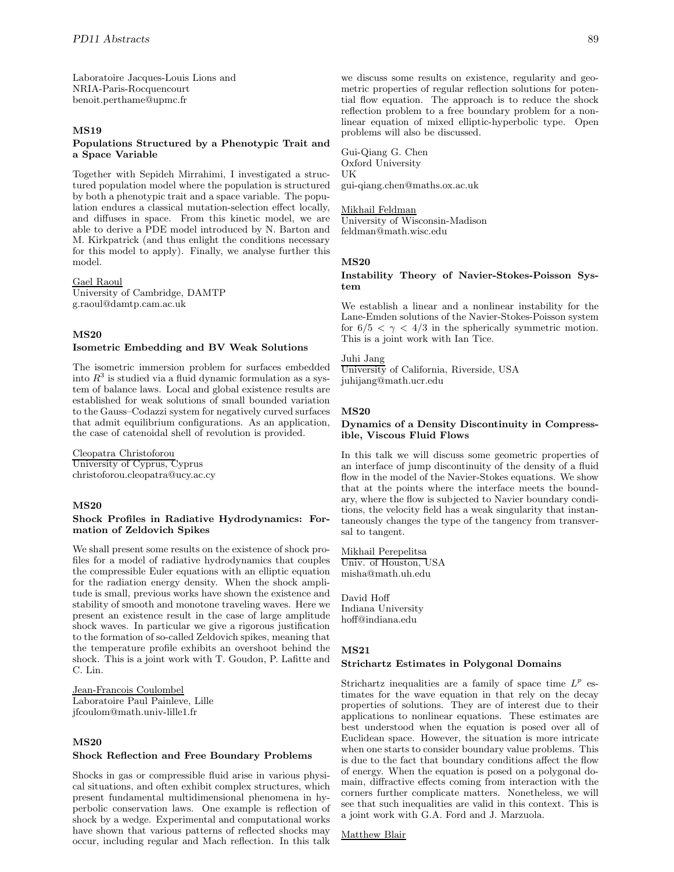Laboratoire Jacques-Louis Lions and NRIA-Paris-Rocquencourt benoit.perthame@upmc.fr

# **MS19**

# **Populations Structured by a Phenotypic Trait and a Space Variable**

Together with Sepideh Mirrahimi, I investigated a structured population model where the population is structured by both a phenotypic trait and a space variable. The population endures a classical mutation-selection effect locally, and diffuses in space. From this kinetic model, we are able to derive a PDE model introduced by N. Barton and M. Kirkpatrick (and thus enlight the conditions necessary for this model to apply). Finally, we analyse further this model.

#### Gael Raoul

University of Cambridge, DAMTP g.raoul@damtp.cam.ac.uk

# **MS20**

# **Isometric Embedding and BV Weak Solutions**

The isometric immersion problem for surfaces embedded into  $R<sup>3</sup>$  is studied via a fluid dynamic formulation as a system of balance laws. Local and global existence results are established for weak solutions of small bounded variation to the Gauss–Codazzi system for negatively curved surfaces that admit equilibrium configurations. As an application, the case of catenoidal shell of revolution is provided.

# Cleopatra Christoforou

University of Cyprus, Cyprus christoforou.cleopatra@ucy.ac.cy

#### **MS20**

## **Shock Profiles in Radiative Hydrodynamics: Formation of Zeldovich Spikes**

We shall present some results on the existence of shock profiles for a model of radiative hydrodynamics that couples the compressible Euler equations with an elliptic equation for the radiation energy density. When the shock amplitude is small, previous works have shown the existence and stability of smooth and monotone traveling waves. Here we present an existence result in the case of large amplitude shock waves. In particular we give a rigorous justification to the formation of so-called Zeldovich spikes, meaning that the temperature profile exhibits an overshoot behind the shock. This is a joint work with T. Goudon, P. Lafitte and C. Lin.

Jean-Francois Coulombel Laboratoire Paul Painleve, Lille jfcoulom@math.univ-lille1.fr

### **MS20**

### **Shock Reflection and Free Boundary Problems**

Shocks in gas or compressible fluid arise in various physical situations, and often exhibit complex structures, which present fundamental multidimensional phenomena in hyperbolic conservation laws. One example is reflection of shock by a wedge. Experimental and computational works have shown that various patterns of reflected shocks may occur, including regular and Mach reflection. In this talk

we discuss some results on existence, regularity and geometric properties of regular reflection solutions for potential flow equation. The approach is to reduce the shock reflection problem to a free boundary problem for a nonlinear equation of mixed elliptic-hyperbolic type. Open problems will also be discussed.

Gui-Qiang G. Chen Oxford University UK gui-qiang.chen@maths.ox.ac.uk

#### Mikhail Feldman

University of Wisconsin-Madison feldman@math.wisc.edu

#### **MS20**

**Instability Theory of Navier-Stokes-Poisson System**

We establish a linear and a nonlinear instability for the Lane-Emden solutions of the Navier-Stokes-Poisson system for  $6/5 < \gamma < 4/3$  in the spherically symmetric motion. This is a joint work with Ian Tice.

#### Juhi Jang

University of California, Riverside, USA juhijang@math.ucr.edu

#### **MS20**

#### **Dynamics of a Density Discontinuity in Compressible, Viscous Fluid Flows**

In this talk we will discuss some geometric properties of an interface of jump discontinuity of the density of a fluid flow in the model of the Navier-Stokes equations. We show that at the points where the interface meets the boundary, where the flow is subjected to Navier boundary conditions, the velocity field has a weak singularity that instantaneously changes the type of the tangency from transversal to tangent.

Mikhail Perepelitsa Univ. of Houston, USA misha@math.uh.edu

David Hoff Indiana University hoff@indiana.edu

#### **MS21**

# **Strichartz Estimates in Polygonal Domains**

Strichartz inequalities are a family of space time  $L^p$  estimates for the wave equation in that rely on the decay properties of solutions. They are of interest due to their applications to nonlinear equations. These estimates are best understood when the equation is posed over all of Euclidean space. However, the situation is more intricate when one starts to consider boundary value problems. This is due to the fact that boundary conditions affect the flow of energy. When the equation is posed on a polygonal domain, diffractive effects coming from interaction with the corners further complicate matters. Nonetheless, we will see that such inequalities are valid in this context. This is a joint work with G.A. Ford and J. Marzuola.

Matthew Blair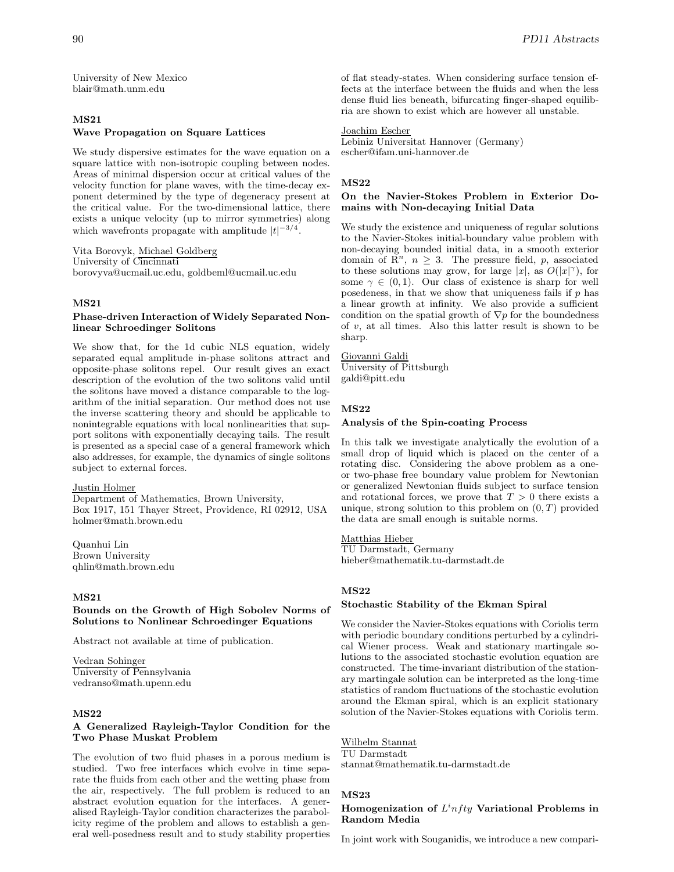University of New Mexico blair@math.unm.edu

# **MS21 Wave Propagation on Square Lattices**

We study dispersive estimates for the wave equation on a square lattice with non-isotropic coupling between nodes. Areas of minimal dispersion occur at critical values of the velocity function for plane waves, with the time-decay exponent determined by the type of degeneracy present at the critical value. For the two-dimensional lattice, there exists a unique velocity (up to mirror symmetries) along which wavefronts propagate with amplitude  $|t|^{-3/4}$ .

Vita Borovyk, Michael Goldberg University of Cincinnati borovyva@ucmail.uc.edu, goldbeml@ucmail.uc.edu

# **MS21**

## **Phase-driven Interaction of Widely Separated Nonlinear Schroedinger Solitons**

We show that, for the 1d cubic NLS equation, widely separated equal amplitude in-phase solitons attract and opposite-phase solitons repel. Our result gives an exact description of the evolution of the two solitons valid until the solitons have moved a distance comparable to the logarithm of the initial separation. Our method does not use the inverse scattering theory and should be applicable to nonintegrable equations with local nonlinearities that support solitons with exponentially decaying tails. The result is presented as a special case of a general framework which also addresses, for example, the dynamics of single solitons subject to external forces.

#### Justin Holmer

Department of Mathematics, Brown University, Box 1917, 151 Thayer Street, Providence, RI 02912, USA holmer@math.brown.edu

Quanhui Lin Brown University qhlin@math.brown.edu

# **MS21**

### **Bounds on the Growth of High Sobolev Norms of Solutions to Nonlinear Schroedinger Equations**

Abstract not available at time of publication.

Vedran Sohinger University of Pennsylvania vedranso@math.upenn.edu

# **MS22**

## **A Generalized Rayleigh-Taylor Condition for the Two Phase Muskat Problem**

The evolution of two fluid phases in a porous medium is studied. Two free interfaces which evolve in time separate the fluids from each other and the wetting phase from the air, respectively. The full problem is reduced to an abstract evolution equation for the interfaces. A generalised Rayleigh-Taylor condition characterizes the parabolicity regime of the problem and allows to establish a general well-posedness result and to study stability properties of flat steady-states. When considering surface tension effects at the interface between the fluids and when the less dense fluid lies beneath, bifurcating finger-shaped equilibria are shown to exist which are however all unstable.

# Joachim Escher

Lebiniz Universitat Hannover (Germany) escher@ifam.uni-hannover.de

# **MS22**

# **On the Navier-Stokes Problem in Exterior Domains with Non-decaying Initial Data**

We study the existence and uniqueness of regular solutions to the Navier-Stokes initial-boundary value problem with non-decaying bounded initial data, in a smooth exterior domain of  $\mathbb{R}^n$ ,  $n \geq 3$ . The pressure field, p, associated to these solutions may grow, for large  $|x|$ , as  $O(|x|^\gamma)$ , for some  $\gamma \in (0, 1)$ . Our class of existence is sharp for well posedeness, in that we show that uniqueness fails if  $p$  has a linear growth at infinity. We also provide a sufficient condition on the spatial growth of  $\nabla p$  for the boundedness of  $v$ , at all times. Also this latter result is shown to be sharp.

Giovanni Galdi University of Pittsburgh galdi@pitt.edu

### **MS22**

### **Analysis of the Spin-coating Process**

In this talk we investigate analytically the evolution of a small drop of liquid which is placed on the center of a rotating disc. Considering the above problem as a oneor two-phase free boundary value problem for Newtonian or generalized Newtonian fluids subject to surface tension and rotational forces, we prove that  $T > 0$  there exists a unique, strong solution to this problem on  $(0, T)$  provided the data are small enough is suitable norms.

### Matthias Hieber

TU Darmstadt, Germany hieber@mathematik.tu-darmstadt.de

# **MS22**

#### **Stochastic Stability of the Ekman Spiral**

We consider the Navier-Stokes equations with Coriolis term with periodic boundary conditions perturbed by a cylindrical Wiener process. Weak and stationary martingale solutions to the associated stochastic evolution equation are constructed. The time-invariant distribution of the stationary martingale solution can be interpreted as the long-time statistics of random fluctuations of the stochastic evolution around the Ekman spiral, which is an explicit stationary solution of the Navier-Stokes equations with Coriolis term.

#### Wilhelm Stannat

#### TU Darmstadt

stannat@mathematik.tu-darmstadt.de

### **MS23**

# Homogenization of  $L<sup>i</sup>nfty$  Variational Problems in **Random Media**

In joint work with Souganidis, we introduce a new compari-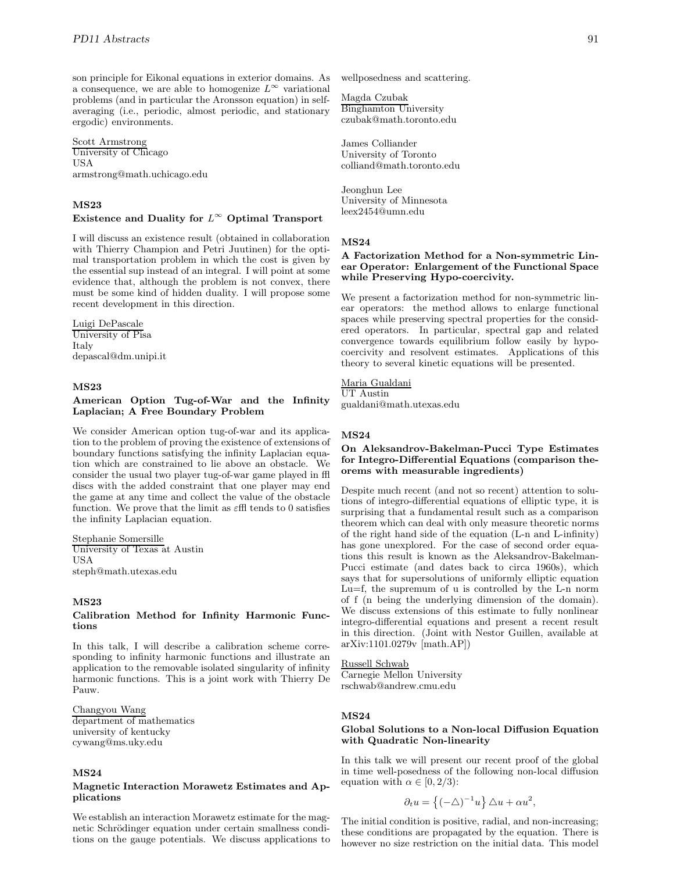son principle for Eikonal equations in exterior domains. As a consequence, we are able to homogenize  $L^{\infty}$  variational problems (and in particular the Aronsson equation) in selfaveraging (i.e., periodic, almost periodic, and stationary ergodic) environments.

Scott Armstrong University of Chicago USA armstrong@math.uchicago.edu

# **MS23**

# **Existence and Duality for** L<sup>∞</sup> **Optimal Transport**

I will discuss an existence result (obtained in collaboration with Thierry Champion and Petri Juutinen) for the optimal transportation problem in which the cost is given by the essential sup instead of an integral. I will point at some evidence that, although the problem is not convex, there must be some kind of hidden duality. I will propose some recent development in this direction.

#### Luigi DePascale University of Pisa Italy

depascal@dm.unipi.it

# **MS23**

#### **American Option Tug-of-War and the Infinity Laplacian; A Free Boundary Problem**

We consider American option tug-of-war and its application to the problem of proving the existence of extensions of boundary functions satisfying the infinity Laplacian equation which are constrained to lie above an obstacle. We consider the usual two player tug-of-war game played in ffl discs with the added constraint that one player may end the game at any time and collect the value of the obstacle function. We prove that the limit as  $\varepsilon$ ffl tends to 0 satisfies the infinity Laplacian equation.

Stephanie Somersille University of Texas at Austin USA steph@math.utexas.edu

# **MS23**

#### **Calibration Method for Infinity Harmonic Functions**

In this talk, I will describe a calibration scheme corresponding to infinity harmonic functions and illustrate an application to the removable isolated singularity of infinity harmonic functions. This is a joint work with Thierry De Pauw.

Changyou Wang department of mathematics university of kentucky cywang@ms.uky.edu

# **MS24**

## **Magnetic Interaction Morawetz Estimates and Applications**

We establish an interaction Morawetz estimate for the magnetic Schrödinger equation under certain smallness conditions on the gauge potentials. We discuss applications to wellposedness and scattering.

Magda Czubak Binghamton University czubak@math.toronto.edu

James Colliander University of Toronto colliand@math.toronto.edu

Jeonghun Lee University of Minnesota leex2454@umn.edu

#### **MS24**

# **A Factorization Method for a Non-symmetric Linear Operator: Enlargement of the Functional Space while Preserving Hypo-coercivity.**

We present a factorization method for non-symmetric linear operators: the method allows to enlarge functional spaces while preserving spectral properties for the considered operators. In particular, spectral gap and related convergence towards equilibrium follow easily by hypocoercivity and resolvent estimates. Applications of this theory to several kinetic equations will be presented.

Maria Gualdani UT Austin

gualdani@math.utexas.edu

#### **MS24**

### **On Aleksandrov-Bakelman-Pucci Type Estimates for Integro-Differential Equations (comparison theorems with measurable ingredients)**

Despite much recent (and not so recent) attention to solutions of integro-differential equations of elliptic type, it is surprising that a fundamental result such as a comparison theorem which can deal with only measure theoretic norms of the right hand side of the equation (L-n and L-infinity) has gone unexplored. For the case of second order equations this result is known as the Aleksandrov-Bakelman-Pucci estimate (and dates back to circa 1960s), which says that for supersolutions of uniformly elliptic equation Lu=f, the supremum of u is controlled by the L-n norm of f (n being the underlying dimension of the domain). We discuss extensions of this estimate to fully nonlinear integro-differential equations and present a recent result in this direction. (Joint with Nestor Guillen, available at arXiv:1101.0279v [math.AP])

Russell Schwab Carnegie Mellon University rschwab@andrew.cmu.edu

### **MS24**

# **Global Solutions to a Non-local Diffusion Equation with Quadratic Non-linearity**

In this talk we will present our recent proof of the global in time well-posedness of the following non-local diffusion equation with  $\alpha \in [0, 2/3)$ :

$$
\partial_t u = \left\{ (-\triangle)^{-1} u \right\} \triangle u + \alpha u^2,
$$

The initial condition is positive, radial, and non-increasing; these conditions are propagated by the equation. There is however no size restriction on the initial data. This model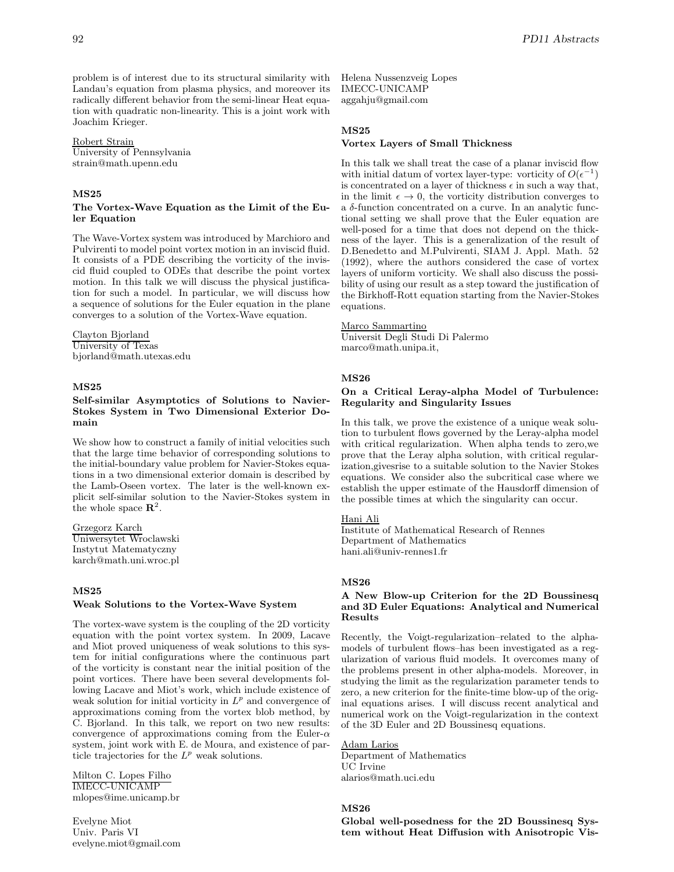problem is of interest due to its structural similarity with Landau's equation from plasma physics, and moreover its radically different behavior from the semi-linear Heat equation with quadratic non-linearity. This is a joint work with Joachim Krieger.

#### Robert Strain

University of Pennsylvania strain@math.upenn.edu

#### **MS25**

#### **The Vortex-Wave Equation as the Limit of the Euler Equation**

The Wave-Vortex system was introduced by Marchioro and Pulvirenti to model point vortex motion in an inviscid fluid. It consists of a PDE describing the vorticity of the inviscid fluid coupled to ODEs that describe the point vortex motion. In this talk we will discuss the physical justification for such a model. In particular, we will discuss how a sequence of solutions for the Euler equation in the plane converges to a solution of the Vortex-Wave equation.

# Clayton Bjorland

University of Texas bjorland@math.utexas.edu

# **MS25**

### **Self-similar Asymptotics of Solutions to Navier-Stokes System in Two Dimensional Exterior Domain**

We show how to construct a family of initial velocities such that the large time behavior of corresponding solutions to the initial-boundary value problem for Navier-Stokes equations in a two dimensional exterior domain is described by the Lamb-Oseen vortex. The later is the well-known explicit self-similar solution to the Navier-Stokes system in the whole space  $\mathbb{R}^2$ .

#### Grzegorz Karch

Uniwersytet Wroclawski Instytut Matematyczny karch@math.uni.wroc.pl

### **MS25**

#### **Weak Solutions to the Vortex-Wave System**

The vortex-wave system is the coupling of the 2D vorticity equation with the point vortex system. In 2009, Lacave and Miot proved uniqueness of weak solutions to this system for initial configurations where the continuous part of the vorticity is constant near the initial position of the point vortices. There have been several developments following Lacave and Miot's work, which include existence of weak solution for initial vorticity in  $L^p$  and convergence of approximations coming from the vortex blob method, by C. Bjorland. In this talk, we report on two new results: convergence of approximations coming from the Euler- $\alpha$ system, joint work with E. de Moura, and existence of particle trajectories for the  $L^p$  weak solutions.

Milton C. Lopes Filho IMECC-UNICAMP mlopes@ime.unicamp.br

Evelyne Miot Univ. Paris VI evelyne.miot@gmail.com

Helena Nussenzveig Lopes IMECC-UNICAMP aggahju@gmail.com

### **MS25**

# **Vortex Layers of Small Thickness**

In this talk we shall treat the case of a planar inviscid flow with initial datum of vortex layer-type: vorticity of  $O(\epsilon^{-1})$ is concentrated on a layer of thickness  $\epsilon$  in such a way that, in the limit  $\epsilon \to 0$ , the vorticity distribution converges to a  $\delta$ -function concentrated on a curve. In an analytic functional setting we shall prove that the Euler equation are well-posed for a time that does not depend on the thickness of the layer. This is a generalization of the result of D.Benedetto and M.Pulvirenti, SIAM J. Appl. Math. 52 (1992), where the authors considered the case of vortex layers of uniform vorticity. We shall also discuss the possibility of using our result as a step toward the justification of the Birkhoff-Rott equation starting from the Navier-Stokes equations.

#### Marco Sammartino

Universit Degli Studi Di Palermo marco@math.unipa.it,

#### **MS26**

## **On a Critical Leray-alpha Model of Turbulence: Regularity and Singularity Issues**

In this talk, we prove the existence of a unique weak solution to turbulent flows governed by the Leray-alpha model with critical regularization. When alpha tends to zero,we prove that the Leray alpha solution, with critical regularization,givesrise to a suitable solution to the Navier Stokes equations. We consider also the subcritical case where we establish the upper estimate of the Hausdorff dimension of the possible times at which the singularity can occur.

# Hani Ali

Institute of Mathematical Research of Rennes Department of Mathematics hani.ali@univ-rennes1.fr

#### **MS26**

## **A New Blow-up Criterion for the 2D Boussinesq and 3D Euler Equations: Analytical and Numerical Results**

Recently, the Voigt-regularization–related to the alphamodels of turbulent flows–has been investigated as a regularization of various fluid models. It overcomes many of the problems present in other alpha-models. Moreover, in studying the limit as the regularization parameter tends to zero, a new criterion for the finite-time blow-up of the original equations arises. I will discuss recent analytical and numerical work on the Voigt-regularization in the context of the 3D Euler and 2D Boussinesq equations.

### Adam Larios

Department of Mathematics UC Irvine alarios@math.uci.edu

# **MS26**

**Global well-posedness for the 2D Boussinesq System without Heat Diffusion with Anisotropic Vis-**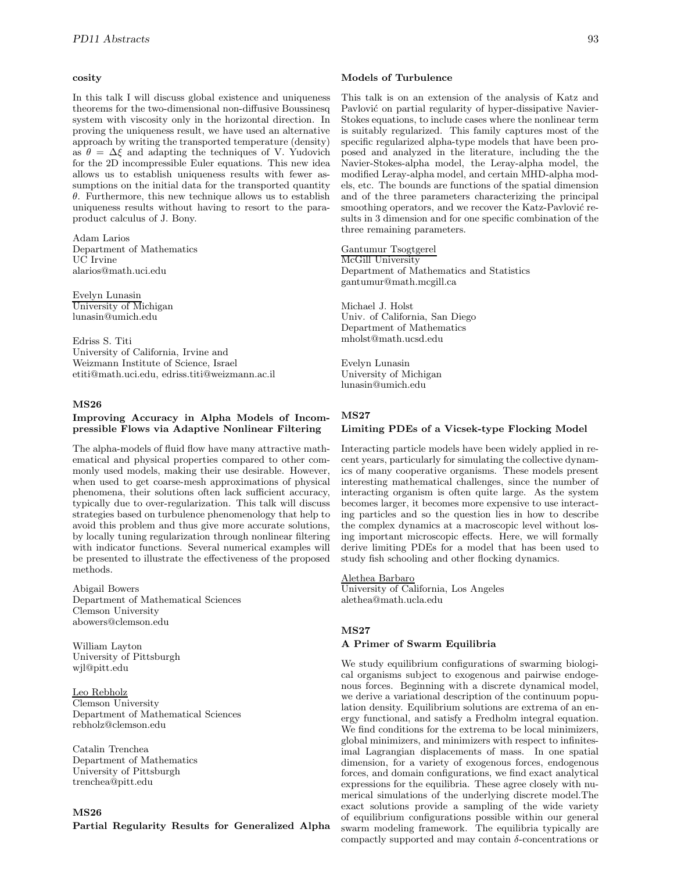### **cosity**

In this talk I will discuss global existence and uniqueness theorems for the two-dimensional non-diffusive Boussinesq system with viscosity only in the horizontal direction. In proving the uniqueness result, we have used an alternative approach by writing the transported temperature (density) as  $\theta = \Delta \xi$  and adapting the techniques of V. Yudovich for the 2D incompressible Euler equations. This new idea allows us to establish uniqueness results with fewer assumptions on the initial data for the transported quantity  $\theta$ . Furthermore, this new technique allows us to establish uniqueness results without having to resort to the paraproduct calculus of J. Bony.

Adam Larios Department of Mathematics UC Irvine alarios@math.uci.edu

Evelyn Lunasin University of Michigan lunasin@umich.edu

Edriss S. Titi University of California, Irvine and Weizmann Institute of Science, Israel etiti@math.uci.edu, edriss.titi@weizmann.ac.il

# **MS26**

#### **Improving Accuracy in Alpha Models of Incompressible Flows via Adaptive Nonlinear Filtering**

The alpha-models of fluid flow have many attractive mathematical and physical properties compared to other commonly used models, making their use desirable. However, when used to get coarse-mesh approximations of physical phenomena, their solutions often lack sufficient accuracy, typically due to over-regularization. This talk will discuss strategies based on turbulence phenomenology that help to avoid this problem and thus give more accurate solutions, by locally tuning regularization through nonlinear filtering with indicator functions. Several numerical examples will be presented to illustrate the effectiveness of the proposed methods.

Abigail Bowers Department of Mathematical Sciences Clemson University abowers@clemson.edu

William Layton University of Pittsburgh wjl@pitt.edu

#### Leo Rebholz

Clemson University Department of Mathematical Sciences rebholz@clemson.edu

Catalin Trenchea Department of Mathematics University of Pittsburgh trenchea@pitt.edu

#### **MS26**

**Partial Regularity Results for Generalized Alpha**

#### **Models of Turbulence**

This talk is on an extension of the analysis of Katz and Pavlović on partial regularity of hyper-dissipative Navier-Stokes equations, to include cases where the nonlinear term is suitably regularized. This family captures most of the specific regularized alpha-type models that have been proposed and analyzed in the literature, including the the Navier-Stokes-alpha model, the Leray-alpha model, the modified Leray-alpha model, and certain MHD-alpha models, etc. The bounds are functions of the spatial dimension and of the three parameters characterizing the principal smoothing operators, and we recover the Katz-Pavlović results in 3 dimension and for one specific combination of the three remaining parameters.

Gantumur Tsogtgerel McGill University Department of Mathematics and Statistics gantumur@math.mcgill.ca

Michael J. Holst Univ. of California, San Diego Department of Mathematics mholst@math.ucsd.edu

Evelyn Lunasin University of Michigan lunasin@umich.edu

# **MS27 Limiting PDEs of a Vicsek-type Flocking Model**

Interacting particle models have been widely applied in recent years, particularly for simulating the collective dynamics of many cooperative organisms. These models present interesting mathematical challenges, since the number of interacting organism is often quite large. As the system becomes larger, it becomes more expensive to use interacting particles and so the question lies in how to describe the complex dynamics at a macroscopic level without losing important microscopic effects. Here, we will formally derive limiting PDEs for a model that has been used to study fish schooling and other flocking dynamics.

### Alethea Barbaro

University of California, Los Angeles alethea@math.ucla.edu

# **MS27**

### **A Primer of Swarm Equilibria**

We study equilibrium configurations of swarming biological organisms subject to exogenous and pairwise endogenous forces. Beginning with a discrete dynamical model, we derive a variational description of the continuum population density. Equilibrium solutions are extrema of an energy functional, and satisfy a Fredholm integral equation. We find conditions for the extrema to be local minimizers, global minimizers, and minimizers with respect to infinitesimal Lagrangian displacements of mass. In one spatial dimension, for a variety of exogenous forces, endogenous forces, and domain configurations, we find exact analytical expressions for the equilibria. These agree closely with numerical simulations of the underlying discrete model.The exact solutions provide a sampling of the wide variety of equilibrium configurations possible within our general swarm modeling framework. The equilibria typically are compactly supported and may contain δ-concentrations or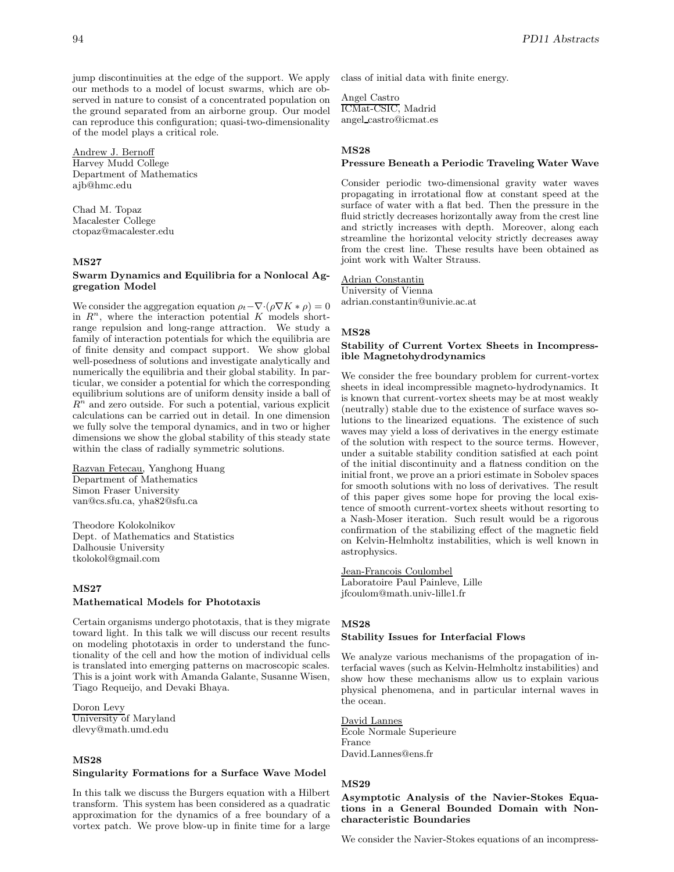jump discontinuities at the edge of the support. We apply our methods to a model of locust swarms, which are observed in nature to consist of a concentrated population on the ground separated from an airborne group. Our model can reproduce this configuration; quasi-two-dimensionality of the model plays a critical role.

Andrew J. Bernoff Harvey Mudd College Department of Mathematics ajb@hmc.edu

Chad M. Topaz Macalester College ctopaz@macalester.edu

# **MS27**

## **Swarm Dynamics and Equilibria for a Nonlocal Aggregation Model**

We consider the aggregation equation  $\rho_t-\nabla\cdot(\rho\nabla K*\rho)=0$ in  $R^n$ , where the interaction potential K models shortrange repulsion and long-range attraction. We study a family of interaction potentials for which the equilibria are of finite density and compact support. We show global well-posedness of solutions and investigate analytically and numerically the equilibria and their global stability. In particular, we consider a potential for which the corresponding equilibrium solutions are of uniform density inside a ball of  $R^n$  and zero outside. For such a potential, various explicit calculations can be carried out in detail. In one dimension we fully solve the temporal dynamics, and in two or higher dimensions we show the global stability of this steady state within the class of radially symmetric solutions.

Razvan Fetecau, Yanghong Huang Department of Mathematics Simon Fraser University van@cs.sfu.ca, yha82@sfu.ca

Theodore Kolokolnikov Dept. of Mathematics and Statistics Dalhousie University tkolokol@gmail.com

# **MS27**

#### **Mathematical Models for Phototaxis**

Certain organisms undergo phototaxis, that is they migrate toward light. In this talk we will discuss our recent results on modeling phototaxis in order to understand the functionality of the cell and how the motion of individual cells is translated into emerging patterns on macroscopic scales. This is a joint work with Amanda Galante, Susanne Wisen, Tiago Requeijo, and Devaki Bhaya.

Doron Levy University of Maryland dlevy@math.umd.edu

#### **MS28**

#### **Singularity Formations for a Surface Wave Model**

In this talk we discuss the Burgers equation with a Hilbert transform. This system has been considered as a quadratic approximation for the dynamics of a free boundary of a vortex patch. We prove blow-up in finite time for a large class of initial data with finite energy.

Angel Castro ICMat-CSIC, Madrid angel castro@icmat.es

#### **MS28**

# **Pressure Beneath a Periodic Traveling Water Wave**

Consider periodic two-dimensional gravity water waves propagating in irrotational flow at constant speed at the surface of water with a flat bed. Then the pressure in the fluid strictly decreases horizontally away from the crest line and strictly increases with depth. Moreover, along each streamline the horizontal velocity strictly decreases away from the crest line. These results have been obtained as joint work with Walter Strauss.

### Adrian Constantin

University of Vienna adrian.constantin@univie.ac.at

# **MS28**

### **Stability of Current Vortex Sheets in Incompressible Magnetohydrodynamics**

We consider the free boundary problem for current-vortex sheets in ideal incompressible magneto-hydrodynamics. It is known that current-vortex sheets may be at most weakly (neutrally) stable due to the existence of surface waves solutions to the linearized equations. The existence of such waves may yield a loss of derivatives in the energy estimate of the solution with respect to the source terms. However, under a suitable stability condition satisfied at each point of the initial discontinuity and a flatness condition on the initial front, we prove an a priori estimate in Sobolev spaces for smooth solutions with no loss of derivatives. The result of this paper gives some hope for proving the local existence of smooth current-vortex sheets without resorting to a Nash-Moser iteration. Such result would be a rigorous confirmation of the stabilizing effect of the magnetic field on Kelvin-Helmholtz instabilities, which is well known in astrophysics.

Jean-Francois Coulombel Laboratoire Paul Painleve, Lille jfcoulom@math.univ-lille1.fr

## **MS28**

#### **Stability Issues for Interfacial Flows**

We analyze various mechanisms of the propagation of interfacial waves (such as Kelvin-Helmholtz instabilities) and show how these mechanisms allow us to explain various physical phenomena, and in particular internal waves in the ocean.

David Lannes Ecole Normale Superieure France David.Lannes@ens.fr

#### **MS29**

**Asymptotic Analysis of the Navier-Stokes Equations in a General Bounded Domain with Noncharacteristic Boundaries**

We consider the Navier-Stokes equations of an incompress-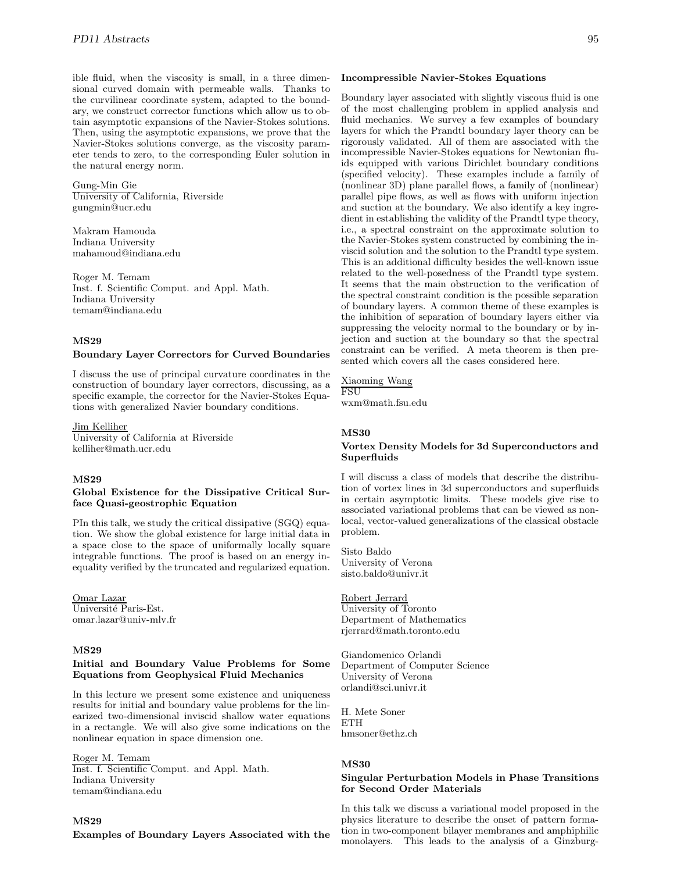ible fluid, when the viscosity is small, in a three dimensional curved domain with permeable walls. Thanks to the curvilinear coordinate system, adapted to the boundary, we construct corrector functions which allow us to obtain asymptotic expansions of the Navier-Stokes solutions. Then, using the asymptotic expansions, we prove that the Navier-Stokes solutions converge, as the viscosity parameter tends to zero, to the corresponding Euler solution in the natural energy norm.

Gung-Min Gie University of California, Riverside gungmin@ucr.edu

Makram Hamouda Indiana University mahamoud@indiana.edu

Roger M. Temam Inst. f. Scientific Comput. and Appl. Math. Indiana University temam@indiana.edu

# **MS29**

#### **Boundary Layer Correctors for Curved Boundaries**

I discuss the use of principal curvature coordinates in the construction of boundary layer correctors, discussing, as a specific example, the corrector for the Navier-Stokes Equations with generalized Navier boundary conditions.

Jim Kelliher

University of California at Riverside kelliher@math.ucr.edu

#### **MS29**

## **Global Existence for the Dissipative Critical Surface Quasi-geostrophic Equation**

PIn this talk, we study the critical dissipative (SGQ) equation. We show the global existence for large initial data in a space close to the space of uniformally locally square integrable functions. The proof is based on an energy inequality verified by the truncated and regularized equation.

Omar Lazar Université Paris-Est. omar.lazar@univ-mlv.fr

#### **MS29**

### **Initial and Boundary Value Problems for Some Equations from Geophysical Fluid Mechanics**

In this lecture we present some existence and uniqueness results for initial and boundary value problems for the linearized two-dimensional inviscid shallow water equations in a rectangle. We will also give some indications on the nonlinear equation in space dimension one.

Roger M. Temam Inst. f. Scientific Comput. and Appl. Math. Indiana University temam@indiana.edu

# **MS29**

#### **Examples of Boundary Layers Associated with the**

Boundary layer associated with slightly viscous fluid is one of the most challenging problem in applied analysis and fluid mechanics. We survey a few examples of boundary layers for which the Prandtl boundary layer theory can be rigorously validated. All of them are associated with the incompressible Navier-Stokes equations for Newtonian fluids equipped with various Dirichlet boundary conditions (specified velocity). These examples include a family of (nonlinear 3D) plane parallel flows, a family of (nonlinear) parallel pipe flows, as well as flows with uniform injection and suction at the boundary. We also identify a key ingredient in establishing the validity of the Prandtl type theory, i.e., a spectral constraint on the approximate solution to the Navier-Stokes system constructed by combining the inviscid solution and the solution to the Prandtl type system. This is an additional difficulty besides the well-known issue related to the well-posedness of the Prandtl type system. It seems that the main obstruction to the verification of the spectral constraint condition is the possible separation of boundary layers. A common theme of these examples is the inhibition of separation of boundary layers either via suppressing the velocity normal to the boundary or by injection and suction at the boundary so that the spectral constraint can be verified. A meta theorem is then presented which covers all the cases considered here.

Xiaoming Wang FSU

wxm@math.fsu.edu

#### **MS30**

#### **Vortex Density Models for 3d Superconductors and Superfluids**

I will discuss a class of models that describe the distribution of vortex lines in 3d superconductors and superfluids in certain asymptotic limits. These models give rise to associated variational problems that can be viewed as nonlocal, vector-valued generalizations of the classical obstacle problem.

Sisto Baldo University of Verona sisto.baldo@univr.it

# Robert Jerrard

University of Toronto Department of Mathematics rjerrard@math.toronto.edu

Giandomenico Orlandi Department of Computer Science University of Verona orlandi@sci.univr.it

H. Mete Soner **ETH** hmsoner@ethz.ch

# **MS30**

#### **Singular Perturbation Models in Phase Transitions for Second Order Materials**

In this talk we discuss a variational model proposed in the physics literature to describe the onset of pattern formation in two-component bilayer membranes and amphiphilic monolayers. This leads to the analysis of a Ginzburg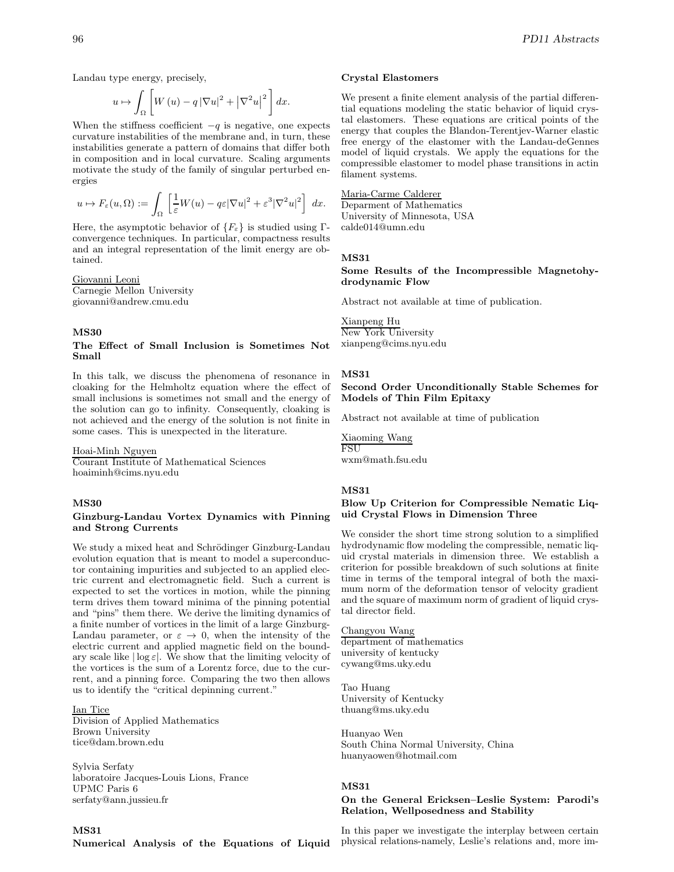Landau type energy, precisely,

$$
u \mapsto \int_{\Omega} \left[ W(u) - q \left| \nabla u \right|^2 + \left| \nabla^2 u \right|^2 \right] dx.
$$

When the stiffness coefficient  $-q$  is negative, one expects curvature instabilities of the membrane and, in turn, these instabilities generate a pattern of domains that differ both in composition and in local curvature. Scaling arguments motivate the study of the family of singular perturbed energies

$$
u \mapsto F_{\varepsilon}(u,\Omega) := \int_{\Omega} \left[ \frac{1}{\varepsilon} W(u) - q\varepsilon |\nabla u|^2 + \varepsilon^3 |\nabla^2 u|^2 \right] dx.
$$

Here, the asymptotic behavior of  ${F_{\varepsilon}}$  is studied using Γconvergence techniques. In particular, compactness results and an integral representation of the limit energy are obtained.

Giovanni Leoni Carnegie Mellon University giovanni@andrew.cmu.edu

## **MS30**

#### **The Effect of Small Inclusion is Sometimes Not Small**

In this talk, we discuss the phenomena of resonance in cloaking for the Helmholtz equation where the effect of small inclusions is sometimes not small and the energy of the solution can go to infinity. Consequently, cloaking is not achieved and the energy of the solution is not finite in some cases. This is unexpected in the literature.

Hoai-Minh Nguyen

Courant Institute of Mathematical Sciences hoaiminh@cims.nyu.edu

#### **MS30**

#### **Ginzburg-Landau Vortex Dynamics with Pinning and Strong Currents**

We study a mixed heat and Schrödinger Ginzburg-Landau evolution equation that is meant to model a superconductor containing impurities and subjected to an applied electric current and electromagnetic field. Such a current is expected to set the vortices in motion, while the pinning term drives them toward minima of the pinning potential and "pins" them there. We derive the limiting dynamics of a finite number of vortices in the limit of a large Ginzburg-Landau parameter, or  $\varepsilon \to 0$ , when the intensity of the electric current and applied magnetic field on the boundary scale like  $|\log \varepsilon|$ . We show that the limiting velocity of the vortices is the sum of a Lorentz force, due to the current, and a pinning force. Comparing the two then allows us to identify the "critical depinning current."

# Ian Tice

Division of Applied Mathematics Brown University tice@dam.brown.edu

Sylvia Serfaty laboratoire Jacques-Louis Lions, France UPMC Paris 6 serfaty@ann.jussieu.fr

**Crystal Elastomers**

We present a finite element analysis of the partial differential equations modeling the static behavior of liquid crystal elastomers. These equations are critical points of the energy that couples the Blandon-Terentjev-Warner elastic free energy of the elastomer with the Landau-deGennes model of liquid crystals. We apply the equations for the compressible elastomer to model phase transitions in actin filament systems.

# Maria-Carme Calderer

Deparment of Mathematics University of Minnesota, USA calde014@umn.edu

#### **MS31**

### **Some Results of the Incompressible Magnetohydrodynamic Flow**

Abstract not available at time of publication.

Xianpeng Hu New York University xianpeng@cims.nyu.edu

#### **MS31**

## **Second Order Unconditionally Stable Schemes for Models of Thin Film Epitaxy**

Abstract not available at time of publication

Xiaoming Wang FSU wxm@math.fsu.edu

#### **MS31**

## **Blow Up Criterion for Compressible Nematic Liquid Crystal Flows in Dimension Three**

We consider the short time strong solution to a simplified hydrodynamic flow modeling the compressible, nematic liquid crystal materials in dimension three. We establish a criterion for possible breakdown of such solutions at finite time in terms of the temporal integral of both the maximum norm of the deformation tensor of velocity gradient and the square of maximum norm of gradient of liquid crystal director field.

Changyou Wang department of mathematics university of kentucky cywang@ms.uky.edu

Tao Huang University of Kentucky thuang@ms.uky.edu

Huanyao Wen South China Normal University, China huanyaowen@hotmail.com

## **MS31**

### **On the General Ericksen–Leslie System: Parodi's Relation, Wellposedness and Stability**

In this paper we investigate the interplay between certain physical relations-namely, Leslie's relations and, more im-

**MS31**

**Numerical Analysis of the Equations of Liquid**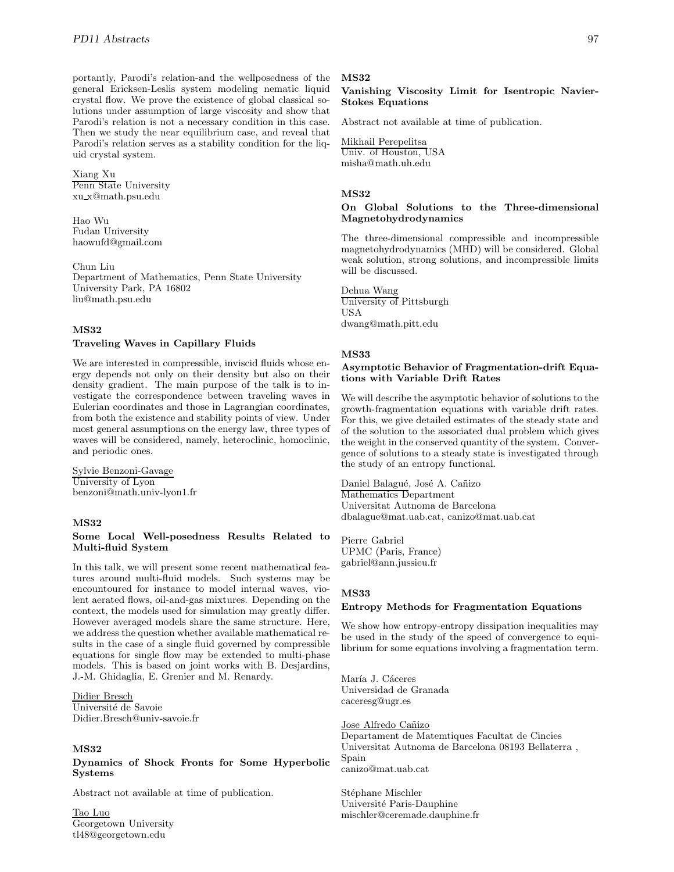portantly, Parodi's relation-and the wellposedness of the general Ericksen-Leslis system modeling nematic liquid crystal flow. We prove the existence of global classical solutions under assumption of large viscosity and show that Parodi's relation is not a necessary condition in this case. Then we study the near equilibrium case, and reveal that Parodi's relation serves as a stability condition for the liquid crystal system.

Xiang Xu Penn State University xu x@math.psu.edu

Hao Wu Fudan University haowufd@gmail.com

Chun Liu Department of Mathematics, Penn State University University Park, PA 16802 liu@math.psu.edu

### **MS32**

# **Traveling Waves in Capillary Fluids**

We are interested in compressible, inviscid fluids whose energy depends not only on their density but also on their density gradient. The main purpose of the talk is to investigate the correspondence between traveling waves in Eulerian coordinates and those in Lagrangian coordinates, from both the existence and stability points of view. Under most general assumptions on the energy law, three types of waves will be considered, namely, heteroclinic, homoclinic, and periodic ones.

Sylvie Benzoni-Gavage University of Lyon benzoni@math.univ-lyon1.fr

### **MS32**

#### **Some Local Well-posedness Results Related to Multi-fluid System**

In this talk, we will present some recent mathematical features around multi-fluid models. Such systems may be encountoured for instance to model internal waves, violent aerated flows, oil-and-gas mixtures. Depending on the context, the models used for simulation may greatly differ. However averaged models share the same structure. Here, we address the question whether available mathematical results in the case of a single fluid governed by compressible equations for single flow may be extended to multi-phase models. This is based on joint works with B. Desjardins, J.-M. Ghidaglia, E. Grenier and M. Renardy.

Didier Bresch Université de Savoie Didier.Bresch@univ-savoie.fr

#### **MS32**

# **Dynamics of Shock Fronts for Some Hyperbolic Systems**

Abstract not available at time of publication.

Tao Luo Georgetown University tl48@georgetown.edu

#### **MS32**

# **Vanishing Viscosity Limit for Isentropic Navier-Stokes Equations**

Abstract not available at time of publication.

Mikhail Perepelitsa Univ. of Houston, USA misha@math.uh.edu

#### **MS32**

# **On Global Solutions to the Three-dimensional Magnetohydrodynamics**

The three-dimensional compressible and incompressible magnetohydrodynamics (MHD) will be considered. Global weak solution, strong solutions, and incompressible limits will be discussed.

Dehua Wang University of Pittsburgh USA dwang@math.pitt.edu

### **MS33**

#### **Asymptotic Behavior of Fragmentation-drift Equations with Variable Drift Rates**

We will describe the asymptotic behavior of solutions to the growth-fragmentation equations with variable drift rates. For this, we give detailed estimates of the steady state and of the solution to the associated dual problem which gives the weight in the conserved quantity of the system. Convergence of solutions to a steady state is investigated through the study of an entropy functional.

Daniel Balagué, José A. Cañizo Mathematics Department Universitat Autnoma de Barcelona dbalague@mat.uab.cat, canizo@mat.uab.cat

Pierre Gabriel UPMC (Paris, France) gabriel@ann.jussieu.fr

### **MS33**

### **Entropy Methods for Fragmentation Equations**

We show how entropy-entropy dissipation inequalities may be used in the study of the speed of convergence to equilibrium for some equations involving a fragmentation term.

María J. Cáceres Universidad de Granada caceresg@ugr.es

#### Jose Alfredo Cañizo

Departament de Matemtiques Facultat de Cincies Universitat Autnoma de Barcelona 08193 Bellaterra , Spain canizo@mat.uab.cat

Stéphane Mischler Université Paris-Dauphine mischler@ceremade.dauphine.fr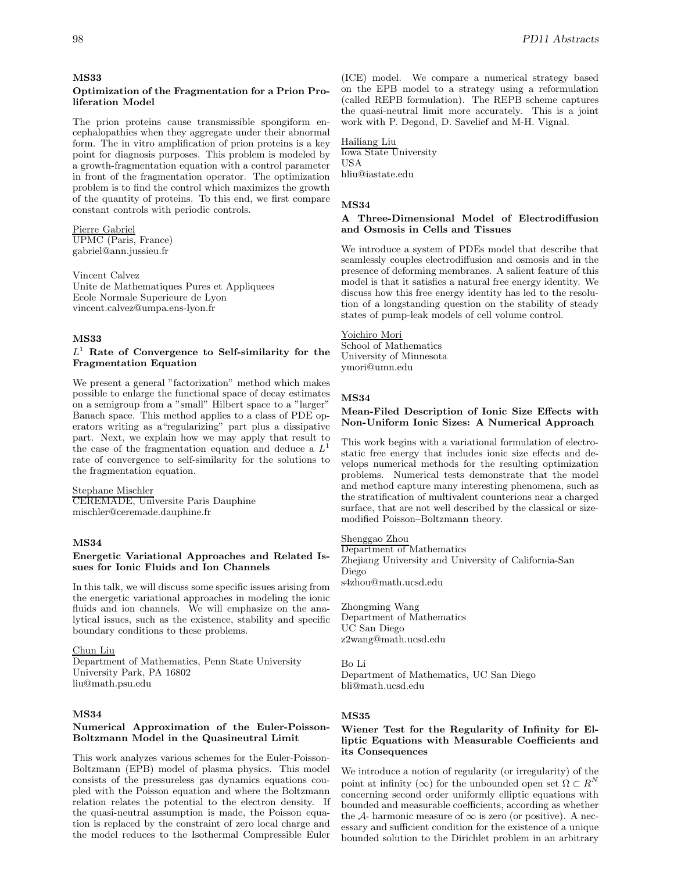#### **MS33**

## **Optimization of the Fragmentation for a Prion Proliferation Model**

The prion proteins cause transmissible spongiform encephalopathies when they aggregate under their abnormal form. The in vitro amplification of prion proteins is a key point for diagnosis purposes. This problem is modeled by a growth-fragmentation equation with a control parameter in front of the fragmentation operator. The optimization problem is to find the control which maximizes the growth of the quantity of proteins. To this end, we first compare constant controls with periodic controls.

Pierre Gabriel UPMC (Paris, France) gabriel@ann.jussieu.fr

Vincent Calvez Unite de Mathematiques Pures et Appliquees Ecole Normale Superieure de Lyon vincent.calvez@umpa.ens-lyon.fr

## **MS33**

# $L<sup>1</sup>$  Rate of Convergence to Self-similarity for the **Fragmentation Equation**

We present a general "factorization" method which makes possible to enlarge the functional space of decay estimates on a semigroup from a "small" Hilbert space to a "larger" Banach space. This method applies to a class of PDE operators writing as a"regularizing" part plus a dissipative part. Next, we explain how we may apply that result to the case of the fragmentation equation and deduce a  $L<sup>1</sup>$ rate of convergence to self-similarity for the solutions to the fragmentation equation.

#### Stephane Mischler

CEREMADE, Universite Paris Dauphine mischler@ceremade.dauphine.fr

## **MS34**

# **Energetic Variational Approaches and Related Issues for Ionic Fluids and Ion Channels**

In this talk, we will discuss some specific issues arising from the energetic variational approaches in modeling the ionic fluids and ion channels. We will emphasize on the analytical issues, such as the existence, stability and specific boundary conditions to these problems.

Chun Liu

Department of Mathematics, Penn State University University Park, PA 16802 liu@math.psu.edu

# **MS34**

# **Numerical Approximation of the Euler-Poisson-Boltzmann Model in the Quasineutral Limit**

This work analyzes various schemes for the Euler-Poisson-Boltzmann (EPB) model of plasma physics. This model consists of the pressureless gas dynamics equations coupled with the Poisson equation and where the Boltzmann relation relates the potential to the electron density. If the quasi-neutral assumption is made, the Poisson equation is replaced by the constraint of zero local charge and the model reduces to the Isothermal Compressible Euler

(ICE) model. We compare a numerical strategy based on the EPB model to a strategy using a reformulation (called REPB formulation). The REPB scheme captures the quasi-neutral limit more accurately. This is a joint work with P. Degond, D. Savelief and M-H. Vignal.

Hailiang Liu Iowa State University USA hliu@iastate.edu

#### **MS34**

# **A Three-Dimensional Model of Electrodiffusion and Osmosis in Cells and Tissues**

We introduce a system of PDEs model that describe that seamlessly couples electrodiffusion and osmosis and in the presence of deforming membranes. A salient feature of this model is that it satisfies a natural free energy identity. We discuss how this free energy identity has led to the resolution of a longstanding question on the stability of steady states of pump-leak models of cell volume control.

# Yoichiro Mori

School of Mathematics University of Minnesota ymori@umn.edu

# **MS34**

#### **Mean-Filed Description of Ionic Size Effects with Non-Uniform Ionic Sizes: A Numerical Approach**

This work begins with a variational formulation of electrostatic free energy that includes ionic size effects and develops numerical methods for the resulting optimization problems. Numerical tests demonstrate that the model and method capture many interesting phenomena, such as the stratification of multivalent counterions near a charged surface, that are not well described by the classical or sizemodified Poisson–Boltzmann theory.

Shenggao Zhou Department of Mathematics Zhejiang University and University of California-San Diego s4zhou@math.ucsd.edu

Zhongming Wang Department of Mathematics UC San Diego z2wang@math.ucsd.edu

Bo Li Department of Mathematics, UC San Diego bli@math.ucsd.edu

### **MS35**

## **Wiener Test for the Regularity of Infinity for Elliptic Equations with Measurable Coefficients and its Consequences**

We introduce a notion of regularity (or irregularity) of the point at infinity (∞) for the unbounded open set  $\Omega \subset R^N$ concerning second order uniformly elliptic equations with bounded and measurable coefficients, according as whether the A- harmonic measure of  $\infty$  is zero (or positive). A necessary and sufficient condition for the existence of a unique bounded solution to the Dirichlet problem in an arbitrary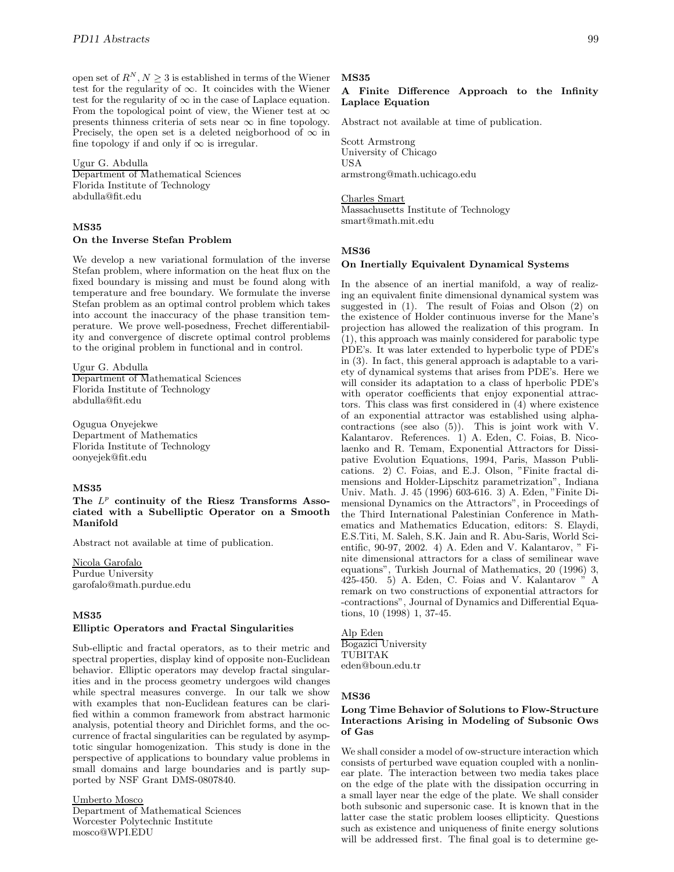open set of  $R^N, N \geq 3$  is established in terms of the Wiener test for the regularity of ∞. It coincides with the Wiener test for the regularity of  $\infty$  in the case of Laplace equation. From the topological point of view, the Wiener test at  $\infty$ presents thinness criteria of sets near  $\infty$  in fine topology. Precisely, the open set is a deleted neigborhood of  $\infty$  in fine topology if and only if  $\infty$  is irregular.

# Ugur G. Abdulla

Department of Mathematical Sciences Florida Institute of Technology abdulla@fit.edu

# **MS35**

#### **On the Inverse Stefan Problem**

We develop a new variational formulation of the inverse Stefan problem, where information on the heat flux on the fixed boundary is missing and must be found along with temperature and free boundary. We formulate the inverse Stefan problem as an optimal control problem which takes into account the inaccuracy of the phase transition temperature. We prove well-posedness, Frechet differentiability and convergence of discrete optimal control problems to the original problem in functional and in control.

Ugur G. Abdulla Department of Mathematical Sciences Florida Institute of Technology abdulla@fit.edu

Ogugua Onyejekwe Department of Mathematics Florida Institute of Technology oonyejek@fit.edu

# **MS35**

## The  $L^p$  continuity of the Riesz Transforms Asso**ciated with a Subelliptic Operator on a Smooth Manifold**

Abstract not available at time of publication.

Nicola Garofalo Purdue University garofalo@math.purdue.edu

# **MS35**

# **Elliptic Operators and Fractal Singularities**

Sub-elliptic and fractal operators, as to their metric and spectral properties, display kind of opposite non-Euclidean behavior. Elliptic operators may develop fractal singularities and in the process geometry undergoes wild changes while spectral measures converge. In our talk we show with examples that non-Euclidean features can be clarified within a common framework from abstract harmonic analysis, potential theory and Dirichlet forms, and the occurrence of fractal singularities can be regulated by asymptotic singular homogenization. This study is done in the perspective of applications to boundary value problems in small domains and large boundaries and is partly supported by NSF Grant DMS-0807840.

Umberto Mosco

Department of Mathematical Sciences Worcester Polytechnic Institute mosco@WPI.EDU

#### **MS35**

# **A Finite Difference Approach to the Infinity Laplace Equation**

Abstract not available at time of publication.

Scott Armstrong University of Chicago USA armstrong@math.uchicago.edu

# Charles Smart

Massachusetts Institute of Technology smart@math.mit.edu

#### **MS36**

#### **On Inertially Equivalent Dynamical Systems**

In the absence of an inertial manifold, a way of realizing an equivalent finite dimensional dynamical system was suggested in (1). The result of Foias and Olson (2) on the existence of Holder continuous inverse for the Mane's projection has allowed the realization of this program. In (1), this approach was mainly considered for parabolic type PDE's. It was later extended to hyperbolic type of PDE's in (3). In fact, this general approach is adaptable to a variety of dynamical systems that arises from PDE's. Here we will consider its adaptation to a class of hperbolic PDE's with operator coefficients that enjoy exponential attractors. This class was first considered in  $(4)$  where existence of an exponential attractor was established using alphacontractions (see also (5)). This is joint work with V. Kalantarov. References. 1) A. Eden, C. Foias, B. Nicolaenko and R. Temam, Exponential Attractors for Dissipative Evolution Equations, 1994, Paris, Masson Publications. 2) C. Foias, and E.J. Olson, "Finite fractal dimensions and Holder-Lipschitz parametrization", Indiana Univ. Math. J. 45 (1996) 603-616. 3) A. Eden, "Finite Dimensional Dynamics on the Attractors", in Proceedings of the Third International Palestinian Conference in Mathematics and Mathematics Education, editors: S. Elaydi, E.S.Titi, M. Saleh, S.K. Jain and R. Abu-Saris, World Scientific, 90-97, 2002. 4) A. Eden and V. Kalantarov, " Finite dimensional attractors for a class of semilinear wave equations", Turkish Journal of Mathematics, 20 (1996) 3,  $425-450.$  5) A. Eden, C. Foias and V. Kalantarov  $\ddot{ }$  A remark on two constructions of exponential attractors for -contractions", Journal of Dynamics and Differential Equations, 10 (1998) 1, 37-45.

# Alp Eden

Bogazici University TUBITAK eden@boun.edu.tr

# **MS36**

## **Long Time Behavior of Solutions to Flow-Structure Interactions Arising in Modeling of Subsonic Ows of Gas**

We shall consider a model of ow-structure interaction which consists of perturbed wave equation coupled with a nonlinear plate. The interaction between two media takes place on the edge of the plate with the dissipation occurring in a small layer near the edge of the plate. We shall consider both subsonic and supersonic case. It is known that in the latter case the static problem looses ellipticity. Questions such as existence and uniqueness of finite energy solutions will be addressed first. The final goal is to determine ge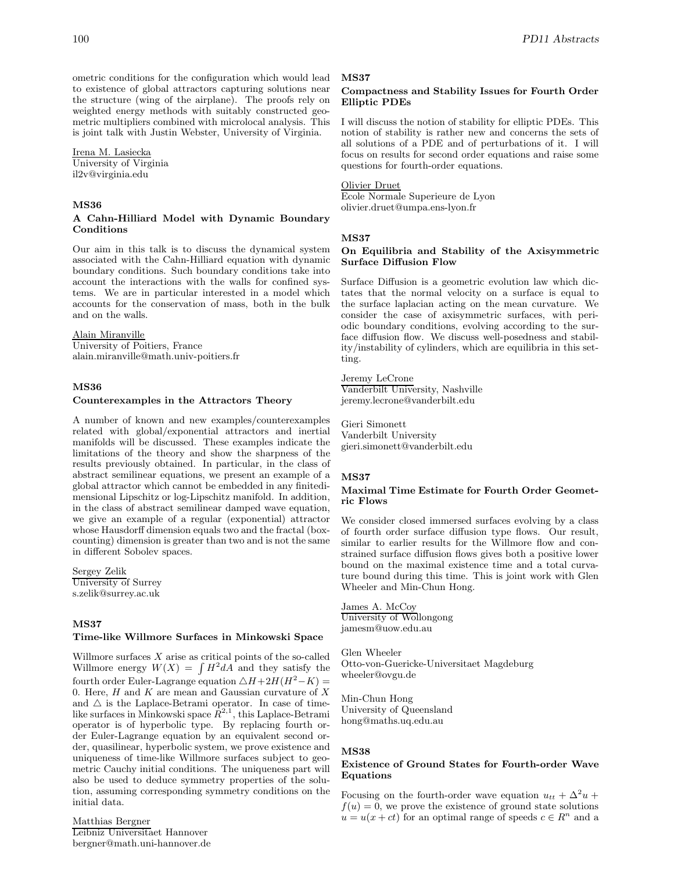ometric conditions for the configuration which would lead to existence of global attractors capturing solutions near the structure (wing of the airplane). The proofs rely on weighted energy methods with suitably constructed geometric multipliers combined with microlocal analysis. This is joint talk with Justin Webster, University of Virginia.

# Irena M. Lasiecka

University of Virginia il2v@virginia.edu

#### **MS36**

## **A Cahn-Hilliard Model with Dynamic Boundary Conditions**

Our aim in this talk is to discuss the dynamical system associated with the Cahn-Hilliard equation with dynamic boundary conditions. Such boundary conditions take into account the interactions with the walls for confined systems. We are in particular interested in a model which accounts for the conservation of mass, both in the bulk and on the walls.

# Alain Miranville

University of Poitiers, France alain.miranville@math.univ-poitiers.fr

# **MS36**

### **Counterexamples in the Attractors Theory**

A number of known and new examples/counterexamples related with global/exponential attractors and inertial manifolds will be discussed. These examples indicate the limitations of the theory and show the sharpness of the results previously obtained. In particular, in the class of abstract semilinear equations, we present an example of a global attractor which cannot be embedded in any finitedimensional Lipschitz or log-Lipschitz manifold. In addition, in the class of abstract semilinear damped wave equation, we give an example of a regular (exponential) attractor whose Hausdorff dimension equals two and the fractal (boxcounting) dimension is greater than two and is not the same in different Sobolev spaces.

Sergey Zelik University of Surrey s.zelik@surrey.ac.uk

#### **MS37**

#### **Time-like Willmore Surfaces in Minkowski Space**

Willmore surfaces  $X$  arise as critical points of the so-called Willmore energy  $W(X) = \int H^2 dA$  and they satisfy the fourth order Euler-Lagrange equation  $\triangle H+2H(H^2-K)$  = 0. Here,  $H$  and  $K$  are mean and Gaussian curvature of  $X$ and  $\triangle$  is the Laplace-Betrami operator. In case of timelike surfaces in Minkowski space  $\hat{R}^{2,1}$ , this Laplace-Betrami operator is of hyperbolic type. By replacing fourth order Euler-Lagrange equation by an equivalent second order, quasilinear, hyperbolic system, we prove existence and uniqueness of time-like Willmore surfaces subject to geometric Cauchy initial conditions. The uniqueness part will also be used to deduce symmetry properties of the solution, assuming corresponding symmetry conditions on the initial data.

#### Matthias Bergner Leibniz Universitaet Hannover bergner@math.uni-hannover.de

#### **MS37**

## **Compactness and Stability Issues for Fourth Order Elliptic PDEs**

I will discuss the notion of stability for elliptic PDEs. This notion of stability is rather new and concerns the sets of all solutions of a PDE and of perturbations of it. I will focus on results for second order equations and raise some questions for fourth-order equations.

#### Olivier Druet

Ecole Normale Superieure de Lyon olivier.druet@umpa.ens-lyon.fr

### **MS37**

### **On Equilibria and Stability of the Axisymmetric Surface Diffusion Flow**

Surface Diffusion is a geometric evolution law which dictates that the normal velocity on a surface is equal to the surface laplacian acting on the mean curvature. We consider the case of axisymmetric surfaces, with periodic boundary conditions, evolving according to the surface diffusion flow. We discuss well-posedness and stability/instability of cylinders, which are equilibria in this setting.

## Jeremy LeCrone

Vanderbilt University, Nashville jeremy.lecrone@vanderbilt.edu

Gieri Simonett Vanderbilt University gieri.simonett@vanderbilt.edu

## **MS37**

#### **Maximal Time Estimate for Fourth Order Geometric Flows**

We consider closed immersed surfaces evolving by a class of fourth order surface diffusion type flows. Our result, similar to earlier results for the Willmore flow and constrained surface diffusion flows gives both a positive lower bound on the maximal existence time and a total curvature bound during this time. This is joint work with Glen Wheeler and Min-Chun Hong.

James A. McCoy University of Wollongong jamesm@uow.edu.au

Glen Wheeler Otto-von-Guericke-Universitaet Magdeburg wheeler@ovgu.de

Min-Chun Hong University of Queensland hong@maths.uq.edu.au

#### **MS38**

# **Existence of Ground States for Fourth-order Wave Equations**

Focusing on the fourth-order wave equation  $u_{tt} + \Delta^2 u +$  $f(u) = 0$ , we prove the existence of ground state solutions  $u = u(x + ct)$  for an optimal range of speeds  $c \in \mathbb{R}^n$  and a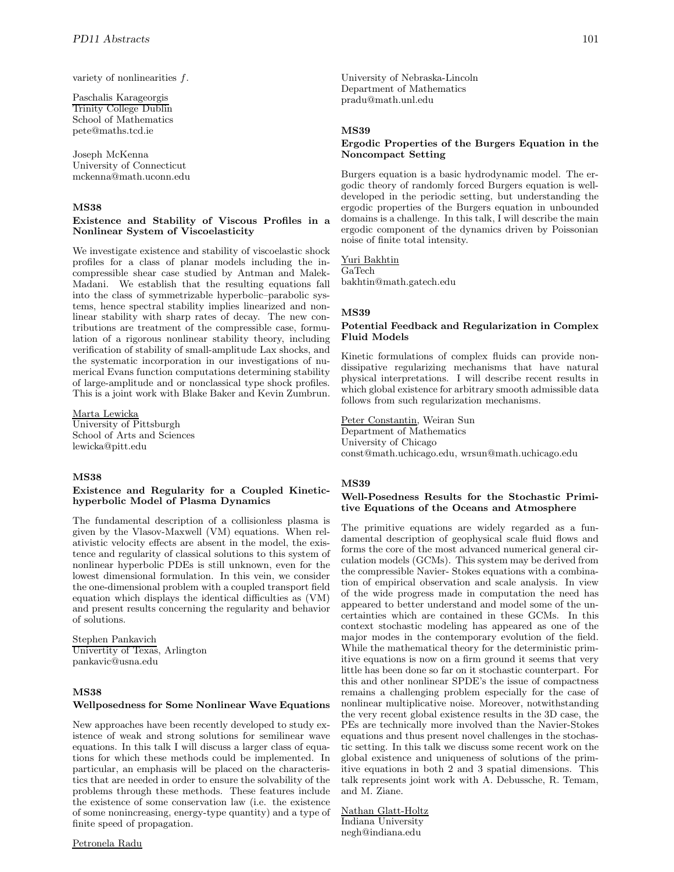variety of nonlinearities f.

Paschalis Karageorgis Trinity College Dublin School of Mathematics pete@maths.tcd.ie

Joseph McKenna University of Connecticut mckenna@math.uconn.edu

# **MS38**

### **Existence and Stability of Viscous Profiles in a Nonlinear System of Viscoelasticity**

We investigate existence and stability of viscoelastic shock profiles for a class of planar models including the incompressible shear case studied by Antman and Malek-Madani. We establish that the resulting equations fall into the class of symmetrizable hyperbolic–parabolic systems, hence spectral stability implies linearized and nonlinear stability with sharp rates of decay. The new contributions are treatment of the compressible case, formulation of a rigorous nonlinear stability theory, including verification of stability of small-amplitude Lax shocks, and the systematic incorporation in our investigations of numerical Evans function computations determining stability of large-amplitude and or nonclassical type shock profiles. This is a joint work with Blake Baker and Kevin Zumbrun.

Marta Lewicka University of Pittsburgh School of Arts and Sciences lewicka@pitt.edu

# **MS38**

## **Existence and Regularity for a Coupled Kinetichyperbolic Model of Plasma Dynamics**

The fundamental description of a collisionless plasma is given by the Vlasov-Maxwell (VM) equations. When relativistic velocity effects are absent in the model, the existence and regularity of classical solutions to this system of nonlinear hyperbolic PDEs is still unknown, even for the lowest dimensional formulation. In this vein, we consider the one-dimensional problem with a coupled transport field equation which displays the identical difficulties as (VM) and present results concerning the regularity and behavior of solutions.

Stephen Pankavich Univertity of Texas, Arlington pankavic@usna.edu

# **MS38**

#### **Wellposedness for Some Nonlinear Wave Equations**

New approaches have been recently developed to study existence of weak and strong solutions for semilinear wave equations. In this talk I will discuss a larger class of equations for which these methods could be implemented. In particular, an emphasis will be placed on the characteristics that are needed in order to ensure the solvability of the problems through these methods. These features include the existence of some conservation law (i.e. the existence of some nonincreasing, energy-type quantity) and a type of finite speed of propagation.

University of Nebraska-Lincoln Department of Mathematics pradu@math.unl.edu

#### **MS39**

#### **Ergodic Properties of the Burgers Equation in the Noncompact Setting**

Burgers equation is a basic hydrodynamic model. The ergodic theory of randomly forced Burgers equation is welldeveloped in the periodic setting, but understanding the ergodic properties of the Burgers equation in unbounded domains is a challenge. In this talk, I will describe the main ergodic component of the dynamics driven by Poissonian noise of finite total intensity.

Yuri Bakhtin GaTech bakhtin@math.gatech.edu

#### **MS39**

# **Potential Feedback and Regularization in Complex Fluid Models**

Kinetic formulations of complex fluids can provide nondissipative regularizing mechanisms that have natural physical interpretations. I will describe recent results in which global existence for arbitrary smooth admissible data follows from such regularization mechanisms.

Peter Constantin, Weiran Sun Department of Mathematics University of Chicago const@math.uchicago.edu, wrsun@math.uchicago.edu

#### **MS39**

# **Well-Posedness Results for the Stochastic Primitive Equations of the Oceans and Atmosphere**

The primitive equations are widely regarded as a fundamental description of geophysical scale fluid flows and forms the core of the most advanced numerical general circulation models (GCMs). This system may be derived from the compressible Navier- Stokes equations with a combination of empirical observation and scale analysis. In view of the wide progress made in computation the need has appeared to better understand and model some of the uncertainties which are contained in these GCMs. In this context stochastic modeling has appeared as one of the major modes in the contemporary evolution of the field. While the mathematical theory for the deterministic primitive equations is now on a firm ground it seems that very little has been done so far on it stochastic counterpart. For this and other nonlinear SPDE's the issue of compactness remains a challenging problem especially for the case of nonlinear multiplicative noise. Moreover, notwithstanding the very recent global existence results in the 3D case, the PEs are technically more involved than the Navier-Stokes equations and thus present novel challenges in the stochastic setting. In this talk we discuss some recent work on the global existence and uniqueness of solutions of the primitive equations in both 2 and 3 spatial dimensions. This talk represents joint work with A. Debussche, R. Temam, and M. Ziane.

Nathan Glatt-Holtz Indiana University negh@indiana.edu

# Petronela Radu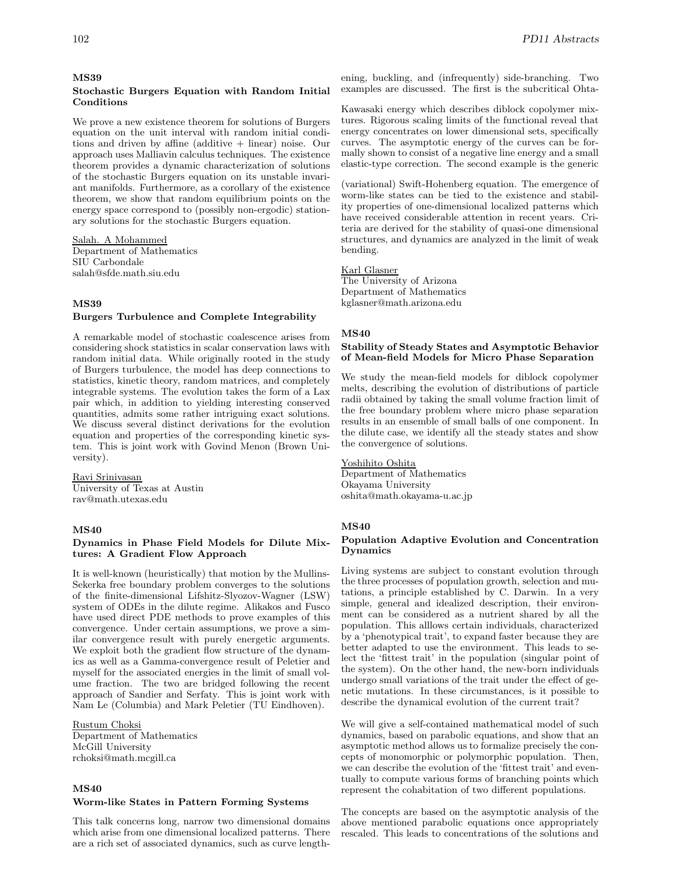#### **MS39**

### **Stochastic Burgers Equation with Random Initial Conditions**

We prove a new existence theorem for solutions of Burgers equation on the unit interval with random initial conditions and driven by affine (additive + linear) noise. Our approach uses Malliavin calculus techniques. The existence theorem provides a dynamic characterization of solutions of the stochastic Burgers equation on its unstable invariant manifolds. Furthermore, as a corollary of the existence theorem, we show that random equilibrium points on the energy space correspond to (possibly non-ergodic) stationary solutions for the stochastic Burgers equation.

Salah. A Mohammed Department of Mathematics SIU Carbondale salah@sfde.math.siu.edu

#### **MS39**

#### **Burgers Turbulence and Complete Integrability**

A remarkable model of stochastic coalescence arises from considering shock statistics in scalar conservation laws with random initial data. While originally rooted in the study of Burgers turbulence, the model has deep connections to statistics, kinetic theory, random matrices, and completely integrable systems. The evolution takes the form of a Lax pair which, in addition to yielding interesting conserved quantities, admits some rather intriguing exact solutions. We discuss several distinct derivations for the evolution equation and properties of the corresponding kinetic system. This is joint work with Govind Menon (Brown University).

Ravi Srinivasan University of Texas at Austin rav@math.utexas.edu

# **MS40**

#### **Dynamics in Phase Field Models for Dilute Mixtures: A Gradient Flow Approach**

It is well-known (heuristically) that motion by the Mullins-Sekerka free boundary problem converges to the solutions of the finite-dimensional Lifshitz-Slyozov-Wagner (LSW) system of ODEs in the dilute regime. Alikakos and Fusco have used direct PDE methods to prove examples of this convergence. Under certain assumptions, we prove a similar convergence result with purely energetic arguments. We exploit both the gradient flow structure of the dynamics as well as a Gamma-convergence result of Peletier and myself for the associated energies in the limit of small volume fraction. The two are bridged following the recent approach of Sandier and Serfaty. This is joint work with Nam Le (Columbia) and Mark Peletier (TU Eindhoven).

# Rustum Choksi

Department of Mathematics McGill University rchoksi@math.mcgill.ca

### **MS40**

### **Worm-like States in Pattern Forming Systems**

This talk concerns long, narrow two dimensional domains which arise from one dimensional localized patterns. There are a rich set of associated dynamics, such as curve length-

ening, buckling, and (infrequently) side-branching. Two examples are discussed. The first is the subcritical Ohta-

Kawasaki energy which describes diblock copolymer mixtures. Rigorous scaling limits of the functional reveal that energy concentrates on lower dimensional sets, specifically curves. The asymptotic energy of the curves can be formally shown to consist of a negative line energy and a small elastic-type correction. The second example is the generic

(variational) Swift-Hohenberg equation. The emergence of worm-like states can be tied to the existence and stability properties of one-dimensional localized patterns which have received considerable attention in recent years. Criteria are derived for the stability of quasi-one dimensional structures, and dynamics are analyzed in the limit of weak bending.

Karl Glasner The University of Arizona Department of Mathematics kglasner@math.arizona.edu

# **MS40**

#### **Stability of Steady States and Asymptotic Behavior of Mean-field Models for Micro Phase Separation**

We study the mean-field models for diblock copolymer melts, describing the evolution of distributions of particle radii obtained by taking the small volume fraction limit of the free boundary problem where micro phase separation results in an ensemble of small balls of one component. In the dilute case, we identify all the steady states and show the convergence of solutions.

Yoshihito Oshita Department of Mathematics Okayama University oshita@math.okayama-u.ac.jp

#### **MS40**

### **Population Adaptive Evolution and Concentration Dynamics**

Living systems are subject to constant evolution through the three processes of population growth, selection and mutations, a principle established by C. Darwin. In a very simple, general and idealized description, their environment can be considered as a nutrient shared by all the population. This alllows certain individuals, characterized by a 'phenotypical trait', to expand faster because they are better adapted to use the environment. This leads to select the 'fittest trait' in the population (singular point of the system). On the other hand, the new-born individuals undergo small variations of the trait under the effect of genetic mutations. In these circumstances, is it possible to describe the dynamical evolution of the current trait?

We will give a self-contained mathematical model of such dynamics, based on parabolic equations, and show that an asymptotic method allows us to formalize precisely the concepts of monomorphic or polymorphic population. Then, we can describe the evolution of the 'fittest trait' and eventually to compute various forms of branching points which represent the cohabitation of two different populations.

The concepts are based on the asymptotic analysis of the above mentioned parabolic equations once appropriately rescaled. This leads to concentrations of the solutions and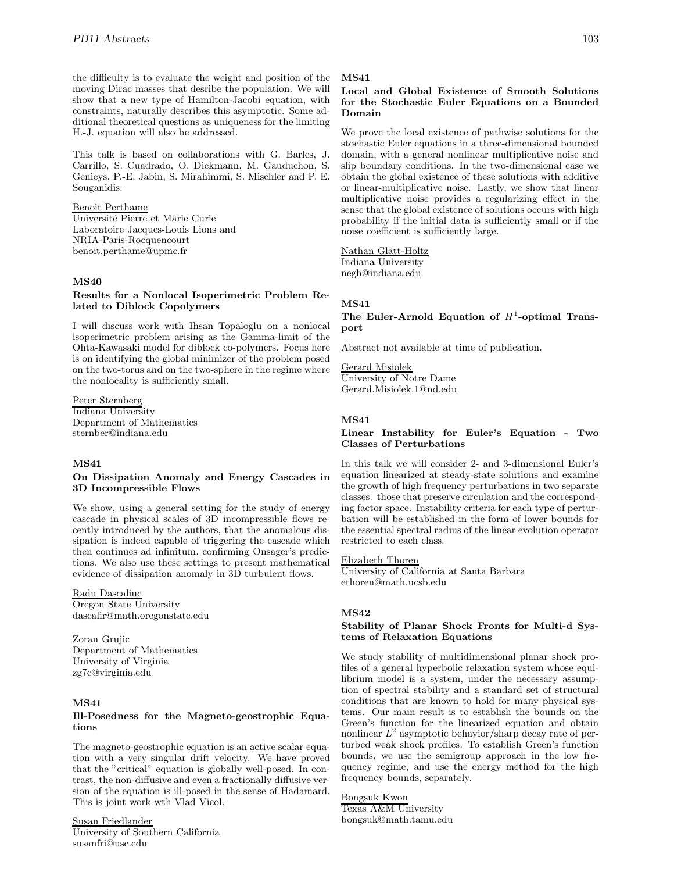the difficulty is to evaluate the weight and position of the moving Dirac masses that desribe the population. We will show that a new type of Hamilton-Jacobi equation, with constraints, naturally describes this asymptotic. Some additional theoretical questions as uniqueness for the limiting H.-J. equation will also be addressed.

This talk is based on collaborations with G. Barles, J. Carrillo, S. Cuadrado, O. Diekmann, M. Gauduchon, S. Genieys, P.-E. Jabin, S. Mirahimmi, S. Mischler and P. E. Souganidis.

#### Benoit Perthame

Université Pierre et Marie Curie Laboratoire Jacques-Louis Lions and NRIA-Paris-Rocquencourt benoit.perthame@upmc.fr

### **MS40**

#### **Results for a Nonlocal Isoperimetric Problem Related to Diblock Copolymers**

I will discuss work with Ihsan Topaloglu on a nonlocal isoperimetric problem arising as the Gamma-limit of the Ohta-Kawasaki model for diblock co-polymers. Focus here is on identifying the global minimizer of the problem posed on the two-torus and on the two-sphere in the regime where the nonlocality is sufficiently small.

# Peter Sternberg

Indiana University Department of Mathematics sternber@indiana.edu

## **MS41**

# **On Dissipation Anomaly and Energy Cascades in 3D Incompressible Flows**

We show, using a general setting for the study of energy cascade in physical scales of 3D incompressible flows recently introduced by the authors, that the anomalous dissipation is indeed capable of triggering the cascade which then continues ad infinitum, confirming Onsager's predictions. We also use these settings to present mathematical evidence of dissipation anomaly in 3D turbulent flows.

Radu Dascaliuc Oregon State University dascalir@math.oregonstate.edu

Zoran Grujic Department of Mathematics University of Virginia zg7c@virginia.edu

### **MS41**

# **Ill-Posedness for the Magneto-geostrophic Equations**

The magneto-geostrophic equation is an active scalar equation with a very singular drift velocity. We have proved that the "critical" equation is globally well-posed. In contrast, the non-diffusive and even a fractionally diffusive version of the equation is ill-posed in the sense of Hadamard. This is joint work wth Vlad Vicol.

Susan Friedlander University of Southern California susanfri@usc.edu

#### **MS41**

# **Local and Global Existence of Smooth Solutions for the Stochastic Euler Equations on a Bounded Domain**

We prove the local existence of pathwise solutions for the stochastic Euler equations in a three-dimensional bounded domain, with a general nonlinear multiplicative noise and slip boundary conditions. In the two-dimensional case we obtain the global existence of these solutions with additive or linear-multiplicative noise. Lastly, we show that linear multiplicative noise provides a regularizing effect in the sense that the global existence of solutions occurs with high probability if the initial data is sufficiently small or if the noise coefficient is sufficiently large.

Nathan Glatt-Holtz Indiana University negh@indiana.edu

#### **MS41**

# The Euler-Arnold Equation of  $H^1$ -optimal Trans**port**

Abstract not available at time of publication.

Gerard Misiolek University of Notre Dame Gerard.Misiolek.1@nd.edu

#### **MS41**

#### **Linear Instability for Euler's Equation - Two Classes of Perturbations**

In this talk we will consider 2- and 3-dimensional Euler's equation linearized at steady-state solutions and examine the growth of high frequency perturbations in two separate classes: those that preserve circulation and the corresponding factor space. Instability criteria for each type of perturbation will be established in the form of lower bounds for the essential spectral radius of the linear evolution operator restricted to each class.

# Elizabeth Thoren

University of California at Santa Barbara ethoren@math.ucsb.edu

#### **MS42**

# **Stability of Planar Shock Fronts for Multi-d Systems of Relaxation Equations**

We study stability of multidimensional planar shock profiles of a general hyperbolic relaxation system whose equilibrium model is a system, under the necessary assumption of spectral stability and a standard set of structural conditions that are known to hold for many physical systems. Our main result is to establish the bounds on the Green's function for the linearized equation and obtain nonlinear  $L^2$  asymptotic behavior/sharp decay rate of perturbed weak shock profiles. To establish Green's function bounds, we use the semigroup approach in the low frequency regime, and use the energy method for the high frequency bounds, separately.

Bongsuk Kwon Texas A&M University bongsuk@math.tamu.edu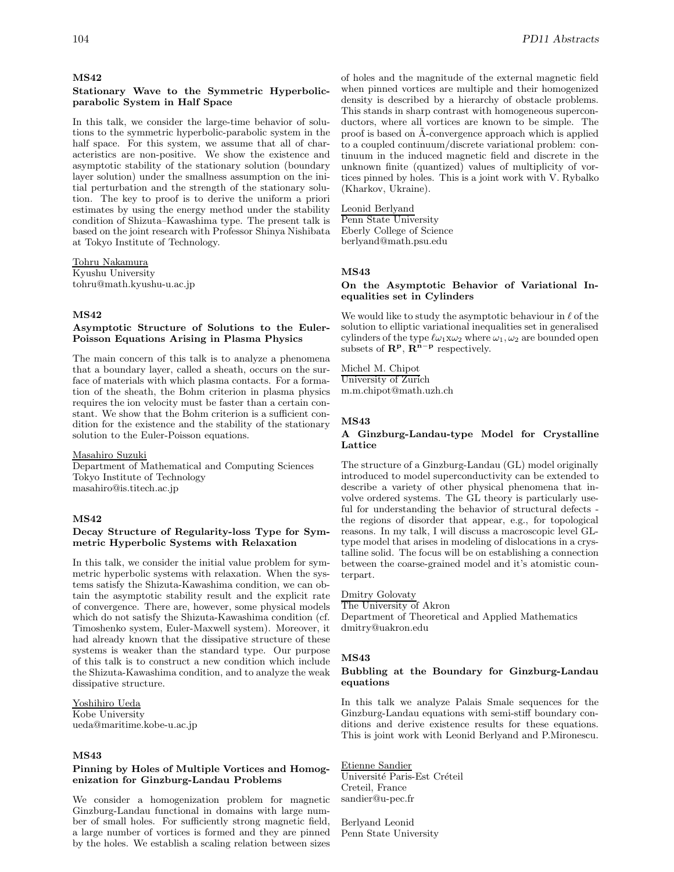#### **MS42**

#### **Stationary Wave to the Symmetric Hyperbolicparabolic System in Half Space**

In this talk, we consider the large-time behavior of solutions to the symmetric hyperbolic-parabolic system in the half space. For this system, we assume that all of characteristics are non-positive. We show the existence and asymptotic stability of the stationary solution (boundary layer solution) under the smallness assumption on the initial perturbation and the strength of the stationary solution. The key to proof is to derive the uniform a priori estimates by using the energy method under the stability condition of Shizuta–Kawashima type. The present talk is based on the joint research with Professor Shinya Nishibata at Tokyo Institute of Technology.

Tohru Nakamura Kyushu University tohru@math.kyushu-u.ac.jp

# **MS42**

### **Asymptotic Structure of Solutions to the Euler-Poisson Equations Arising in Plasma Physics**

The main concern of this talk is to analyze a phenomena that a boundary layer, called a sheath, occurs on the surface of materials with which plasma contacts. For a formation of the sheath, the Bohm criterion in plasma physics requires the ion velocity must be faster than a certain constant. We show that the Bohm criterion is a sufficient condition for the existence and the stability of the stationary solution to the Euler-Poisson equations.

#### Masahiro Suzuki

Department of Mathematical and Computing Sciences Tokyo Institute of Technology masahiro@is.titech.ac.jp

#### **MS42**

# **Decay Structure of Regularity-loss Type for Symmetric Hyperbolic Systems with Relaxation**

In this talk, we consider the initial value problem for symmetric hyperbolic systems with relaxation. When the systems satisfy the Shizuta-Kawashima condition, we can obtain the asymptotic stability result and the explicit rate of convergence. There are, however, some physical models which do not satisfy the Shizuta-Kawashima condition (cf. Timoshenko system, Euler-Maxwell system). Moreover, it had already known that the dissipative structure of these systems is weaker than the standard type. Our purpose of this talk is to construct a new condition which include the Shizuta-Kawashima condition, and to analyze the weak dissipative structure.

# Yoshihiro Ueda Kobe University

ueda@maritime.kobe-u.ac.jp

# **MS43**

#### **Pinning by Holes of Multiple Vortices and Homogenization for Ginzburg-Landau Problems**

We consider a homogenization problem for magnetic Ginzburg-Landau functional in domains with large number of small holes. For sufficiently strong magnetic field, a large number of vortices is formed and they are pinned by the holes. We establish a scaling relation between sizes of holes and the magnitude of the external magnetic field when pinned vortices are multiple and their homogenized density is described by a hierarchy of obstacle problems. This stands in sharp contrast with homogeneous superconductors, where all vortices are known to be simple. The proof is based on A-convergence approach which is applied to a coupled continuum/discrete variational problem: continuum in the induced magnetic field and discrete in the unknown finite (quantized) values of multiplicity of vortices pinned by holes. This is a joint work with V. Rybalko (Kharkov, Ukraine).

#### Leonid Berlyand

Penn State University Eberly College of Science berlyand@math.psu.edu

# **MS43**

### **On the Asymptotic Behavior of Variational Inequalities set in Cylinders**

We would like to study the asymptotic behaviour in  $\ell$  of the solution to elliptic variational inequalities set in generalised cylinders of the type  $\ell\omega_1x\omega_2$  where  $\omega_1, \omega_2$  are bounded open subsets of  $\mathbb{R}^p$ ,  $\mathbb{R}^{n-p}$  respectively.

Michel M. Chipot University of Zurich m.m.chipot@math.uzh.ch

#### **MS43**

### **A Ginzburg-Landau-type Model for Crystalline Lattice**

The structure of a Ginzburg-Landau (GL) model originally introduced to model superconductivity can be extended to describe a variety of other physical phenomena that involve ordered systems. The GL theory is particularly useful for understanding the behavior of structural defects the regions of disorder that appear, e.g., for topological reasons. In my talk, I will discuss a macroscopic level GLtype model that arises in modeling of dislocations in a crystalline solid. The focus will be on establishing a connection between the coarse-grained model and it's atomistic counterpart.

#### Dmitry Golovaty

The University of Akron

Department of Theoretical and Applied Mathematics dmitry@uakron.edu

#### **MS43**

#### **Bubbling at the Boundary for Ginzburg-Landau equations**

In this talk we analyze Palais Smale sequences for the Ginzburg-Landau equations with semi-stiff boundary conditions and derive existence results for these equations. This is joint work with Leonid Berlyand and P.Mironescu.

# Etienne Sandier

 $\overline{\text{Universit\'e}}$  Paris-Est Créteil Creteil, France sandier@u-pec.fr

Berlyand Leonid Penn State University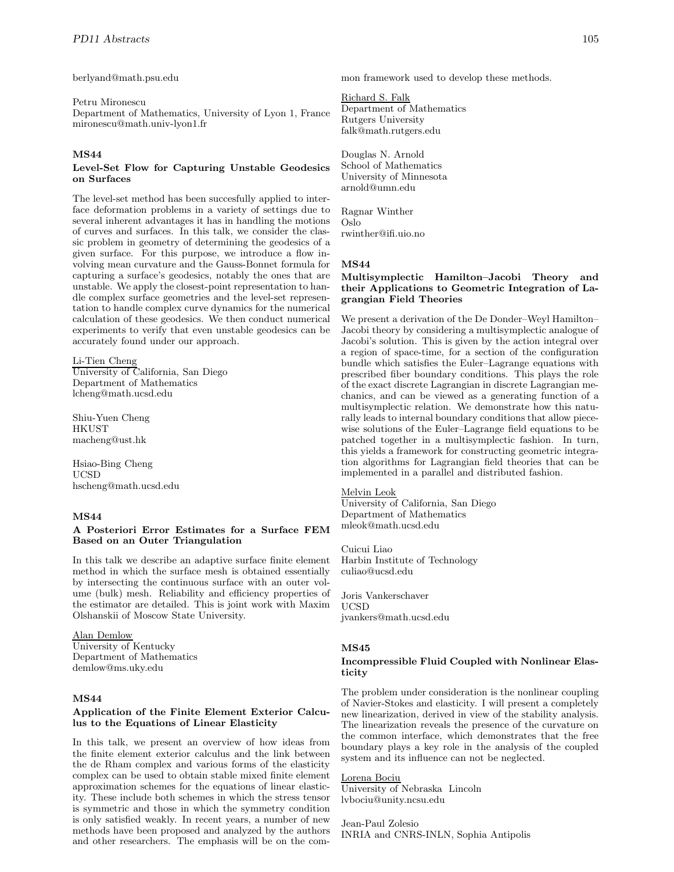berlyand@math.psu.edu

#### Petru Mironescu

Department of Mathematics, University of Lyon 1, France mironescu@math.univ-lyon1.fr

# **MS44**

#### **Level-Set Flow for Capturing Unstable Geodesics on Surfaces**

The level-set method has been succesfully applied to interface deformation problems in a variety of settings due to several inherent advantages it has in handling the motions of curves and surfaces. In this talk, we consider the classic problem in geometry of determining the geodesics of a given surface. For this purpose, we introduce a flow involving mean curvature and the Gauss-Bonnet formula for capturing a surface's geodesics, notably the ones that are unstable. We apply the closest-point representation to handle complex surface geometries and the level-set representation to handle complex curve dynamics for the numerical calculation of these geodesics. We then conduct numerical experiments to verify that even unstable geodesics can be accurately found under our approach.

### Li-Tien Cheng

University of California, San Diego Department of Mathematics lcheng@math.ucsd.edu

Shiu-Yuen Cheng HKUST macheng@ust.hk

Hsiao-Bing Cheng UCSD hscheng@math.ucsd.edu

#### **MS44**

#### **A Posteriori Error Estimates for a Surface FEM Based on an Outer Triangulation**

In this talk we describe an adaptive surface finite element method in which the surface mesh is obtained essentially by intersecting the continuous surface with an outer volume (bulk) mesh. Reliability and efficiency properties of the estimator are detailed. This is joint work with Maxim Olshanskii of Moscow State University.

### Alan Demlow

University of Kentucky Department of Mathematics demlow@ms.uky.edu

#### **MS44**

#### **Application of the Finite Element Exterior Calculus to the Equations of Linear Elasticity**

In this talk, we present an overview of how ideas from the finite element exterior calculus and the link between the de Rham complex and various forms of the elasticity complex can be used to obtain stable mixed finite element approximation schemes for the equations of linear elasticity. These include both schemes in which the stress tensor is symmetric and those in which the symmetry condition is only satisfied weakly. In recent years, a number of new methods have been proposed and analyzed by the authors and other researchers. The emphasis will be on the common framework used to develop these methods.

# Richard S. Falk

Department of Mathematics Rutgers University falk@math.rutgers.edu

Douglas N. Arnold School of Mathematics University of Minnesota arnold@umn.edu

Ragnar Winther Oslo rwinther@ifi.uio.no

#### **MS44**

# **Multisymplectic Hamilton–Jacobi Theory and their Applications to Geometric Integration of Lagrangian Field Theories**

We present a derivation of the De Donder–Weyl Hamilton– Jacobi theory by considering a multisymplectic analogue of Jacobi's solution. This is given by the action integral over a region of space-time, for a section of the configuration bundle which satisfies the Euler–Lagrange equations with prescribed fiber boundary conditions. This plays the role of the exact discrete Lagrangian in discrete Lagrangian mechanics, and can be viewed as a generating function of a multisymplectic relation. We demonstrate how this naturally leads to internal boundary conditions that allow piecewise solutions of the Euler–Lagrange field equations to be patched together in a multisymplectic fashion. In turn, this yields a framework for constructing geometric integration algorithms for Lagrangian field theories that can be implemented in a parallel and distributed fashion.

#### Melvin Leok

University of California, San Diego Department of Mathematics mleok@math.ucsd.edu

Cuicui Liao Harbin Institute of Technology culiao@ucsd.edu

Joris Vankerschaver UCSD jvankers@math.ucsd.edu

#### **MS45**

# **Incompressible Fluid Coupled with Nonlinear Elasticity**

The problem under consideration is the nonlinear coupling of Navier-Stokes and elasticity. I will present a completely new linearization, derived in view of the stability analysis. The linearization reveals the presence of the curvature on the common interface, which demonstrates that the free boundary plays a key role in the analysis of the coupled system and its influence can not be neglected.

Lorena Bociu University of Nebraska Lincoln lvbociu@unity.ncsu.edu

Jean-Paul Zolesio INRIA and CNRS-INLN, Sophia Antipolis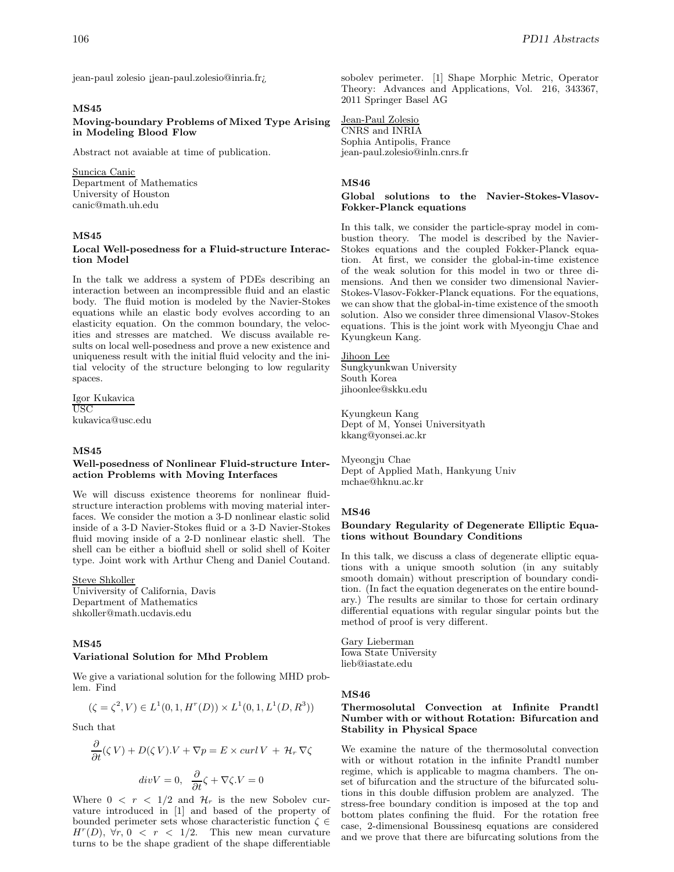jean-paul zolesio ¡jean-paul.zolesio@inria.fr;

#### **MS45**

**Moving-boundary Problems of Mixed Type Arising in Modeling Blood Flow**

Abstract not avaiable at time of publication.

#### Suncica Canic

Department of Mathematics University of Houston canic@math.uh.edu

### **MS45**

#### **Local Well-posedness for a Fluid-structure Interaction Model**

In the talk we address a system of PDEs describing an interaction between an incompressible fluid and an elastic body. The fluid motion is modeled by the Navier-Stokes equations while an elastic body evolves according to an elasticity equation. On the common boundary, the velocities and stresses are matched. We discuss available results on local well-posedness and prove a new existence and uniqueness result with the initial fluid velocity and the initial velocity of the structure belonging to low regularity spaces.

Igor Kukavica USC kukavica@usc.edu

#### **MS45**

#### **Well-posedness of Nonlinear Fluid-structure Interaction Problems with Moving Interfaces**

We will discuss existence theorems for nonlinear fluidstructure interaction problems with moving material interfaces. We consider the motion a 3-D nonlinear elastic solid inside of a 3-D Navier-Stokes fluid or a 3-D Navier-Stokes fluid moving inside of a 2-D nonlinear elastic shell. The shell can be either a biofluid shell or solid shell of Koiter type. Joint work with Arthur Cheng and Daniel Coutand.

Steve Shkoller

Univiversity of California, Davis Department of Mathematics shkoller@math.ucdavis.edu

# **MS45**

#### **Variational Solution for Mhd Problem**

We give a variational solution for the following MHD problem. Find

$$
(\zeta = \zeta^2, V) \in L^1(0, 1, H^r(D)) \times L^1(0, 1, L^1(D, R^3))
$$

Such that

$$
\frac{\partial}{\partial t}(\zeta V) + D(\zeta V).V + \nabla p = E \times \operatorname{curl} V + \mathcal{H}_r \nabla \zeta
$$

$$
\operatorname{div} V = 0, \quad \frac{\partial}{\partial t} \zeta + \nabla \zeta. V = 0
$$

Where  $0 \leq r \leq 1/2$  and  $\mathcal{H}_r$  is the new Sobolev curvature introduced in [1] and based of the property of bounded perimeter sets whose characteristic function  $\zeta \in$  $H^r(D)$ ,  $\forall r, 0 \leq r \leq 1/2$ . This new mean curvature turns to be the shape gradient of the shape differentiable

sobolev perimeter. [1] Shape Morphic Metric, Operator Theory: Advances and Applications, Vol. 216, 343367, 2011 Springer Basel AG

Jean-Paul Zolesio CNRS and INRIA Sophia Antipolis, France jean-paul.zolesio@inln.cnrs.fr

#### **MS46**

#### **Global solutions to the Navier-Stokes-Vlasov-Fokker-Planck equations**

In this talk, we consider the particle-spray model in combustion theory. The model is described by the Navier-Stokes equations and the coupled Fokker-Planck equation. At first, we consider the global-in-time existence of the weak solution for this model in two or three dimensions. And then we consider two dimensional Navier-Stokes-Vlasov-Fokker-Planck equations. For the equations, we can show that the global-in-time existence of the smooth solution. Also we consider three dimensional Vlasov-Stokes equations. This is the joint work with Myeongju Chae and Kyungkeun Kang.

Jihoon Lee Sungkyunkwan University South Korea jihoonlee@skku.edu

Kyungkeun Kang Dept of M, Yonsei Universityath kkang@yonsei.ac.kr

Myeongju Chae Dept of Applied Math, Hankyung Univ mchae@hknu.ac.kr

#### **MS46**

### **Boundary Regularity of Degenerate Elliptic Equations without Boundary Conditions**

In this talk, we discuss a class of degenerate elliptic equations with a unique smooth solution (in any suitably smooth domain) without prescription of boundary condition. (In fact the equation degenerates on the entire boundary.) The results are similar to those for certain ordinary differential equations with regular singular points but the method of proof is very different.

Gary Lieberman Iowa State University lieb@iastate.edu

#### **MS46**

#### **Thermosolutal Convection at Infinite Prandtl Number with or without Rotation: Bifurcation and Stability in Physical Space**

We examine the nature of the thermosolutal convection with or without rotation in the infinite Prandtl number regime, which is applicable to magma chambers. The onset of bifurcation and the structure of the bifurcated solutions in this double diffusion problem are analyzed. The stress-free boundary condition is imposed at the top and bottom plates confining the fluid. For the rotation free case, 2-dimensional Boussinesq equations are considered and we prove that there are bifurcating solutions from the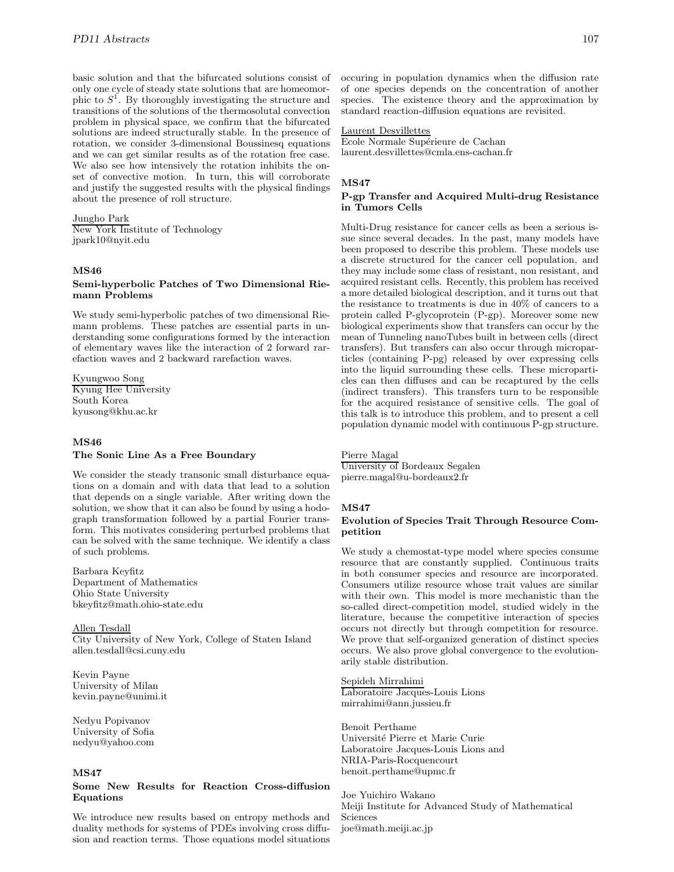basic solution and that the bifurcated solutions consist of only one cycle of steady state solutions that are homeomorphic to  $S^1$ . By thoroughly investigating the structure and transitions of the solutions of the thermosolutal convection problem in physical space, we confirm that the bifurcated solutions are indeed structurally stable. In the presence of rotation, we consider 3-dimensional Boussinesq equations and we can get similar results as of the rotation free case. We also see how intensively the rotation inhibits the onset of convective motion. In turn, this will corroborate and justify the suggested results with the physical findings about the presence of roll structure.

# Jungho Park

New York Institute of Technology jpark10@nyit.edu

# **MS46**

### **Semi-hyperbolic Patches of Two Dimensional Riemann Problems**

We study semi-hyperbolic patches of two dimensional Riemann problems. These patches are essential parts in understanding some configurations formed by the interaction of elementary waves like the interaction of 2 forward rarefaction waves and 2 backward rarefaction waves.

Kyungwoo Song Kyung Hee University South Korea kyusong@khu.ac.kr

# **MS46**

#### **The Sonic Line As a Free Boundary**

We consider the steady transonic small disturbance equations on a domain and with data that lead to a solution that depends on a single variable. After writing down the solution, we show that it can also be found by using a hodograph transformation followed by a partial Fourier transform. This motivates considering perturbed problems that can be solved with the same technique. We identify a class of such problems.

Barbara Keyfitz Department of Mathematics Ohio State University bkeyfitz@math.ohio-state.edu

Allen Tesdall City University of New York, College of Staten Island allen.tesdall@csi.cuny.edu

Kevin Payne University of Milan kevin.payne@unimi.it

Nedyu Popivanov University of Sofia nedyu@yahoo.com

# **MS47**

#### **Some New Results for Reaction Cross-diffusion Equations**

We introduce new results based on entropy methods and duality methods for systems of PDEs involving cross diffusion and reaction terms. Those equations model situations occuring in population dynamics when the diffusion rate of one species depends on the concentration of another species. The existence theory and the approximation by standard reaction-diffusion equations are revisited.

# Laurent Desvillettes

Ecole Normale Supérieure de Cachan laurent.desvillettes@cmla.ens-cachan.fr

#### **MS47**

#### **P-gp Transfer and Acquired Multi-drug Resistance in Tumors Cells**

Multi-Drug resistance for cancer cells as been a serious issue since several decades. In the past, many models have been proposed to describe this problem. These models use a discrete structured for the cancer cell population, and they may include some class of resistant, non resistant, and acquired resistant cells. Recently, this problem has received a more detailed biological description, and it turns out that the resistance to treatments is due in 40% of cancers to a protein called P-glycoprotein (P-gp). Moreover some new biological experiments show that transfers can occur by the mean of Tunneling nanoTubes built in between cells (direct transfers). But transfers can also occur through microparticles (containing P-pg) released by over expressing cells into the liquid surrounding these cells. These microparticles can then diffuses and can be recaptured by the cells (indirect transfers). This transfers turn to be responsible for the acquired resistance of sensitive cells. The goal of this talk is to introduce this problem, and to present a cell population dynamic model with continuous P-gp structure.

#### Pierre Magal

University of Bordeaux Segalen pierre.magal@u-bordeaux2.fr

# **MS47**

### **Evolution of Species Trait Through Resource Competition**

We study a chemostat-type model where species consume resource that are constantly supplied. Continuous traits in both consumer species and resource are incorporated. Consumers utilize resource whose trait values are similar with their own. This model is more mechanistic than the so-called direct-competition model, studied widely in the literature, because the competitive interaction of species occurs not directly but through competition for resource. We prove that self-organized generation of distinct species occurs. We also prove global convergence to the evolutionarily stable distribution.

#### Sepideh Mirrahimi

Laboratoire Jacques-Louis Lions mirrahimi@ann.jussieu.fr

Benoit Perthame Universit´e Pierre et Marie Curie Laboratoire Jacques-Louis Lions and NRIA-Paris-Rocquencourt benoit.perthame@upmc.fr

Joe Yuichiro Wakano Meiji Institute for Advanced Study of Mathematical Sciences joe@math.meiji.ac.jp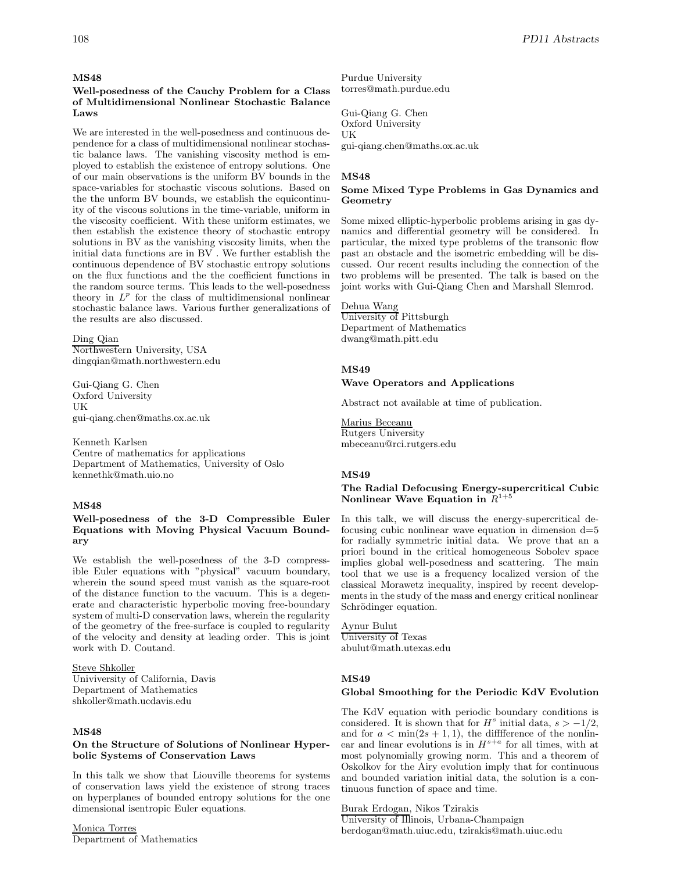### **MS48**

**Well-posedness of the Cauchy Problem for a Class of Multidimensional Nonlinear Stochastic Balance Laws**

We are interested in the well-posedness and continuous dependence for a class of multidimensional nonlinear stochastic balance laws. The vanishing viscosity method is employed to establish the existence of entropy solutions. One of our main observations is the uniform BV bounds in the space-variables for stochastic viscous solutions. Based on the the unform BV bounds, we establish the equicontinuity of the viscous solutions in the time-variable, uniform in the viscosity coefficient. With these uniform estimates, we then establish the existence theory of stochastic entropy solutions in BV as the vanishing viscosity limits, when the initial data functions are in BV . We further establish the continuous dependence of BV stochastic entropy solutions on the flux functions and the the coefficient functions in the random source terms. This leads to the well-posedness theory in  $L^p$  for the class of multidimensional nonlinear stochastic balance laws. Various further generalizations of the results are also discussed.

Ding Qian Northwestern University, USA dingqian@math.northwestern.edu

Gui-Qiang G. Chen Oxford University UK gui-qiang.chen@maths.ox.ac.uk

Kenneth Karlsen Centre of mathematics for applications Department of Mathematics, University of Oslo kennethk@math.uio.no

# **MS48**

# **Well-posedness of the 3-D Compressible Euler Equations with Moving Physical Vacuum Boundary**

We establish the well-posedness of the 3-D compressible Euler equations with "physical" vacuum boundary, wherein the sound speed must vanish as the square-root of the distance function to the vacuum. This is a degenerate and characteristic hyperbolic moving free-boundary system of multi-D conservation laws, wherein the regularity of the geometry of the free-surface is coupled to regularity of the velocity and density at leading order. This is joint work with D. Coutand.

Steve Shkoller Univiversity of California, Davis Department of Mathematics shkoller@math.ucdavis.edu

#### **MS48**

#### **On the Structure of Solutions of Nonlinear Hyperbolic Systems of Conservation Laws**

In this talk we show that Liouville theorems for systems of conservation laws yield the existence of strong traces on hyperplanes of bounded entropy solutions for the one dimensional isentropic Euler equations.

Monica Torres Department of Mathematics Purdue University torres@math.purdue.edu

Gui-Qiang G. Chen Oxford University UK gui-qiang.chen@maths.ox.ac.uk

#### **MS48**

#### **Some Mixed Type Problems in Gas Dynamics and Geometry**

Some mixed elliptic-hyperbolic problems arising in gas dynamics and differential geometry will be considered. In particular, the mixed type problems of the transonic flow past an obstacle and the isometric embedding will be discussed. Our recent results including the connection of the two problems will be presented. The talk is based on the joint works with Gui-Qiang Chen and Marshall Slemrod.

Dehua Wang

University of Pittsburgh Department of Mathematics dwang@math.pitt.edu

# **MS49**

#### **Wave Operators and Applications**

Abstract not available at time of publication.

Marius Beceanu Rutgers University mbeceanu@rci.rutgers.edu

#### **MS49**

#### **The Radial Defocusing Energy-supercritical Cubic Nonlinear Wave Equation in**  $R^{1+}$

In this talk, we will discuss the energy-supercritical defocusing cubic nonlinear wave equation in dimension  $d=5$ for radially symmetric initial data. We prove that an a priori bound in the critical homogeneous Sobolev space implies global well-posedness and scattering. The main tool that we use is a frequency localized version of the classical Morawetz inequality, inspired by recent developments in the study of the mass and energy critical nonlinear Schrödinger equation.

Aynur Bulut University of Texas abulut@math.utexas.edu

# **MS49**

#### **Global Smoothing for the Periodic KdV Evolution**

The KdV equation with periodic boundary conditions is considered. It is shown that for  $H^s$  initial data,  $s > -1/2$ , and for  $a < \min(2s + 1, 1)$ , the difference of the nonlinear and linear evolutions is in  $H^{s+a}$  for all times, with at most polynomially growing norm. This and a theorem of Oskolkov for the Airy evolution imply that for continuous and bounded variation initial data, the solution is a continuous function of space and time.

Burak Erdogan, Nikos Tzirakis

University of Illinois, Urbana-Champaign berdogan@math.uiuc.edu, tzirakis@math.uiuc.edu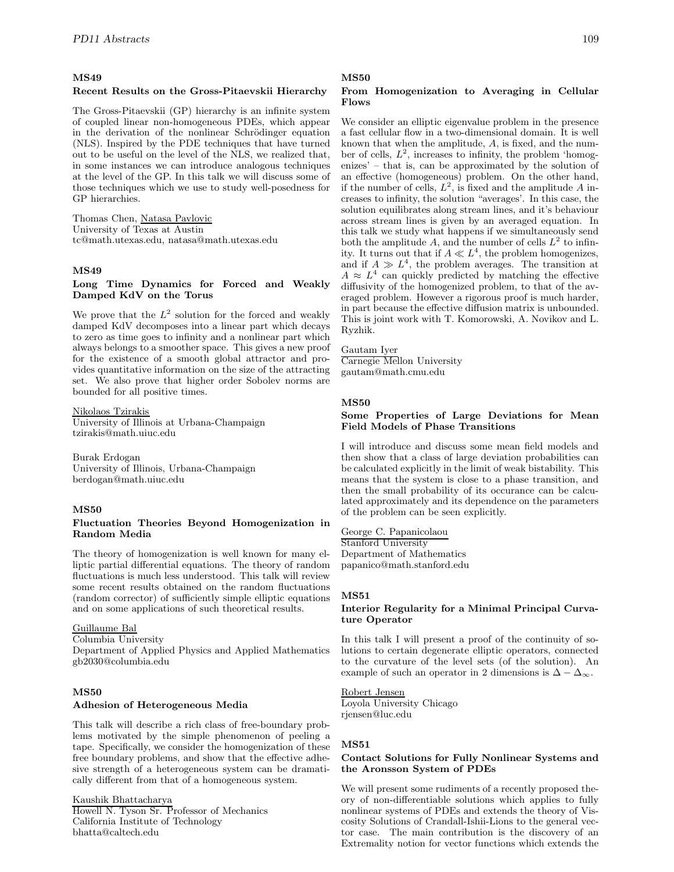# **MS49**

#### **Recent Results on the Gross-Pitaevskii Hierarchy**

The Gross-Pitaevskii (GP) hierarchy is an infinite system of coupled linear non-homogeneous PDEs, which appear in the derivation of the nonlinear Schrödinger equation (NLS). Inspired by the PDE techniques that have turned out to be useful on the level of the NLS, we realized that, in some instances we can introduce analogous techniques at the level of the GP. In this talk we will discuss some of those techniques which we use to study well-posedness for GP hierarchies.

Thomas Chen, Natasa Pavlovic University of Texas at Austin tc@math.utexas.edu, natasa@math.utexas.edu

# **MS49**

### **Long Time Dynamics for Forced and Weakly Damped KdV on the Torus**

We prove that the  $L^2$  solution for the forced and weakly damped KdV decomposes into a linear part which decays to zero as time goes to infinity and a nonlinear part which always belongs to a smoother space. This gives a new proof for the existence of a smooth global attractor and provides quantitative information on the size of the attracting set. We also prove that higher order Sobolev norms are bounded for all positive times.

#### Nikolaos Tzirakis

University of Illinois at Urbana-Champaign tzirakis@math.uiuc.edu

Burak Erdogan University of Illinois, Urbana-Champaign berdogan@math.uiuc.edu

#### **MS50**

#### **Fluctuation Theories Beyond Homogenization in Random Media**

The theory of homogenization is well known for many elliptic partial differential equations. The theory of random fluctuations is much less understood. This talk will review some recent results obtained on the random fluctuations (random corrector) of sufficiently simple elliptic equations and on some applications of such theoretical results.

# Guillaume Bal

Columbia University

Department of Applied Physics and Applied Mathematics gb2030@columbia.edu

### **MS50**

#### **Adhesion of Heterogeneous Media**

This talk will describe a rich class of free-boundary problems motivated by the simple phenomenon of peeling a tape. Specifically, we consider the homogenization of these free boundary problems, and show that the effective adhesive strength of a heterogeneous system can be dramatically different from that of a homogeneous system.

Kaushik Bhattacharya

Howell N. Tyson Sr. Professor of Mechanics California Institute of Technology bhatta@caltech.edu

# **MS50**

# **From Homogenization to Averaging in Cellular Flows**

We consider an elliptic eigenvalue problem in the presence a fast cellular flow in a two-dimensional domain. It is well known that when the amplitude, A, is fixed, and the number of cells,  $L^2$ , increases to infinity, the problem 'homogenizes' – that is, can be approximated by the solution of an effective (homogeneous) problem. On the other hand, if the number of cells,  $L^2$ , is fixed and the amplitude A increases to infinity, the solution "averages'. In this case, the solution equilibrates along stream lines, and it's behaviour across stream lines is given by an averaged equation. In this talk we study what happens if we simultaneously send both the amplitude A, and the number of cells  $L^2$  to infinity. It turns out that if  $A \ll L^4$ , the problem homogenizes, and if  $A \gg L^4$ , the problem averages. The transition at  $A \approx L^4$  can quickly predicted by matching the effective diffusivity of the homogenized problem, to that of the averaged problem. However a rigorous proof is much harder, in part because the effective diffusion matrix is unbounded. This is joint work with T. Komorowski, A. Novikov and L. Ryzhik.

#### Gautam Iyer

Carnegie Mellon University gautam@math.cmu.edu

#### **MS50**

# **Some Properties of Large Deviations for Mean Field Models of Phase Transitions**

I will introduce and discuss some mean field models and then show that a class of large deviation probabilities can be calculated explicitly in the limit of weak bistability. This means that the system is close to a phase transition, and then the small probability of its occurance can be calculated approximately and its dependence on the parameters of the problem can be seen explicitly.

George C. Papanicolaou Stanford University Department of Mathematics papanico@math.stanford.edu

#### **MS51**

#### **Interior Regularity for a Minimal Principal Curvature Operator**

In this talk I will present a proof of the continuity of solutions to certain degenerate elliptic operators, connected to the curvature of the level sets (of the solution). An example of such an operator in 2 dimensions is  $\Delta - \Delta_{\infty}$ .

#### Robert Jensen

Loyola University Chicago rjensen@luc.edu

#### **MS51**

#### **Contact Solutions for Fully Nonlinear Systems and the Aronsson System of PDEs**

We will present some rudiments of a recently proposed theory of non-differentiable solutions which applies to fully nonlinear systems of PDEs and extends the theory of Viscosity Solutions of Crandall-Ishii-Lions to the general vector case. The main contribution is the discovery of an Extremality notion for vector functions which extends the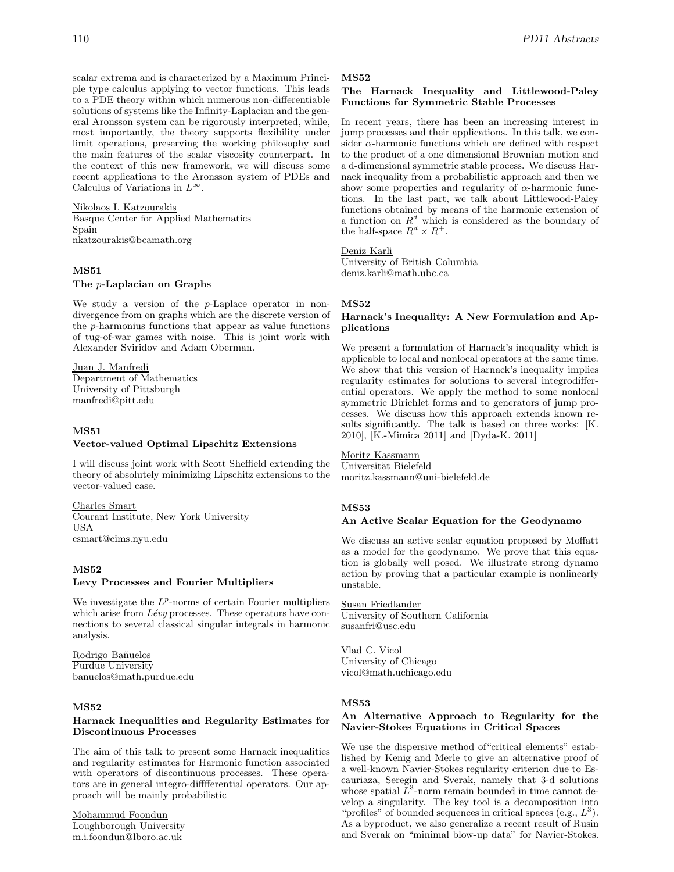scalar extrema and is characterized by a Maximum Principle type calculus applying to vector functions. This leads to a PDE theory within which numerous non-differentiable solutions of systems like the Infinity-Laplacian and the general Aronsson system can be rigorously interpreted, while, most importantly, the theory supports flexibility under limit operations, preserving the working philosophy and the main features of the scalar viscosity counterpart. In the context of this new framework, we will discuss some recent applications to the Aronsson system of PDEs and Calculus of Variations in  $L^{\infty}$ .

Nikolaos I. Katzourakis

Basque Center for Applied Mathematics Spain nkatzourakis@bcamath.org

# **MS51**

**The** p**-Laplacian on Graphs**

We study a version of the p-Laplace operator in nondivergence from on graphs which are the discrete version of the p-harmonius functions that appear as value functions of tug-of-war games with noise. This is joint work with Alexander Sviridov and Adam Oberman.

Juan J. Manfredi Department of Mathematics University of Pittsburgh manfredi@pitt.edu

# **MS51 Vector-valued Optimal Lipschitz Extensions**

I will discuss joint work with Scott Sheffield extending the theory of absolutely minimizing Lipschitz extensions to the vector-valued case.

Charles Smart Courant Institute, New York University USA csmart@cims.nyu.edu

### **MS52**

#### **Levy Processes and Fourier Multipliers**

We investigate the  $L^p$ -norms of certain Fourier multipliers which arise from *Lévy* processes. These operators have connections to several classical singular integrals in harmonic analysis.

Rodrigo Ba˜nuelos Purdue University banuelos@math.purdue.edu

# **MS52**

#### **Harnack Inequalities and Regularity Estimates for Discontinuous Processes**

The aim of this talk to present some Harnack inequalities and regularity estimates for Harmonic function associated with operators of discontinuous processes. These operators are in general integro-difffferential operators. Our approach will be mainly probabilistic

Mohammud Foondun Loughborough University m.i.foondun@lboro.ac.uk

#### **MS52**

#### **The Harnack Inequality and Littlewood-Paley Functions for Symmetric Stable Processes**

In recent years, there has been an increasing interest in jump processes and their applications. In this talk, we consider  $\alpha$ -harmonic functions which are defined with respect to the product of a one dimensional Brownian motion and a d-dimensional symmetric stable process. We discuss Harnack inequality from a probabilistic approach and then we show some properties and regularity of  $\alpha$ -harmonic functions. In the last part, we talk about Littlewood-Paley functions obtained by means of the harmonic extension of a function on  $R^d$  which is considered as the boundary of the half-space  $R^d \times R^+$ .

Deniz Karli

University of British Columbia deniz.karli@math.ubc.ca

#### **MS52**

### **Harnack's Inequality: A New Formulation and Applications**

We present a formulation of Harnack's inequality which is applicable to local and nonlocal operators at the same time. We show that this version of Harnack's inequality implies regularity estimates for solutions to several integrodifferential operators. We apply the method to some nonlocal symmetric Dirichlet forms and to generators of jump processes. We discuss how this approach extends known results significantly. The talk is based on three works: [K. 2010], [K.-Mimica 2011] and [Dyda-K. 2011]

# Moritz Kassmann

Universität Bielefeld moritz.kassmann@uni-bielefeld.de

# **MS53**

#### **An Active Scalar Equation for the Geodynamo**

We discuss an active scalar equation proposed by Moffatt as a model for the geodynamo. We prove that this equation is globally well posed. We illustrate strong dynamo action by proving that a particular example is nonlinearly unstable.

Susan Friedlander University of Southern California susanfri@usc.edu

Vlad C. Vicol University of Chicago vicol@math.uchicago.edu

# **MS53**

# **An Alternative Approach to Regularity for the Navier-Stokes Equations in Critical Spaces**

We use the dispersive method of "critical elements" established by Kenig and Merle to give an alternative proof of a well-known Navier-Stokes regularity criterion due to Escauriaza, Seregin and Sverak, namely that 3-d solutions whose spatial  $L^3$ -norm remain bounded in time cannot develop a singularity. The key tool is a decomposition into "profiles" of bounded sequences in critical spaces (e.g.,  $L^3$ ). As a byproduct, we also generalize a recent result of Rusin and Sverak on "minimal blow-up data" for Navier-Stokes.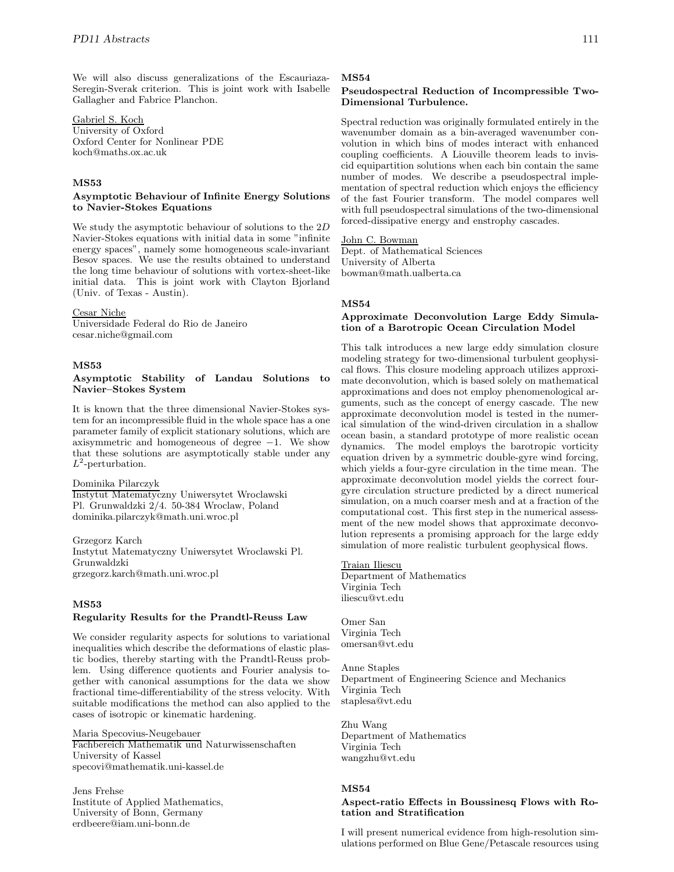We will also discuss generalizations of the Escauriaza-Seregin-Sverak criterion. This is joint work with Isabelle Gallagher and Fabrice Planchon.

Gabriel S. Koch University of Oxford Oxford Center for Nonlinear PDE koch@maths.ox.ac.uk

# **MS53**

### **Asymptotic Behaviour of Infinite Energy Solutions to Navier-Stokes Equations**

We study the asymptotic behaviour of solutions to the 2D Navier-Stokes equations with initial data in some "infinite energy spaces", namely some homogeneous scale-invariant Besov spaces. We use the results obtained to understand the long time behaviour of solutions with vortex-sheet-like initial data. This is joint work with Clayton Bjorland (Univ. of Texas - Austin).

#### Cesar Niche

Universidade Federal do Rio de Janeiro cesar.niche@gmail.com

# **MS53**

#### **Asymptotic Stability of Landau Solutions to Navier–Stokes System**

It is known that the three dimensional Navier-Stokes system for an incompressible fluid in the whole space has a one parameter family of explicit stationary solutions, which are axisymmetric and homogeneous of degree  $-1$ . We show that these solutions are asymptotically stable under any  $L^2$ -perturbation.

#### Dominika Pilarczyk

Instytut Matematyczny Uniwersytet Wroclawski Pl. Grunwaldzki 2/4. 50-384 Wroclaw, Poland dominika.pilarczyk@math.uni.wroc.pl

Grzegorz Karch Instytut Matematyczny Uniwersytet Wroclawski Pl. Grunwaldzki grzegorz.karch@math.uni.wroc.pl

# **MS53**

#### **Regularity Results for the Prandtl-Reuss Law**

We consider regularity aspects for solutions to variational inequalities which describe the deformations of elastic plastic bodies, thereby starting with the Prandtl-Reuss problem. Using difference quotients and Fourier analysis together with canonical assumptions for the data we show fractional time-differentiability of the stress velocity. With suitable modifications the method can also applied to the cases of isotropic or kinematic hardening.

Maria Specovius-Neugebauer Fachbereich Mathematik und Naturwissenschaften University of Kassel specovi@mathematik.uni-kassel.de

Jens Frehse Institute of Applied Mathematics, University of Bonn, Germany erdbeere@iam.uni-bonn.de

### **MS54**

# **Pseudospectral Reduction of Incompressible Two-Dimensional Turbulence.**

Spectral reduction was originally formulated entirely in the wavenumber domain as a bin-averaged wavenumber convolution in which bins of modes interact with enhanced coupling coefficients. A Liouville theorem leads to inviscid equipartition solutions when each bin contain the same number of modes. We describe a pseudospectral implementation of spectral reduction which enjoys the efficiency of the fast Fourier transform. The model compares well with full pseudospectral simulations of the two-dimensional forced-dissipative energy and enstrophy cascades.

# John C. Bowman

Dept. of Mathematical Sciences University of Alberta bowman@math.ualberta.ca

#### **MS54**

# **Approximate Deconvolution Large Eddy Simulation of a Barotropic Ocean Circulation Model**

This talk introduces a new large eddy simulation closure modeling strategy for two-dimensional turbulent geophysical flows. This closure modeling approach utilizes approximate deconvolution, which is based solely on mathematical approximations and does not employ phenomenological arguments, such as the concept of energy cascade. The new approximate deconvolution model is tested in the numerical simulation of the wind-driven circulation in a shallow ocean basin, a standard prototype of more realistic ocean dynamics. The model employs the barotropic vorticity equation driven by a symmetric double-gyre wind forcing, which yields a four-gyre circulation in the time mean. The approximate deconvolution model yields the correct fourgyre circulation structure predicted by a direct numerical simulation, on a much coarser mesh and at a fraction of the computational cost. This first step in the numerical assessment of the new model shows that approximate deconvolution represents a promising approach for the large eddy simulation of more realistic turbulent geophysical flows.

#### Traian Iliescu

Department of Mathematics Virginia Tech iliescu@vt.edu

Omer San Virginia Tech omersan@vt.edu

Anne Staples Department of Engineering Science and Mechanics Virginia Tech staplesa@vt.edu

Zhu Wang Department of Mathematics Virginia Tech wangzhu@vt.edu

# **MS54**

#### **Aspect-ratio Effects in Boussinesq Flows with Rotation and Stratification**

I will present numerical evidence from high-resolution simulations performed on Blue Gene/Petascale resources using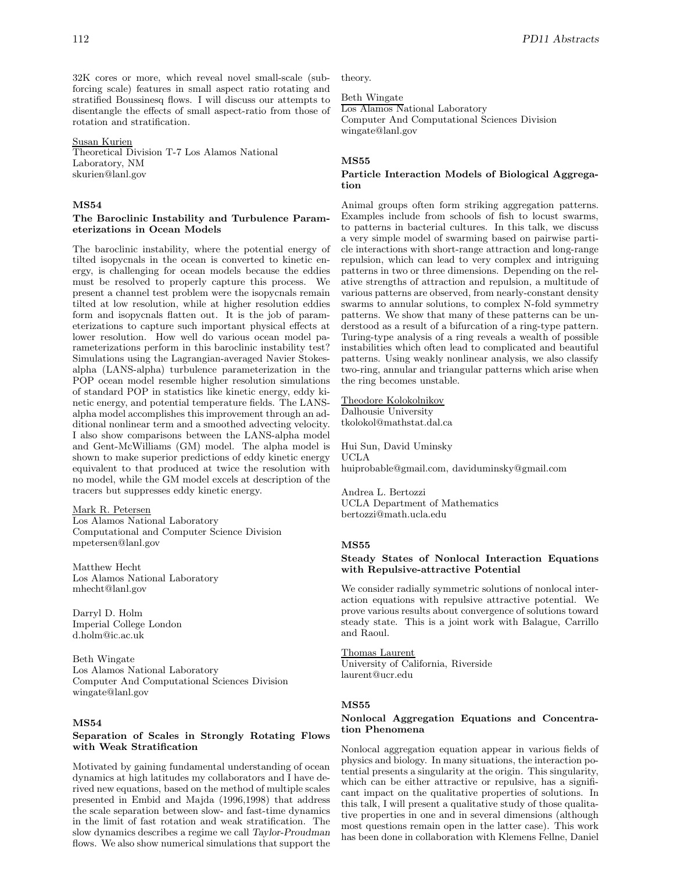32K cores or more, which reveal novel small-scale (subforcing scale) features in small aspect ratio rotating and stratified Boussinesq flows. I will discuss our attempts to disentangle the effects of small aspect-ratio from those of rotation and stratification.

#### Susan Kurien

Theoretical Division T-7 Los Alamos National Laboratory, NM skurien@lanl.gov

# **MS54**

# **The Baroclinic Instability and Turbulence Parameterizations in Ocean Models**

The baroclinic instability, where the potential energy of tilted isopycnals in the ocean is converted to kinetic energy, is challenging for ocean models because the eddies must be resolved to properly capture this process. We present a channel test problem were the isopycnals remain tilted at low resolution, while at higher resolution eddies form and isopycnals flatten out. It is the job of parameterizations to capture such important physical effects at lower resolution. How well do various ocean model parameterizations perform in this baroclinic instability test? Simulations using the Lagrangian-averaged Navier Stokesalpha (LANS-alpha) turbulence parameterization in the POP ocean model resemble higher resolution simulations of standard POP in statistics like kinetic energy, eddy kinetic energy, and potential temperature fields. The LANSalpha model accomplishes this improvement through an additional nonlinear term and a smoothed advecting velocity. I also show comparisons between the LANS-alpha model and Gent-McWilliams (GM) model. The alpha model is shown to make superior predictions of eddy kinetic energy equivalent to that produced at twice the resolution with no model, while the GM model excels at description of the tracers but suppresses eddy kinetic energy.

#### Mark R. Petersen

Los Alamos National Laboratory Computational and Computer Science Division mpetersen@lanl.gov

Matthew Hecht Los Alamos National Laboratory mhecht@lanl.gov

Darryl D. Holm Imperial College London d.holm@ic.ac.uk

Beth Wingate Los Alamos National Laboratory Computer And Computational Sciences Division wingate@lanl.gov

#### **MS54**

#### **Separation of Scales in Strongly Rotating Flows with Weak Stratification**

Motivated by gaining fundamental understanding of ocean dynamics at high latitudes my collaborators and I have derived new equations, based on the method of multiple scales presented in Embid and Majda (1996,1998) that address the scale separation between slow- and fast-time dynamics in the limit of fast rotation and weak stratification. The slow dynamics describes a regime we call *Taylor-Proudman* flows. We also show numerical simulations that support the

theory.

Beth Wingate

Los Alamos National Laboratory Computer And Computational Sciences Division wingate@lanl.gov

#### **MS55**

#### **Particle Interaction Models of Biological Aggregation**

Animal groups often form striking aggregation patterns. Examples include from schools of fish to locust swarms, to patterns in bacterial cultures. In this talk, we discuss a very simple model of swarming based on pairwise particle interactions with short-range attraction and long-range repulsion, which can lead to very complex and intriguing patterns in two or three dimensions. Depending on the relative strengths of attraction and repulsion, a multitude of various patterns are observed, from nearly-constant density swarms to annular solutions, to complex N-fold symmetry patterns. We show that many of these patterns can be understood as a result of a bifurcation of a ring-type pattern. Turing-type analysis of a ring reveals a wealth of possible instabilities which often lead to complicated and beautiful patterns. Using weakly nonlinear analysis, we also classify two-ring, annular and triangular patterns which arise when the ring becomes unstable.

Theodore Kolokolnikov Dalhousie University tkolokol@mathstat.dal.ca

Hui Sun, David Uminsky UCLA huiprobable@gmail.com, daviduminsky@gmail.com

Andrea L. Bertozzi UCLA Department of Mathematics bertozzi@math.ucla.edu

### **MS55**

#### **Steady States of Nonlocal Interaction Equations with Repulsive-attractive Potential**

We consider radially symmetric solutions of nonlocal interaction equations with repulsive attractive potential. We prove various results about convergence of solutions toward steady state. This is a joint work with Balague, Carrillo and Raoul.

Thomas Laurent University of California, Riverside laurent@ucr.edu

#### **MS55**

#### **Nonlocal Aggregation Equations and Concentration Phenomena**

Nonlocal aggregation equation appear in various fields of physics and biology. In many situations, the interaction potential presents a singularity at the origin. This singularity, which can be either attractive or repulsive, has a significant impact on the qualitative properties of solutions. In this talk, I will present a qualitative study of those qualitative properties in one and in several dimensions (although most questions remain open in the latter case). This work has been done in collaboration with Klemens Fellne, Daniel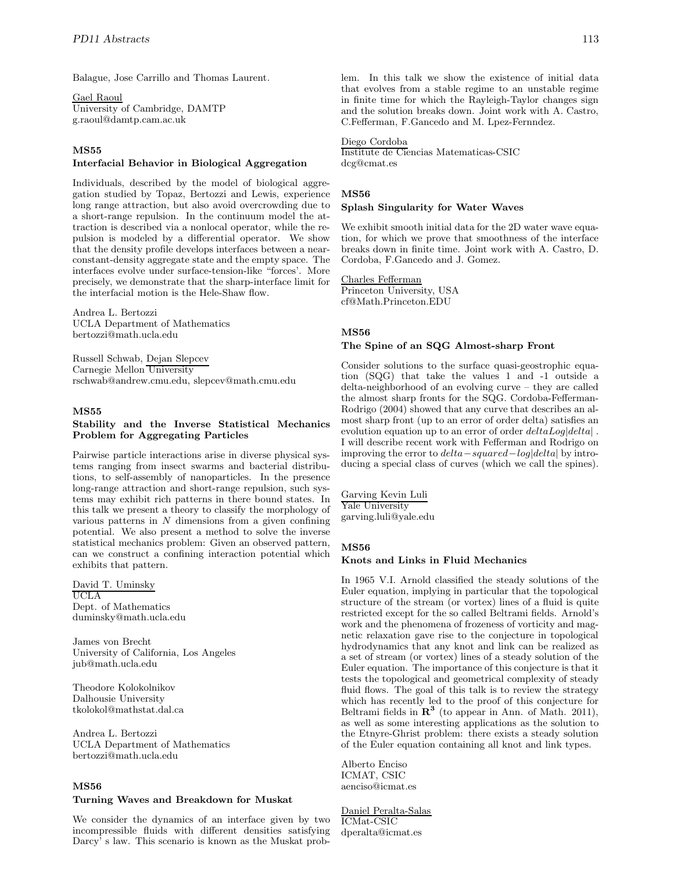Balague, Jose Carrillo and Thomas Laurent.

Gael Raoul University of Cambridge, DAMTP g.raoul@damtp.cam.ac.uk

# **MS55**

### **Interfacial Behavior in Biological Aggregation**

Individuals, described by the model of biological aggregation studied by Topaz, Bertozzi and Lewis, experience long range attraction, but also avoid overcrowding due to a short-range repulsion. In the continuum model the attraction is described via a nonlocal operator, while the repulsion is modeled by a differential operator. We show that the density profile develops interfaces between a nearconstant-density aggregate state and the empty space. The interfaces evolve under surface-tension-like "forces'. More precisely, we demonstrate that the sharp-interface limit for the interfacial motion is the Hele-Shaw flow.

Andrea L. Bertozzi UCLA Department of Mathematics bertozzi@math.ucla.edu

Russell Schwab, Dejan Slepcev Carnegie Mellon University rschwab@andrew.cmu.edu, slepcev@math.cmu.edu

# **MS55**

### **Stability and the Inverse Statistical Mechanics Problem for Aggregating Particles**

Pairwise particle interactions arise in diverse physical systems ranging from insect swarms and bacterial distributions, to self-assembly of nanoparticles. In the presence long-range attraction and short-range repulsion, such systems may exhibit rich patterns in there bound states. In this talk we present a theory to classify the morphology of various patterns in  $N$  dimensions from a given confining potential. We also present a method to solve the inverse statistical mechanics problem: Given an observed pattern, can we construct a confining interaction potential which exhibits that pattern.

# David T. Uminsky

UCLA Dept. of Mathematics duminsky@math.ucla.edu

James von Brecht University of California, Los Angeles jub@math.ucla.edu

Theodore Kolokolnikov Dalhousie University tkolokol@mathstat.dal.ca

Andrea L. Bertozzi UCLA Department of Mathematics bertozzi@math.ucla.edu

# **MS56**

# **Turning Waves and Breakdown for Muskat**

We consider the dynamics of an interface given by two incompressible fluids with different densities satisfying Darcy' s law. This scenario is known as the Muskat problem. In this talk we show the existence of initial data that evolves from a stable regime to an unstable regime in finite time for which the Rayleigh-Taylor changes sign and the solution breaks down. Joint work with A. Castro, C.Fefferman, F.Gancedo and M. Lpez-Fernndez.

#### Diego Cordoba

Institute de Ciencias Matematicas-CSIC dcg@cmat.es

# **MS56**

#### **Splash Singularity for Water Waves**

We exhibit smooth initial data for the 2D water wave equation, for which we prove that smoothness of the interface breaks down in finite time. Joint work with A. Castro, D. Cordoba, F.Gancedo and J. Gomez.

# Charles Fefferman

Princeton University, USA cf@Math.Princeton.EDU

# **MS56**

# **The Spine of an SQG Almost-sharp Front**

Consider solutions to the surface quasi-geostrophic equation (SQG) that take the values 1 and -1 outside a delta-neighborhood of an evolving curve – they are called the almost sharp fronts for the SQG. Cordoba-Fefferman-Rodrigo (2004) showed that any curve that describes an almost sharp front (up to an error of order delta) satisfies an evolution equation up to an error of order  $deltaLog|delta|$ . I will describe recent work with Fefferman and Rodrigo on improving the error to delta−squared−log|delta| by introducing a special class of curves (which we call the spines).

Garving Kevin Luli Yale University garving.luli@yale.edu

# **MS56**

# **Knots and Links in Fluid Mechanics**

In 1965 V.I. Arnold classified the steady solutions of the Euler equation, implying in particular that the topological structure of the stream (or vortex) lines of a fluid is quite restricted except for the so called Beltrami fields. Arnold's work and the phenomena of frozeness of vorticity and magnetic relaxation gave rise to the conjecture in topological hydrodynamics that any knot and link can be realized as a set of stream (or vortex) lines of a steady solution of the Euler equation. The importance of this conjecture is that it tests the topological and geometrical complexity of steady fluid flows. The goal of this talk is to review the strategy which has recently led to the proof of this conjecture for Beltrami fields in **R<sup>3</sup>** (to appear in Ann. of Math. 2011), as well as some interesting applications as the solution to the Etnyre-Ghrist problem: there exists a steady solution of the Euler equation containing all knot and link types.

Alberto Enciso ICMAT, CSIC aenciso@icmat.es

Daniel Peralta-Salas ICMat-CSIC dperalta@icmat.es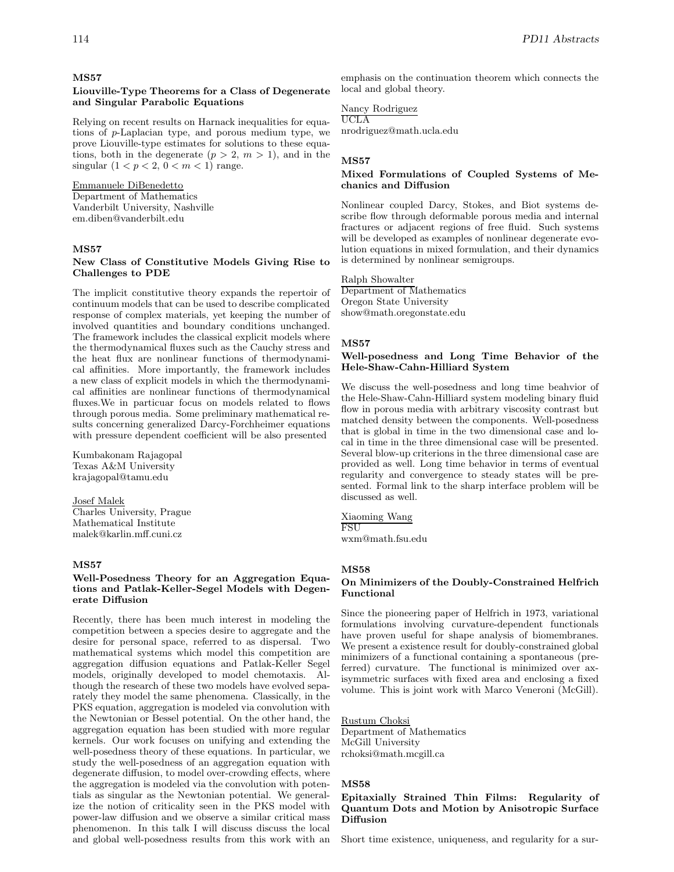#### **MS57**

#### **Liouville-Type Theorems for a Class of Degenerate and Singular Parabolic Equations**

Relying on recent results on Harnack inequalities for equations of p-Laplacian type, and porous medium type, we prove Liouville-type estimates for solutions to these equations, both in the degenerate  $(p > 2, m > 1)$ , and in the singular  $(1 < p < 2, 0 < m < 1)$  range.

#### Emmanuele DiBenedetto

Department of Mathematics Vanderbilt University, Nashville em.diben@vanderbilt.edu

#### **MS57**

### **New Class of Constitutive Models Giving Rise to Challenges to PDE**

The implicit constitutive theory expands the repertoir of continuum models that can be used to describe complicated response of complex materials, yet keeping the number of involved quantities and boundary conditions unchanged. The framework includes the classical explicit models where the thermodynamical fluxes such as the Cauchy stress and the heat flux are nonlinear functions of thermodynamical affinities. More importantly, the framework includes a new class of explicit models in which the thermodynamical affinities are nonlinear functions of thermodynamical fluxes.We in particuar focus on models related to flows through porous media. Some preliminary mathematical results concerning generalized Darcy-Forchheimer equations with pressure dependent coefficient will be also presented

Kumbakonam Rajagopal Texas A&M University krajagopal@tamu.edu

# Josef Malek

Charles University, Prague Mathematical Institute malek@karlin.mff.cuni.cz

# **MS57**

### **Well-Posedness Theory for an Aggregation Equations and Patlak-Keller-Segel Models with Degenerate Diffusion**

Recently, there has been much interest in modeling the competition between a species desire to aggregate and the desire for personal space, referred to as dispersal. Two mathematical systems which model this competition are aggregation diffusion equations and Patlak-Keller Segel models, originally developed to model chemotaxis. Although the research of these two models have evolved separately they model the same phenomena. Classically, in the PKS equation, aggregation is modeled via convolution with the Newtonian or Bessel potential. On the other hand, the aggregation equation has been studied with more regular kernels. Our work focuses on unifying and extending the well-posedness theory of these equations. In particular, we study the well-posedness of an aggregation equation with degenerate diffusion, to model over-crowding effects, where the aggregation is modeled via the convolution with potentials as singular as the Newtonian potential. We generalize the notion of criticality seen in the PKS model with power-law diffusion and we observe a similar critical mass phenomenon. In this talk I will discuss discuss the local and global well-posedness results from this work with an

emphasis on the continuation theorem which connects the local and global theory.

#### Nancy Rodriguez UCLA

nrodriguez@math.ucla.edu

#### **MS57**

# **Mixed Formulations of Coupled Systems of Mechanics and Diffusion**

Nonlinear coupled Darcy, Stokes, and Biot systems describe flow through deformable porous media and internal fractures or adjacent regions of free fluid. Such systems will be developed as examples of nonlinear degenerate evolution equations in mixed formulation, and their dynamics is determined by nonlinear semigroups.

# Ralph Showalter

Department of Mathematics Oregon State University show@math.oregonstate.edu

# **MS57**

#### **Well-posedness and Long Time Behavior of the Hele-Shaw-Cahn-Hilliard System**

We discuss the well-posedness and long time beahvior of the Hele-Shaw-Cahn-Hilliard system modeling binary fluid flow in porous media with arbitrary viscosity contrast but matched density between the components. Well-posedness that is global in time in the two dimensional case and local in time in the three dimensional case will be presented. Several blow-up criterions in the three dimensional case are provided as well. Long time behavior in terms of eventual regularity and convergence to steady states will be presented. Formal link to the sharp interface problem will be discussed as well.

#### Xiaoming Wang **FSU**

wxm@math.fsu.edu

#### **MS58**

### **On Minimizers of the Doubly-Constrained Helfrich Functional**

Since the pioneering paper of Helfrich in 1973, variational formulations involving curvature-dependent functionals have proven useful for shape analysis of biomembranes. We present a existence result for doubly-constrained global minimizers of a functional containing a spontaneous (preferred) curvature. The functional is minimized over axisymmetric surfaces with fixed area and enclosing a fixed volume. This is joint work with Marco Veneroni (McGill).

Rustum Choksi Department of Mathematics McGill University rchoksi@math.mcgill.ca

#### **MS58**

#### **Epitaxially Strained Thin Films: Regularity of Quantum Dots and Motion by Anisotropic Surface Diffusion**

Short time existence, uniqueness, and regularity for a sur-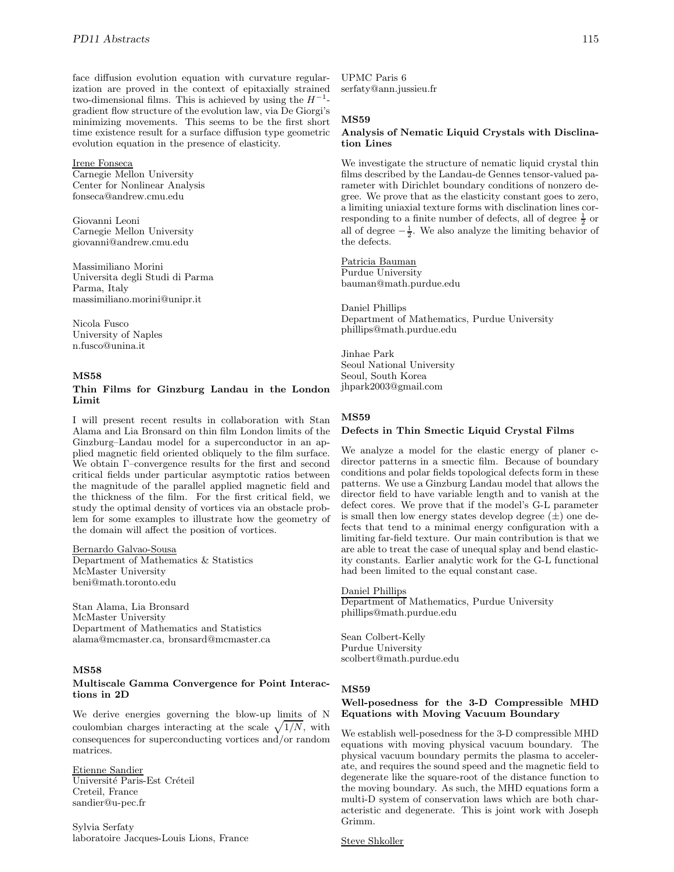face diffusion evolution equation with curvature regularization are proved in the context of epitaxially strained two-dimensional films. This is achieved by using the  $H^{-1}$ gradient flow structure of the evolution law, via De Giorgi's minimizing movements. This seems to be the first short time existence result for a surface diffusion type geometric evolution equation in the presence of elasticity.

### Irene Fonseca

Carnegie Mellon University Center for Nonlinear Analysis fonseca@andrew.cmu.edu

Giovanni Leoni Carnegie Mellon University giovanni@andrew.cmu.edu

Massimiliano Morini Universita degli Studi di Parma Parma, Italy massimiliano.morini@unipr.it

Nicola Fusco University of Naples n.fusco@unina.it

#### **MS58**

### **Thin Films for Ginzburg Landau in the London Limit**

I will present recent results in collaboration with Stan Alama and Lia Bronsard on thin film London limits of the Ginzburg–Landau model for a superconductor in an applied magnetic field oriented obliquely to the film surface. We obtain Γ–convergence results for the first and second critical fields under particular asymptotic ratios between the magnitude of the parallel applied magnetic field and the thickness of the film. For the first critical field, we study the optimal density of vortices via an obstacle problem for some examples to illustrate how the geometry of the domain will affect the position of vortices.

Bernardo Galvao-Sousa Department of Mathematics & Statistics McMaster University beni@math.toronto.edu

Stan Alama, Lia Bronsard McMaster University Department of Mathematics and Statistics alama@mcmaster.ca, bronsard@mcmaster.ca

# **MS58**

#### **Multiscale Gamma Convergence for Point Interactions in 2D**

We derive energies governing the blow-up limits of N coulombian charges interacting at the scale  $\sqrt{1/N}$ , with consequences for superconducting vortices and/or random matrices.

# Etienne Sandier

Université Paris-Est Créteil Creteil, France sandier@u-pec.fr

Sylvia Serfaty laboratoire Jacques-Louis Lions, France

UPMC Paris 6 serfaty@ann.jussieu.fr

# **MS59**

# **Analysis of Nematic Liquid Crystals with Disclination Lines**

We investigate the structure of nematic liquid crystal thin films described by the Landau-de Gennes tensor-valued parameter with Dirichlet boundary conditions of nonzero degree. We prove that as the elasticity constant goes to zero, a limiting uniaxial texture forms with disclination lines corresponding to a finite number of defects, all of degree  $\frac{1}{2}$  or all of degree  $-\frac{1}{2}$ . We also analyze the limiting behavior of the defects.

Patricia Bauman Purdue University bauman@math.purdue.edu

Daniel Phillips Department of Mathematics, Purdue University phillips@math.purdue.edu

Jinhae Park Seoul National University Seoul, South Korea jhpark2003@gmail.com

#### **MS59**

#### **Defects in Thin Smectic Liquid Crystal Films**

We analyze a model for the elastic energy of planer cdirector patterns in a smectic film. Because of boundary conditions and polar fields topological defects form in these patterns. We use a Ginzburg Landau model that allows the director field to have variable length and to vanish at the defect cores. We prove that if the model's G-L parameter is small then low energy states develop degree  $(\pm)$  one defects that tend to a minimal energy configuration with a limiting far-field texture. Our main contribution is that we are able to treat the case of unequal splay and bend elasticity constants. Earlier analytic work for the G-L functional had been limited to the equal constant case.

#### Daniel Phillips

Department of Mathematics, Purdue University phillips@math.purdue.edu

Sean Colbert-Kelly Purdue University scolbert@math.purdue.edu

#### **MS59**

#### **Well-posedness for the 3-D Compressible MHD Equations with Moving Vacuum Boundary**

We establish well-posedness for the 3-D compressible MHD equations with moving physical vacuum boundary. The physical vacuum boundary permits the plasma to accelerate, and requires the sound speed and the magnetic field to degenerate like the square-root of the distance function to the moving boundary. As such, the MHD equations form a multi-D system of conservation laws which are both characteristic and degenerate. This is joint work with Joseph Grimm.

Steve Shkoller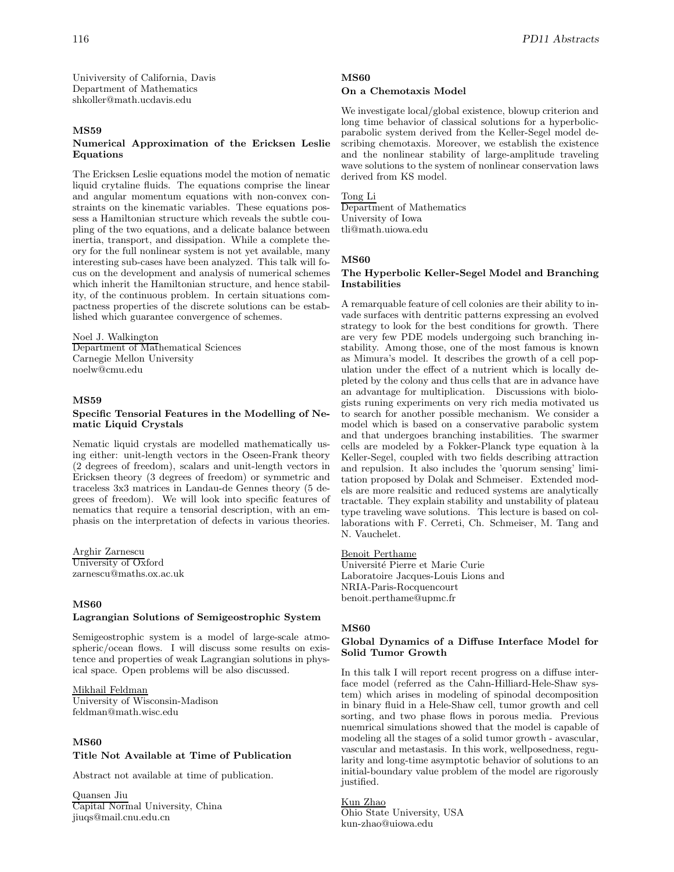Univiversity of California, Davis Department of Mathematics shkoller@math.ucdavis.edu

#### **MS59**

# **Numerical Approximation of the Ericksen Leslie Equations**

The Ericksen Leslie equations model the motion of nematic liquid crytaline fluids. The equations comprise the linear and angular momentum equations with non-convex constraints on the kinematic variables. These equations possess a Hamiltonian structure which reveals the subtle coupling of the two equations, and a delicate balance between inertia, transport, and dissipation. While a complete theory for the full nonlinear system is not yet available, many interesting sub-cases have been analyzed. This talk will focus on the development and analysis of numerical schemes which inherit the Hamiltonian structure, and hence stability, of the continuous problem. In certain situations compactness properties of the discrete solutions can be established which guarantee convergence of schemes.

#### Noel J. Walkington

Department of Mathematical Sciences Carnegie Mellon University noelw@cmu.edu

#### **MS59**

#### **Specific Tensorial Features in the Modelling of Nematic Liquid Crystals**

Nematic liquid crystals are modelled mathematically using either: unit-length vectors in the Oseen-Frank theory (2 degrees of freedom), scalars and unit-length vectors in Ericksen theory (3 degrees of freedom) or symmetric and traceless 3x3 matrices in Landau-de Gennes theory (5 degrees of freedom). We will look into specific features of nematics that require a tensorial description, with an emphasis on the interpretation of defects in various theories.

Arghir Zarnescu University of Oxford zarnescu@maths.ox.ac.uk

# **MS60**

#### **Lagrangian Solutions of Semigeostrophic System**

Semigeostrophic system is a model of large-scale atmospheric/ocean flows. I will discuss some results on existence and properties of weak Lagrangian solutions in physical space. Open problems will be also discussed.

# Mikhail Feldman

University of Wisconsin-Madison feldman@math.wisc.edu

# **MS60**

# **Title Not Available at Time of Publication**

Abstract not available at time of publication.

Quansen Jiu Capital Normal University, China jiuqs@mail.cnu.edu.cn

# **MS60**

# **On a Chemotaxis Model**

We investigate local/global existence, blowup criterion and long time behavior of classical solutions for a hyperbolicparabolic system derived from the Keller-Segel model describing chemotaxis. Moreover, we establish the existence and the nonlinear stability of large-amplitude traveling wave solutions to the system of nonlinear conservation laws derived from KS model.

#### Tong Li

Department of Mathematics University of Iowa tli@math.uiowa.edu

# **MS60**

#### **The Hyperbolic Keller-Segel Model and Branching Instabilities**

A remarquable feature of cell colonies are their ability to invade surfaces with dentritic patterns expressing an evolved strategy to look for the best conditions for growth. There are very few PDE models undergoing such branching instability. Among those, one of the most famous is known as Mimura's model. It describes the growth of a cell population under the effect of a nutrient which is locally depleted by the colony and thus cells that are in advance have an advantage for multiplication. Discussions with biologists runing experiments on very rich media motivated us to search for another possible mechanism. We consider a model which is based on a conservative parabolic system and that undergoes branching instabilities. The swarmer cells are modeled by a Fokker-Planck type equation à la Keller-Segel, coupled with two fields describing attraction and repulsion. It also includes the 'quorum sensing' limitation proposed by Dolak and Schmeiser. Extended models are more realsitic and reduced systems are analytically tractable. They explain stability and unstability of plateau type traveling wave solutions. This lecture is based on collaborations with F. Cerreti, Ch. Schmeiser, M. Tang and N. Vauchelet.

#### Benoit Perthame

Universit´e Pierre et Marie Curie Laboratoire Jacques-Louis Lions and NRIA-Paris-Rocquencourt benoit.perthame@upmc.fr

# **MS60**

#### **Global Dynamics of a Diffuse Interface Model for Solid Tumor Growth**

In this talk I will report recent progress on a diffuse interface model (referred as the Cahn-Hilliard-Hele-Shaw system) which arises in modeling of spinodal decomposition in binary fluid in a Hele-Shaw cell, tumor growth and cell sorting, and two phase flows in porous media. Previous nuemrical simulations showed that the model is capable of modeling all the stages of a solid tumor growth - avascular, vascular and metastasis. In this work, wellposedness, regularity and long-time asymptotic behavior of solutions to an initial-boundary value problem of the model are rigorously justified.

# Kun Zhao

Ohio State University, USA kun-zhao@uiowa.edu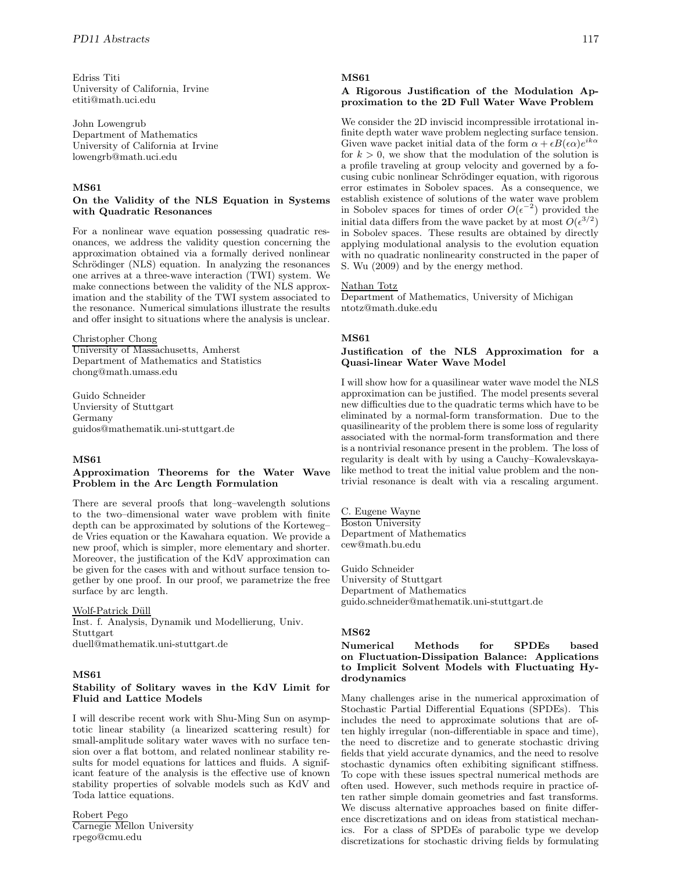Edriss Titi University of California, Irvine etiti@math.uci.edu

John Lowengrub Department of Mathematics University of California at Irvine lowengrb@math.uci.edu

# **MS61**

#### **On the Validity of the NLS Equation in Systems with Quadratic Resonances**

For a nonlinear wave equation possessing quadratic resonances, we address the validity question concerning the approximation obtained via a formally derived nonlinear Schrödinger (NLS) equation. In analyzing the resonances one arrives at a three-wave interaction (TWI) system. We make connections between the validity of the NLS approximation and the stability of the TWI system associated to the resonance. Numerical simulations illustrate the results and offer insight to situations where the analysis is unclear.

Christopher Chong University of Massachusetts, Amherst Department of Mathematics and Statistics chong@math.umass.edu

Guido Schneider Unviersity of Stuttgart Germany guidos@mathematik.uni-stuttgart.de

# **MS61**

#### **Approximation Theorems for the Water Wave Problem in the Arc Length Formulation**

There are several proofs that long–wavelength solutions to the two–dimensional water wave problem with finite depth can be approximated by solutions of the Korteweg– de Vries equation or the Kawahara equation. We provide a new proof, which is simpler, more elementary and shorter. Moreover, the justification of the KdV approximation can be given for the cases with and without surface tension together by one proof. In our proof, we parametrize the free surface by arc length.

### Wolf-Patrick Düll

Inst. f. Analysis, Dynamik und Modellierung, Univ. Stuttgart duell@mathematik.uni-stuttgart.de

# **MS61**

# **Stability of Solitary waves in the KdV Limit for Fluid and Lattice Models**

I will describe recent work with Shu-Ming Sun on asymptotic linear stability (a linearized scattering result) for small-amplitude solitary water waves with no surface tension over a flat bottom, and related nonlinear stability results for model equations for lattices and fluids. A significant feature of the analysis is the effective use of known stability properties of solvable models such as KdV and Toda lattice equations.

Robert Pego Carnegie Mellon University rpego@cmu.edu

# **MS61**

#### **A Rigorous Justification of the Modulation Approximation to the 2D Full Water Wave Problem**

We consider the 2D inviscid incompressible irrotational infinite depth water wave problem neglecting surface tension. Given wave packet initial data of the form  $\alpha + \epsilon B(\epsilon \alpha)e^{ik\alpha}$ for  $k > 0$ , we show that the modulation of the solution is a profile traveling at group velocity and governed by a focusing cubic nonlinear Schrödinger equation, with rigorous error estimates in Sobolev spaces. As a consequence, we establish existence of solutions of the water wave problem in Sobolev spaces for times of order  $O(\epsilon^{-2})$  provided the initial data differs from the wave packet by at most  $O(\epsilon^{3/2})$ in Sobolev spaces. These results are obtained by directly applying modulational analysis to the evolution equation with no quadratic nonlinearity constructed in the paper of S. Wu (2009) and by the energy method.

#### Nathan Totz

Department of Mathematics, University of Michigan ntotz@math.duke.edu

#### **MS61**

# **Justification of the NLS Approximation for a Quasi-linear Water Wave Model**

I will show how for a quasilinear water wave model the NLS approximation can be justified. The model presents several new difficulties due to the quadratic terms which have to be eliminated by a normal-form transformation. Due to the quasilinearity of the problem there is some loss of regularity associated with the normal-form transformation and there is a nontrivial resonance present in the problem. The loss of regularity is dealt with by using a Cauchy–Kowalevskayalike method to treat the initial value problem and the nontrivial resonance is dealt with via a rescaling argument.

C. Eugene Wayne Boston University Department of Mathematics cew@math.bu.edu

Guido Schneider University of Stuttgart Department of Mathematics guido.schneider@mathematik.uni-stuttgart.de

# **MS62**

# **Numerical Methods for SPDEs based on Fluctuation-Dissipation Balance: Applications to Implicit Solvent Models with Fluctuating Hydrodynamics**

Many challenges arise in the numerical approximation of Stochastic Partial Differential Equations (SPDEs). This includes the need to approximate solutions that are often highly irregular (non-differentiable in space and time), the need to discretize and to generate stochastic driving fields that yield accurate dynamics, and the need to resolve stochastic dynamics often exhibiting significant stiffness. To cope with these issues spectral numerical methods are often used. However, such methods require in practice often rather simple domain geometries and fast transforms. We discuss alternative approaches based on finite difference discretizations and on ideas from statistical mechanics. For a class of SPDEs of parabolic type we develop discretizations for stochastic driving fields by formulating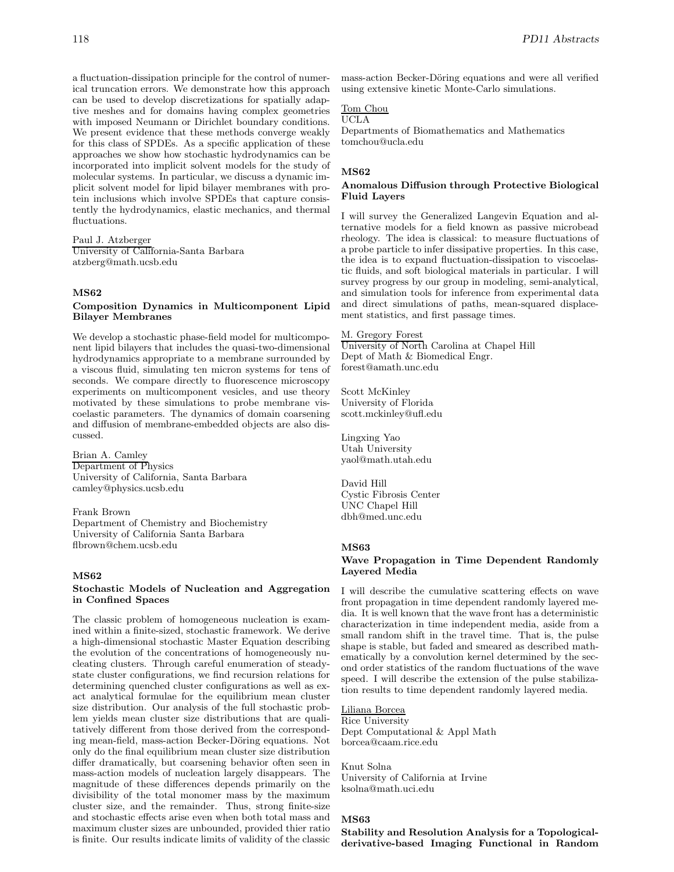a fluctuation-dissipation principle for the control of numerical truncation errors. We demonstrate how this approach can be used to develop discretizations for spatially adaptive meshes and for domains having complex geometries with imposed Neumann or Dirichlet boundary conditions. We present evidence that these methods converge weakly for this class of SPDEs. As a specific application of these approaches we show how stochastic hydrodynamics can be incorporated into implicit solvent models for the study of molecular systems. In particular, we discuss a dynamic implicit solvent model for lipid bilayer membranes with protein inclusions which involve SPDEs that capture consistently the hydrodynamics, elastic mechanics, and thermal fluctuations.

#### Paul J. Atzberger

University of California-Santa Barbara atzberg@math.ucsb.edu

#### **MS62**

#### **Composition Dynamics in Multicomponent Lipid Bilayer Membranes**

We develop a stochastic phase-field model for multicomponent lipid bilayers that includes the quasi-two-dimensional hydrodynamics appropriate to a membrane surrounded by a viscous fluid, simulating ten micron systems for tens of seconds. We compare directly to fluorescence microscopy experiments on multicomponent vesicles, and use theory motivated by these simulations to probe membrane viscoelastic parameters. The dynamics of domain coarsening and diffusion of membrane-embedded objects are also discussed.

Brian A. Camley Department of Physics University of California, Santa Barbara camley@physics.ucsb.edu

Frank Brown Department of Chemistry and Biochemistry University of California Santa Barbara flbrown@chem.ucsb.edu

# **MS62**

#### **Stochastic Models of Nucleation and Aggregation in Confined Spaces**

The classic problem of homogeneous nucleation is examined within a finite-sized, stochastic framework. We derive a high-dimensional stochastic Master Equation describing the evolution of the concentrations of homogeneously nucleating clusters. Through careful enumeration of steadystate cluster configurations, we find recursion relations for determining quenched cluster configurations as well as exact analytical formulae for the equilibrium mean cluster size distribution. Our analysis of the full stochastic problem yields mean cluster size distributions that are qualitatively different from those derived from the corresponding mean-field, mass-action Becker-Döring equations. Not only do the final equilibrium mean cluster size distribution differ dramatically, but coarsening behavior often seen in mass-action models of nucleation largely disappears. The magnitude of these differences depends primarily on the divisibility of the total monomer mass by the maximum cluster size, and the remainder. Thus, strong finite-size and stochastic effects arise even when both total mass and maximum cluster sizes are unbounded, provided thier ratio is finite. Our results indicate limits of validity of the classic

mass-action Becker-Döring equations and were all verified using extensive kinetic Monte-Carlo simulations.

# Tom Chou

UCLA

Departments of Biomathematics and Mathematics tomchou@ucla.edu

#### **MS62**

#### **Anomalous Diffusion through Protective Biological Fluid Layers**

I will survey the Generalized Langevin Equation and alternative models for a field known as passive microbead rheology. The idea is classical: to measure fluctuations of a probe particle to infer dissipative properties. In this case, the idea is to expand fluctuation-dissipation to viscoelastic fluids, and soft biological materials in particular. I will survey progress by our group in modeling, semi-analytical, and simulation tools for inference from experimental data and direct simulations of paths, mean-squared displacement statistics, and first passage times.

#### M. Gregory Forest

University of North Carolina at Chapel Hill Dept of Math & Biomedical Engr. forest@amath.unc.edu

Scott McKinley University of Florida scott.mckinley@ufl.edu

Lingxing Yao Utah University yaol@math.utah.edu

David Hill Cystic Fibrosis Center UNC Chapel Hill dbh@med.unc.edu

# **MS63**

#### **Wave Propagation in Time Dependent Randomly Layered Media**

I will describe the cumulative scattering effects on wave front propagation in time dependent randomly layered media. It is well known that the wave front has a deterministic characterization in time independent media, aside from a small random shift in the travel time. That is, the pulse shape is stable, but faded and smeared as described mathematically by a convolution kernel determined by the second order statistics of the random fluctuations of the wave speed. I will describe the extension of the pulse stabilization results to time dependent randomly layered media.

# Liliana Borcea

Rice University Dept Computational & Appl Math borcea@caam.rice.edu

Knut Solna University of California at Irvine ksolna@math.uci.edu

# **MS63**

**Stability and Resolution Analysis for a Topologicalderivative-based Imaging Functional in Random**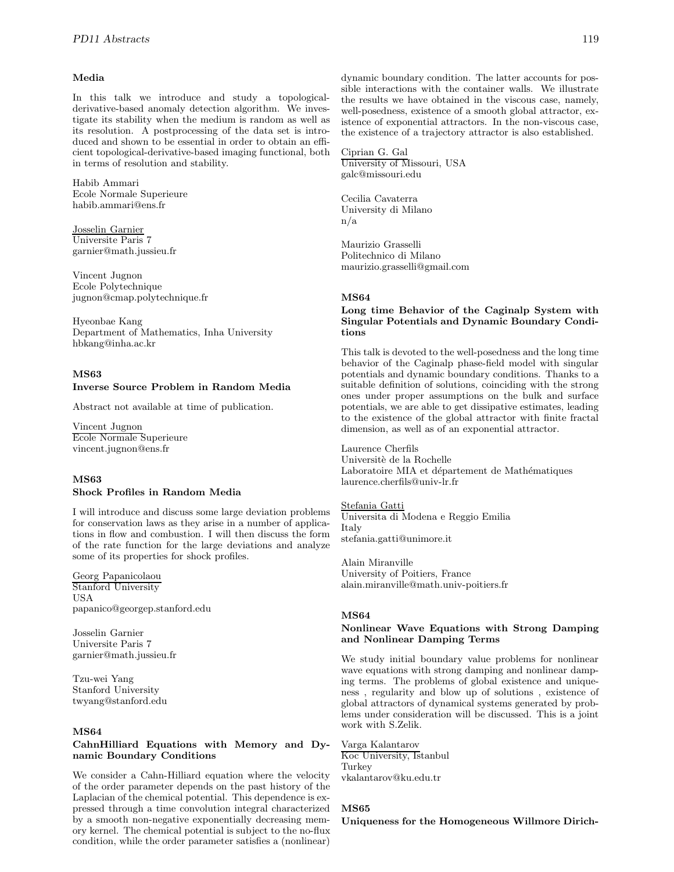#### **Media**

In this talk we introduce and study a topologicalderivative-based anomaly detection algorithm. We investigate its stability when the medium is random as well as its resolution. A postprocessing of the data set is introduced and shown to be essential in order to obtain an efficient topological-derivative-based imaging functional, both in terms of resolution and stability.

Habib Ammari Ecole Normale Superieure habib.ammari@ens.fr

Josselin Garnier Universite Paris 7 garnier@math.jussieu.fr

Vincent Jugnon Ecole Polytechnique jugnon@cmap.polytechnique.fr

Hyeonbae Kang Department of Mathematics, Inha University hbkang@inha.ac.kr

#### **MS63**

# **Inverse Source Problem in Random Media**

Abstract not available at time of publication.

Vincent Jugnon Ecole Normale Superieure vincent.jugnon@ens.fr

# **MS63**

# **Shock Profiles in Random Media**

I will introduce and discuss some large deviation problems for conservation laws as they arise in a number of applications in flow and combustion. I will then discuss the form of the rate function for the large deviations and analyze some of its properties for shock profiles.

Georg Papanicolaou Stanford University USA papanico@georgep.stanford.edu

Josselin Garnier Universite Paris 7 garnier@math.jussieu.fr

Tzu-wei Yang Stanford University twyang@stanford.edu

### **MS64**

#### **CahnHilliard Equations with Memory and Dynamic Boundary Conditions**

We consider a Cahn-Hilliard equation where the velocity of the order parameter depends on the past history of the Laplacian of the chemical potential. This dependence is expressed through a time convolution integral characterized by a smooth non-negative exponentially decreasing memory kernel. The chemical potential is subject to the no-flux condition, while the order parameter satisfies a (nonlinear) dynamic boundary condition. The latter accounts for possible interactions with the container walls. We illustrate the results we have obtained in the viscous case, namely, well-posedness, existence of a smooth global attractor, existence of exponential attractors. In the non-viscous case, the existence of a trajectory attractor is also established.

Ciprian G. Gal University of Missouri, USA galc@missouri.edu

Cecilia Cavaterra University di Milano n/a

Maurizio Grasselli Politechnico di Milano maurizio.grasselli@gmail.com

#### **MS64**

#### **Long time Behavior of the Caginalp System with Singular Potentials and Dynamic Boundary Conditions**

This talk is devoted to the well-posedness and the long time behavior of the Caginalp phase-field model with singular potentials and dynamic boundary conditions. Thanks to a suitable definition of solutions, coinciding with the strong ones under proper assumptions on the bulk and surface potentials, we are able to get dissipative estimates, leading to the existence of the global attractor with finite fractal dimension, as well as of an exponential attractor.

Laurence Cherfils Universitè de la Rochelle Laboratoire MIA et département de Mathématiques laurence.cherfils@univ-lr.fr

Stefania Gatti Universita di Modena e Reggio Emilia Italy stefania.gatti@unimore.it

Alain Miranville University of Poitiers, France alain.miranville@math.univ-poitiers.fr

#### **MS64**

# **Nonlinear Wave Equations with Strong Damping and Nonlinear Damping Terms**

We study initial boundary value problems for nonlinear wave equations with strong damping and nonlinear damping terms. The problems of global existence and uniqueness , regularity and blow up of solutions , existence of global attractors of dynamical systems generated by problems under consideration will be discussed. This is a joint work with S.Zelik.

# Varga Kalantarov

Koc University, Istanbul Turkey vkalantarov@ku.edu.tr

#### **MS65**

**Uniqueness for the Homogeneous Willmore Dirich-**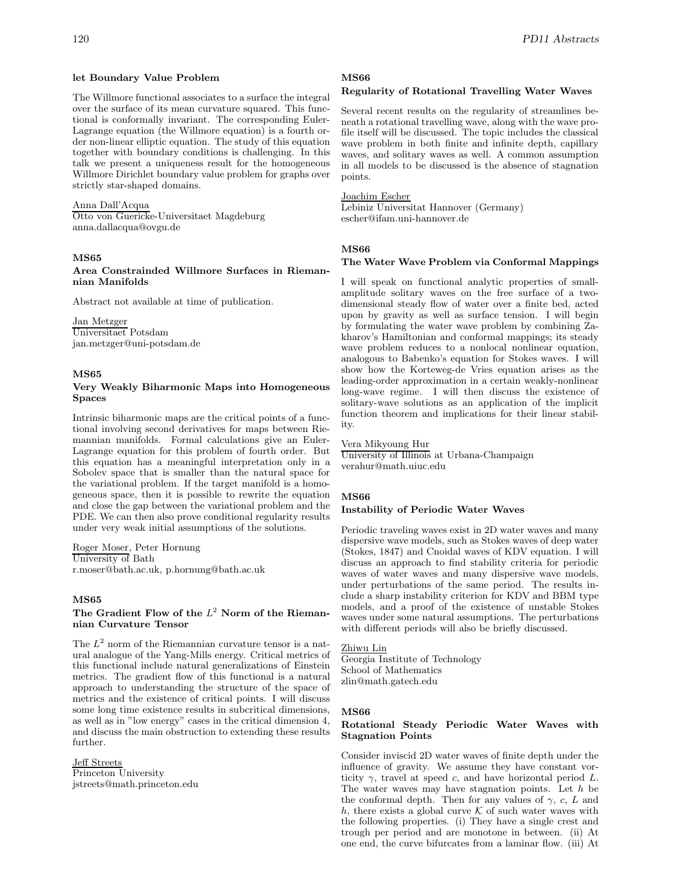#### **let Boundary Value Problem**

The Willmore functional associates to a surface the integral over the surface of its mean curvature squared. This functional is conformally invariant. The corresponding Euler-Lagrange equation (the Willmore equation) is a fourth order non-linear elliptic equation. The study of this equation together with boundary conditions is challenging. In this talk we present a uniqueness result for the homogeneous Willmore Dirichlet boundary value problem for graphs over strictly star-shaped domains.

#### Anna Dall'Acqua

Otto von Guericke-Universitaet Magdeburg anna.dallacqua@ovgu.de

### **MS65**

**Area Constrainded Willmore Surfaces in Riemannian Manifolds**

Abstract not available at time of publication.

Jan Metzger Universitaet Potsdam jan.metzger@uni-potsdam.de

#### **MS65**

### **Very Weakly Biharmonic Maps into Homogeneous Spaces**

Intrinsic biharmonic maps are the critical points of a functional involving second derivatives for maps between Riemannian manifolds. Formal calculations give an Euler-Lagrange equation for this problem of fourth order. But this equation has a meaningful interpretation only in a Sobolev space that is smaller than the natural space for the variational problem. If the target manifold is a homogeneous space, then it is possible to rewrite the equation and close the gap between the variational problem and the PDE. We can then also prove conditional regularity results under very weak initial assumptions of the solutions.

Roger Moser, Peter Hornung University of Bath r.moser@bath.ac.uk, p.hornung@bath.ac.uk

# **MS65**

# The Gradient Flow of the  $L^2$  Norm of the Rieman**nian Curvature Tensor**

The  $L^2$  norm of the Riemannian curvature tensor is a natural analogue of the Yang-Mills energy. Critical metrics of this functional include natural generalizations of Einstein metrics. The gradient flow of this functional is a natural approach to understanding the structure of the space of metrics and the existence of critical points. I will discuss some long time existence results in subcritical dimensions, as well as in "low energy" cases in the critical dimension 4, and discuss the main obstruction to extending these results further.

# Jeff Streets

Princeton University jstreets@math.princeton.edu

#### **MS66**

### **Regularity of Rotational Travelling Water Waves**

Several recent results on the regularity of streamlines beneath a rotational travelling wave, along with the wave profile itself will be discussed. The topic includes the classical wave problem in both finite and infinite depth, capillary waves, and solitary waves as well. A common assumption in all models to be discussed is the absence of stagnation points.

Joachim Escher

Lebiniz Universitat Hannover (Germany) escher@ifam.uni-hannover.de

#### **MS66**

#### **The Water Wave Problem via Conformal Mappings**

I will speak on functional analytic properties of smallamplitude solitary waves on the free surface of a twodimensional steady flow of water over a finite bed, acted upon by gravity as well as surface tension. I will begin by formulating the water wave problem by combining Zakharov's Hamiltonian and conformal mappings; its steady wave problem reduces to a nonlocal nonlinear equation, analogous to Babenko's equation for Stokes waves. I will show how the Korteweg-de Vries equation arises as the leading-order approximation in a certain weakly-nonlinear long-wave regime. I will then discuss the existence of solitary-wave solutions as an application of the implicit function theorem and implications for their linear stability.

#### Vera Mikyoung Hur

University of Illinois at Urbana-Champaign verahur@math.uiuc.edu

#### **MS66**

#### **Instability of Periodic Water Waves**

Periodic traveling waves exist in 2D water waves and many dispersive wave models, such as Stokes waves of deep water (Stokes, 1847) and Cnoidal waves of KDV equation. I will discuss an approach to find stability criteria for periodic waves of water waves and many dispersive wave models, under perturbations of the same period. The results include a sharp instability criterion for KDV and BBM type models, and a proof of the existence of unstable Stokes waves under some natural assumptions. The perturbations with different periods will also be briefly discussed.

# Zhiwu Lin

Georgia Institute of Technology School of Mathematics zlin@math.gatech.edu

#### **MS66**

### **Rotational Steady Periodic Water Waves with Stagnation Points**

Consider inviscid 2D water waves of finite depth under the influence of gravity. We assume they have constant vorticity  $\gamma$ , travel at speed c, and have horizontal period L. The water waves may have stagnation points. Let  $h$  be the conformal depth. Then for any values of  $\gamma$ , c, L and h, there exists a global curve  $K$  of such water waves with the following properties. (i) They have a single crest and trough per period and are monotone in between. (ii) At one end, the curve bifurcates from a laminar flow. (iii) At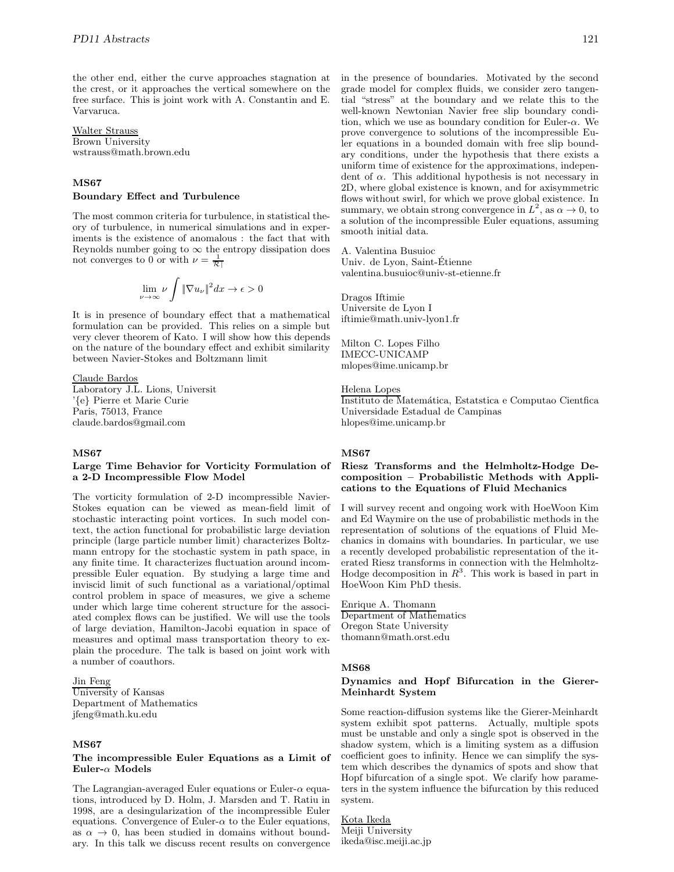the other end, either the curve approaches stagnation at the crest, or it approaches the vertical somewhere on the free surface. This is joint work with A. Constantin and E. Varvaruca.

Walter Strauss Brown University wstrauss@math.brown.edu

# **MS67**

#### **Boundary Effect and Turbulence**

The most common criteria for turbulence, in statistical theory of turbulence, in numerical simulations and in experiments is the existence of anomalous : the fact that with Reynolds number going to  $\infty$  the entropy dissipation does not converges to 0 or with  $\nu = \frac{1}{\mathcal{R} \rceil}$ 

$$
\lim_{\nu \to \infty} \nu \int \|\nabla u_{\nu}\|^2 dx \to \epsilon > 0
$$

It is in presence of boundary effect that a mathematical formulation can be provided. This relies on a simple but very clever theorem of Kato. I will show how this depends on the nature of the boundary effect and exhibit similarity between Navier-Stokes and Boltzmann limit

# Claude Bardos

Laboratory J.L. Lions, Universit '{e} Pierre et Marie Curie Paris, 75013, France claude.bardos@gmail.com

# **MS67**

#### **Large Time Behavior for Vorticity Formulation of a 2-D Incompressible Flow Model**

The vorticity formulation of 2-D incompressible Navier-Stokes equation can be viewed as mean-field limit of stochastic interacting point vortices. In such model context, the action functional for probabilistic large deviation principle (large particle number limit) characterizes Boltzmann entropy for the stochastic system in path space, in any finite time. It characterizes fluctuation around incompressible Euler equation. By studying a large time and inviscid limit of such functional as a variational/optimal control problem in space of measures, we give a scheme under which large time coherent structure for the associated complex flows can be justified. We will use the tools of large deviation, Hamilton-Jacobi equation in space of measures and optimal mass transportation theory to explain the procedure. The talk is based on joint work with a number of coauthors.

### Jin Feng

University of Kansas Department of Mathematics jfeng@math.ku.edu

#### **MS67**

#### **The incompressible Euler Equations as a Limit of Euler-**α **Models**

The Lagrangian-averaged Euler equations or Euler- $\alpha$  equations, introduced by D. Holm, J. Marsden and T. Ratiu in 1998, are a desingularization of the incompressible Euler equations. Convergence of Euler- $\alpha$  to the Euler equations, as  $\alpha \to 0$ , has been studied in domains without boundary. In this talk we discuss recent results on convergence in the presence of boundaries. Motivated by the second grade model for complex fluids, we consider zero tangential "stress" at the boundary and we relate this to the well-known Newtonian Navier free slip boundary condition, which we use as boundary condition for Euler- $\alpha$ . We prove convergence to solutions of the incompressible Euler equations in a bounded domain with free slip boundary conditions, under the hypothesis that there exists a uniform time of existence for the approximations, independent of  $\alpha$ . This additional hypothesis is not necessary in 2D, where global existence is known, and for axisymmetric flows without swirl, for which we prove global existence. In summary, we obtain strong convergence in  $L^2$ , as  $\alpha \to 0$ , to a solution of the incompressible Euler equations, assuming smooth initial data.

A. Valentina Busuioc Univ. de Lyon, Saint-Etienne ´ valentina.busuioc@univ-st-etienne.fr

Dragos Iftimie Universite de Lyon I iftimie@math.univ-lyon1.fr

Milton C. Lopes Filho IMECC-UNICAMP mlopes@ime.unicamp.br

### Helena Lopes

Instituto de Matemática, Estatstica e Computao Cientfica Universidade Estadual de Campinas hlopes@ime.unicamp.br

#### **MS67**

### **Riesz Transforms and the Helmholtz-Hodge Decomposition – Probabilistic Methods with Applications to the Equations of Fluid Mechanics**

I will survey recent and ongoing work with HoeWoon Kim and Ed Waymire on the use of probabilistic methods in the representation of solutions of the equations of Fluid Mechanics in domains with boundaries. In particular, we use a recently developed probabilistic representation of the iterated Riesz transforms in connection with the Helmholtz-Hodge decomposition in  $R^3$ . This work is based in part in HoeWoon Kim PhD thesis.

Enrique A. Thomann Department of Mathematics Oregon State University thomann@math.orst.edu

#### **MS68**

#### **Dynamics and Hopf Bifurcation in the Gierer-Meinhardt System**

Some reaction-diffusion systems like the Gierer-Meinhardt system exhibit spot patterns. Actually, multiple spots must be unstable and only a single spot is observed in the shadow system, which is a limiting system as a diffusion coefficient goes to infinity. Hence we can simplify the system which describes the dynamics of spots and show that Hopf bifurcation of a single spot. We clarify how parameters in the system influence the bifurcation by this reduced system.

# Kota Ikeda

Meiji University ikeda@isc.meiji.ac.jp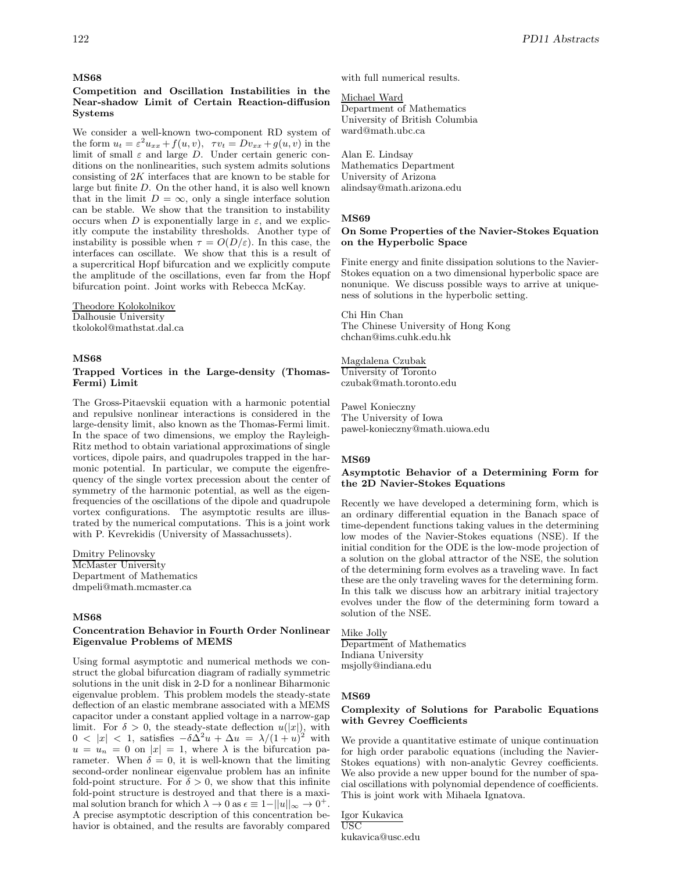#### **MS68**

# **Competition and Oscillation Instabilities in the Near-shadow Limit of Certain Reaction-diffusion Systems**

We consider a well-known two-component RD system of the form  $u_t = \varepsilon^2 u_{xx} + f(u, v), \quad \tau v_t = D v_{xx} + g(u, v)$  in the limit of small  $\varepsilon$  and large D. Under certain generic conditions on the nonlinearities, such system admits solutions consisting of 2K interfaces that are known to be stable for large but finite D. On the other hand, it is also well known that in the limit  $D = \infty$ , only a single interface solution can be stable. We show that the transition to instability occurs when D is exponentially large in  $\varepsilon$ , and we explicitly compute the instability thresholds. Another type of instability is possible when  $\tau = O(D/\varepsilon)$ . In this case, the interfaces can oscillate. We show that this is a result of a supercritical Hopf bifurcation and we explicitly compute the amplitude of the oscillations, even far from the Hopf bifurcation point. Joint works with Rebecca McKay.

Theodore Kolokolnikov Dalhousie University tkolokol@mathstat.dal.ca

#### **MS68**

### **Trapped Vortices in the Large-density (Thomas-Fermi) Limit**

The Gross-Pitaevskii equation with a harmonic potential and repulsive nonlinear interactions is considered in the large-density limit, also known as the Thomas-Fermi limit. In the space of two dimensions, we employ the Rayleigh-Ritz method to obtain variational approximations of single vortices, dipole pairs, and quadrupoles trapped in the harmonic potential. In particular, we compute the eigenfrequency of the single vortex precession about the center of symmetry of the harmonic potential, as well as the eigenfrequencies of the oscillations of the dipole and quadrupole vortex configurations. The asymptotic results are illustrated by the numerical computations. This is a joint work with P. Kevrekidis (University of Massachussets).

Dmitry Pelinovsky McMaster University Department of Mathematics dmpeli@math.mcmaster.ca

# **MS68**

#### **Concentration Behavior in Fourth Order Nonlinear Eigenvalue Problems of MEMS**

Using formal asymptotic and numerical methods we construct the global bifurcation diagram of radially symmetric solutions in the unit disk in 2-D for a nonlinear Biharmonic eigenvalue problem. This problem models the steady-state deflection of an elastic membrane associated with a MEMS capacitor under a constant applied voltage in a narrow-gap limit. For  $\delta > 0$ , the steady-state deflection  $u(|x|)$ , with  $0 < |x| < 1$ , satisfies  $-\delta \Delta^2 u + \Delta u = \lambda/(1+u)^2$  with  $u = u_n = 0$  on  $|x| = 1$ , where  $\lambda$  is the bifurcation parameter. When  $\delta = 0$ , it is well-known that the limiting second-order nonlinear eigenvalue problem has an infinite fold-point structure. For  $\delta > 0$ , we show that this infinite fold-point structure is destroyed and that there is a maximal solution branch for which  $\lambda \to 0$  as  $\epsilon \equiv 1-||u||_{\infty} \to 0^+$ . A precise asymptotic description of this concentration behavior is obtained, and the results are favorably compared

with full numerical results.

#### Michael Ward

Department of Mathematics University of British Columbia ward@math.ubc.ca

Alan E. Lindsay Mathematics Department University of Arizona alindsay@math.arizona.edu

#### **MS69**

#### **On Some Properties of the Navier-Stokes Equation on the Hyperbolic Space**

Finite energy and finite dissipation solutions to the Navier-Stokes equation on a two dimensional hyperbolic space are nonunique. We discuss possible ways to arrive at uniqueness of solutions in the hyperbolic setting.

Chi Hin Chan The Chinese University of Hong Kong chchan@ims.cuhk.edu.hk

Magdalena Czubak University of Toronto czubak@math.toronto.edu

Pawel Konieczny The University of Iowa pawel-konieczny@math.uiowa.edu

#### **MS69**

#### **Asymptotic Behavior of a Determining Form for the 2D Navier-Stokes Equations**

Recently we have developed a determining form, which is an ordinary differential equation in the Banach space of time-dependent functions taking values in the determining low modes of the Navier-Stokes equations (NSE). If the initial condition for the ODE is the low-mode projection of a solution on the global attractor of the NSE, the solution of the determining form evolves as a traveling wave. In fact these are the only traveling waves for the determining form. In this talk we discuss how an arbitrary initial trajectory evolves under the flow of the determining form toward a solution of the NSE.

Mike Jolly Department of Mathematics Indiana University msjolly@indiana.edu

#### **MS69**

### **Complexity of Solutions for Parabolic Equations with Gevrey Coefficients**

We provide a quantitative estimate of unique continuation for high order parabolic equations (including the Navier-Stokes equations) with non-analytic Gevrey coefficients. We also provide a new upper bound for the number of spacial oscillations with polynomial dependence of coefficients. This is joint work with Mihaela Ignatova.

Igor Kukavica USC kukavica@usc.edu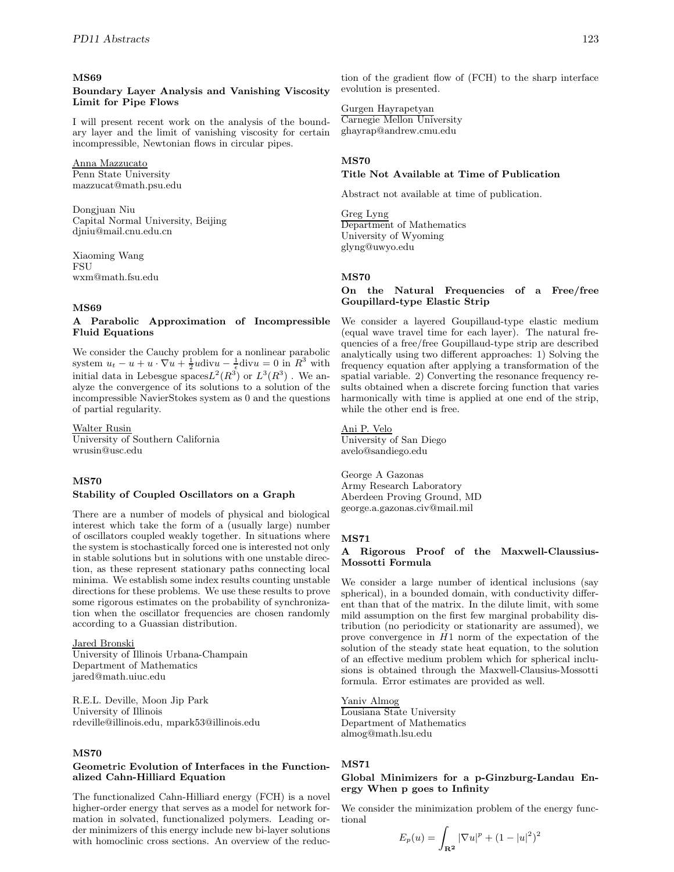#### **MS69**

# **Boundary Layer Analysis and Vanishing Viscosity Limit for Pipe Flows**

I will present recent work on the analysis of the boundary layer and the limit of vanishing viscosity for certain incompressible, Newtonian flows in circular pipes.

# Anna Mazzucato

Penn State University mazzucat@math.psu.edu

Dongjuan Niu Capital Normal University, Beijing djniu@mail.cnu.edu.cn

Xiaoming Wang FSU wxm@math.fsu.edu

# **MS69**

#### **A Parabolic Approximation of Incompressible Fluid Equations**

We consider the Cauchy problem for a nonlinear parabolic system  $u_t - u + u \cdot \nabla u + \frac{1}{2}u \text{div}u - \frac{1}{5} \text{div}u = 0$  in  $R^3$  with initial data in Lebesgue spaces $L^2(R^3)$  or  $L^3(R^3)$  . We analyze the convergence of its solutions to a solution of the incompressible NavierStokes system as 0 and the questions of partial regularity.

Walter Rusin

University of Southern California wrusin@usc.edu

#### **MS70**

#### **Stability of Coupled Oscillators on a Graph**

There are a number of models of physical and biological interest which take the form of a (usually large) number of oscillators coupled weakly together. In situations where the system is stochastically forced one is interested not only in stable solutions but in solutions with one unstable direction, as these represent stationary paths connecting local minima. We establish some index results counting unstable directions for these problems. We use these results to prove some rigorous estimates on the probability of synchronization when the oscillator frequencies are chosen randomly according to a Guassian distribution.

# Jared Bronski

University of Illinois Urbana-Champain Department of Mathematics jared@math.uiuc.edu

R.E.L. Deville, Moon Jip Park University of Illinois rdeville@illinois.edu, mpark53@illinois.edu

#### **MS70**

#### **Geometric Evolution of Interfaces in the Functionalized Cahn-Hilliard Equation**

The functionalized Cahn-Hilliard energy (FCH) is a novel higher-order energy that serves as a model for network formation in solvated, functionalized polymers. Leading order minimizers of this energy include new bi-layer solutions with homoclinic cross sections. An overview of the reduction of the gradient flow of (FCH) to the sharp interface evolution is presented.

Gurgen Hayrapetyan Carnegie Mellon University ghayrap@andrew.cmu.edu

# **MS70**

**Title Not Available at Time of Publication**

Abstract not available at time of publication.

Greg Lyng Department of Mathematics University of Wyoming glyng@uwyo.edu

### **MS70**

# **On the Natural Frequencies of a Free/free Goupillard-type Elastic Strip**

We consider a layered Goupillaud-type elastic medium (equal wave travel time for each layer). The natural frequencies of a free/free Goupillaud-type strip are described analytically using two different approaches: 1) Solving the frequency equation after applying a transformation of the spatial variable. 2) Converting the resonance frequency results obtained when a discrete forcing function that varies harmonically with time is applied at one end of the strip, while the other end is free.

# Ani P. Velo

University of San Diego avelo@sandiego.edu

George A Gazonas Army Research Laboratory Aberdeen Proving Ground, MD george.a.gazonas.civ@mail.mil

#### **MS71**

#### **A Rigorous Proof of the Maxwell-Claussius-Mossotti Formula**

We consider a large number of identical inclusions (say spherical), in a bounded domain, with conductivity different than that of the matrix. In the dilute limit, with some mild assumption on the first few marginal probability distribution (no periodicity or stationarity are assumed), we prove convergence in  $H1$  norm of the expectation of the solution of the steady state heat equation, to the solution of an effective medium problem which for spherical inclusions is obtained through the Maxwell-Clausius-Mossotti formula. Error estimates are provided as well.

Yaniv Almog Lousiana State University Department of Mathematics almog@math.lsu.edu

# **MS71**

# **Global Minimizers for a p-Ginzburg-Landau Energy When p goes to Infinity**

We consider the minimization problem of the energy functional

$$
E_p(u) = \int_{\mathbf{R}^2} |\nabla u|^p + (1 - |u|^2)^2
$$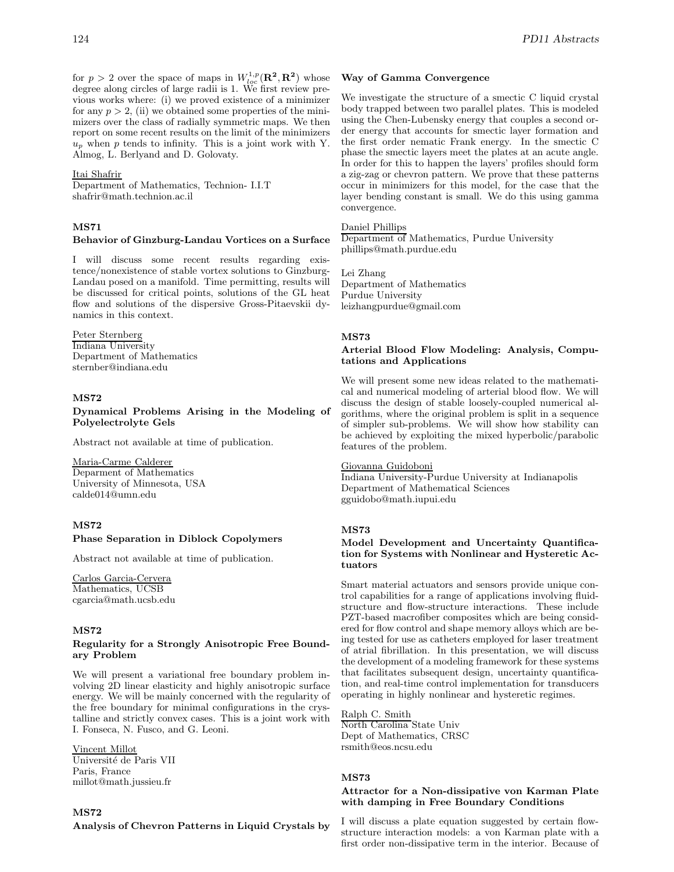for  $p > 2$  over the space of maps in  $W_{loc}^{1,p}(\mathbb{R}^2, \mathbb{R}^2)$  whose degree along circles of large radii is 1. We first review previous works where: (i) we proved existence of a minimizer for any  $p > 2$ , (ii) we obtained some properties of the minimizers over the class of radially symmetric maps. We then report on some recent results on the limit of the minimizers  $u_p$  when p tends to infinity. This is a joint work with Y. Almog, L. Berlyand and D. Golovaty.

#### Itai Shafrir

Department of Mathematics, Technion- I.I.T shafrir@math.technion.ac.il

# **MS71**

#### **Behavior of Ginzburg-Landau Vortices on a Surface**

I will discuss some recent results regarding existence/nonexistence of stable vortex solutions to Ginzburg-Landau posed on a manifold. Time permitting, results will be discussed for critical points, solutions of the GL heat flow and solutions of the dispersive Gross-Pitaevskii dynamics in this context.

#### Peter Sternberg

Indiana University Department of Mathematics sternber@indiana.edu

# **MS72**

**Dynamical Problems Arising in the Modeling of Polyelectrolyte Gels**

Abstract not available at time of publication.

#### Maria-Carme Calderer

Deparment of Mathematics University of Minnesota, USA calde014@umn.edu

# **MS72**

#### **Phase Separation in Diblock Copolymers**

Abstract not available at time of publication.

Carlos Garcia-Cervera Mathematics, UCSB cgarcia@math.ucsb.edu

#### **MS72**

#### **Regularity for a Strongly Anisotropic Free Boundary Problem**

We will present a variational free boundary problem involving 2D linear elasticity and highly anisotropic surface energy. We will be mainly concerned with the regularity of the free boundary for minimal configurations in the crystalline and strictly convex cases. This is a joint work with I. Fonseca, N. Fusco, and G. Leoni.

Vincent Millot

Université de Paris VII Paris, France millot@math.jussieu.fr

**MS72 Analysis of Chevron Patterns in Liquid Crystals by**

#### **Way of Gamma Convergence**

We investigate the structure of a smectic C liquid crystal body trapped between two parallel plates. This is modeled using the Chen-Lubensky energy that couples a second order energy that accounts for smectic layer formation and the first order nematic Frank energy. In the smectic C phase the smectic layers meet the plates at an acute angle. In order for this to happen the layers' profiles should form a zig-zag or chevron pattern. We prove that these patterns occur in minimizers for this model, for the case that the layer bending constant is small. We do this using gamma convergence.

# Daniel Phillips

Department of Mathematics, Purdue University phillips@math.purdue.edu

Lei Zhang Department of Mathematics Purdue University leizhangpurdue@gmail.com

#### **MS73**

### **Arterial Blood Flow Modeling: Analysis, Computations and Applications**

We will present some new ideas related to the mathematical and numerical modeling of arterial blood flow. We will discuss the design of stable loosely-coupled numerical algorithms, where the original problem is split in a sequence of simpler sub-problems. We will show how stability can be achieved by exploiting the mixed hyperbolic/parabolic features of the problem.

# Giovanna Guidoboni

Indiana University-Purdue University at Indianapolis Department of Mathematical Sciences gguidobo@math.iupui.edu

#### **MS73**

# **Model Development and Uncertainty Quantification for Systems with Nonlinear and Hysteretic Actuators**

Smart material actuators and sensors provide unique control capabilities for a range of applications involving fluidstructure and flow-structure interactions. These include PZT-based macrofiber composites which are being considered for flow control and shape memory alloys which are being tested for use as catheters employed for laser treatment of atrial fibrillation. In this presentation, we will discuss the development of a modeling framework for these systems that facilitates subsequent design, uncertainty quantification, and real-time control implementation for transducers operating in highly nonlinear and hysteretic regimes.

Ralph C. Smith North Carolina State Univ Dept of Mathematics, CRSC rsmith@eos.ncsu.edu

# **MS73**

### **Attractor for a Non-dissipative von Karman Plate with damping in Free Boundary Conditions**

I will discuss a plate equation suggested by certain flowstructure interaction models: a von Karman plate with a first order non-dissipative term in the interior. Because of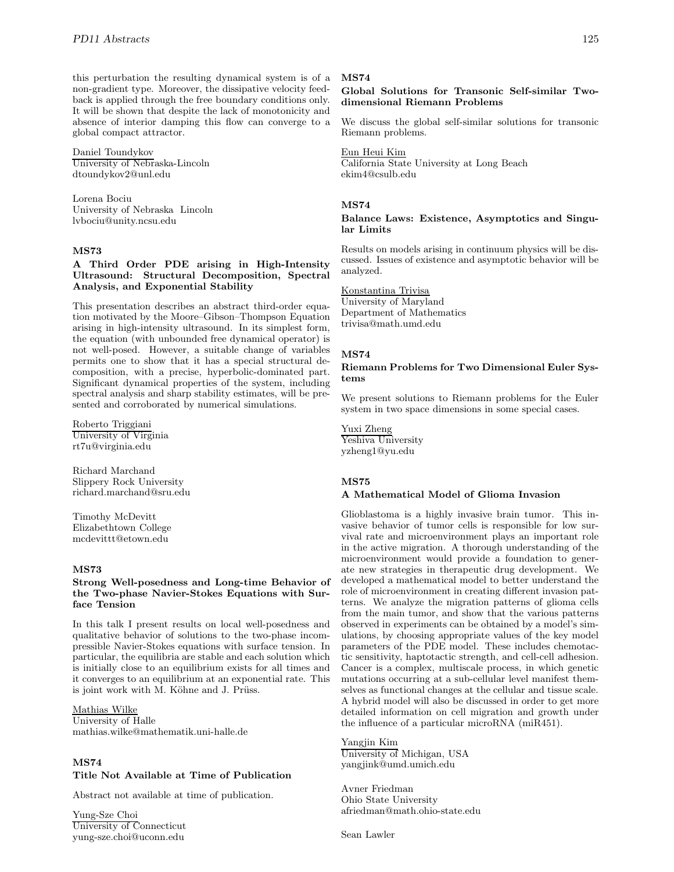this perturbation the resulting dynamical system is of a non-gradient type. Moreover, the dissipative velocity feedback is applied through the free boundary conditions only. It will be shown that despite the lack of monotonicity and absence of interior damping this flow can converge to a global compact attractor.

Daniel Toundykov University of Nebraska-Lincoln dtoundykov2@unl.edu

Lorena Bociu University of Nebraska Lincoln lvbociu@unity.ncsu.edu

# **MS73**

### **A Third Order PDE arising in High-Intensity Ultrasound: Structural Decomposition, Spectral Analysis, and Exponential Stability**

This presentation describes an abstract third-order equation motivated by the Moore–Gibson–Thompson Equation arising in high-intensity ultrasound. In its simplest form, the equation (with unbounded free dynamical operator) is not well-posed. However, a suitable change of variables permits one to show that it has a special structural decomposition, with a precise, hyperbolic-dominated part. Significant dynamical properties of the system, including spectral analysis and sharp stability estimates, will be presented and corroborated by numerical simulations.

Roberto Triggiani University of Virginia rt7u@virginia.edu

Richard Marchand Slippery Rock University richard.marchand@sru.edu

Timothy McDevitt Elizabethtown College mcdevittt@etown.edu

# **MS73**

### **Strong Well-posedness and Long-time Behavior of the Two-phase Navier-Stokes Equations with Surface Tension**

In this talk I present results on local well-posedness and qualitative behavior of solutions to the two-phase incompressible Navier-Stokes equations with surface tension. In particular, the equilibria are stable and each solution which is initially close to an equilibrium exists for all times and it converges to an equilibrium at an exponential rate. This is joint work with M. Köhne and J. Prüss.

## Mathias Wilke

University of Halle mathias.wilke@mathematik.uni-halle.de

# **MS74**

# **Title Not Available at Time of Publication**

Abstract not available at time of publication.

Yung-Sze Choi University of Connecticut yung-sze.choi@uconn.edu

#### **MS74**

# **Global Solutions for Transonic Self-similar Twodimensional Riemann Problems**

We discuss the global self-similar solutions for transonic Riemann problems.

#### Eun Heui Kim

California State University at Long Beach ekim4@csulb.edu

# **MS74**

**Balance Laws: Existence, Asymptotics and Singular Limits**

Results on models arising in continuum physics will be discussed. Issues of existence and asymptotic behavior will be analyzed.

# Konstantina Trivisa

University of Maryland Department of Mathematics trivisa@math.umd.edu

#### **MS74**

#### **Riemann Problems for Two Dimensional Euler Systems**

We present solutions to Riemann problems for the Euler system in two space dimensions in some special cases.

Yuxi Zheng Yeshiva University yzheng1@yu.edu

#### **MS75**

#### **A Mathematical Model of Glioma Invasion**

Glioblastoma is a highly invasive brain tumor. This invasive behavior of tumor cells is responsible for low survival rate and microenvironment plays an important role in the active migration. A thorough understanding of the microenvironment would provide a foundation to generate new strategies in therapeutic drug development. We developed a mathematical model to better understand the role of microenvironment in creating different invasion patterns. We analyze the migration patterns of glioma cells from the main tumor, and show that the various patterns observed in experiments can be obtained by a model's simulations, by choosing appropriate values of the key model parameters of the PDE model. These includes chemotactic sensitivity, haptotactic strength, and cell-cell adhesion. Cancer is a complex, multiscale process, in which genetic mutations occurring at a sub-cellular level manifest themselves as functional changes at the cellular and tissue scale. A hybrid model will also be discussed in order to get more detailed information on cell migration and growth under the influence of a particular microRNA (miR451).

Yangjin Kim University of Michigan, USA yangjink@umd.umich.edu

Avner Friedman Ohio State University afriedman@math.ohio-state.edu

Sean Lawler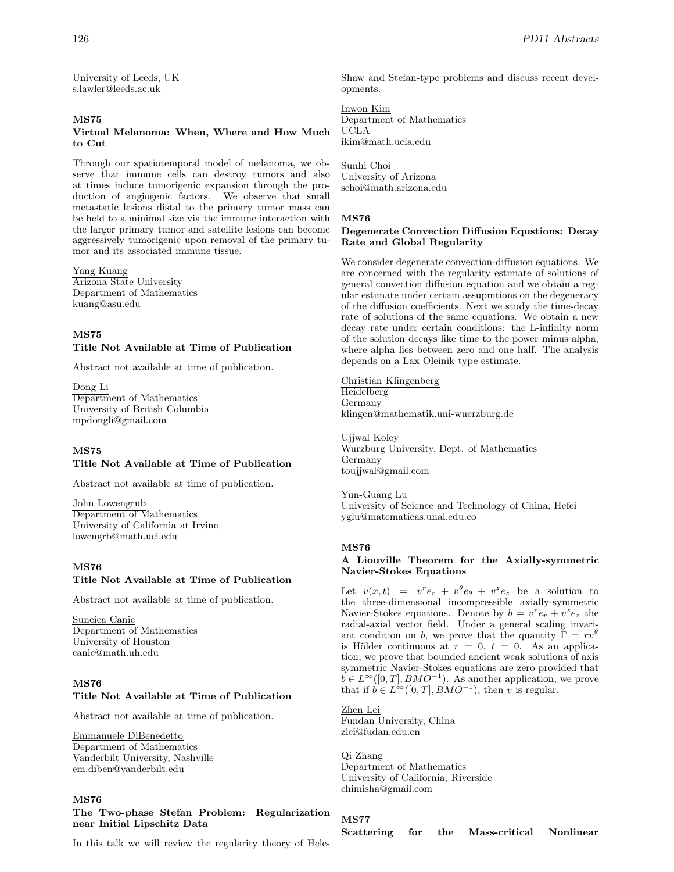University of Leeds, UK s.lawler@leeds.ac.uk

# **MS75**

# **Virtual Melanoma: When, Where and How Much to Cut**

Through our spatiotemporal model of melanoma, we observe that immune cells can destroy tumors and also at times induce tumorigenic expansion through the production of angiogenic factors. We observe that small metastatic lesions distal to the primary tumor mass can be held to a minimal size via the immune interaction with the larger primary tumor and satellite lesions can become aggressively tumorigenic upon removal of the primary tumor and its associated immune tissue.

# Yang Kuang

Arizona State University Department of Mathematics kuang@asu.edu

# **MS75**

### **Title Not Available at Time of Publication**

Abstract not available at time of publication.

Dong Li Department of Mathematics University of British Columbia mpdongli@gmail.com

# **MS75**

# **Title Not Available at Time of Publication**

Abstract not available at time of publication.

John Lowengrub Department of Mathematics University of California at Irvine lowengrb@math.uci.edu

### **MS76**

# **Title Not Available at Time of Publication**

Abstract not available at time of publication.

Suncica Canic Department of Mathematics University of Houston canic@math.uh.edu

# **MS76**

# **Title Not Available at Time of Publication**

Abstract not available at time of publication.

### Emmanuele DiBenedetto

Department of Mathematics Vanderbilt University, Nashville em.diben@vanderbilt.edu

### **MS76**

**The Two-phase Stefan Problem: Regularization near Initial Lipschitz Data**

In this talk we will review the regularity theory of Hele-

Shaw and Stefan-type problems and discuss recent developments.

#### Inwon Kim Department of Mathematics UCLA

ikim@math.ucla.edu

Sunhi Choi University of Arizona schoi@math.arizona.edu

# **MS76**

### **Degenerate Convection Diffusion Equstions: Decay Rate and Global Regularity**

We consider degenerate convection-diffusion equations. We are concerned with the regularity estimate of solutions of general convection diffusion equation and we obtain a regular estimate under certain assupmtions on the degeneracy of the diffusion coefficients. Next we study the time-decay rate of solutions of the same equations. We obtain a new decay rate under certain conditions: the L-infinity norm of the solution decays like time to the power minus alpha, where alpha lies between zero and one half. The analysis depends on a Lax Oleinik type estimate.

Christian Klingenberg Heidelberg Germany klingen@mathematik.uni-wuerzburg.de

Ujjwal Koley Wurzburg University, Dept. of Mathematics Germany toujjwal@gmail.com

Yun-Guang Lu University of Science and Technology of China, Hefei yglu@matematicas.unal.edu.co

# **MS76**

### **A Liouville Theorem for the Axially-symmetric Navier-Stokes Equations**

Let  $v(x,t) = v^r e_r + v^\theta e_\theta + v^z e_z$  be a solution to the three-dimensional incompressible axially-symmetric Navier-Stokes equations. Denote by  $b = v^r e_r + v^z e_z$  the radial-axial vector field. Under a general scaling invariant condition on b, we prove that the quantity  $\Gamma = r v^{\theta}$ is Hölder continuous at  $r = 0$ ,  $t = 0$ . As an application, we prove that bounded ancient weak solutions of axis symmetric Navier-Stokes equations are zero provided that  $b \in L^{\infty}([0, T], BMO^{-1})$ . As another application, we prove that if  $b \in L^{\infty}([0, T], BMO^{-1})$ , then v is regular.

# Zhen Lei

Fundan University, China zlei@fudan.edu.cn

Qi Zhang Department of Mathematics University of California, Riverside chimisha@gmail.com

#### **MS77**

**Scattering for the Mass-critical Nonlinear**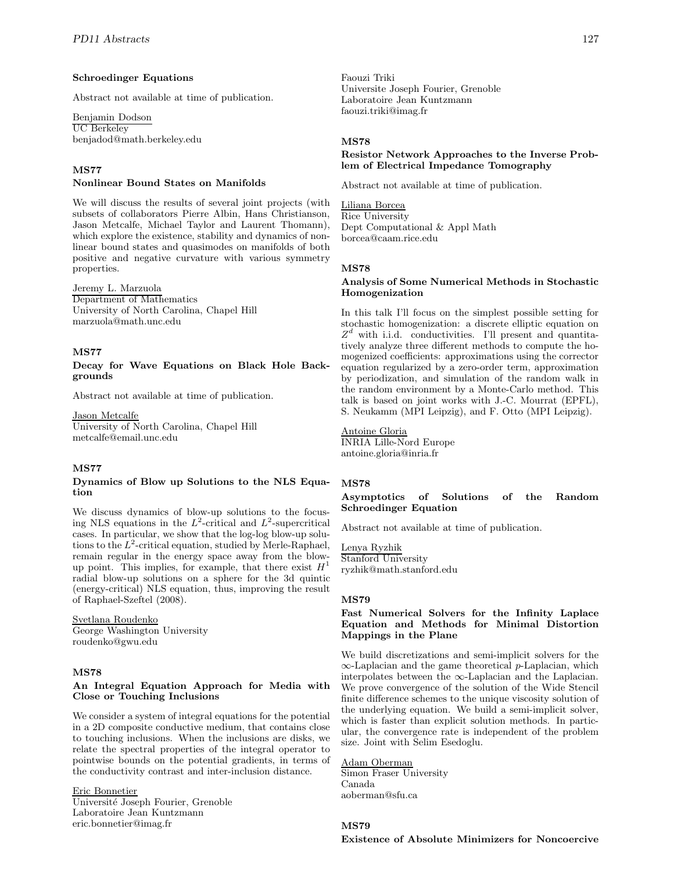# **Schroedinger Equations**

Abstract not available at time of publication.

Benjamin Dodson UC Berkeley benjadod@math.berkeley.edu

# **MS77**

#### **Nonlinear Bound States on Manifolds**

We will discuss the results of several joint projects (with subsets of collaborators Pierre Albin, Hans Christianson, Jason Metcalfe, Michael Taylor and Laurent Thomann), which explore the existence, stability and dynamics of nonlinear bound states and quasimodes on manifolds of both positive and negative curvature with various symmetry properties.

# Jeremy L. Marzuola

Department of Mathematics University of North Carolina, Chapel Hill marzuola@math.unc.edu

# **MS77**

**Decay for Wave Equations on Black Hole Backgrounds**

Abstract not available at time of publication.

Jason Metcalfe

University of North Carolina, Chapel Hill metcalfe@email.unc.edu

# **MS77**

#### **Dynamics of Blow up Solutions to the NLS Equation**

We discuss dynamics of blow-up solutions to the focusing NLS equations in the  $L^2$ -critical and  $L^2$ -supercritical cases. In particular, we show that the log-log blow-up solutions to the  $L^2$ -critical equation, studied by Merle-Raphael, remain regular in the energy space away from the blowup point. This implies, for example, that there exist  $H<sup>1</sup>$ radial blow-up solutions on a sphere for the 3d quintic (energy-critical) NLS equation, thus, improving the result of Raphael-Szeftel (2008).

Svetlana Roudenko George Washington University roudenko@gwu.edu

# **MS78**

### **An Integral Equation Approach for Media with Close or Touching Inclusions**

We consider a system of integral equations for the potential in a 2D composite conductive medium, that contains close to touching inclusions. When the inclusions are disks, we relate the spectral properties of the integral operator to pointwise bounds on the potential gradients, in terms of the conductivity contrast and inter-inclusion distance.

Eric Bonnetier Université Joseph Fourier, Grenoble Laboratoire Jean Kuntzmann eric.bonnetier@imag.fr

Faouzi Triki Universite Joseph Fourier, Grenoble Laboratoire Jean Kuntzmann faouzi.triki@imag.fr

### **MS78**

# **Resistor Network Approaches to the Inverse Problem of Electrical Impedance Tomography**

Abstract not available at time of publication.

Liliana Borcea Rice University Dept Computational & Appl Math borcea@caam.rice.edu

#### **MS78**

# **Analysis of Some Numerical Methods in Stochastic Homogenization**

In this talk I'll focus on the simplest possible setting for stochastic homogenization: a discrete elliptic equation on  $Z^d$  with i.i.d. conductivities. I'll present and quantitatively analyze three different methods to compute the homogenized coefficients: approximations using the corrector equation regularized by a zero-order term, approximation by periodization, and simulation of the random walk in the random environment by a Monte-Carlo method. This talk is based on joint works with J.-C. Mourrat (EPFL), S. Neukamm (MPI Leipzig), and F. Otto (MPI Leipzig).

# Antoine Gloria

INRIA Lille-Nord Europe antoine.gloria@inria.fr

#### **MS78**

**Asymptotics of Solutions of the Random Schroedinger Equation**

Abstract not available at time of publication.

Lenya Ryzhik Stanford University ryzhik@math.stanford.edu

### **MS79**

### **Fast Numerical Solvers for the Infinity Laplace Equation and Methods for Minimal Distortion Mappings in the Plane**

We build discretizations and semi-implicit solvers for the  $\infty$ -Laplacian and the game theoretical p-Laplacian, which interpolates between the ∞-Laplacian and the Laplacian. We prove convergence of the solution of the Wide Stencil finite difference schemes to the unique viscosity solution of the underlying equation. We build a semi-implicit solver, which is faster than explicit solution methods. In particular, the convergence rate is independent of the problem size. Joint with Selim Esedoglu.

# Adam Oberman

Simon Fraser University Canada aoberman@sfu.ca

# **MS79**

**Existence of Absolute Minimizers for Noncoercive**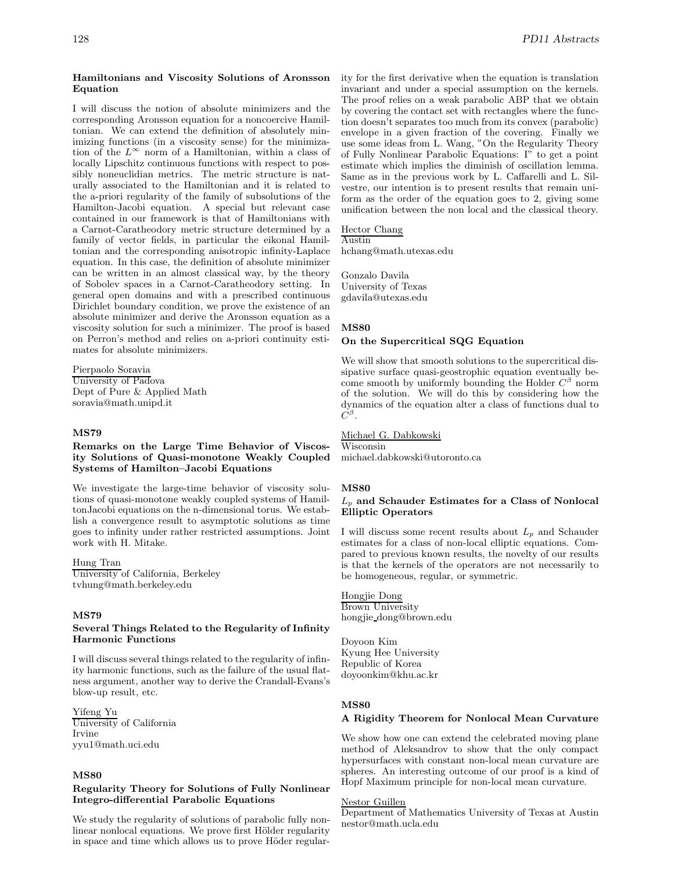#### **Hamiltonians and Viscosity Solutions of Aronsson Equation**

I will discuss the notion of absolute minimizers and the corresponding Aronsson equation for a noncoercive Hamiltonian. We can extend the definition of absolutely minimizing functions (in a viscosity sense) for the minimization of the  $L^{\infty}$  norm of a Hamiltonian, within a class of locally Lipschitz continuous functions with respect to possibly noneuclidian metrics. The metric structure is naturally associated to the Hamiltonian and it is related to the a-priori regularity of the family of subsolutions of the Hamilton-Jacobi equation. A special but relevant case contained in our framework is that of Hamiltonians with a Carnot-Caratheodory metric structure determined by a family of vector fields, in particular the eikonal Hamiltonian and the corresponding anisotropic infinity-Laplace equation. In this case, the definition of absolute minimizer can be written in an almost classical way, by the theory of Sobolev spaces in a Carnot-Caratheodory setting. In general open domains and with a prescribed continuous Dirichlet boundary condition, we prove the existence of an absolute minimizer and derive the Aronsson equation as a viscosity solution for such a minimizer. The proof is based on Perron's method and relies on a-priori continuity estimates for absolute minimizers.

Pierpaolo Soravia University of Padova Dept of Pure & Applied Math soravia@math.unipd.it

### **MS79**

#### **Remarks on the Large Time Behavior of Viscosity Solutions of Quasi-monotone Weakly Coupled Systems of Hamilton–Jacobi Equations**

We investigate the large-time behavior of viscosity solutions of quasi-monotone weakly coupled systems of HamiltonJacobi equations on the n-dimensional torus. We establish a convergence result to asymptotic solutions as time goes to infinity under rather restricted assumptions. Joint work with H. Mitake.

#### Hung Tran

University of California, Berkeley tvhung@math.berkeley.edu

#### **MS79**

### **Several Things Related to the Regularity of Infinity Harmonic Functions**

I will discuss several things related to the regularity of infinity harmonic functions, such as the failure of the usual flatness argument, another way to derive the Crandall-Evans's blow-up result, etc.

# Yifeng Yu

University of California Irvine yyu1@math.uci.edu

# **MS80**

#### **Regularity Theory for Solutions of Fully Nonlinear Integro-differential Parabolic Equations**

We study the regularity of solutions of parabolic fully nonlinear nonlocal equations. We prove first Hölder regularity in space and time which allows us to prove Höder regularity for the first derivative when the equation is translation invariant and under a special assumption on the kernels. The proof relies on a weak parabolic ABP that we obtain by covering the contact set with rectangles where the function doesn't separates too much from its convex (parabolic) envelope in a given fraction of the covering. Finally we use some ideas from L. Wang, "On the Regularity Theory of Fully Nonlinear Parabolic Equations: I" to get a point estimate which implies the diminish of oscillation lemma. Same as in the previous work by L. Caffarelli and L. Silvestre, our intention is to present results that remain uniform as the order of the equation goes to 2, giving some unification between the non local and the classical theory.

# Hector Chang

Austin hchang@math.utexas.edu

Gonzalo Davila University of Texas gdavila@utexas.edu

# **MS80**

#### **On the Supercritical SQG Equation**

We will show that smooth solutions to the supercritical dissipative surface quasi-geostrophic equation eventually become smooth by uniformly bounding the Holder  $C^\beta$  norm of the solution. We will do this by considering how the dynamics of the equation alter a class of functions dual to  $C^{\beta}$ .

Michael G. Dabkowski Wisconsin michael.dabkowski@utoronto.ca

#### **MS80**

#### L<sup>p</sup> **and Schauder Estimates for a Class of Nonlocal Elliptic Operators**

I will discuss some recent results about  $L_p$  and Schauder estimates for a class of non-local elliptic equations. Compared to previous known results, the novelty of our results is that the kernels of the operators are not necessarily to be homogeneous, regular, or symmetric.

Hongjie Dong Brown University hongjie dong@brown.edu

Doyoon Kim Kyung Hee University Republic of Korea doyoonkim@khu.ac.kr

#### **MS80**

# **A Rigidity Theorem for Nonlocal Mean Curvature**

We show how one can extend the celebrated moving plane method of Aleksandrov to show that the only compact hypersurfaces with constant non-local mean curvature are spheres. An interesting outcome of our proof is a kind of Hopf Maximum principle for non-local mean curvature.

#### Nestor Guillen

Department of Mathematics University of Texas at Austin nestor@math.ucla.edu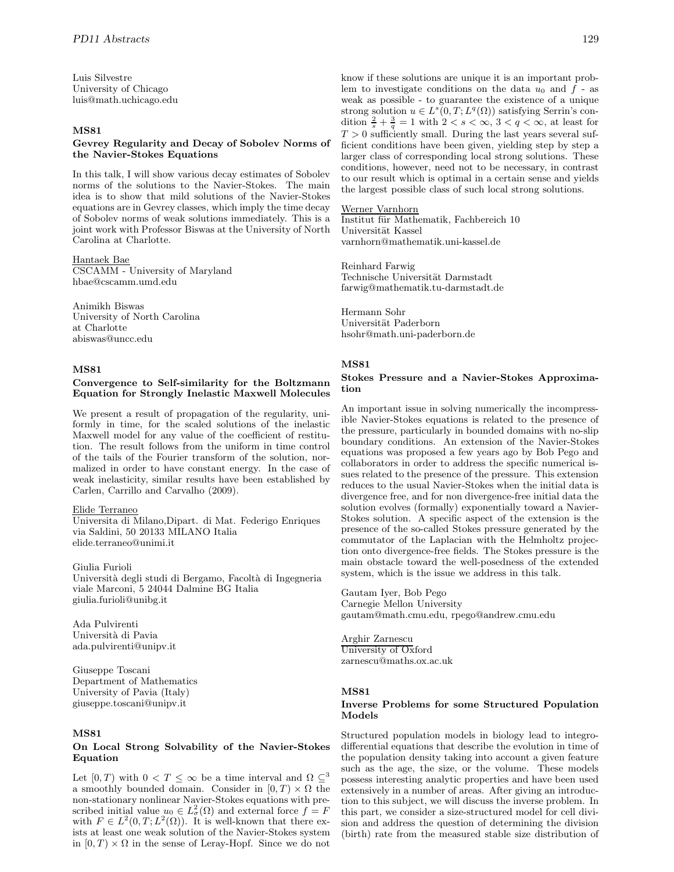Luis Silvestre University of Chicago luis@math.uchicago.edu

# **MS81**

### **Gevrey Regularity and Decay of Sobolev Norms of the Navier-Stokes Equations**

In this talk, I will show various decay estimates of Sobolev norms of the solutions to the Navier-Stokes. The main idea is to show that mild solutions of the Navier-Stokes equations are in Gevrey classes, which imply the time decay of Sobolev norms of weak solutions immediately. This is a joint work with Professor Biswas at the University of North Carolina at Charlotte.

# Hantaek Bae

CSCAMM - University of Maryland hbae@cscamm.umd.edu

Animikh Biswas University of North Carolina at Charlotte abiswas@uncc.edu

# **MS81**

#### **Convergence to Self-similarity for the Boltzmann Equation for Strongly Inelastic Maxwell Molecules**

We present a result of propagation of the regularity, uniformly in time, for the scaled solutions of the inelastic Maxwell model for any value of the coefficient of restitution. The result follows from the uniform in time control of the tails of the Fourier transform of the solution, normalized in order to have constant energy. In the case of weak inelasticity, similar results have been established by Carlen, Carrillo and Carvalho (2009).

#### Elide Terraneo

Universita di Milano,Dipart. di Mat. Federigo Enriques via Saldini, 50 20133 MILANO Italia elide.terraneo@unimi.it

Giulia Furioli Universit`a degli studi di Bergamo, Facolt`a di Ingegneria viale Marconi, 5 24044 Dalmine BG Italia giulia.furioli@unibg.it

Ada Pulvirenti Universit`a di Pavia ada.pulvirenti@unipv.it

Giuseppe Toscani Department of Mathematics University of Pavia (Italy) giuseppe.toscani@unipv.it

# **MS81**

#### **On Local Strong Solvability of the Navier-Stokes Equation**

Let  $[0, T)$  with  $0 < T \leq \infty$  be a time interval and  $\Omega \subseteq^3$ a smoothly bounded domain. Consider in  $[0, T] \times \Omega$  the non-stationary nonlinear Navier-Stokes equations with prescribed initial value  $u_0 \in L^2_{\sigma}(\Omega)$  and external force  $f = F$ with  $F \in L^2(0,T; L^2(\Omega))$ . It is well-known that there exists at least one weak solution of the Navier-Stokes system in  $[0, T] \times \Omega$  in the sense of Leray-Hopf. Since we do not know if these solutions are unique it is an important problem to investigate conditions on the data  $u_0$  and  $f$  - as weak as possible - to guarantee the existence of a unique strong solution  $u \in L^s(0,T;L^q(\Omega))$  satisfying Serrin's condition  $\frac{2}{s} + \frac{3}{q} = 1$  with  $2 < s < \infty$ ,  $3 < q < \infty$ , at least for  $T > 0$  sufficiently small. During the last years several sufficient conditions have been given, yielding step by step a larger class of corresponding local strong solutions. These conditions, however, need not to be necessary, in contrast to our result which is optimal in a certain sense and yields the largest possible class of such local strong solutions.

#### Werner Varnhorn

Institut für Mathematik, Fachbereich 10 Universität Kassel varnhorn@mathematik.uni-kassel.de

Reinhard Farwig Technische Universität Darmstadt farwig@mathematik.tu-darmstadt.de

Hermann Sohr Universität Paderborn hsohr@math.uni-paderborn.de

# **MS81**

#### **Stokes Pressure and a Navier-Stokes Approximation**

An important issue in solving numerically the incompressible Navier-Stokes equations is related to the presence of the pressure, particularly in bounded domains with no-slip boundary conditions. An extension of the Navier-Stokes equations was proposed a few years ago by Bob Pego and collaborators in order to address the specific numerical issues related to the presence of the pressure. This extension reduces to the usual Navier-Stokes when the initial data is divergence free, and for non divergence-free initial data the solution evolves (formally) exponentially toward a Navier-Stokes solution. A specific aspect of the extension is the presence of the so-called Stokes pressure generated by the commutator of the Laplacian with the Helmholtz projection onto divergence-free fields. The Stokes pressure is the main obstacle toward the well-posedness of the extended system, which is the issue we address in this talk.

Gautam Iyer, Bob Pego Carnegie Mellon University gautam@math.cmu.edu, rpego@andrew.cmu.edu

Arghir Zarnescu University of Oxford zarnescu@maths.ox.ac.uk

# **MS81**

# **Inverse Problems for some Structured Population Models**

Structured population models in biology lead to integrodifferential equations that describe the evolution in time of the population density taking into account a given feature such as the age, the size, or the volume. These models possess interesting analytic properties and have been used extensively in a number of areas. After giving an introduction to this subject, we will discuss the inverse problem. In this part, we consider a size-structured model for cell division and address the question of determining the division (birth) rate from the measured stable size distribution of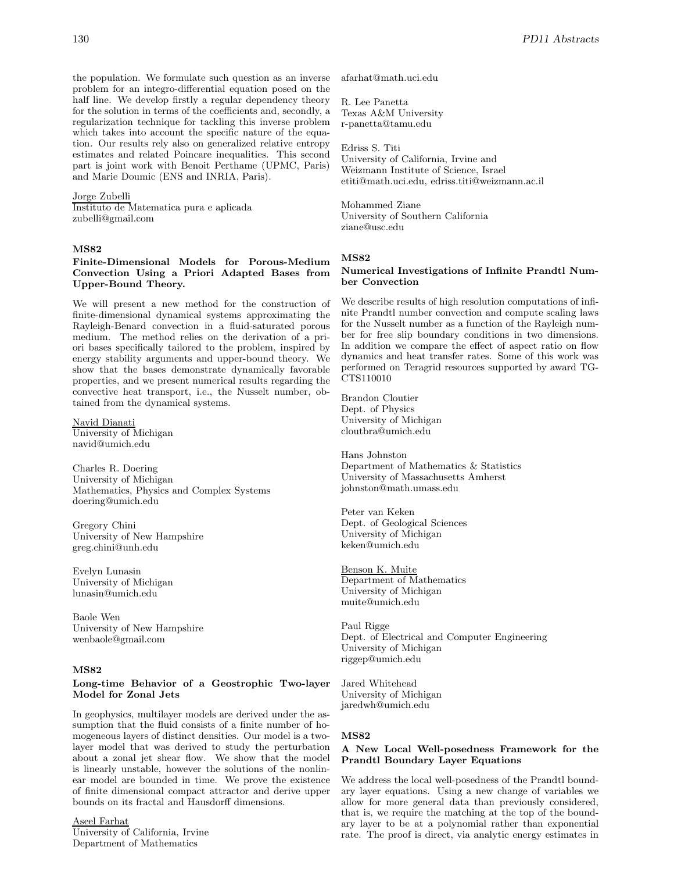the population. We formulate such question as an inverse problem for an integro-differential equation posed on the half line. We develop firstly a regular dependency theory for the solution in terms of the coefficients and, secondly, a regularization technique for tackling this inverse problem which takes into account the specific nature of the equation. Our results rely also on generalized relative entropy estimates and related Poincare inequalities. This second part is joint work with Benoit Perthame (UPMC, Paris) and Marie Doumic (ENS and INRIA, Paris).

#### Jorge Zubelli

Instituto de Matematica pura e aplicada zubelli@gmail.com

#### **MS82**

# **Finite-Dimensional Models for Porous-Medium Convection Using a Priori Adapted Bases from Upper-Bound Theory.**

We will present a new method for the construction of finite-dimensional dynamical systems approximating the Rayleigh-Benard convection in a fluid-saturated porous medium. The method relies on the derivation of a priori bases specifically tailored to the problem, inspired by energy stability arguments and upper-bound theory. We show that the bases demonstrate dynamically favorable properties, and we present numerical results regarding the convective heat transport, i.e., the Nusselt number, obtained from the dynamical systems.

Navid Dianati University of Michigan navid@umich.edu

Charles R. Doering University of Michigan Mathematics, Physics and Complex Systems doering@umich.edu

Gregory Chini University of New Hampshire greg.chini@unh.edu

Evelyn Lunasin University of Michigan lunasin@umich.edu

Baole Wen University of New Hampshire wenbaole@gmail.com

#### **MS82**

# **Long-time Behavior of a Geostrophic Two-layer Model for Zonal Jets**

In geophysics, multilayer models are derived under the assumption that the fluid consists of a finite number of homogeneous layers of distinct densities. Our model is a twolayer model that was derived to study the perturbation about a zonal jet shear flow. We show that the model is linearly unstable, however the solutions of the nonlinear model are bounded in time. We prove the existence of finite dimensional compact attractor and derive upper bounds on its fractal and Hausdorff dimensions.

Aseel Farhat University of California, Irvine Department of Mathematics

afarhat@math.uci.edu

R. Lee Panetta Texas A&M University r-panetta@tamu.edu

#### Edriss S. Titi

University of California, Irvine and Weizmann Institute of Science, Israel etiti@math.uci.edu, edriss.titi@weizmann.ac.il

Mohammed Ziane University of Southern California ziane@usc.edu

#### **MS82**

# **Numerical Investigations of Infinite Prandtl Number Convection**

We describe results of high resolution computations of infinite Prandtl number convection and compute scaling laws for the Nusselt number as a function of the Rayleigh number for free slip boundary conditions in two dimensions. In addition we compare the effect of aspect ratio on flow dynamics and heat transfer rates. Some of this work was performed on Teragrid resources supported by award TG-CTS110010

Brandon Cloutier Dept. of Physics University of Michigan cloutbra@umich.edu

Hans Johnston Department of Mathematics & Statistics University of Massachusetts Amherst johnston@math.umass.edu

Peter van Keken Dept. of Geological Sciences University of Michigan keken@umich.edu

Benson K. Muite Department of Mathematics University of Michigan muite@umich.edu

Paul Rigge Dept. of Electrical and Computer Engineering University of Michigan riggep@umich.edu

Jared Whitehead University of Michigan jaredwh@umich.edu

#### **MS82**

# **A New Local Well-posedness Framework for the Prandtl Boundary Layer Equations**

We address the local well-posedness of the Prandtl boundary layer equations. Using a new change of variables we allow for more general data than previously considered, that is, we require the matching at the top of the boundary layer to be at a polynomial rather than exponential rate. The proof is direct, via analytic energy estimates in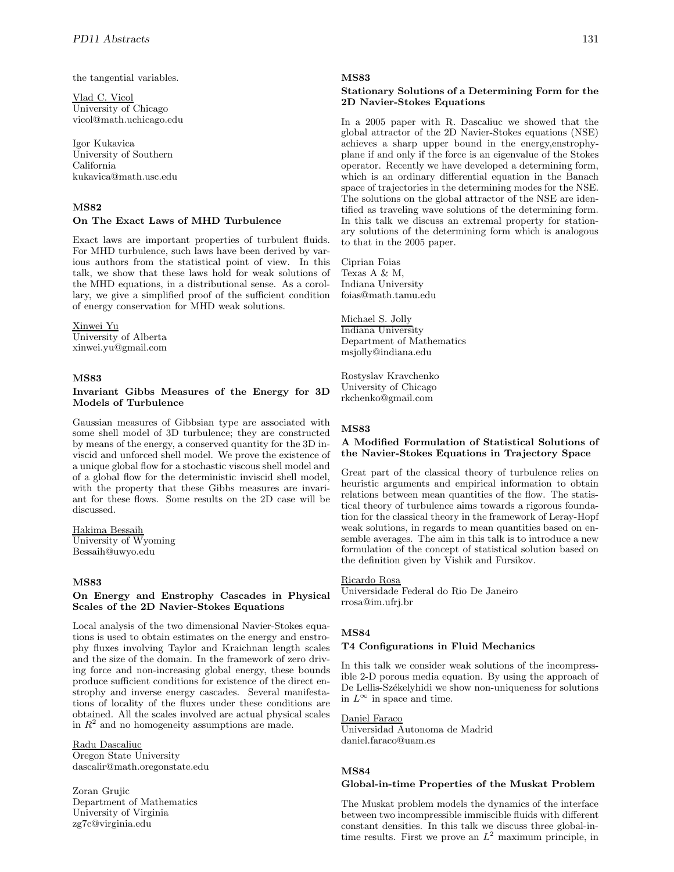the tangential variables.

Vlad C. Vicol University of Chicago vicol@math.uchicago.edu

Igor Kukavica University of Southern California kukavica@math.usc.edu

# **MS82**

#### **On The Exact Laws of MHD Turbulence**

Exact laws are important properties of turbulent fluids. For MHD turbulence, such laws have been derived by various authors from the statistical point of view. In this talk, we show that these laws hold for weak solutions of the MHD equations, in a distributional sense. As a corollary, we give a simplified proof of the sufficient condition of energy conservation for MHD weak solutions.

#### Xinwei Yu

University of Alberta xinwei.yu@gmail.com

# **MS83**

# **Invariant Gibbs Measures of the Energy for 3D Models of Turbulence**

Gaussian measures of Gibbsian type are associated with some shell model of 3D turbulence; they are constructed by means of the energy, a conserved quantity for the 3D inviscid and unforced shell model. We prove the existence of a unique global flow for a stochastic viscous shell model and of a global flow for the deterministic inviscid shell model, with the property that these Gibbs measures are invariant for these flows. Some results on the 2D case will be discussed.

Hakima Bessaih University of Wyoming Bessaih@uwyo.edu

# **MS83**

#### **On Energy and Enstrophy Cascades in Physical Scales of the 2D Navier-Stokes Equations**

Local analysis of the two dimensional Navier-Stokes equations is used to obtain estimates on the energy and enstrophy fluxes involving Taylor and Kraichnan length scales and the size of the domain. In the framework of zero driving force and non-increasing global energy, these bounds produce sufficient conditions for existence of the direct enstrophy and inverse energy cascades. Several manifestations of locality of the fluxes under these conditions are obtained. All the scales involved are actual physical scales in  $R<sup>2</sup>$  and no homogeneity assumptions are made.

# Radu Dascaliuc

Oregon State University dascalir@math.oregonstate.edu

Zoran Grujic Department of Mathematics University of Virginia zg7c@virginia.edu

#### **MS83**

### **Stationary Solutions of a Determining Form for the 2D Navier-Stokes Equations**

In a 2005 paper with R. Dascaliuc we showed that the global attractor of the 2D Navier-Stokes equations (NSE) achieves a sharp upper bound in the energy,enstrophyplane if and only if the force is an eigenvalue of the Stokes operator. Recently we have developed a determining form, which is an ordinary differential equation in the Banach space of trajectories in the determining modes for the NSE. The solutions on the global attractor of the NSE are identified as traveling wave solutions of the determining form. In this talk we discuss an extremal property for stationary solutions of the determining form which is analogous to that in the 2005 paper.

Ciprian Foias Texas A & M, Indiana University foias@math.tamu.edu

Michael S. Jolly Indiana University Department of Mathematics msjolly@indiana.edu

Rostyslav Kravchenko University of Chicago rkchenko@gmail.com

### **MS83**

# **A Modified Formulation of Statistical Solutions of the Navier-Stokes Equations in Trajectory Space**

Great part of the classical theory of turbulence relies on heuristic arguments and empirical information to obtain relations between mean quantities of the flow. The statistical theory of turbulence aims towards a rigorous foundation for the classical theory in the framework of Leray-Hopf weak solutions, in regards to mean quantities based on ensemble averages. The aim in this talk is to introduce a new formulation of the concept of statistical solution based on the definition given by Vishik and Fursikov.

# Ricardo Rosa

Universidade Federal do Rio De Janeiro rrosa@im.ufrj.br

#### **MS84**

# **T4 Configurations in Fluid Mechanics**

In this talk we consider weak solutions of the incompressible 2-D porous media equation. By using the approach of De Lellis-Székelyhidi we show non-uniqueness for solutions in  $L^{\infty}$  in space and time.

### Daniel Faraco

Universidad Autonoma de Madrid daniel.faraco@uam.es

# **MS84**

#### **Global-in-time Properties of the Muskat Problem**

The Muskat problem models the dynamics of the interface between two incompressible immiscible fluids with different constant densities. In this talk we discuss three global-intime results. First we prove an  $L^2$  maximum principle, in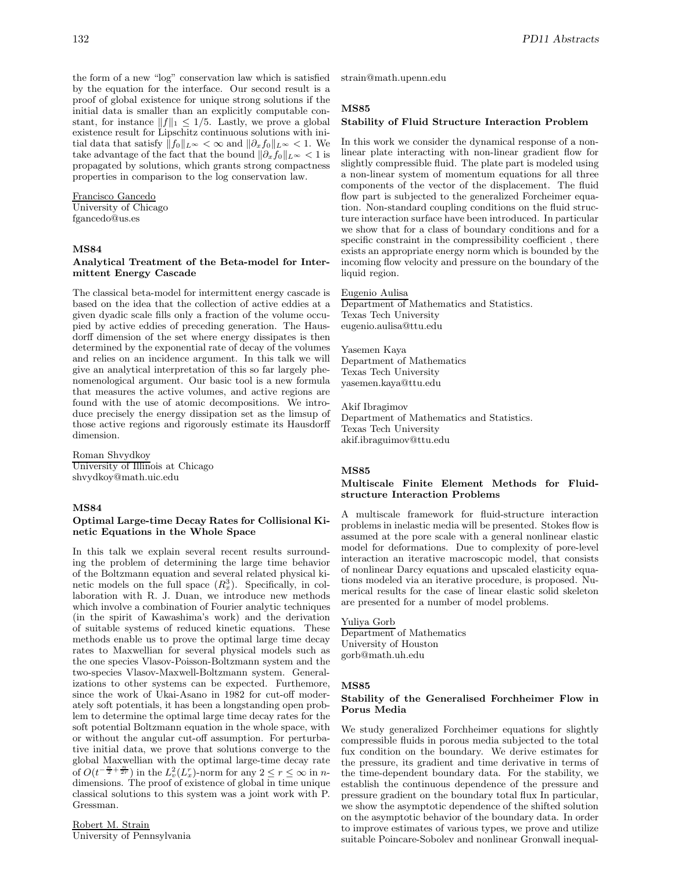the form of a new "log" conservation law which is satisfied by the equation for the interface. Our second result is a proof of global existence for unique strong solutions if the initial data is smaller than an explicitly computable constant, for instance  $||f||_1 \leq 1/5$ . Lastly, we prove a global existence result for Lipschitz continuous solutions with initial data that satisfy  $||f_0||_{L^{\infty}} < \infty$  and  $||\partial_x f_0||_{L^{\infty}} < 1$ . We take advantage of the fact that the bound  $\|\partial_x f_0\|_{L^{\infty}} < 1$  is propagated by solutions, which grants strong compactness properties in comparison to the log conservation law.

Francisco Gancedo University of Chicago fgancedo@us.es

#### **MS84**

# **Analytical Treatment of the Beta-model for Intermittent Energy Cascade**

The classical beta-model for intermittent energy cascade is based on the idea that the collection of active eddies at a given dyadic scale fills only a fraction of the volume occupied by active eddies of preceding generation. The Hausdorff dimension of the set where energy dissipates is then determined by the exponential rate of decay of the volumes and relies on an incidence argument. In this talk we will give an analytical interpretation of this so far largely phenomenological argument. Our basic tool is a new formula that measures the active volumes, and active regions are found with the use of atomic decompositions. We introduce precisely the energy dissipation set as the limsup of those active regions and rigorously estimate its Hausdorff dimension.

Roman Shvydkoy University of Illinois at Chicago shvydkoy@math.uic.edu

# **MS84**

# **Optimal Large-time Decay Rates for Collisional Kinetic Equations in the Whole Space**

In this talk we explain several recent results surrounding the problem of determining the large time behavior of the Boltzmann equation and several related physical kinetic models on the full space  $(R_x^3)$ . Specifically, in collaboration with R. J. Duan, we introduce new methods which involve a combination of Fourier analytic techniques (in the spirit of Kawashima's work) and the derivation of suitable systems of reduced kinetic equations. These methods enable us to prove the optimal large time decay rates to Maxwellian for several physical models such as the one species Vlasov-Poisson-Boltzmann system and the two-species Vlasov-Maxwell-Boltzmann system. Generalizations to other systems can be expected. Furthemore, since the work of Ukai-Asano in 1982 for cut-off moderately soft potentials, it has been a longstanding open problem to determine the optimal large time decay rates for the soft potential Boltzmann equation in the whole space, with or without the angular cut-off assumption. For perturbative initial data, we prove that solutions converge to the global Maxwellian with the optimal large-time decay rate of  $O(t^{-\frac{n}{2} + \frac{n}{2r}})$  in the  $L^2_v(L_x^r)$ -norm for any  $2 \le r \le \infty$  in ndimensions. The proof of existence of global in time unique classical solutions to this system was a joint work with P. Gressman.

Robert M. Strain University of Pennsylvania strain@math.upenn.edu

# **MS85**

#### **Stability of Fluid Structure Interaction Problem**

In this work we consider the dynamical response of a nonlinear plate interacting with non-linear gradient flow for slightly compressible fluid. The plate part is modeled using a non-linear system of momentum equations for all three components of the vector of the displacement. The fluid flow part is subjected to the generalized Forcheimer equation. Non-standard coupling conditions on the fluid structure interaction surface have been introduced. In particular we show that for a class of boundary conditions and for a specific constraint in the compressibility coefficient, there exists an appropriate energy norm which is bounded by the incoming flow velocity and pressure on the boundary of the liquid region.

#### Eugenio Aulisa

Department of Mathematics and Statistics. Texas Tech University eugenio.aulisa@ttu.edu

Yasemen Kaya Department of Mathematics Texas Tech University yasemen.kaya@ttu.edu

Akif Ibragimov Department of Mathematics and Statistics. Texas Tech University akif.ibraguimov@ttu.edu

# **MS85**

#### **Multiscale Finite Element Methods for Fluidstructure Interaction Problems**

A multiscale framework for fluid-structure interaction problems in inelastic media will be presented. Stokes flow is assumed at the pore scale with a general nonlinear elastic model for deformations. Due to complexity of pore-level interaction an iterative macroscopic model, that consists of nonlinear Darcy equations and upscaled elasticity equations modeled via an iterative procedure, is proposed. Numerical results for the case of linear elastic solid skeleton are presented for a number of model problems.

# Yuliya Gorb

Department of Mathematics University of Houston gorb@math.uh.edu

#### **MS85**

### **Stability of the Generalised Forchheimer Flow in Porus Media**

We study generalized Forchheimer equations for slightly compressible fluids in porous media subjected to the total fux condition on the boundary. We derive estimates for the pressure, its gradient and time derivative in terms of the time-dependent boundary data. For the stability, we establish the continuous dependence of the pressure and pressure gradient on the boundary total flux In particular, we show the asymptotic dependence of the shifted solution on the asymptotic behavior of the boundary data. In order to improve estimates of various types, we prove and utilize suitable Poincare-Sobolev and nonlinear Gronwall inequal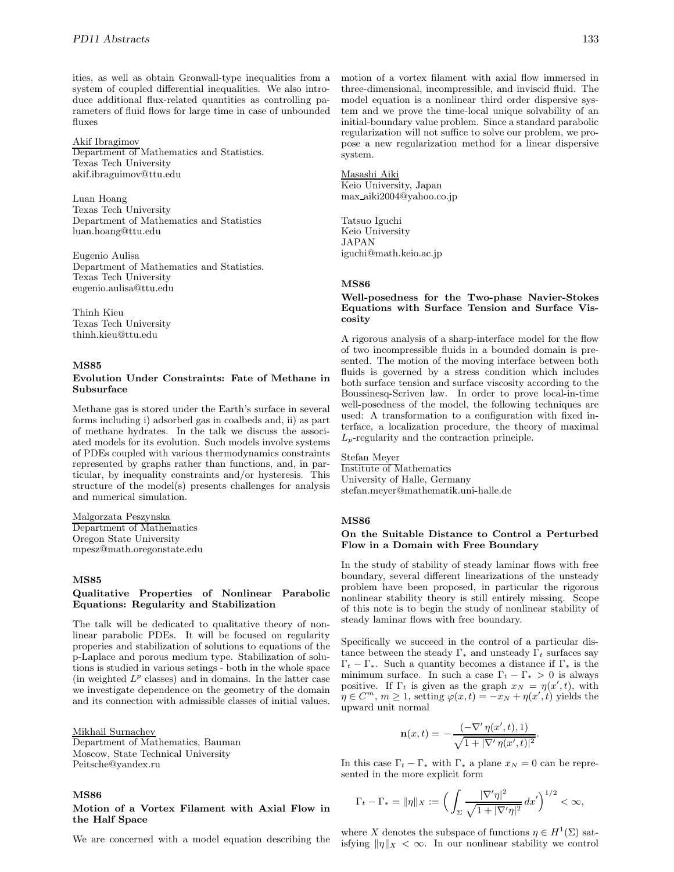ities, as well as obtain Gronwall-type inequalities from a system of coupled differential inequalities. We also introduce additional flux-related quantities as controlling parameters of fluid flows for large time in case of unbounded fluxes

#### Akif Ibragimov

Department of Mathematics and Statistics. Texas Tech University akif.ibraguimov@ttu.edu

Luan Hoang Texas Tech University Department of Mathematics and Statistics luan.hoang@ttu.edu

Eugenio Aulisa Department of Mathematics and Statistics. Texas Tech University eugenio.aulisa@ttu.edu

Thinh Kieu Texas Tech University thinh.kieu@ttu.edu

# **MS85**

## **Evolution Under Constraints: Fate of Methane in Subsurface**

Methane gas is stored under the Earth's surface in several forms including i) adsorbed gas in coalbeds and, ii) as part of methane hydrates. In the talk we discuss the associated models for its evolution. Such models involve systems of PDEs coupled with various thermodynamics constraints represented by graphs rather than functions, and, in particular, by inequality constraints and/or hysteresis. This structure of the model(s) presents challenges for analysis and numerical simulation.

Malgorzata Peszynska Department of Mathematics Oregon State University mpesz@math.oregonstate.edu

#### **MS85**

# **Qualitative Properties of Nonlinear Parabolic Equations: Regularity and Stabilization**

The talk will be dedicated to qualitative theory of nonlinear parabolic PDEs. It will be focused on regularity properies and stabilization of solutions to equations of the p-Laplace and porous medium type. Stabilization of solutions is studied in various setings - both in the whole space (in weighted  $L^p$  classes) and in domains. In the latter case we investigate dependence on the geometry of the domain and its connection with admissible classes of initial values.

Mikhail Surnachev Department of Mathematics, Bauman Moscow, State Technical University Peitsche@yandex.ru

#### **MS86**

### **Motion of a Vortex Filament with Axial Flow in the Half Space**

We are concerned with a model equation describing the

motion of a vortex filament with axial flow immersed in three-dimensional, incompressible, and inviscid fluid. The model equation is a nonlinear third order dispersive system and we prove the time-local unique solvability of an initial-boundary value problem. Since a standard parabolic regularization will not suffice to solve our problem, we propose a new regularization method for a linear dispersive system.

#### Masashi Aiki

Keio University, Japan max aiki2004@yahoo.co.jp

Tatsuo Iguchi Keio University JAPAN iguchi@math.keio.ac.jp

#### **MS86**

### **Well-posedness for the Two-phase Navier-Stokes Equations with Surface Tension and Surface Viscosity**

A rigorous analysis of a sharp-interface model for the flow of two incompressible fluids in a bounded domain is presented. The motion of the moving interface between both fluids is governed by a stress condition which includes both surface tension and surface viscosity according to the Boussinesq-Scriven law. In order to prove local-in-time well-posedness of the model, the following techniques are used: A transformation to a configuration with fixed interface, a localization procedure, the theory of maximal  $L_p$ -regularity and the contraction principle.

#### Stefan Meyer

Institute of Mathematics University of Halle, Germany stefan.meyer@mathematik.uni-halle.de

#### **MS86**

#### **On the Suitable Distance to Control a Perturbed Flow in a Domain with Free Boundary**

In the study of stability of steady laminar flows with free boundary, several different linearizations of the unsteady problem have been proposed, in particular the rigorous nonlinear stability theory is still entirely missing. Scope of this note is to begin the study of nonlinear stability of steady laminar flows with free boundary.

Specifically we succeed in the control of a particular distance between the steady  $\Gamma_*$  and unsteady  $\Gamma_t$  surfaces say  $\Gamma_t - \Gamma_*$ . Such a quantity becomes a distance if  $\Gamma_*$  is the minimum surface. In such a case  $\Gamma_t - \Gamma_* > 0$  is always positive. If  $\Gamma_t$  is given as the graph  $x_N = \eta(x', t)$ , with  $\eta \in C^m$ ,  $m \ge 1$ , setting  $\varphi(x,t) = -x_N + \eta(x',t)$  yields the upward unit normal

$$
\mathbf{n}(x,t) = -\frac{(-\nabla' \eta(x',t),1)}{\sqrt{1+|\nabla' \eta(x',t)|^2}}.
$$

In this case  $\Gamma_t - \Gamma_*$  with  $\Gamma_*$  a plane  $x_N = 0$  can be represented in the more explicit form

$$
\Gamma_t - \Gamma_* = \|\eta\|_X := \left(\int_{\Sigma} \frac{|\nabla' \eta|^2}{\sqrt{1 + |\nabla' \eta|^2}} dx'\right)^{1/2} < \infty,
$$

where X denotes the subspace of functions  $\eta \in H^1(\Sigma)$  satisfying  $\|\eta\|_X < \infty$ . In our nonlinear stability we control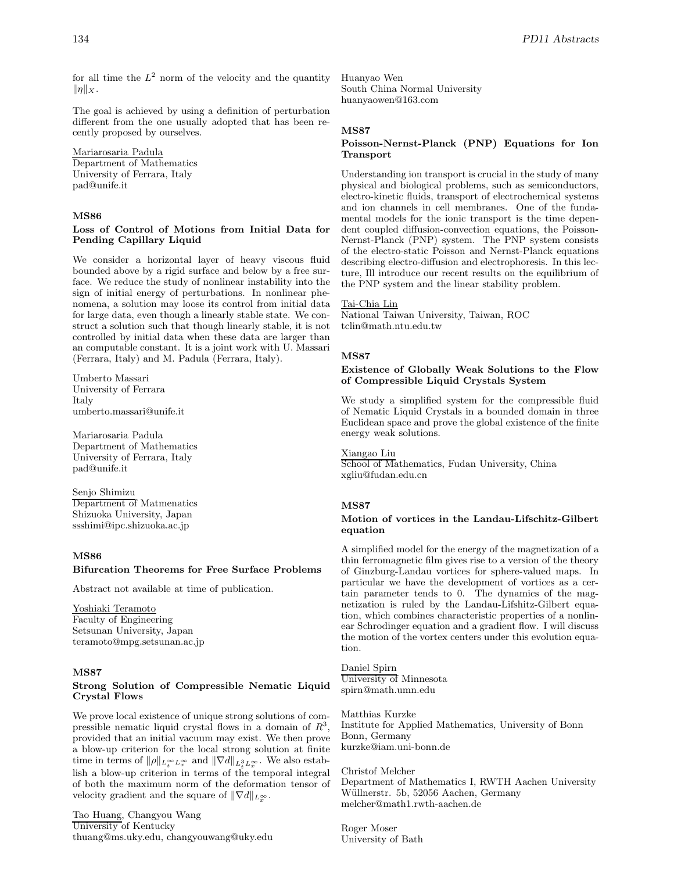for all time the  $L^2$  norm of the velocity and the quantity  $\|\eta\|_X$ .

The goal is achieved by using a definition of perturbation different from the one usually adopted that has been recently proposed by ourselves.

Mariarosaria Padula Department of Mathematics University of Ferrara, Italy pad@unife.it

# **MS86**

# **Loss of Control of Motions from Initial Data for Pending Capillary Liquid**

We consider a horizontal layer of heavy viscous fluid bounded above by a rigid surface and below by a free surface. We reduce the study of nonlinear instability into the sign of initial energy of perturbations. In nonlinear phenomena, a solution may loose its control from initial data for large data, even though a linearly stable state. We construct a solution such that though linearly stable, it is not controlled by initial data when these data are larger than an computable constant. It is a joint work with U. Massari (Ferrara, Italy) and M. Padula (Ferrara, Italy).

Umberto Massari University of Ferrara Italy umberto.massari@unife.it

Mariarosaria Padula Department of Mathematics University of Ferrara, Italy pad@unife.it

Senjo Shimizu Department of Matmenatics Shizuoka University, Japan

ssshimi@ipc.shizuoka.ac.jp

# **MS86**

# **Bifurcation Theorems for Free Surface Problems**

Abstract not available at time of publication.

Yoshiaki Teramoto Faculty of Engineering Setsunan University, Japan teramoto@mpg.setsunan.ac.jp

# **MS87**

### **Strong Solution of Compressible Nematic Liquid Crystal Flows**

We prove local existence of unique strong solutions of compressible nematic liquid crystal flows in a domain of  $R^3$ , provided that an initial vacuum may exist. We then prove a blow-up criterion for the local strong solution at finite time in terms of  $\|\rho\|_{L_t^\infty L_x^\infty}$  and  $\|\nabla d\|_{L_t^3 L_x^\infty}$ . We also establish a blow-up criterion in terms of the temporal integral of both the maximum norm of the deformation tensor of velocity gradient and the square of  $\|\nabla d\|_{L_x^{\infty}}$ .

Tao Huang, Changyou Wang University of Kentucky thuang@ms.uky.edu, changyouwang@uky.edu Huanyao Wen South China Normal University huanyaowen@163.com

#### **MS87**

# **Poisson-Nernst-Planck (PNP) Equations for Ion Transport**

Understanding ion transport is crucial in the study of many physical and biological problems, such as semiconductors, electro-kinetic fluids, transport of electrochemical systems and ion channels in cell membranes. One of the fundamental models for the ionic transport is the time dependent coupled diffusion-convection equations, the Poisson-Nernst-Planck (PNP) system. The PNP system consists of the electro-static Poisson and Nernst-Planck equations describing electro-diffusion and electrophoresis. In this lecture, Ill introduce our recent results on the equilibrium of the PNP system and the linear stability problem.

#### Tai-Chia Lin

National Taiwan University, Taiwan, ROC tclin@math.ntu.edu.tw

#### **MS87**

# **Existence of Globally Weak Solutions to the Flow of Compressible Liquid Crystals System**

We study a simplified system for the compressible fluid of Nematic Liquid Crystals in a bounded domain in three Euclidean space and prove the global existence of the finite energy weak solutions.

Xiangao Liu

School of Mathematics, Fudan University, China xgliu@fudan.edu.cn

#### **MS87**

### **Motion of vortices in the Landau-Lifschitz-Gilbert equation**

A simplified model for the energy of the magnetization of a thin ferromagnetic film gives rise to a version of the theory of Ginzburg-Landau vortices for sphere-valued maps. In particular we have the development of vortices as a certain parameter tends to 0. The dynamics of the magnetization is ruled by the Landau-Lifshitz-Gilbert equation, which combines characteristic properties of a nonlinear Schrodinger equation and a gradient flow. I will discuss the motion of the vortex centers under this evolution equation.

Daniel Spirn University of Minnesota spirn@math.umn.edu

Matthias Kurzke Institute for Applied Mathematics, University of Bonn Bonn, Germany kurzke@iam.uni-bonn.de

Christof Melcher Department of Mathematics I, RWTH Aachen University Wüllnerstr. 5b, 52056 Aachen, Germany melcher@math1.rwth-aachen.de

Roger Moser University of Bath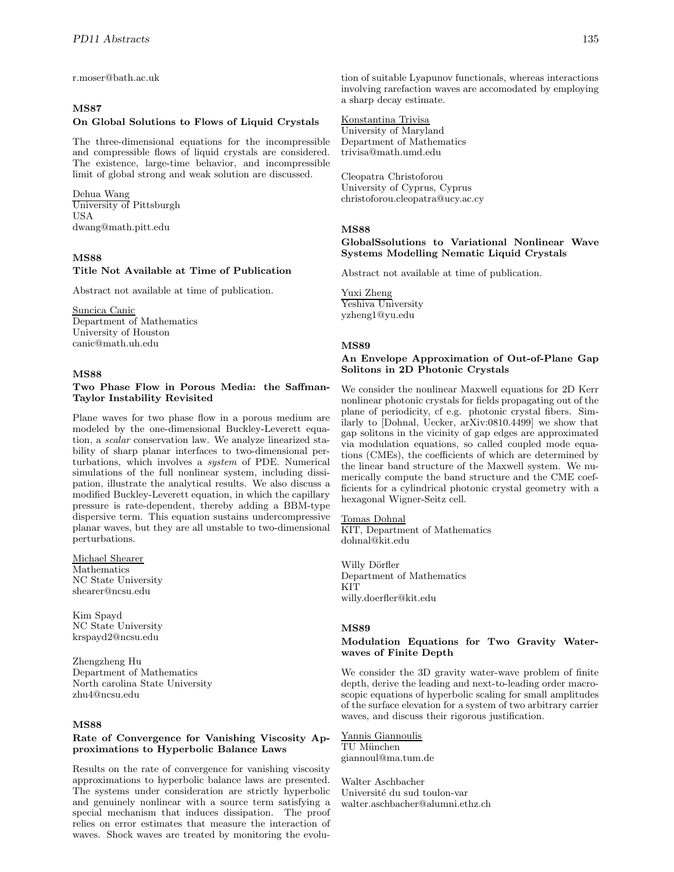r.moser@bath.ac.uk

# **MS87**

#### **On Global Solutions to Flows of Liquid Crystals**

The three-dimensional equations for the incompressible and compressible flows of liquid crystals are considered. The existence, large-time behavior, and incompressible limit of global strong and weak solution are discussed.

Dehua Wang University of Pittsburgh USA dwang@math.pitt.edu

#### **MS88**

# **Title Not Available at Time of Publication**

Abstract not available at time of publication.

Suncica Canic Department of Mathematics

University of Houston canic@math.uh.edu

#### **MS88**

# **Two Phase Flow in Porous Media: the Saffman-Taylor Instability Revisited**

Plane waves for two phase flow in a porous medium are modeled by the one-dimensional Buckley-Leverett equation, a *scalar* conservation law. We analyze linearized stability of sharp planar interfaces to two-dimensional perturbations, which involves a *system* of PDE. Numerical simulations of the full nonlinear system, including dissipation, illustrate the analytical results. We also discuss a modified Buckley-Leverett equation, in which the capillary pressure is rate-dependent, thereby adding a BBM-type dispersive term. This equation sustains undercompressive planar waves, but they are all unstable to two-dimensional perturbations.

Michael Shearer Mathematics NC State University shearer@ncsu.edu

Kim Spayd NC State University krspayd2@ncsu.edu

Zhengzheng Hu Department of Mathematics North carolina State University zhu4@ncsu.edu

# **MS88**

### **Rate of Convergence for Vanishing Viscosity Approximations to Hyperbolic Balance Laws**

Results on the rate of convergence for vanishing viscosity approximations to hyperbolic balance laws are presented. The systems under consideration are strictly hyperbolic and genuinely nonlinear with a source term satisfying a special mechanism that induces dissipation. The proof relies on error estimates that measure the interaction of waves. Shock waves are treated by monitoring the evolution of suitable Lyapunov functionals, whereas interactions involving rarefaction waves are accomodated by employing a sharp decay estimate.

Konstantina Trivisa University of Maryland Department of Mathematics trivisa@math.umd.edu

Cleopatra Christoforou University of Cyprus, Cyprus christoforou.cleopatra@ucy.ac.cy

# **MS88**

# **GlobalSsolutions to Variational Nonlinear Wave Systems Modelling Nematic Liquid Crystals**

Abstract not available at time of publication.

Yuxi Zheng Yeshiva University yzheng1@yu.edu

#### **MS89**

# **An Envelope Approximation of Out-of-Plane Gap Solitons in 2D Photonic Crystals**

We consider the nonlinear Maxwell equations for 2D Kerr nonlinear photonic crystals for fields propagating out of the plane of periodicity, cf e.g. photonic crystal fibers. Similarly to [Dohnal, Uecker, arXiv:0810.4499] we show that gap solitons in the vicinity of gap edges are approximated via modulation equations, so called coupled mode equations (CMEs), the coefficients of which are determined by the linear band structure of the Maxwell system. We numerically compute the band structure and the CME coefficients for a cylindrical photonic crystal geometry with a hexagonal Wigner-Seitz cell.

## Tomas Dohnal

KIT, Department of Mathematics dohnal@kit.edu

Willy Dörfler Department of Mathematics KIT willy.doerfler@kit.edu

## **MS89**

#### **Modulation Equations for Two Gravity Waterwaves of Finite Depth**

We consider the 3D gravity water-wave problem of finite depth, derive the leading and next-to-leading order macroscopic equations of hyperbolic scaling for small amplitudes of the surface elevation for a system of two arbitrary carrier waves, and discuss their rigorous justification.

# Yannis Giannoulis

TU München giannoul@ma.tum.de

Walter Aschbacher Université du sud toulon-var walter.aschbacher@alumni.ethz.ch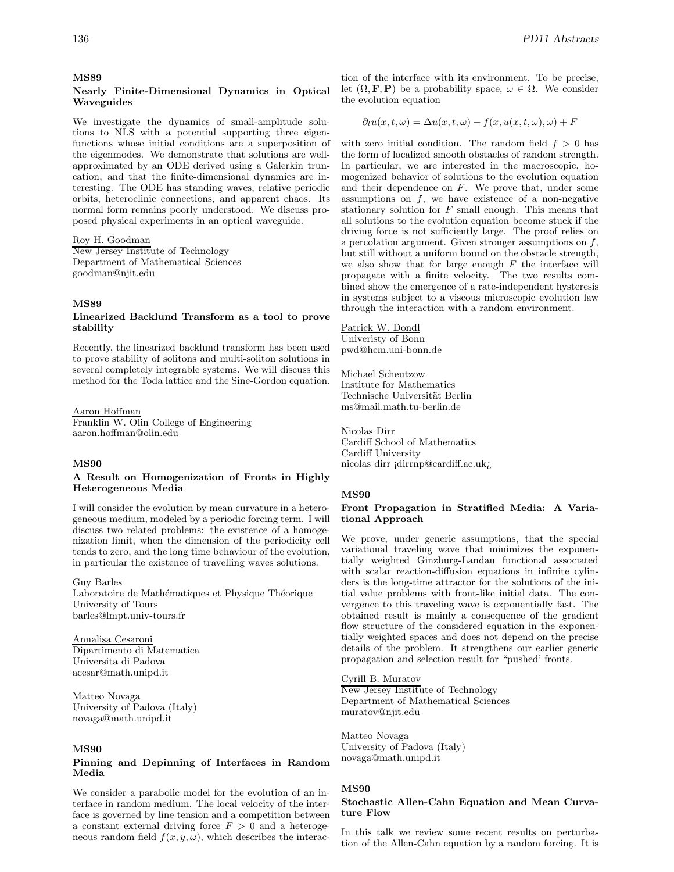# **Nearly Finite-Dimensional Dynamics in Optical Waveguides**

We investigate the dynamics of small-amplitude solutions to NLS with a potential supporting three eigenfunctions whose initial conditions are a superposition of the eigenmodes. We demonstrate that solutions are wellapproximated by an ODE derived using a Galerkin truncation, and that the finite-dimensional dynamics are interesting. The ODE has standing waves, relative periodic orbits, heteroclinic connections, and apparent chaos. Its normal form remains poorly understood. We discuss proposed physical experiments in an optical waveguide.

#### Roy H. Goodman

New Jersey Institute of Technology Department of Mathematical Sciences goodman@njit.edu

# **MS89**

#### **Linearized Backlund Transform as a tool to prove stability**

Recently, the linearized backlund transform has been used to prove stability of solitons and multi-soliton solutions in several completely integrable systems. We will discuss this method for the Toda lattice and the Sine-Gordon equation.

#### Aaron Hoffman

Franklin W. Olin College of Engineering aaron.hoffman@olin.edu

#### **MS90**

#### **A Result on Homogenization of Fronts in Highly Heterogeneous Media**

I will consider the evolution by mean curvature in a heterogeneous medium, modeled by a periodic forcing term. I will discuss two related problems: the existence of a homogenization limit, when the dimension of the periodicity cell tends to zero, and the long time behaviour of the evolution, in particular the existence of travelling waves solutions.

Guy Barles Laboratoire de Mathématiques et Physique Théorique University of Tours barles@lmpt.univ-tours.fr

Annalisa Cesaroni Dipartimento di Matematica Universita di Padova acesar@math.unipd.it

Matteo Novaga University of Padova (Italy) novaga@math.unipd.it

#### **MS90**

# **Pinning and Depinning of Interfaces in Random Media**

We consider a parabolic model for the evolution of an interface in random medium. The local velocity of the interface is governed by line tension and a competition between a constant external driving force  $F > 0$  and a heterogeneous random field  $f(x, y, \omega)$ , which describes the interac-

tion of the interface with its environment. To be precise, let  $(\Omega, \mathbf{F}, \mathbf{P})$  be a probability space,  $\omega \in \Omega$ . We consider the evolution equation

$$
\partial_t u(x, t, \omega) = \Delta u(x, t, \omega) - f(x, u(x, t, \omega), \omega) + F
$$

with zero initial condition. The random field  $f > 0$  has the form of localized smooth obstacles of random strength. In particular, we are interested in the macroscopic, homogenized behavior of solutions to the evolution equation and their dependence on  $F$ . We prove that, under some assumptions on  $f$ , we have existence of a non-negative stationary solution for  $F$  small enough. This means that all solutions to the evolution equation become stuck if the driving force is not sufficiently large. The proof relies on a percolation argument. Given stronger assumptions on  $f$ , but still without a uniform bound on the obstacle strength, we also show that for large enough  $F$  the interface will propagate with a finite velocity. The two results combined show the emergence of a rate-independent hysteresis in systems subject to a viscous microscopic evolution law through the interaction with a random environment.

#### Patrick W. Dondl

Univeristy of Bonn pwd@hcm.uni-bonn.de

Michael Scheutzow Institute for Mathematics Technische Universität Berlin ms@mail.math.tu-berlin.de

Nicolas Dirr Cardiff School of Mathematics Cardiff University nicolas dirr ¡dirrnp@cardiff.ac.uk¿

#### **MS90**

#### **Front Propagation in Stratified Media: A Variational Approach**

We prove, under generic assumptions, that the special variational traveling wave that minimizes the exponentially weighted Ginzburg-Landau functional associated with scalar reaction-diffusion equations in infinite cylinders is the long-time attractor for the solutions of the initial value problems with front-like initial data. The convergence to this traveling wave is exponentially fast. The obtained result is mainly a consequence of the gradient flow structure of the considered equation in the exponentially weighted spaces and does not depend on the precise details of the problem. It strengthens our earlier generic propagation and selection result for "pushed' fronts.

#### Cyrill B. Muratov

New Jersey Institute of Technology Department of Mathematical Sciences muratov@njit.edu

Matteo Novaga University of Padova (Italy) novaga@math.unipd.it

# **MS90**

#### **Stochastic Allen-Cahn Equation and Mean Curvature Flow**

In this talk we review some recent results on perturbation of the Allen-Cahn equation by a random forcing. It is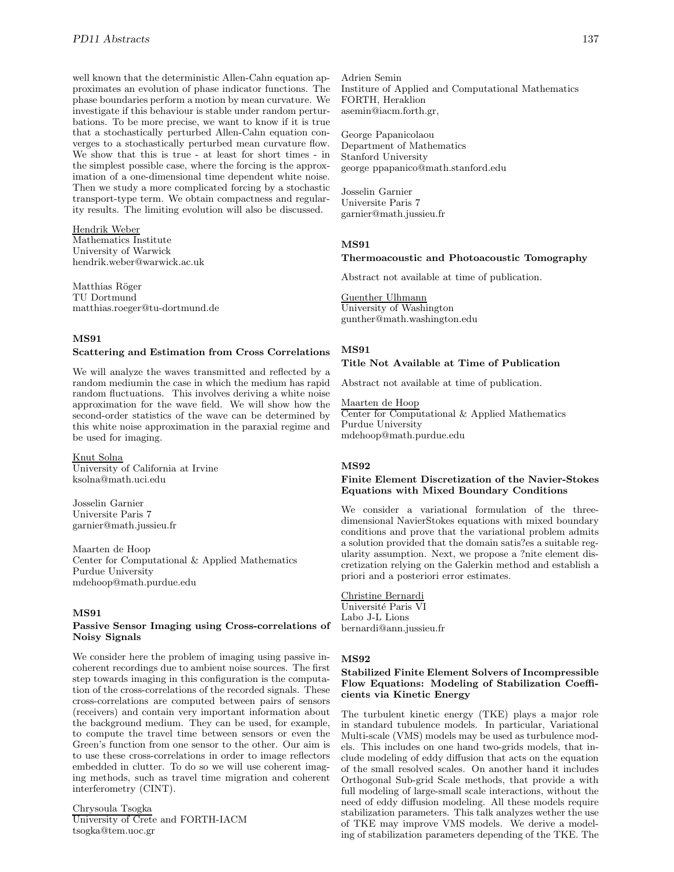well known that the deterministic Allen-Cahn equation approximates an evolution of phase indicator functions. The phase boundaries perform a motion by mean curvature. We investigate if this behaviour is stable under random perturbations. To be more precise, we want to know if it is true that a stochastically perturbed Allen-Cahn equation converges to a stochastically perturbed mean curvature flow. We show that this is true - at least for short times - in the simplest possible case, where the forcing is the approximation of a one-dimensional time dependent white noise. Then we study a more complicated forcing by a stochastic transport-type term. We obtain compactness and regularity results. The limiting evolution will also be discussed.

Hendrik Weber Mathematics Institute University of Warwick hendrik.weber@warwick.ac.uk

Matthias Röger TU Dortmund matthias.roeger@tu-dortmund.de

# **MS91**

### **Scattering and Estimation from Cross Correlations**

We will analyze the waves transmitted and reflected by a random mediumin the case in which the medium has rapid random fluctuations. This involves deriving a white noise approximation for the wave field. We will show how the second-order statistics of the wave can be determined by this white noise approximation in the paraxial regime and be used for imaging.

# Knut Solna

University of California at Irvine ksolna@math.uci.edu

Josselin Garnier Universite Paris 7 garnier@math.jussieu.fr

Maarten de Hoop Center for Computational & Applied Mathematics Purdue University mdehoop@math.purdue.edu

#### **MS91**

#### **Passive Sensor Imaging using Cross-correlations of Noisy Signals**

We consider here the problem of imaging using passive incoherent recordings due to ambient noise sources. The first step towards imaging in this configuration is the computation of the cross-correlations of the recorded signals. These cross-correlations are computed between pairs of sensors (receivers) and contain very important information about the background medium. They can be used, for example, to compute the travel time between sensors or even the Green's function from one sensor to the other. Our aim is to use these cross-correlations in order to image reflectors embedded in clutter. To do so we will use coherent imaging methods, such as travel time migration and coherent interferometry (CINT).

#### Chrysoula Tsogka

University of Crete and FORTH-IACM tsogka@tem.uoc.gr

Adrien Semin Institure of Applied and Computational Mathematics FORTH, Heraklion asemin@iacm.forth.gr,

George Papanicolaou Department of Mathematics Stanford University george ppapanico@math.stanford.edu

Josselin Garnier Universite Paris 7 garnier@math.jussieu.fr

#### **MS91**

#### **Thermoacoustic and Photoacoustic Tomography**

Abstract not available at time of publication.

Guenther Ulhmann University of Washington gunther@math.washington.edu

# **MS91**

# **Title Not Available at Time of Publication**

Abstract not available at time of publication.

Maarten de Hoop Center for Computational & Applied Mathematics Purdue University mdehoop@math.purdue.edu

#### **MS92**

# **Finite Element Discretization of the Navier-Stokes Equations with Mixed Boundary Conditions**

We consider a variational formulation of the threedimensional NavierStokes equations with mixed boundary conditions and prove that the variational problem admits a solution provided that the domain satis?es a suitable regularity assumption. Next, we propose a ?nite element discretization relying on the Galerkin method and establish a priori and a posteriori error estimates.

Christine Bernardi Université Paris VI Labo J-L Lions bernardi@ann.jussieu.fr

#### **MS92**

### **Stabilized Finite Element Solvers of Incompressible Flow Equations: Modeling of Stabilization Coefficients via Kinetic Energy**

The turbulent kinetic energy (TKE) plays a major role in standard tubulence models. In particular, Variational Multi-scale (VMS) models may be used as turbulence models. This includes on one hand two-grids models, that include modeling of eddy diffusion that acts on the equation of the small resolved scales. On another hand it includes Orthogonal Sub-grid Scale methods, that provide a with full modeling of large-small scale interactions, without the need of eddy diffusion modeling. All these models require stabilization parameters. This talk analyzes wether the use of TKE may improve VMS models. We derive a modeling of stabilization parameters depending of the TKE. The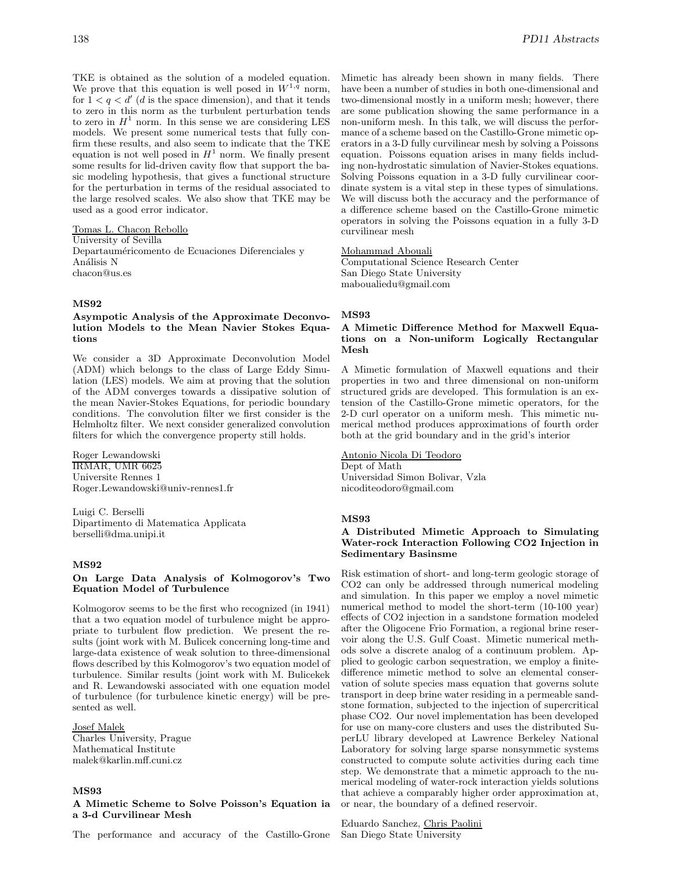TKE is obtained as the solution of a modeled equation. We prove that this equation is well posed in  $W^{1,\bar{q}}$  norm, for  $1 < q < d'$  (d is the space dimension), and that it tends to zero in this norm as the turbulent perturbation tends to zero in  $H<sup>1</sup>$  norm. In this sense we are considering LES models. We present some numerical tests that fully confirm these results, and also seem to indicate that the TKE equation is not well posed in  $H^1$  norm. We finally present some results for lid-driven cavity flow that support the basic modeling hypothesis, that gives a functional structure for the perturbation in terms of the residual associated to the large resolved scales. We also show that TKE may be used as a good error indicator.

Tomas L. Chacon Rebollo University of Sevilla Departauméricomento de Ecuaciones Diferenciales y Análisis N chacon@us.es

### **MS92**

# **Asympotic Analysis of the Approximate Deconvolution Models to the Mean Navier Stokes Equations**

We consider a 3D Approximate Deconvolution Model (ADM) which belongs to the class of Large Eddy Simulation (LES) models. We aim at proving that the solution of the ADM converges towards a dissipative solution of the mean Navier-Stokes Equations, for periodic boundary conditions. The convolution filter we first consider is the Helmholtz filter. We next consider generalized convolution filters for which the convergence property still holds.

Roger Lewandowski IRMAR, UMR 6625 Universite Rennes 1 Roger.Lewandowski@univ-rennes1.fr

Luigi C. Berselli Dipartimento di Matematica Applicata berselli@dma.unipi.it

# **MS92**

# **On Large Data Analysis of Kolmogorov's Two Equation Model of Turbulence**

Kolmogorov seems to be the first who recognized (in 1941) that a two equation model of turbulence might be appropriate to turbulent flow prediction. We present the results (joint work with M. Bulicek concerning long-time and large-data existence of weak solution to three-dimensional flows described by this Kolmogorov's two equation model of turbulence. Similar results (joint work with M. Bulicekek and R. Lewandowski associated with one equation model of turbulence (for turbulence kinetic energy) will be presented as well.

# Josef Malek

Charles University, Prague Mathematical Institute malek@karlin.mff.cuni.cz

### **MS93**

**A Mimetic Scheme to Solve Poisson's Equation ia a 3-d Curvilinear Mesh**

The performance and accuracy of the Castillo-Grone

Mimetic has already been shown in many fields. There have been a number of studies in both one-dimensional and two-dimensional mostly in a uniform mesh; however, there are some publication showing the same performance in a non-uniform mesh. In this talk, we will discuss the performance of a scheme based on the Castillo-Grone mimetic operators in a 3-D fully curvilinear mesh by solving a Poissons equation. Poissons equation arises in many fields including non-hydrostatic simulation of Navier-Stokes equations. Solving Poissons equation in a 3-D fully curvilinear coordinate system is a vital step in these types of simulations. We will discuss both the accuracy and the performance of a difference scheme based on the Castillo-Grone mimetic operators in solving the Poissons equation in a fully 3-D curvilinear mesh

### Mohammad Abouali

Computational Science Research Center San Diego State University maboualiedu@gmail.com

# **MS93**

# **A Mimetic Difference Method for Maxwell Equations on a Non-uniform Logically Rectangular Mesh**

A Mimetic formulation of Maxwell equations and their properties in two and three dimensional on non-uniform structured grids are developed. This formulation is an extension of the Castillo-Grone mimetic operators, for the 2-D curl operator on a uniform mesh. This mimetic numerical method produces approximations of fourth order both at the grid boundary and in the grid's interior

Antonio Nicola Di Teodoro Dept of Math Universidad Simon Bolivar, Vzla nicoditeodoro@gmail.com

### **MS93**

# **A Distributed Mimetic Approach to Simulating Water-rock Interaction Following CO2 Injection in Sedimentary Basinsme**

Risk estimation of short- and long-term geologic storage of CO2 can only be addressed through numerical modeling and simulation. In this paper we employ a novel mimetic numerical method to model the short-term (10-100 year) effects of CO2 injection in a sandstone formation modeled after the Oligocene Frio Formation, a regional brine reservoir along the U.S. Gulf Coast. Mimetic numerical methods solve a discrete analog of a continuum problem. Applied to geologic carbon sequestration, we employ a finitedifference mimetic method to solve an elemental conservation of solute species mass equation that governs solute transport in deep brine water residing in a permeable sandstone formation, subjected to the injection of supercritical phase CO2. Our novel implementation has been developed for use on many-core clusters and uses the distributed SuperLU library developed at Lawrence Berkeley National Laboratory for solving large sparse nonsymmetic systems constructed to compute solute activities during each time step. We demonstrate that a mimetic approach to the numerical modeling of water-rock interaction yields solutions that achieve a comparably higher order approximation at, or near, the boundary of a defined reservoir.

Eduardo Sanchez, Chris Paolini San Diego State University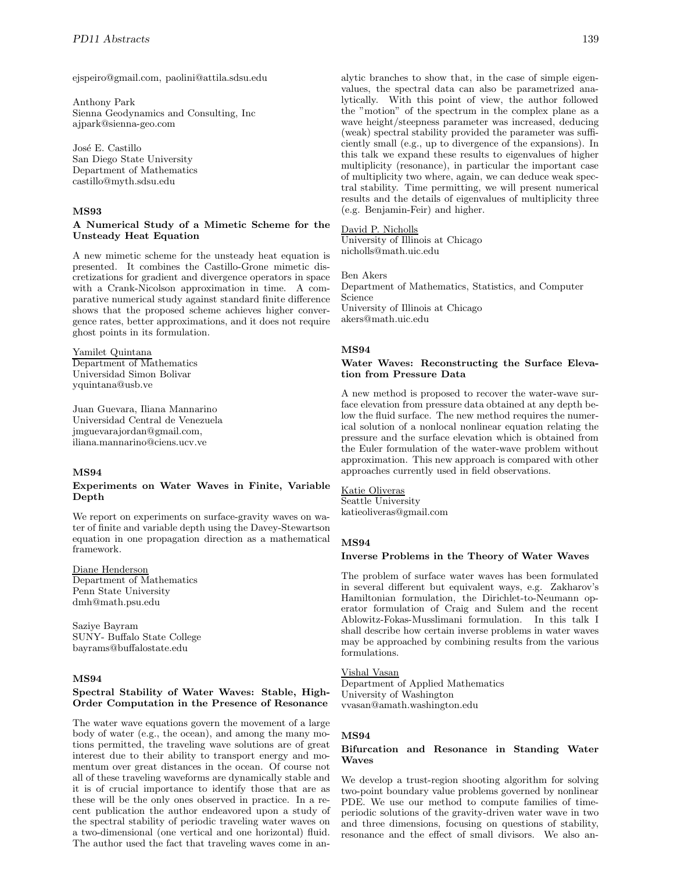ejspeiro@gmail.com, paolini@attila.sdsu.edu

Anthony Park Sienna Geodynamics and Consulting, Inc ajpark@sienna-geo.com

José E. Castillo San Diego State University Department of Mathematics castillo@myth.sdsu.edu

### **MS93**

# **A Numerical Study of a Mimetic Scheme for the Unsteady Heat Equation**

A new mimetic scheme for the unsteady heat equation is presented. It combines the Castillo-Grone mimetic discretizations for gradient and divergence operators in space with a Crank-Nicolson approximation in time. A comparative numerical study against standard finite difference shows that the proposed scheme achieves higher convergence rates, better approximations, and it does not require ghost points in its formulation.

Yamilet Quintana Department of Mathematics Universidad Simon Bolivar yquintana@usb.ve

Juan Guevara, Iliana Mannarino Universidad Central de Venezuela jmguevarajordan@gmail.com, iliana.mannarino@ciens.ucv.ve

### **MS94**

# **Experiments on Water Waves in Finite, Variable Depth**

We report on experiments on surface-gravity waves on water of finite and variable depth using the Davey-Stewartson equation in one propagation direction as a mathematical framework.

# Diane Henderson

Department of Mathematics Penn State University dmh@math.psu.edu

Saziye Bayram SUNY- Buffalo State College bayrams@buffalostate.edu

# **MS94**

# **Spectral Stability of Water Waves: Stable, High-Order Computation in the Presence of Resonance**

The water wave equations govern the movement of a large body of water (e.g., the ocean), and among the many motions permitted, the traveling wave solutions are of great interest due to their ability to transport energy and momentum over great distances in the ocean. Of course not all of these traveling waveforms are dynamically stable and it is of crucial importance to identify those that are as these will be the only ones observed in practice. In a recent publication the author endeavored upon a study of the spectral stability of periodic traveling water waves on a two-dimensional (one vertical and one horizontal) fluid. The author used the fact that traveling waves come in analytic branches to show that, in the case of simple eigenvalues, the spectral data can also be parametrized analytically. With this point of view, the author followed the "motion" of the spectrum in the complex plane as a wave height/steepness parameter was increased, deducing (weak) spectral stability provided the parameter was sufficiently small (e.g., up to divergence of the expansions). In this talk we expand these results to eigenvalues of higher multiplicity (resonance), in particular the important case of multiplicity two where, again, we can deduce weak spectral stability. Time permitting, we will present numerical results and the details of eigenvalues of multiplicity three (e.g. Benjamin-Feir) and higher.

# David P. Nicholls

University of Illinois at Chicago nicholls@math.uic.edu

#### Ben Akers

Department of Mathematics, Statistics, and Computer Science University of Illinois at Chicago akers@math.uic.edu

# **MS94**

### **Water Waves: Reconstructing the Surface Elevation from Pressure Data**

A new method is proposed to recover the water-wave surface elevation from pressure data obtained at any depth below the fluid surface. The new method requires the numerical solution of a nonlocal nonlinear equation relating the pressure and the surface elevation which is obtained from the Euler formulation of the water-wave problem without approximation. This new approach is compared with other approaches currently used in field observations.

Katie Oliveras Seattle University katieoliveras@gmail.com

### **MS94**

# **Inverse Problems in the Theory of Water Waves**

The problem of surface water waves has been formulated in several different but equivalent ways, e.g. Zakharov's Hamiltonian formulation, the Dirichlet-to-Neumann operator formulation of Craig and Sulem and the recent Ablowitz-Fokas-Musslimani formulation. In this talk I shall describe how certain inverse problems in water waves may be approached by combining results from the various formulations.

# Vishal Vasan

Department of Applied Mathematics University of Washington vvasan@amath.washington.edu

### **MS94**

# **Bifurcation and Resonance in Standing Water Waves**

We develop a trust-region shooting algorithm for solving two-point boundary value problems governed by nonlinear PDE. We use our method to compute families of timeperiodic solutions of the gravity-driven water wave in two and three dimensions, focusing on questions of stability, resonance and the effect of small divisors. We also an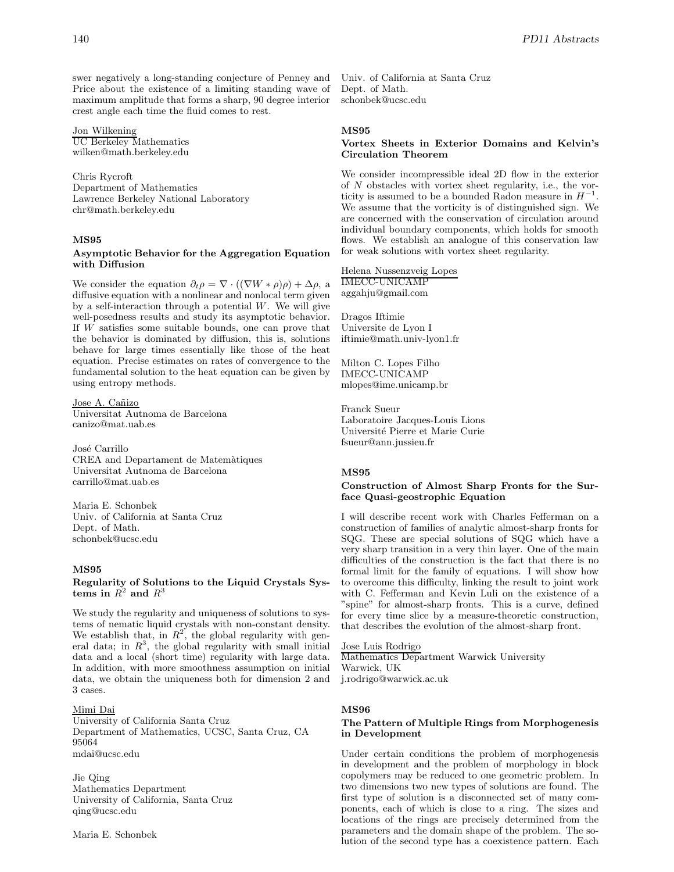swer negatively a long-standing conjecture of Penney and Price about the existence of a limiting standing wave of maximum amplitude that forms a sharp, 90 degree interior crest angle each time the fluid comes to rest.

# Jon Wilkening

UC Berkeley Mathematics wilken@math.berkeley.edu

Chris Rycroft Department of Mathematics Lawrence Berkeley National Laboratory chr@math.berkeley.edu

### **MS95**

### **Asymptotic Behavior for the Aggregation Equation with Diffusion**

We consider the equation  $\partial_t \rho = \nabla \cdot ((\nabla W * \rho) \rho) + \Delta \rho$ , a diffusive equation with a nonlinear and nonlocal term given by a self-interaction through a potential  $W$ . We will give well-posedness results and study its asymptotic behavior. If W satisfies some suitable bounds, one can prove that the behavior is dominated by diffusion, this is, solutions behave for large times essentially like those of the heat equation. Precise estimates on rates of convergence to the fundamental solution to the heat equation can be given by using entropy methods.

Jose A. Cañizo Universitat Autnoma de Barcelona canizo@mat.uab.es

José Carrillo CREA and Departament de Matemàtiques Universitat Autnoma de Barcelona carrillo@mat.uab.es

Maria E. Schonbek Univ. of California at Santa Cruz Dept. of Math. schonbek@ucsc.edu

# **MS95**

# **Regularity of Solutions to the Liquid Crystals Systems in**  $R^2$  and  $R^3$

We study the regularity and uniqueness of solutions to systems of nematic liquid crystals with non-constant density. We establish that, in  $R^2$ , the global regularity with general data; in  $R^3$ , the global regularity with small initial data and a local (short time) regularity with large data. In addition, with more smoothness assumption on initial data, we obtain the uniqueness both for dimension 2 and 3 cases.

# Mimi Dai

University of California Santa Cruz Department of Mathematics, UCSC, Santa Cruz, CA 95064 mdai@ucsc.edu

Jie Qing Mathematics Department University of California, Santa Cruz qing@ucsc.edu

Maria E. Schonbek

Univ. of California at Santa Cruz Dept. of Math. schonbek@ucsc.edu

# **MS95**

# **Vortex Sheets in Exterior Domains and Kelvin's Circulation Theorem**

We consider incompressible ideal 2D flow in the exterior of N obstacles with vortex sheet regularity, i.e., the vorticity is assumed to be a bounded Radon measure in  $H^{-1}$ . We assume that the vorticity is of distinguished sign. We are concerned with the conservation of circulation around individual boundary components, which holds for smooth flows. We establish an analogue of this conservation law for weak solutions with vortex sheet regularity.

Helena Nussenzveig Lopes IMECC-UNICAMP aggahju@gmail.com

Dragos Iftimie Universite de Lyon I iftimie@math.univ-lyon1.fr

Milton C. Lopes Filho IMECC-UNICAMP mlopes@ime.unicamp.br

Franck Sueur Laboratoire Jacques-Louis Lions Universit´e Pierre et Marie Curie fsueur@ann.jussieu.fr

### **MS95**

# **Construction of Almost Sharp Fronts for the Surface Quasi-geostrophic Equation**

I will describe recent work with Charles Fefferman on a construction of families of analytic almost-sharp fronts for SQG. These are special solutions of SQG which have a very sharp transition in a very thin layer. One of the main difficulties of the construction is the fact that there is no formal limit for the family of equations. I will show how to overcome this difficulty, linking the result to joint work with C. Fefferman and Kevin Luli on the existence of a "spine" for almost-sharp fronts. This is a curve, defined for every time slice by a measure-theoretic construction, that describes the evolution of the almost-sharp front.

Jose Luis Rodrigo Mathematics Department Warwick University Warwick, UK j.rodrigo@warwick.ac.uk

### **MS96**

# **The Pattern of Multiple Rings from Morphogenesis in Development**

Under certain conditions the problem of morphogenesis in development and the problem of morphology in block copolymers may be reduced to one geometric problem. In two dimensions two new types of solutions are found. The first type of solution is a disconnected set of many components, each of which is close to a ring. The sizes and locations of the rings are precisely determined from the parameters and the domain shape of the problem. The solution of the second type has a coexistence pattern. Each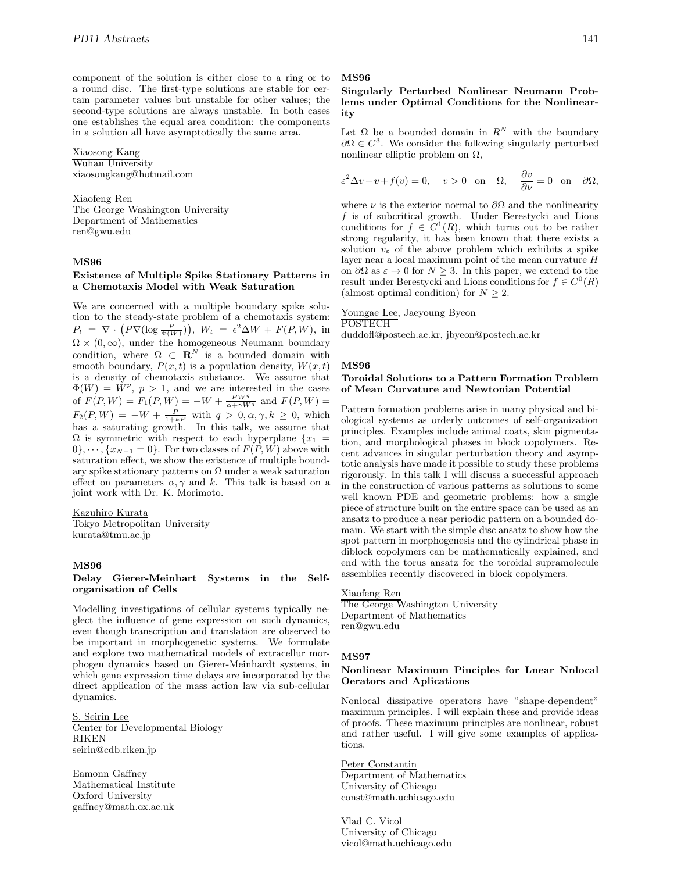component of the solution is either close to a ring or to a round disc. The first-type solutions are stable for certain parameter values but unstable for other values; the second-type solutions are always unstable. In both cases one establishes the equal area condition: the components in a solution all have asymptotically the same area.

Xiaosong Kang Wuhan University xiaosongkang@hotmail.com

Xiaofeng Ren The George Washington University Department of Mathematics ren@gwu.edu

# **MS96**

### **Existence of Multiple Spike Stationary Patterns in a Chemotaxis Model with Weak Saturation**

We are concerned with a multiple boundary spike solution to the steady-state problem of a chemotaxis system:  $P_t = \nabla \cdot (P \nabla (\log \frac{P}{\Phi(W)})$ ,  $W_t = \epsilon^2 \Delta W + F(P, W)$ , in  $\Omega \times (0,\infty)$ , under the homogeneous Neumann boundary condition, where  $\Omega \subset \mathbb{R}^N$  is a bounded domain with smooth boundary,  $P(x, t)$  is a population density,  $W(x, t)$ is a density of chemotaxis substance. We assume that  $\Phi(W) = \dot{W}^p$ ,  $p > 1$ , and we are interested in the cases of  $F(P,W) = F_1(P,W) = -W + \frac{PW^q}{\alpha + \gamma W^q}$  and  $F(P,W) =$  $F_2(P,W) = -W + \frac{P}{1+kP}$  with  $q > 0, \alpha, \gamma, k \ge 0$ , which has a saturating growth. In this talk, we assume that  $\Omega$  is symmetric with respect to each hyperplane  $\{x_1 =$  $0\}, \dots, \{x_{N-1} = 0\}.$  For two classes of  $F(P, W)$  above with saturation effect, we show the existence of multiple boundary spike stationary patterns on  $\Omega$  under a weak saturation effect on parameters  $\alpha, \gamma$  and k. This talk is based on a joint work with Dr. K. Morimoto.

#### Kazuhiro Kurata

Tokyo Metropolitan University kurata@tmu.ac.jp

# **MS96**

### **Delay Gierer-Meinhart Systems in the Selforganisation of Cells**

Modelling investigations of cellular systems typically neglect the influence of gene expression on such dynamics, even though transcription and translation are observed to be important in morphogenetic systems. We formulate and explore two mathematical models of extracellur morphogen dynamics based on Gierer-Meinhardt systems, in which gene expression time delays are incorporated by the direct application of the mass action law via sub-cellular dynamics.

S. Seirin Lee Center for Developmental Biology RIKEN seirin@cdb.riken.jp

Eamonn Gaffney Mathematical Institute Oxford University gaffney@math.ox.ac.uk

#### **MS96**

# **Singularly Perturbed Nonlinear Neumann Problems under Optimal Conditions for the Nonlinearity**

Let  $\Omega$  be a bounded domain in  $R^N$  with the boundary  $\partial\Omega \in C^3$ . We consider the following singularly perturbed nonlinear elliptic problem on  $Ω$ ,

$$
\varepsilon^2 \Delta v - v + f(v) = 0
$$
,  $v > 0$  on  $\Omega$ ,  $\frac{\partial v}{\partial \nu} = 0$  on  $\partial \Omega$ ,

where  $\nu$  is the exterior normal to  $\partial\Omega$  and the nonlinearity  $f$  is of subcritical growth. Under Berestycki and Lions conditions for  $f \in C^1(R)$ , which turns out to be rather strong regularity, it has been known that there exists a solution  $v_{\varepsilon}$  of the above problem which exhibits a spike layer near a local maximum point of the mean curvature  $H$ on  $\partial\Omega$  as  $\varepsilon \to 0$  for  $N \geq 3$ . In this paper, we extend to the result under Berestycki and Lions conditions for  $f \in C^{0}(R)$ (almost optimal condition) for  $N \geq 2$ .

Youngae Lee, Jaeyoung Byeon

POSTECH

duddofl@postech.ac.kr, jbyeon@postech.ac.kr

#### **MS96**

### **Toroidal Solutions to a Pattern Formation Problem of Mean Curvature and Newtonian Potential**

Pattern formation problems arise in many physical and biological systems as orderly outcomes of self-organization principles. Examples include animal coats, skin pigmentation, and morphological phases in block copolymers. Recent advances in singular perturbation theory and asymptotic analysis have made it possible to study these problems rigorously. In this talk I will discuss a successful approach in the construction of various patterns as solutions to some well known PDE and geometric problems: how a single piece of structure built on the entire space can be used as an ansatz to produce a near periodic pattern on a bounded domain. We start with the simple disc ansatz to show how the spot pattern in morphogenesis and the cylindrical phase in diblock copolymers can be mathematically explained, and end with the torus ansatz for the toroidal supramolecule assemblies recently discovered in block copolymers.

# Xiaofeng Ren

The George Washington University Department of Mathematics ren@gwu.edu

### **MS97**

### **Nonlinear Maximum Pinciples for Lnear Nnlocal Oerators and Aplications**

Nonlocal dissipative operators have "shape-dependent" maximum principles. I will explain these and provide ideas of proofs. These maximum principles are nonlinear, robust and rather useful. I will give some examples of applications.

# Peter Constantin

Department of Mathematics University of Chicago const@math.uchicago.edu

Vlad C. Vicol University of Chicago vicol@math.uchicago.edu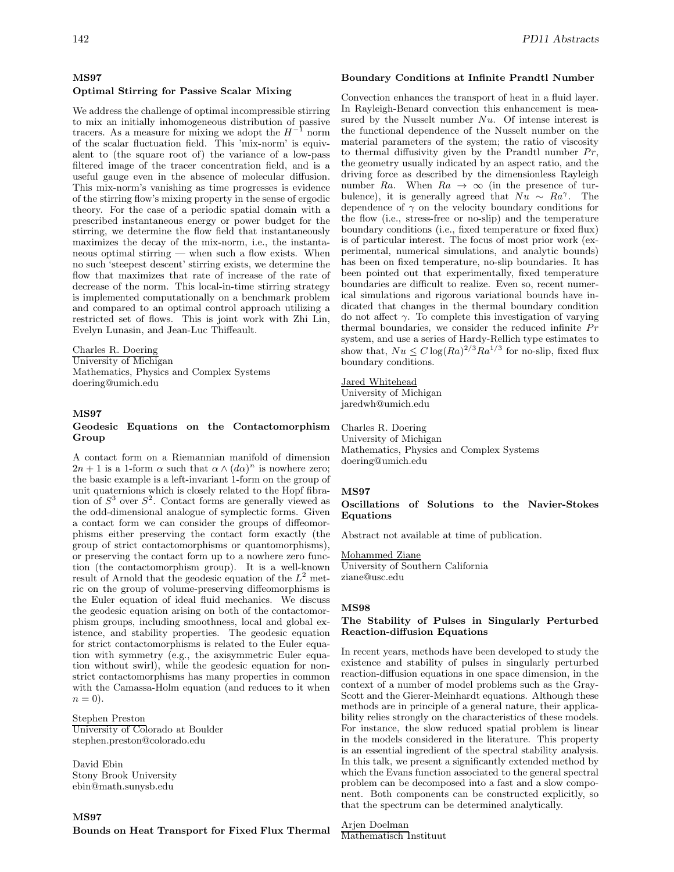# **MS97**

# **Optimal Stirring for Passive Scalar Mixing**

We address the challenge of optimal incompressible stirring to mix an initially inhomogeneous distribution of passive tracers. As a measure for mixing we adopt the  $H^{-1}$  norm of the scalar fluctuation field. This 'mix-norm' is equivalent to (the square root of) the variance of a low-pass filtered image of the tracer concentration field, and is a useful gauge even in the absence of molecular diffusion. This mix-norm's vanishing as time progresses is evidence of the stirring flow's mixing property in the sense of ergodic theory. For the case of a periodic spatial domain with a prescribed instantaneous energy or power budget for the stirring, we determine the flow field that instantaneously maximizes the decay of the mix-norm, i.e., the instantaneous optimal stirring — when such a flow exists. When no such 'steepest descent' stirring exists, we determine the flow that maximizes that rate of increase of the rate of decrease of the norm. This local-in-time stirring strategy is implemented computationally on a benchmark problem and compared to an optimal control approach utilizing a restricted set of flows. This is joint work with Zhi Lin, Evelyn Lunasin, and Jean-Luc Thiffeault.

Charles R. Doering University of Michigan Mathematics, Physics and Complex Systems doering@umich.edu

# **MS97**

# **Geodesic Equations on the Contactomorphism Group**

A contact form on a Riemannian manifold of dimension  $2n + 1$  is a 1-form  $\alpha$  such that  $\alpha \wedge (d\alpha)^n$  is nowhere zero; the basic example is a left-invariant 1-form on the group of unit quaternions which is closely related to the Hopf fibration of  $S^3$  over  $S^2$ . Contact forms are generally viewed as the odd-dimensional analogue of symplectic forms. Given a contact form we can consider the groups of diffeomorphisms either preserving the contact form exactly (the group of strict contactomorphisms or quantomorphisms), or preserving the contact form up to a nowhere zero function (the contactomorphism group). It is a well-known result of Arnold that the geodesic equation of the  $L^2$  metric on the group of volume-preserving diffeomorphisms is the Euler equation of ideal fluid mechanics. We discuss the geodesic equation arising on both of the contactomorphism groups, including smoothness, local and global existence, and stability properties. The geodesic equation for strict contactomorphisms is related to the Euler equation with symmetry (e.g., the axisymmetric Euler equation without swirl), while the geodesic equation for nonstrict contactomorphisms has many properties in common with the Camassa-Holm equation (and reduces to it when  $n=0$ ).

Stephen Preston University of Colorado at Boulder stephen.preston@colorado.edu

David Ebin Stony Brook University ebin@math.sunysb.edu

# 142 *PD11 Abstracts*

# **Boundary Conditions at Infinite Prandtl Number**

Convection enhances the transport of heat in a fluid layer. In Rayleigh-Benard convection this enhancement is measured by the Nusselt number  $Nu$ . Of intense interest is the functional dependence of the Nusselt number on the material parameters of the system; the ratio of viscosity to thermal diffusivity given by the Prandtl number  $Pr$ , the geometry usually indicated by an aspect ratio, and the driving force as described by the dimensionless Rayleigh number Ra. When  $Ra \rightarrow \infty$  (in the presence of turbulence), it is generally agreed that  $Nu \sim Ra^{\gamma}$ . The dependence of  $\gamma$  on the velocity boundary conditions for the flow (i.e., stress-free or no-slip) and the temperature boundary conditions (i.e., fixed temperature or fixed flux) is of particular interest. The focus of most prior work (experimental, numerical simulations, and analytic bounds) has been on fixed temperature, no-slip boundaries. It has been pointed out that experimentally, fixed temperature boundaries are difficult to realize. Even so, recent numerical simulations and rigorous variational bounds have indicated that changes in the thermal boundary condition do not affect  $\gamma$ . To complete this investigation of varying thermal boundaries, we consider the reduced infinite  $Pr$ system, and use a series of Hardy-Rellich type estimates to show that,  $Nu \leq C \log(Ra)^{2/3} Ra^{1/3}$  for no-slip, fixed flux boundary conditions.

# Jared Whitehead

University of Michigan jaredwh@umich.edu

Charles R. Doering University of Michigan Mathematics, Physics and Complex Systems doering@umich.edu

### **MS97**

# **Oscillations of Solutions to the Navier-Stokes Equations**

Abstract not available at time of publication.

### Mohammed Ziane

University of Southern California ziane@usc.edu

#### **MS98**

### **The Stability of Pulses in Singularly Perturbed Reaction-diffusion Equations**

In recent years, methods have been developed to study the existence and stability of pulses in singularly perturbed reaction-diffusion equations in one space dimension, in the context of a number of model problems such as the Gray-Scott and the Gierer-Meinhardt equations. Although these methods are in principle of a general nature, their applicability relies strongly on the characteristics of these models. For instance, the slow reduced spatial problem is linear in the models considered in the literature. This property is an essential ingredient of the spectral stability analysis. In this talk, we present a significantly extended method by which the Evans function associated to the general spectral problem can be decomposed into a fast and a slow component. Both components can be constructed explicitly, so that the spectrum can be determined analytically.

Arjen Doelman Mathematisch Instituut

**MS97**

**Bounds on Heat Transport for Fixed Flux Thermal**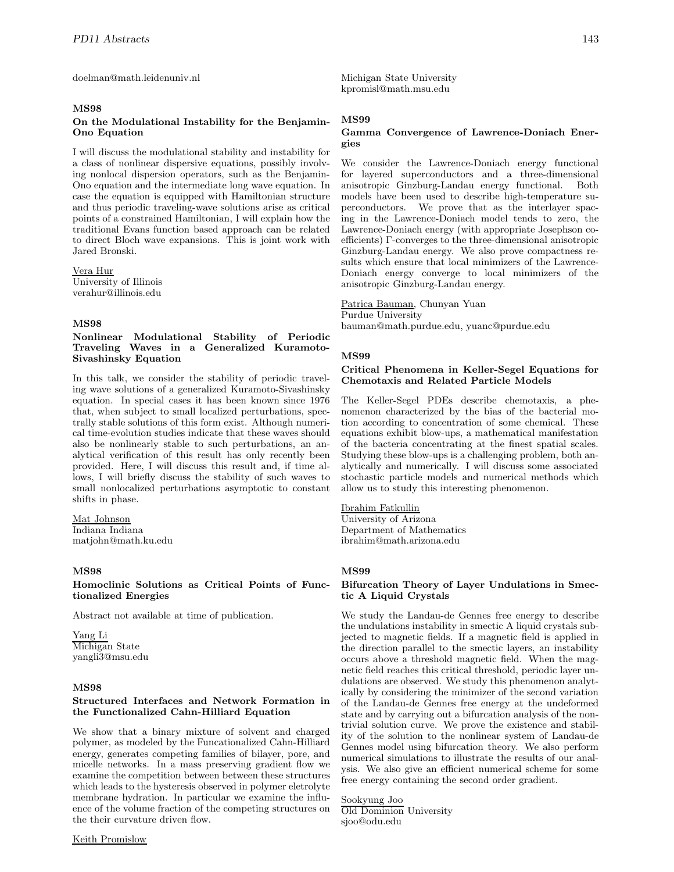doelman@math.leidenuniv.nl

# **MS98**

## **On the Modulational Instability for the Benjamin-Ono Equation**

I will discuss the modulational stability and instability for a class of nonlinear dispersive equations, possibly involving nonlocal dispersion operators, such as the Benjamin-Ono equation and the intermediate long wave equation. In case the equation is equipped with Hamiltonian structure and thus periodic traveling-wave solutions arise as critical points of a constrained Hamiltonian, I will explain how the traditional Evans function based approach can be related to direct Bloch wave expansions. This is joint work with Jared Bronski.

Vera Hur University of Illinois verahur@illinois.edu

# **MS98**

# **Nonlinear Modulational Stability of Periodic Traveling Waves in a Generalized Kuramoto-Sivashinsky Equation**

In this talk, we consider the stability of periodic traveling wave solutions of a generalized Kuramoto-Sivashinsky equation. In special cases it has been known since 1976 that, when subject to small localized perturbations, spectrally stable solutions of this form exist. Although numerical time-evolution studies indicate that these waves should also be nonlinearly stable to such perturbations, an analytical verification of this result has only recently been provided. Here, I will discuss this result and, if time allows, I will briefly discuss the stability of such waves to small nonlocalized perturbations asymptotic to constant shifts in phase.

### Mat Johnson Indiana Indiana matjohn@math.ku.edu

# **MS98**

# **Homoclinic Solutions as Critical Points of Functionalized Energies**

Abstract not available at time of publication.

Yang Li Michigan State yangli3@msu.edu

### **MS98**

# **Structured Interfaces and Network Formation in the Functionalized Cahn-Hilliard Equation**

We show that a binary mixture of solvent and charged polymer, as modeled by the Funcationalized Cahn-Hilliard energy, generates competing families of bilayer, pore, and micelle networks. In a mass preserving gradient flow we examine the competition between between these structures which leads to the hysteresis observed in polymer eletrolyte membrane hydration. In particular we examine the influence of the volume fraction of the competing structures on the their curvature driven flow.

Keith Promislow

Michigan State University kpromisl@math.msu.edu

# **MS99**

# **Gamma Convergence of Lawrence-Doniach Energies**

We consider the Lawrence-Doniach energy functional for layered superconductors and a three-dimensional anisotropic Ginzburg-Landau energy functional. Both models have been used to describe high-temperature superconductors. We prove that as the interlayer spacing in the Lawrence-Doniach model tends to zero, the Lawrence-Doniach energy (with appropriate Josephson coefficients) Γ-converges to the three-dimensional anisotropic Ginzburg-Landau energy. We also prove compactness results which ensure that local minimizers of the Lawrence-Doniach energy converge to local minimizers of the anisotropic Ginzburg-Landau energy.

Patrica Bauman, Chunyan Yuan Purdue University bauman@math.purdue.edu, yuanc@purdue.edu

# **MS99**

# **Critical Phenomena in Keller-Segel Equations for Chemotaxis and Related Particle Models**

The Keller-Segel PDEs describe chemotaxis, a phenomenon characterized by the bias of the bacterial motion according to concentration of some chemical. These equations exhibit blow-ups, a mathematical manifestation of the bacteria concentrating at the finest spatial scales. Studying these blow-ups is a challenging problem, both analytically and numerically. I will discuss some associated stochastic particle models and numerical methods which allow us to study this interesting phenomenon.

# Ibrahim Fatkullin

University of Arizona Department of Mathematics ibrahim@math.arizona.edu

### **MS99**

# **Bifurcation Theory of Layer Undulations in Smectic A Liquid Crystals**

We study the Landau-de Gennes free energy to describe the undulations instability in smectic A liquid crystals subjected to magnetic fields. If a magnetic field is applied in the direction parallel to the smectic layers, an instability occurs above a threshold magnetic field. When the magnetic field reaches this critical threshold, periodic layer undulations are observed. We study this phenomenon analytically by considering the minimizer of the second variation of the Landau-de Gennes free energy at the undeformed state and by carrying out a bifurcation analysis of the nontrivial solution curve. We prove the existence and stability of the solution to the nonlinear system of Landau-de Gennes model using bifurcation theory. We also perform numerical simulations to illustrate the results of our analysis. We also give an efficient numerical scheme for some free energy containing the second order gradient.

Sookyung Joo Old Dominion University sjoo@odu.edu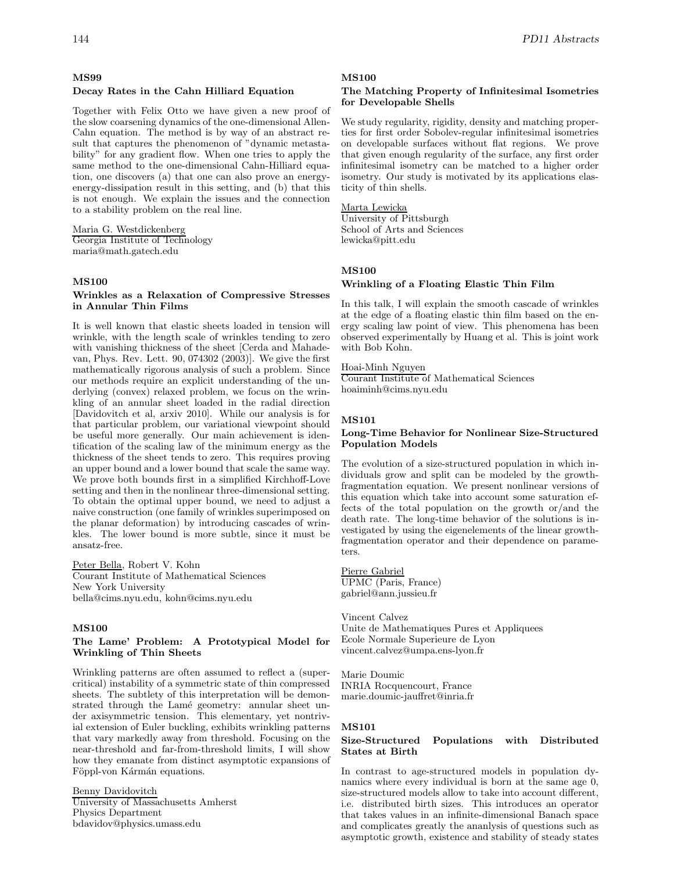# **MS99**

# **Decay Rates in the Cahn Hilliard Equation**

Together with Felix Otto we have given a new proof of the slow coarsening dynamics of the one-dimensional Allen-Cahn equation. The method is by way of an abstract result that captures the phenomenon of "dynamic metastability" for any gradient flow. When one tries to apply the same method to the one-dimensional Cahn-Hilliard equation, one discovers (a) that one can also prove an energyenergy-dissipation result in this setting, and (b) that this is not enough. We explain the issues and the connection to a stability problem on the real line.

Maria G. Westdickenberg Georgia Institute of Technology maria@math.gatech.edu

### **MS100**

### **Wrinkles as a Relaxation of Compressive Stresses in Annular Thin Films**

It is well known that elastic sheets loaded in tension will wrinkle, with the length scale of wrinkles tending to zero with vanishing thickness of the sheet [Cerda and Mahadevan, Phys. Rev. Lett. 90, 074302 (2003)]. We give the first mathematically rigorous analysis of such a problem. Since our methods require an explicit understanding of the underlying (convex) relaxed problem, we focus on the wrinkling of an annular sheet loaded in the radial direction [Davidovitch et al, arxiv 2010]. While our analysis is for that particular problem, our variational viewpoint should be useful more generally. Our main achievement is identification of the scaling law of the minimum energy as the thickness of the sheet tends to zero. This requires proving an upper bound and a lower bound that scale the same way. We prove both bounds first in a simplified Kirchhoff-Love setting and then in the nonlinear three-dimensional setting. To obtain the optimal upper bound, we need to adjust a naive construction (one family of wrinkles superimposed on the planar deformation) by introducing cascades of wrinkles. The lower bound is more subtle, since it must be ansatz-free.

Peter Bella, Robert V. Kohn Courant Institute of Mathematical Sciences New York University bella@cims.nyu.edu, kohn@cims.nyu.edu

# **MS100**

# **The Lame' Problem: A Prototypical Model for Wrinkling of Thin Sheets**

Wrinkling patterns are often assumed to reflect a (supercritical) instability of a symmetric state of thin compressed sheets. The subtlety of this interpretation will be demonstrated through the Lamé geometry: annular sheet under axisymmetric tension. This elementary, yet nontrivial extension of Euler buckling, exhibits wrinkling patterns that vary markedly away from threshold. Focusing on the near-threshold and far-from-threshold limits, I will show how they emanate from distinct asymptotic expansions of Föppl-von Kármán equations.

Benny Davidovitch University of Massachusetts Amherst Physics Department bdavidov@physics.umass.edu

#### **MS100**

### **The Matching Property of Infinitesimal Isometries for Developable Shells**

We study regularity, rigidity, density and matching properties for first order Sobolev-regular infinitesimal isometries on developable surfaces without flat regions. We prove that given enough regularity of the surface, any first order infinitesimal isometry can be matched to a higher order isometry. Our study is motivated by its applications elasticity of thin shells.

# Marta Lewicka

University of Pittsburgh School of Arts and Sciences lewicka@pitt.edu

# **MS100**

# **Wrinkling of a Floating Elastic Thin Film**

In this talk, I will explain the smooth cascade of wrinkles at the edge of a floating elastic thin film based on the energy scaling law point of view. This phenomena has been observed experimentally by Huang et al. This is joint work with Bob Kohn.

# Hoai-Minh Nguyen

Courant Institute of Mathematical Sciences hoaiminh@cims.nyu.edu

#### **MS101**

### **Long-Time Behavior for Nonlinear Size-Structured Population Models**

The evolution of a size-structured population in which individuals grow and split can be modeled by the growthfragmentation equation. We present nonlinear versions of this equation which take into account some saturation effects of the total population on the growth or/and the death rate. The long-time behavior of the solutions is investigated by using the eigenelements of the linear growthfragmentation operator and their dependence on parameters.

Pierre Gabriel UPMC (Paris, France) gabriel@ann.jussieu.fr

Vincent Calvez Unite de Mathematiques Pures et Appliquees Ecole Normale Superieure de Lyon vincent.calvez@umpa.ens-lyon.fr

Marie Doumic INRIA Rocquencourt, France marie.doumic-jauffret@inria.fr

# **MS101**

### **Size-Structured Populations with Distributed States at Birth**

In contrast to age-structured models in population dynamics where every individual is born at the same age 0, size-structured models allow to take into account different, i.e. distributed birth sizes. This introduces an operator that takes values in an infinite-dimensional Banach space and complicates greatly the ananlysis of questions such as asymptotic growth, existence and stability of steady states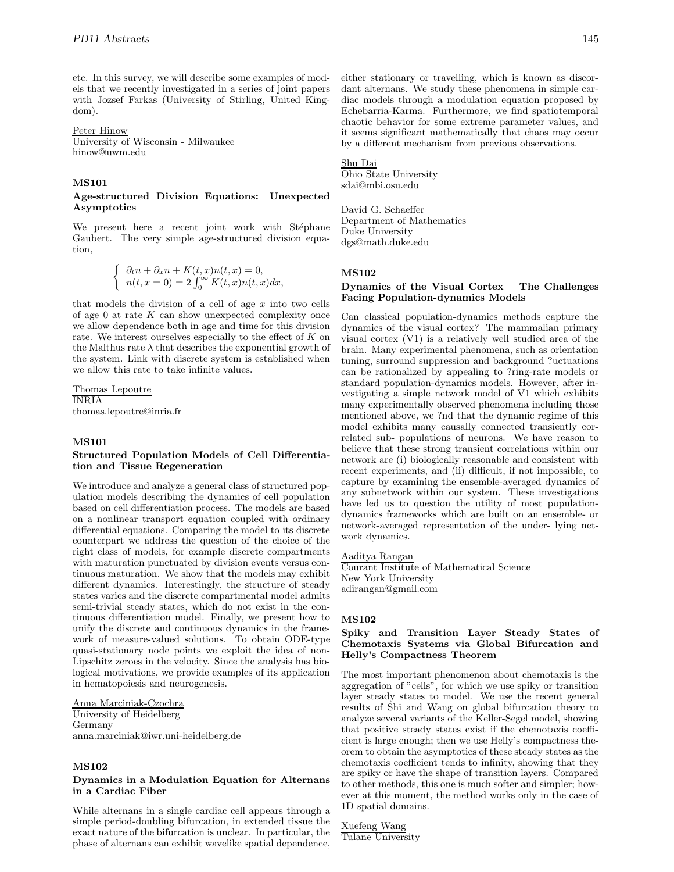etc. In this survey, we will describe some examples of models that we recently investigated in a series of joint papers with Jozsef Farkas (University of Stirling, United Kingdom).

### Peter Hinow

University of Wisconsin - Milwaukee hinow@uwm.edu

### **MS101**

#### **Age-structured Division Equations: Unexpected Asymptotics**

We present here a recent joint work with Stéphane Gaubert. The very simple age-structured division equation,

$$
\begin{cases}\n\partial_t n + \partial_x n + K(t, x)n(t, x) = 0, \\
n(t, x = 0) = 2 \int_0^\infty K(t, x)n(t, x) dx,\n\end{cases}
$$

that models the division of a cell of age  $x$  into two cells of age  $0$  at rate  $K$  can show unexpected complexity once we allow dependence both in age and time for this division rate. We interest ourselves especially to the effect of K on the Malthus rate  $\lambda$  that describes the exponential growth of the system. Link with discrete system is established when we allow this rate to take infinite values.

Thomas Lepoutre INRIA thomas.lepoutre@inria.fr

# **MS101**

# **Structured Population Models of Cell Differentiation and Tissue Regeneration**

We introduce and analyze a general class of structured population models describing the dynamics of cell population based on cell differentiation process. The models are based on a nonlinear transport equation coupled with ordinary differential equations. Comparing the model to its discrete counterpart we address the question of the choice of the right class of models, for example discrete compartments with maturation punctuated by division events versus continuous maturation. We show that the models may exhibit different dynamics. Interestingly, the structure of steady states varies and the discrete compartmental model admits semi-trivial steady states, which do not exist in the continuous differentiation model. Finally, we present how to unify the discrete and continuous dynamics in the framework of measure-valued solutions. To obtain ODE-type quasi-stationary node points we exploit the idea of non-Lipschitz zeroes in the velocity. Since the analysis has biological motivations, we provide examples of its application in hematopoiesis and neurogenesis.

# Anna Marciniak-Czochra

University of Heidelberg Germany anna.marciniak@iwr.uni-heidelberg.de

# **MS102**

# **Dynamics in a Modulation Equation for Alternans in a Cardiac Fiber**

While alternans in a single cardiac cell appears through a simple period-doubling bifurcation, in extended tissue the exact nature of the bifurcation is unclear. In particular, the phase of alternans can exhibit wavelike spatial dependence,

either stationary or travelling, which is known as discordant alternans. We study these phenomena in simple cardiac models through a modulation equation proposed by Echebarria-Karma. Furthermore, we find spatiotemporal chaotic behavior for some extreme parameter values, and it seems significant mathematically that chaos may occur by a different mechanism from previous observations.

#### Shu Dai

Ohio State University sdai@mbi.osu.edu

David G. Schaeffer Department of Mathematics Duke University dgs@math.duke.edu

### **MS102**

# **Dynamics of the Visual Cortex – The Challenges Facing Population-dynamics Models**

Can classical population-dynamics methods capture the dynamics of the visual cortex? The mammalian primary visual cortex (V1) is a relatively well studied area of the brain. Many experimental phenomena, such as orientation tuning, surround suppression and background ?uctuations can be rationalized by appealing to ?ring-rate models or standard population-dynamics models. However, after investigating a simple network model of V1 which exhibits many experimentally observed phenomena including those mentioned above, we ?nd that the dynamic regime of this model exhibits many causally connected transiently correlated sub- populations of neurons. We have reason to believe that these strong transient correlations within our network are (i) biologically reasonable and consistent with recent experiments, and (ii) difficult, if not impossible, to capture by examining the ensemble-averaged dynamics of any subnetwork within our system. These investigations have led us to question the utility of most populationdynamics frameworks which are built on an ensemble- or network-averaged representation of the under- lying network dynamics.

Aaditya Rangan Courant Institute of Mathematical Science New York University

adirangan@gmail.com

### **MS102**

# **Spiky and Transition Layer Steady States of Chemotaxis Systems via Global Bifurcation and Helly's Compactness Theorem**

The most important phenomenon about chemotaxis is the aggregation of "cells", for which we use spiky or transition layer steady states to model. We use the recent general results of Shi and Wang on global bifurcation theory to analyze several variants of the Keller-Segel model, showing that positive steady states exist if the chemotaxis coefficient is large enough; then we use Helly's compactness theorem to obtain the asymptotics of these steady states as the chemotaxis coefficient tends to infinity, showing that they are spiky or have the shape of transition layers. Compared to other methods, this one is much softer and simpler; however at this moment, the method works only in the case of 1D spatial domains.

Xuefeng Wang Tulane University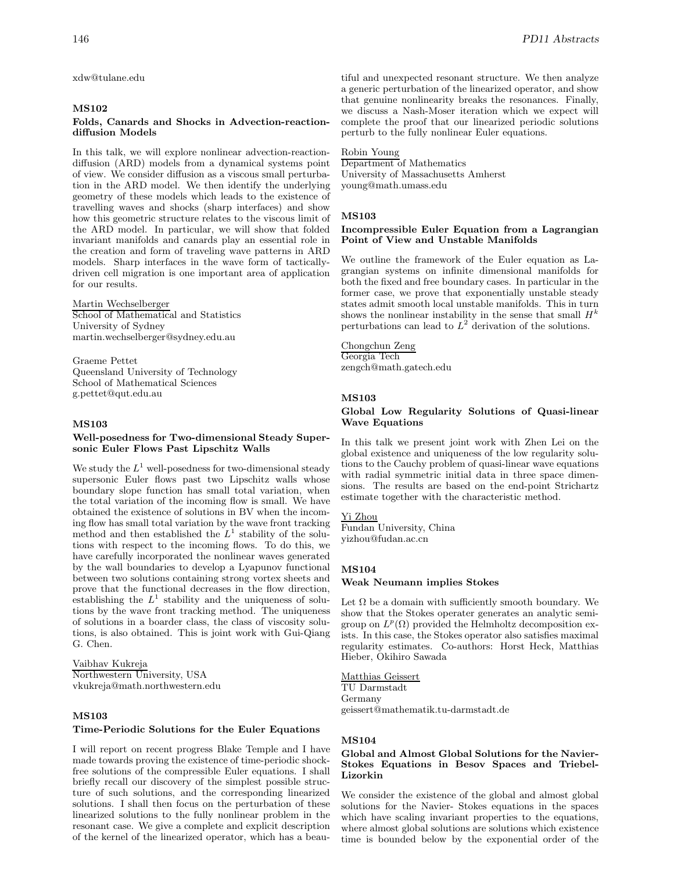xdw@tulane.edu

# **MS102**

### **Folds, Canards and Shocks in Advection-reactiondiffusion Models**

In this talk, we will explore nonlinear advection-reactiondiffusion (ARD) models from a dynamical systems point of view. We consider diffusion as a viscous small perturbation in the ARD model. We then identify the underlying geometry of these models which leads to the existence of travelling waves and shocks (sharp interfaces) and show how this geometric structure relates to the viscous limit of the ARD model. In particular, we will show that folded invariant manifolds and canards play an essential role in the creation and form of traveling wave patterns in ARD models. Sharp interfaces in the wave form of tacticallydriven cell migration is one important area of application for our results.

Martin Wechselberger School of Mathematical and Statistics University of Sydney martin.wechselberger@sydney.edu.au

Graeme Pettet Queensland University of Technology School of Mathematical Sciences g.pettet@qut.edu.au

# **MS103**

### **Well-posedness for Two-dimensional Steady Supersonic Euler Flows Past Lipschitz Walls**

We study the  $L^1$  well-posedness for two-dimensional steady supersonic Euler flows past two Lipschitz walls whose boundary slope function has small total variation, when the total variation of the incoming flow is small. We have obtained the existence of solutions in BV when the incoming flow has small total variation by the wave front tracking method and then established the  $L^1$  stability of the solutions with respect to the incoming flows. To do this, we have carefully incorporated the nonlinear waves generated by the wall boundaries to develop a Lyapunov functional between two solutions containing strong vortex sheets and prove that the functional decreases in the flow direction, establishing the  $L^1$  stability and the uniqueness of solutions by the wave front tracking method. The uniqueness of solutions in a boarder class, the class of viscosity solutions, is also obtained. This is joint work with Gui-Qiang G. Chen.

Vaibhav Kukreja Northwestern University, USA vkukreja@math.northwestern.edu

# **MS103**

### **Time-Periodic Solutions for the Euler Equations**

I will report on recent progress Blake Temple and I have made towards proving the existence of time-periodic shockfree solutions of the compressible Euler equations. I shall briefly recall our discovery of the simplest possible structure of such solutions, and the corresponding linearized solutions. I shall then focus on the perturbation of these linearized solutions to the fully nonlinear problem in the resonant case. We give a complete and explicit description of the kernel of the linearized operator, which has a beautiful and unexpected resonant structure. We then analyze a generic perturbation of the linearized operator, and show that genuine nonlinearity breaks the resonances. Finally, we discuss a Nash-Moser iteration which we expect will complete the proof that our linearized periodic solutions perturb to the fully nonlinear Euler equations.

Robin Young

Department of Mathematics University of Massachusetts Amherst young@math.umass.edu

# **MS103**

# **Incompressible Euler Equation from a Lagrangian Point of View and Unstable Manifolds**

We outline the framework of the Euler equation as Lagrangian systems on infinite dimensional manifolds for both the fixed and free boundary cases. In particular in the former case, we prove that exponentially unstable steady states admit smooth local unstable manifolds. This in turn shows the nonlinear instability in the sense that small  $H^k$ perturbations can lead to  $L^2$  derivation of the solutions.

Chongchun Zeng Georgia Tech zengch@math.gatech.edu

# **MS103**

# **Global Low Regularity Solutions of Quasi-linear Wave Equations**

In this talk we present joint work with Zhen Lei on the global existence and uniqueness of the low regularity solutions to the Cauchy problem of quasi-linear wave equations with radial symmetric initial data in three space dimensions. The results are based on the end-point Strichartz estimate together with the characteristic method.

#### Yi Zhou

Fundan University, China yizhou@fudan.ac.cn

### **MS104**

#### **Weak Neumann implies Stokes**

Let  $\Omega$  be a domain with sufficiently smooth boundary. We show that the Stokes operater generates an analytic semigroup on  $L^p(\Omega)$  provided the Helmholtz decomposition exists. In this case, the Stokes operator also satisfies maximal regularity estimates. Co-authors: Horst Heck, Matthias Hieber, Okihiro Sawada

### Matthias Geissert

TU Darmstadt Germany geissert@mathematik.tu-darmstadt.de

### **MS104**

# **Global and Almost Global Solutions for the Navier-Stokes Equations in Besov Spaces and Triebel-Lizorkin**

We consider the existence of the global and almost global solutions for the Navier- Stokes equations in the spaces which have scaling invariant properties to the equations, where almost global solutions are solutions which existence time is bounded below by the exponential order of the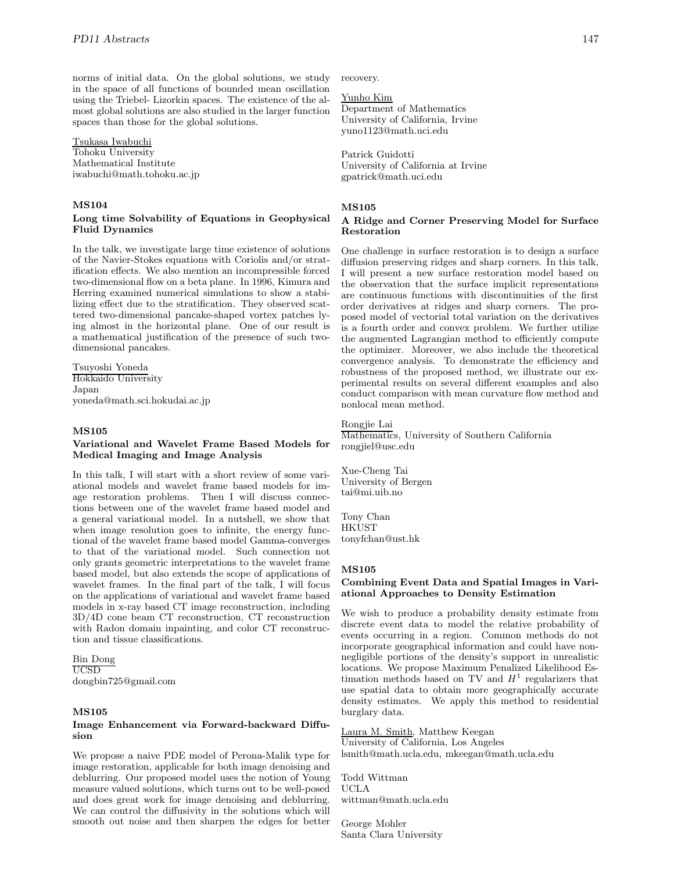norms of initial data. On the global solutions, we study in the space of all functions of bounded mean oscillation using the Triebel- Lizorkin spaces. The existence of the almost global solutions are also studied in the larger function spaces than those for the global solutions.

### Tsukasa Iwabuchi

Tohoku University Mathematical Institute iwabuchi@math.tohoku.ac.jp

# **MS104**

# **Long time Solvability of Equations in Geophysical Fluid Dynamics**

In the talk, we investigate large time existence of solutions of the Navier-Stokes equations with Coriolis and/or stratification effects. We also mention an incompressible forced two-dimensional flow on a beta plane. In 1996, Kimura and Herring examined numerical simulations to show a stabilizing effect due to the stratification. They observed scattered two-dimensional pancake-shaped vortex patches lying almost in the horizontal plane. One of our result is a mathematical justification of the presence of such twodimensional pancakes.

Tsuyoshi Yoneda Hokkaido University Japan yoneda@math.sci.hokudai.ac.jp

# **MS105**

# **Variational and Wavelet Frame Based Models for Medical Imaging and Image Analysis**

In this talk, I will start with a short review of some variational models and wavelet frame based models for image restoration problems. Then I will discuss connections between one of the wavelet frame based model and a general variational model. In a nutshell, we show that when image resolution goes to infinite, the energy functional of the wavelet frame based model Gamma-converges to that of the variational model. Such connection not only grants geometric interpretations to the wavelet frame based model, but also extends the scope of applications of wavelet frames. In the final part of the talk, I will focus on the applications of variational and wavelet frame based models in x-ray based CT image reconstruction, including 3D/4D cone beam CT reconstruction, CT reconstruction with Radon domain inpainting, and color CT reconstruction and tissue classifications.

Bin Dong UCSD dongbin725@gmail.com

# **MS105**

### **Image Enhancement via Forward-backward Diffusion**

We propose a naive PDE model of Perona-Malik type for image restoration, applicable for both image denoising and deblurring. Our proposed model uses the notion of Young measure valued solutions, which turns out to be well-posed and does great work for image denoising and deblurring. We can control the diffusivity in the solutions which will smooth out noise and then sharpen the edges for better

recovery.

### Yunho Kim

Department of Mathematics University of California, Irvine yuno1123@math.uci.edu

Patrick Guidotti University of California at Irvine gpatrick@math.uci.edu

### **MS105**

# **A Ridge and Corner Preserving Model for Surface Restoration**

One challenge in surface restoration is to design a surface diffusion preserving ridges and sharp corners. In this talk, I will present a new surface restoration model based on the observation that the surface implicit representations are continuous functions with discontinuities of the first order derivatives at ridges and sharp corners. The proposed model of vectorial total variation on the derivatives is a fourth order and convex problem. We further utilize the augmented Lagrangian method to efficiently compute the optimizer. Moreover, we also include the theoretical convergence analysis. To demonstrate the efficiency and robustness of the proposed method, we illustrate our experimental results on several different examples and also conduct comparison with mean curvature flow method and nonlocal mean method.

# Rongjie Lai

Mathematics, University of Southern California rongjiel@usc.edu

Xue-Cheng Tai University of Bergen tai@mi.uib.no

Tony Chan HKUST tonyfchan@ust.hk

# **MS105**

# **Combining Event Data and Spatial Images in Variational Approaches to Density Estimation**

We wish to produce a probability density estimate from discrete event data to model the relative probability of events occurring in a region. Common methods do not incorporate geographical information and could have nonnegligible portions of the density's support in unrealistic locations. We propose Maximum Penalized Likelihood Estimation methods based on TV and  $H^1$  regularizers that use spatial data to obtain more geographically accurate density estimates. We apply this method to residential burglary data.

Laura M. Smith, Matthew Keegan University of California, Los Angeles lsmith@math.ucla.edu, mkeegan@math.ucla.edu

Todd Wittman UCLA wittman@math.ucla.edu

George Mohler Santa Clara University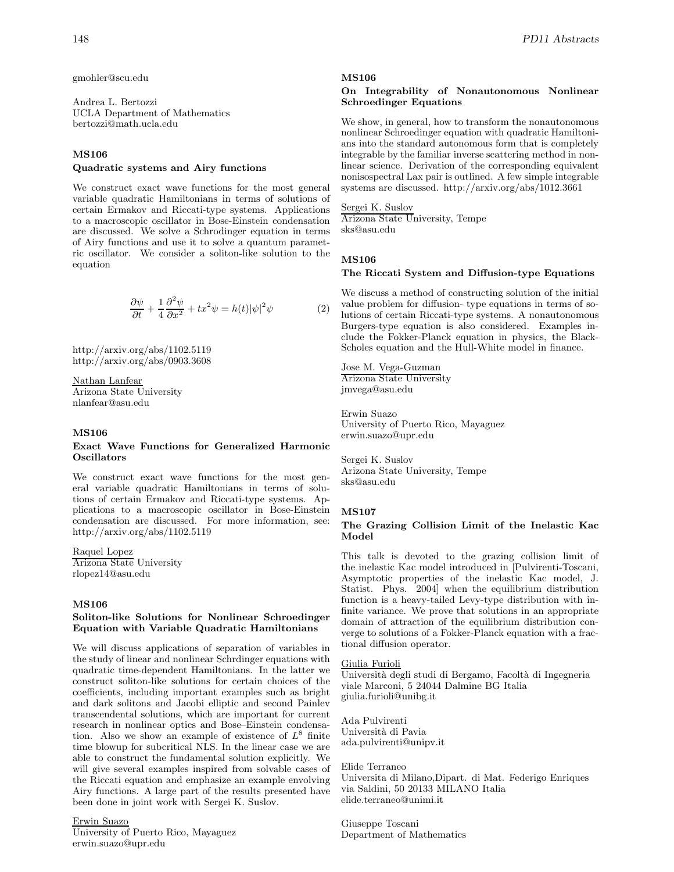gmohler@scu.edu

Andrea L. Bertozzi UCLA Department of Mathematics bertozzi@math.ucla.edu

# **MS106**

# **Quadratic systems and Airy functions**

We construct exact wave functions for the most general variable quadratic Hamiltonians in terms of solutions of certain Ermakov and Riccati-type systems. Applications to a macroscopic oscillator in Bose-Einstein condensation are discussed. We solve a Schrodinger equation in terms of Airy functions and use it to solve a quantum parametric oscillator. We consider a soliton-like solution to the equation

$$
\frac{\partial \psi}{\partial t} + \frac{1}{4} \frac{\partial^2 \psi}{\partial x^2} + tx^2 \psi = h(t) |\psi|^2 \psi \tag{2}
$$

http://arxiv.org/abs/1102.5119 http://arxiv.org/abs/0903.3608

Nathan Lanfear Arizona State University nlanfear@asu.edu

### **MS106**

# **Exact Wave Functions for Generalized Harmonic Oscillators**

We construct exact wave functions for the most general variable quadratic Hamiltonians in terms of solutions of certain Ermakov and Riccati-type systems. Applications to a macroscopic oscillator in Bose-Einstein condensation are discussed. For more information, see: http://arxiv.org/abs/1102.5119

Raquel Lopez Arizona State University rlopez14@asu.edu

# **MS106**

# **Soliton-like Solutions for Nonlinear Schroedinger Equation with Variable Quadratic Hamiltonians**

We will discuss applications of separation of variables in the study of linear and nonlinear Schrdinger equations with quadratic time-dependent Hamiltonians. In the latter we construct soliton-like solutions for certain choices of the coefficients, including important examples such as bright and dark solitons and Jacobi elliptic and second Painlev transcendental solutions, which are important for current research in nonlinear optics and Bose–Einstein condensation. Also we show an example of existence of  $L^8$  finite time blowup for subcritical NLS. In the linear case we are able to construct the fundamental solution explicitly. We will give several examples inspired from solvable cases of the Riccati equation and emphasize an example envolving Airy functions. A large part of the results presented have been done in joint work with Sergei K. Suslov.

Erwin Suazo

University of Puerto Rico, Mayaguez erwin.suazo@upr.edu

#### **MS106**

# **On Integrability of Nonautonomous Nonlinear Schroedinger Equations**

We show, in general, how to transform the nonautonomous nonlinear Schroedinger equation with quadratic Hamiltonians into the standard autonomous form that is completely integrable by the familiar inverse scattering method in nonlinear science. Derivation of the corresponding equivalent nonisospectral Lax pair is outlined. A few simple integrable systems are discussed. http://arxiv.org/abs/1012.3661

### Sergei K. Suslov

Arizona State University, Tempe sks@asu.edu

# **MS106**

### **The Riccati System and Diffusion-type Equations**

We discuss a method of constructing solution of the initial value problem for diffusion- type equations in terms of solutions of certain Riccati-type systems. A nonautonomous Burgers-type equation is also considered. Examples include the Fokker-Planck equation in physics, the Black-Scholes equation and the Hull-White model in finance.

Jose M. Vega-Guzman Arizona State University jmvega@asu.edu

Erwin Suazo University of Puerto Rico, Mayaguez erwin.suazo@upr.edu

Sergei K. Suslov Arizona State University, Tempe sks@asu.edu

#### **MS107**

# **The Grazing Collision Limit of the Inelastic Kac Model**

This talk is devoted to the grazing collision limit of the inelastic Kac model introduced in [Pulvirenti-Toscani, Asymptotic properties of the inelastic Kac model, J. Statist. Phys. 2004] when the equilibrium distribution function is a heavy-tailed Levy-type distribution with infinite variance. We prove that solutions in an appropriate domain of attraction of the equilibrium distribution converge to solutions of a Fokker-Planck equation with a fractional diffusion operator.

# Giulia Furioli

Universit`a degli studi di Bergamo, Facolt`a di Ingegneria viale Marconi, 5 24044 Dalmine BG Italia giulia.furioli@unibg.it

Ada Pulvirenti Universit`a di Pavia ada.pulvirenti@unipv.it

#### Elide Terraneo

Universita di Milano,Dipart. di Mat. Federigo Enriques via Saldini, 50 20133 MILANO Italia elide.terraneo@unimi.it

Giuseppe Toscani Department of Mathematics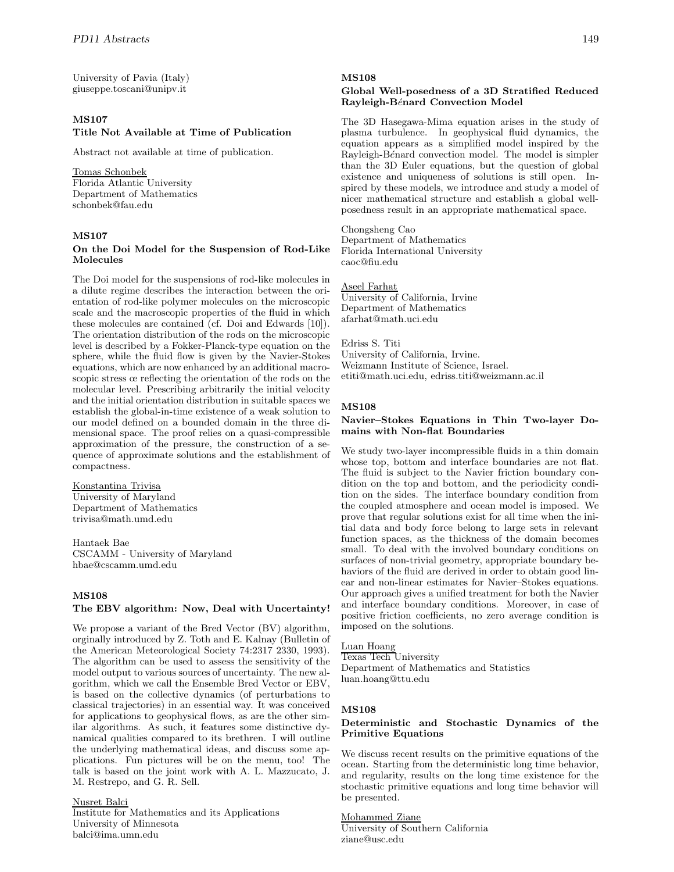University of Pavia (Italy) giuseppe.toscani@unipv.it

# **MS107**

### **Title Not Available at Time of Publication**

Abstract not available at time of publication.

# Tomas Schonbek

Florida Atlantic University Department of Mathematics schonbek@fau.edu

# **MS107**

# **On the Doi Model for the Suspension of Rod-Like Molecules**

The Doi model for the suspensions of rod-like molecules in a dilute regime describes the interaction between the orientation of rod-like polymer molecules on the microscopic scale and the macroscopic properties of the fluid in which these molecules are contained (cf. Doi and Edwards [10]). The orientation distribution of the rods on the microscopic level is described by a Fokker-Planck-type equation on the sphere, while the fluid flow is given by the Navier-Stokes equations, which are now enhanced by an additional macroscopic stress œ reflecting the orientation of the rods on the molecular level. Prescribing arbitrarily the initial velocity and the initial orientation distribution in suitable spaces we establish the global-in-time existence of a weak solution to our model defined on a bounded domain in the three dimensional space. The proof relies on a quasi-compressible approximation of the pressure, the construction of a sequence of approximate solutions and the establishment of compactness.

### Konstantina Trivisa

University of Maryland Department of Mathematics trivisa@math.umd.edu

Hantaek Bae CSCAMM - University of Maryland hbae@cscamm.umd.edu

# **MS108**

# **The EBV algorithm: Now, Deal with Uncertainty!**

We propose a variant of the Bred Vector (BV) algorithm, orginally introduced by Z. Toth and E. Kalnay (Bulletin of the American Meteorological Society 74:2317 2330, 1993). The algorithm can be used to assess the sensitivity of the model output to various sources of uncertainty. The new algorithm, which we call the Ensemble Bred Vector or EBV, is based on the collective dynamics (of perturbations to classical trajectories) in an essential way. It was conceived for applications to geophysical flows, as are the other similar algorithms. As such, it features some distinctive dynamical qualities compared to its brethren. I will outline the underlying mathematical ideas, and discuss some applications. Fun pictures will be on the menu, too! The talk is based on the joint work with A. L. Mazzucato, J. M. Restrepo, and G. R. Sell.

Nusret Balci

Institute for Mathematics and its Applications University of Minnesota balci@ima.umn.edu

## **MS108**

# **Global Well-posedness of a 3D Stratified Reduced Rayleigh-B**e´**nard Convection Model**

The 3D Hasegawa-Mima equation arises in the study of plasma turbulence. In geophysical fluid dynamics, the equation appears as a simplified model inspired by the Rayleigh-Bénard convection model. The model is simpler than the 3D Euler equations, but the question of global existence and uniqueness of solutions is still open. Inspired by these models, we introduce and study a model of nicer mathematical structure and establish a global wellposedness result in an appropriate mathematical space.

Chongsheng Cao Department of Mathematics Florida International University caoc@fiu.edu

Aseel Farhat University of California, Irvine Department of Mathematics afarhat@math.uci.edu

Edriss S. Titi University of California, Irvine. Weizmann Institute of Science, Israel. etiti@math.uci.edu, edriss.titi@weizmann.ac.il

# **MS108**

### **Navier–Stokes Equations in Thin Two-layer Domains with Non-flat Boundaries**

We study two-layer incompressible fluids in a thin domain whose top, bottom and interface boundaries are not flat. The fluid is subject to the Navier friction boundary condition on the top and bottom, and the periodicity condition on the sides. The interface boundary condition from the coupled atmosphere and ocean model is imposed. We prove that regular solutions exist for all time when the initial data and body force belong to large sets in relevant function spaces, as the thickness of the domain becomes small. To deal with the involved boundary conditions on surfaces of non-trivial geometry, appropriate boundary behaviors of the fluid are derived in order to obtain good linear and non-linear estimates for Navier–Stokes equations. Our approach gives a unified treatment for both the Navier and interface boundary conditions. Moreover, in case of positive friction coefficients, no zero average condition is imposed on the solutions.

Luan Hoang

Texas Tech University Department of Mathematics and Statistics luan.hoang@ttu.edu

# **MS108**

# **Deterministic and Stochastic Dynamics of the Primitive Equations**

We discuss recent results on the primitive equations of the ocean. Starting from the deterministic long time behavior, and regularity, results on the long time existence for the stochastic primitive equations and long time behavior will be presented.

Mohammed Ziane University of Southern California ziane@usc.edu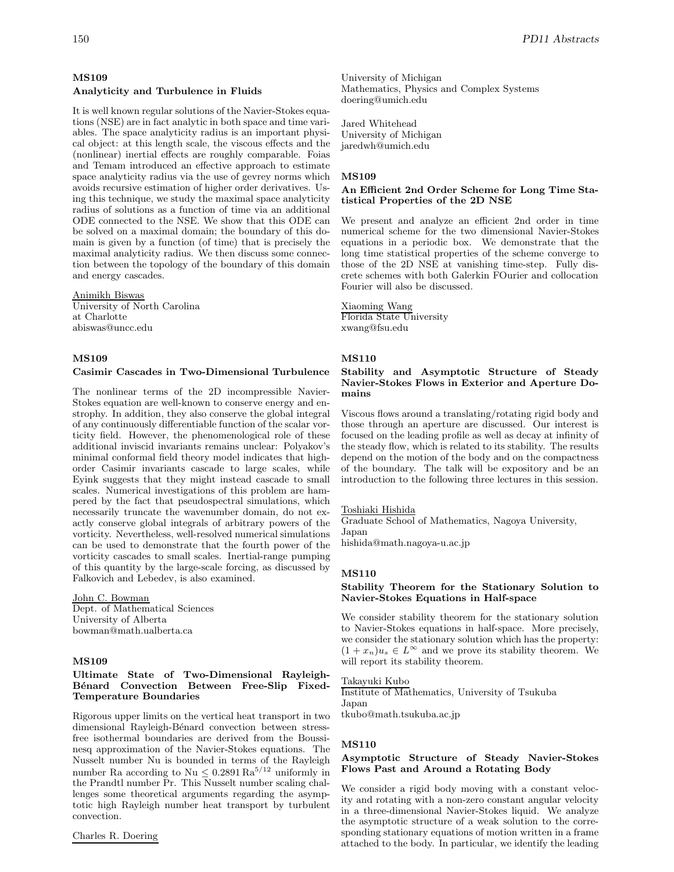# **MS109**

# **Analyticity and Turbulence in Fluids**

It is well known regular solutions of the Navier-Stokes equations (NSE) are in fact analytic in both space and time variables. The space analyticity radius is an important physical object: at this length scale, the viscous effects and the (nonlinear) inertial effects are roughly comparable. Foias and Temam introduced an effective approach to estimate space analyticity radius via the use of gevrey norms which avoids recursive estimation of higher order derivatives. Using this technique, we study the maximal space analyticity radius of solutions as a function of time via an additional ODE connected to the NSE. We show that this ODE can be solved on a maximal domain; the boundary of this domain is given by a function (of time) that is precisely the maximal analyticity radius. We then discuss some connection between the topology of the boundary of this domain and energy cascades.

### Animikh Biswas

University of North Carolina at Charlotte abiswas@uncc.edu

# **MS109**

# **Casimir Cascades in Two-Dimensional Turbulence**

The nonlinear terms of the 2D incompressible Navier-Stokes equation are well-known to conserve energy and enstrophy. In addition, they also conserve the global integral of any continuously differentiable function of the scalar vorticity field. However, the phenomenological role of these additional inviscid invariants remains unclear: Polyakov's minimal conformal field theory model indicates that highorder Casimir invariants cascade to large scales, while Eyink suggests that they might instead cascade to small scales. Numerical investigations of this problem are hampered by the fact that pseudospectral simulations, which necessarily truncate the wavenumber domain, do not exactly conserve global integrals of arbitrary powers of the vorticity. Nevertheless, well-resolved numerical simulations can be used to demonstrate that the fourth power of the vorticity cascades to small scales. Inertial-range pumping of this quantity by the large-scale forcing, as discussed by Falkovich and Lebedev, is also examined.

# John C. Bowman

Dept. of Mathematical Sciences University of Alberta bowman@math.ualberta.ca

### **MS109**

# **Ultimate State of Two-Dimensional Rayleigh-**Bénard Convection Between Free-Slip Fixed-**Temperature Boundaries**

Rigorous upper limits on the vertical heat transport in two dimensional Rayleigh-Bénard convection between stressfree isothermal boundaries are derived from the Boussinesq approximation of the Navier-Stokes equations. The Nusselt number Nu is bounded in terms of the Rayleigh number Ra according to Nu  $\leq 0.2891 \, \mathrm{Ra}^{5/12}$  uniformly in the Prandtl number Pr. This Nusselt number scaling challenges some theoretical arguments regarding the asymptotic high Rayleigh number heat transport by turbulent convection.

# Charles R. Doering

University of Michigan Mathematics, Physics and Complex Systems doering@umich.edu

Jared Whitehead University of Michigan jaredwh@umich.edu

### **MS109**

# **An Efficient 2nd Order Scheme for Long Time Statistical Properties of the 2D NSE**

We present and analyze an efficient 2nd order in time numerical scheme for the two dimensional Navier-Stokes equations in a periodic box. We demonstrate that the long time statistical properties of the scheme converge to those of the 2D NSE at vanishing time-step. Fully discrete schemes with both Galerkin FOurier and collocation Fourier will also be discussed.

#### Xiaoming Wang Florida State University

xwang@fsu.edu

# **MS110**

# **Stability and Asymptotic Structure of Steady Navier-Stokes Flows in Exterior and Aperture Domains**

Viscous flows around a translating/rotating rigid body and those through an aperture are discussed. Our interest is focused on the leading profile as well as decay at infinity of the steady flow, which is related to its stability. The results depend on the motion of the body and on the compactness of the boundary. The talk will be expository and be an introduction to the following three lectures in this session.

#### Toshiaki Hishida

Graduate School of Mathematics, Nagoya University, Japan hishida@math.nagoya-u.ac.jp

### **MS110**

# **Stability Theorem for the Stationary Solution to Navier-Stokes Equations in Half-space**

We consider stability theorem for the stationary solution to Navier-Stokes equations in half-space. More precisely, we consider the stationary solution which has the property:  $(1 + x_n)u_s \in L^{\infty}$  and we prove its stability theorem. We will report its stability theorem.

### Takayuki Kubo

Institute of Mathematics, University of Tsukuba Japan tkubo@math.tsukuba.ac.jp

#### **MS110**

# **Asymptotic Structure of Steady Navier-Stokes Flows Past and Around a Rotating Body**

We consider a rigid body moving with a constant velocity and rotating with a non-zero constant angular velocity in a three-dimensional Navier-Stokes liquid. We analyze the asymptotic structure of a weak solution to the corresponding stationary equations of motion written in a frame attached to the body. In particular, we identify the leading